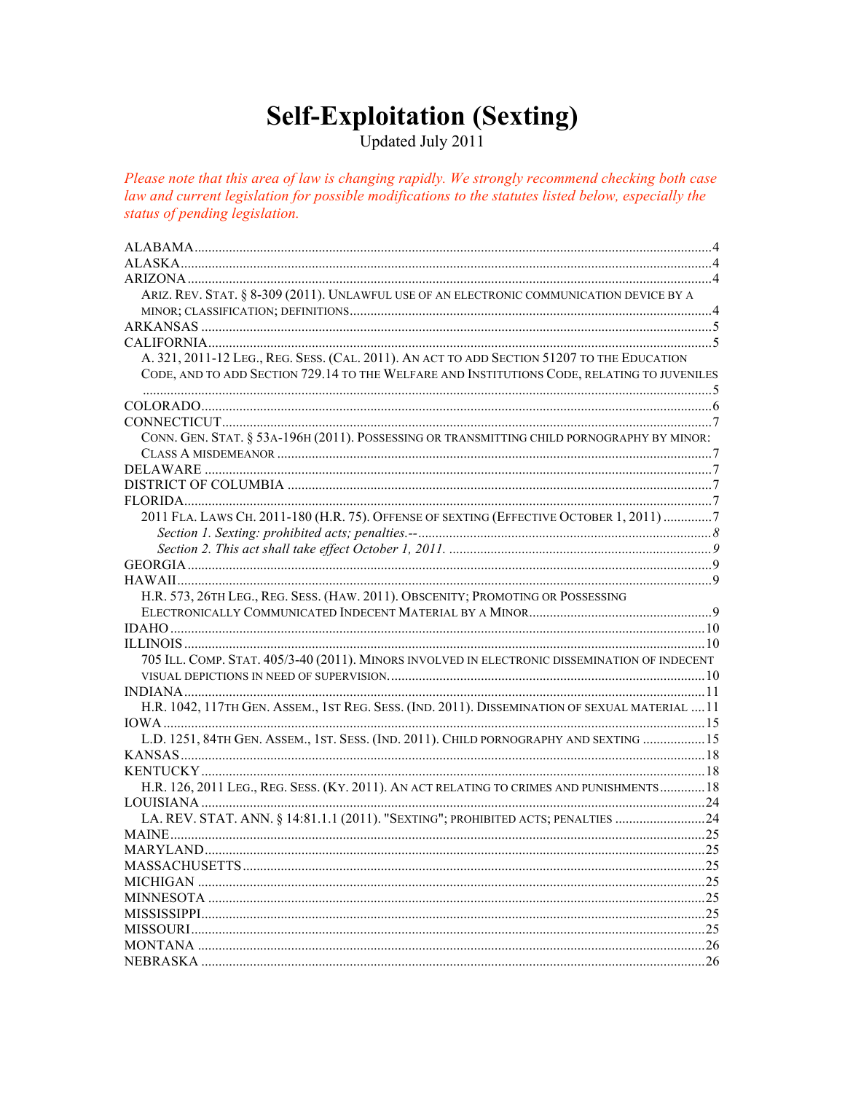# **Self-Exploitation (Sexting)**<br>Updated July 2011

Please note that this area of law is changing rapidly. We strongly recommend checking both case law and current legislation for possible modifications to the statutes listed below, especially the status of pending legislation.

| ARIZ. REV. STAT. § 8-309 (2011). UNLAWFUL USE OF AN ELECTRONIC COMMUNICATION DEVICE BY A       |    |
|------------------------------------------------------------------------------------------------|----|
|                                                                                                |    |
|                                                                                                |    |
|                                                                                                |    |
| A. 321, 2011-12 LEG., REG. SESS. (CAL. 2011). AN ACT TO ADD SECTION 51207 TO THE EDUCATION     |    |
| CODE, AND TO ADD SECTION 729.14 TO THE WELFARE AND INSTITUTIONS CODE, RELATING TO JUVENILES    |    |
|                                                                                                |    |
|                                                                                                |    |
| CONN. GEN. STAT. § 53A-196H (2011). POSSESSING OR TRANSMITTING CHILD PORNOGRAPHY BY MINOR:     |    |
|                                                                                                |    |
|                                                                                                |    |
|                                                                                                |    |
|                                                                                                |    |
| 2011 FLA. LAWS CH. 2011-180 (H.R. 75). OFFENSE OF SEXTING (EFFECTIVE OCTOBER 1, 2011) 7        |    |
|                                                                                                |    |
|                                                                                                |    |
|                                                                                                |    |
|                                                                                                |    |
| H.R. 573, 26TH LEG., REG. SESS. (HAW. 2011). OBSCENITY; PROMOTING OR POSSESSING                |    |
|                                                                                                |    |
|                                                                                                |    |
|                                                                                                |    |
| 705 ILL. COMP. STAT. 405/3-40 (2011). MINORS INVOLVED IN ELECTRONIC DISSEMINATION OF INDECENT  |    |
|                                                                                                |    |
|                                                                                                |    |
| H.R. 1042, 117TH GEN. ASSEM., 1ST REG. SESS. (IND. 2011). DISSEMINATION OF SEXUAL MATERIAL  11 |    |
|                                                                                                |    |
| L.D. 1251, 84TH GEN. ASSEM., 1ST. SESS. (IND. 2011). CHILD PORNOGRAPHY AND SEXTING  15         |    |
|                                                                                                |    |
|                                                                                                |    |
| H.R. 126, 2011 LEG., REG. SESS. (KY. 2011). AN ACT RELATING TO CRIMES AND PUNISHMENTS 18       |    |
|                                                                                                |    |
| LA. REV. STAT. ANN. § 14:81.1.1 (2011). "SEXTING"; PROHIBITED ACTS; PENALTIES 24               |    |
|                                                                                                |    |
|                                                                                                |    |
|                                                                                                |    |
|                                                                                                |    |
|                                                                                                |    |
|                                                                                                |    |
|                                                                                                |    |
|                                                                                                | 26 |
|                                                                                                |    |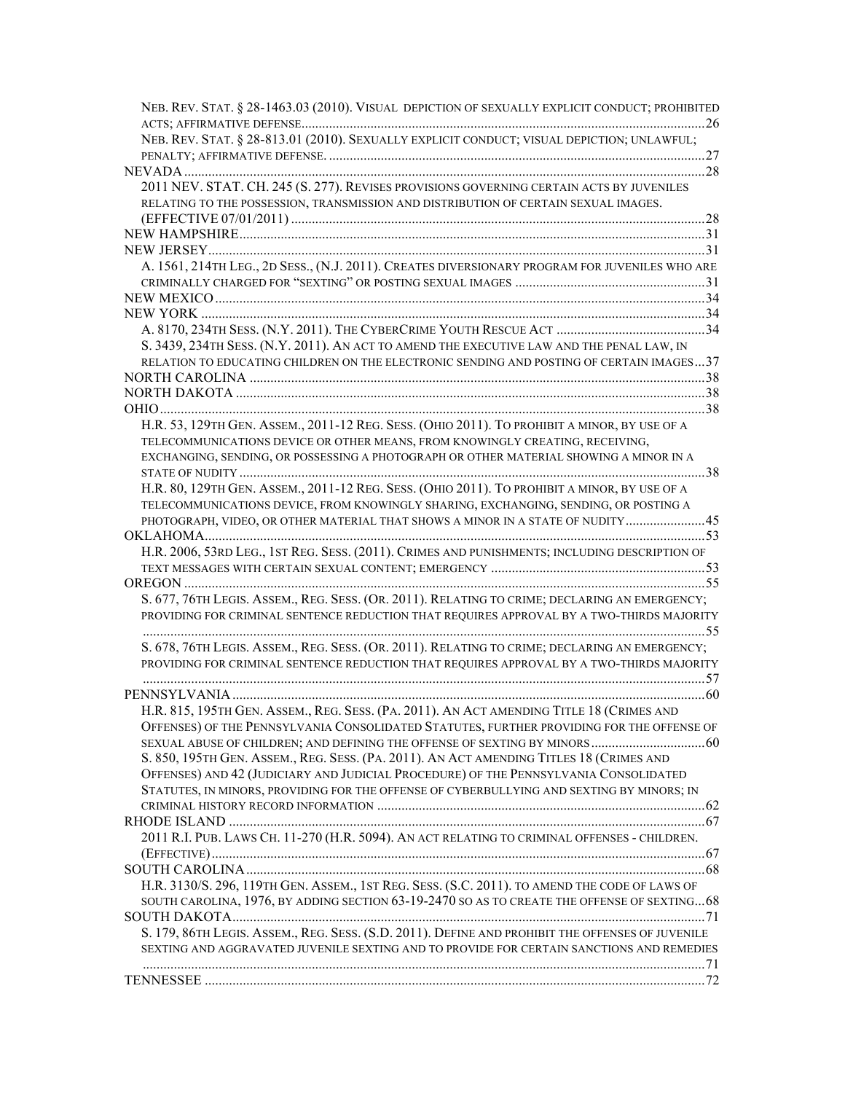| NEB. REV. STAT. § 28-1463.03 (2010). VISUAL DEPICTION OF SEXUALLY EXPLICIT CONDUCT; PROHIBITED                                                                                        |  |
|---------------------------------------------------------------------------------------------------------------------------------------------------------------------------------------|--|
| NEB. REV. STAT. § 28-813.01 (2010). SEXUALLY EXPLICIT CONDUCT; VISUAL DEPICTION; UNLAWFUL;                                                                                            |  |
|                                                                                                                                                                                       |  |
|                                                                                                                                                                                       |  |
| 2011 NEV. STAT. CH. 245 (S. 277). REVISES PROVISIONS GOVERNING CERTAIN ACTS BY JUVENILES                                                                                              |  |
| RELATING TO THE POSSESSION, TRANSMISSION AND DISTRIBUTION OF CERTAIN SEXUAL IMAGES.                                                                                                   |  |
|                                                                                                                                                                                       |  |
|                                                                                                                                                                                       |  |
|                                                                                                                                                                                       |  |
| A. 1561, 214TH LEG., 2D SESS., (N.J. 2011). CREATES DIVERSIONARY PROGRAM FOR JUVENILES WHO ARE                                                                                        |  |
|                                                                                                                                                                                       |  |
|                                                                                                                                                                                       |  |
|                                                                                                                                                                                       |  |
|                                                                                                                                                                                       |  |
| S. 3439, 234TH SESS. (N.Y. 2011). AN ACT TO AMEND THE EXECUTIVE LAW AND THE PENAL LAW, IN<br>RELATION TO EDUCATING CHILDREN ON THE ELECTRONIC SENDING AND POSTING OF CERTAIN IMAGES37 |  |
|                                                                                                                                                                                       |  |
|                                                                                                                                                                                       |  |
|                                                                                                                                                                                       |  |
| H.R. 53, 129TH GEN. ASSEM., 2011-12 REG. SESS. (OHIO 2011). TO PROHIBIT A MINOR, BY USE OF A                                                                                          |  |
| TELECOMMUNICATIONS DEVICE OR OTHER MEANS, FROM KNOWINGLY CREATING, RECEIVING,                                                                                                         |  |
| EXCHANGING, SENDING, OR POSSESSING A PHOTOGRAPH OR OTHER MATERIAL SHOWING A MINOR IN A                                                                                                |  |
|                                                                                                                                                                                       |  |
| H.R. 80, 129TH GEN. ASSEM., 2011-12 REG. SESS. (OHIO 2011). TO PROHIBIT A MINOR, BY USE OF A                                                                                          |  |
| TELECOMMUNICATIONS DEVICE, FROM KNOWINGLY SHARING, EXCHANGING, SENDING, OR POSTING A                                                                                                  |  |
| PHOTOGRAPH, VIDEO, OR OTHER MATERIAL THAT SHOWS A MINOR IN A STATE OF NUDITY  45                                                                                                      |  |
|                                                                                                                                                                                       |  |
| H.R. 2006, 53RD LEG., 1ST REG. SESS. (2011). CRIMES AND PUNISHMENTS; INCLUDING DESCRIPTION OF                                                                                         |  |
|                                                                                                                                                                                       |  |
|                                                                                                                                                                                       |  |
| S. 677, 76TH LEGIS. ASSEM., REG. SESS. (OR. 2011). RELATING TO CRIME; DECLARING AN EMERGENCY;                                                                                         |  |
| PROVIDING FOR CRIMINAL SENTENCE REDUCTION THAT REQUIRES APPROVAL BY A TWO-THIRDS MAJORITY                                                                                             |  |
|                                                                                                                                                                                       |  |
| S. 678, 76TH LEGIS. ASSEM., REG. SESS. (OR. 2011). RELATING TO CRIME; DECLARING AN EMERGENCY;                                                                                         |  |
| PROVIDING FOR CRIMINAL SENTENCE REDUCTION THAT REQUIRES APPROVAL BY A TWO-THIRDS MAJORITY                                                                                             |  |
|                                                                                                                                                                                       |  |
|                                                                                                                                                                                       |  |
| H.R. 815, 195TH GEN. ASSEM., REG. SESS. (PA. 2011). AN ACT AMENDING TITLE 18 (CRIMES AND                                                                                              |  |
| OFFENSES) OF THE PENNSYLVANIA CONSOLIDATED STATUTES, FURTHER PROVIDING FOR THE OFFENSE OF                                                                                             |  |
|                                                                                                                                                                                       |  |
| S. 850, 195TH GEN. ASSEM., REG. SESS. (PA. 2011). AN ACT AMENDING TITLES 18 (CRIMES AND                                                                                               |  |
| OFFENSES) AND 42 (JUDICIARY AND JUDICIAL PROCEDURE) OF THE PENNSYLVANIA CONSOLIDATED                                                                                                  |  |
| STATUTES, IN MINORS, PROVIDING FOR THE OFFENSE OF CYBERBULLYING AND SEXTING BY MINORS; IN                                                                                             |  |
|                                                                                                                                                                                       |  |
|                                                                                                                                                                                       |  |
| 2011 R.I. PUB. LAWS CH. 11-270 (H.R. 5094). AN ACT RELATING TO CRIMINAL OFFENSES - CHILDREN.                                                                                          |  |
|                                                                                                                                                                                       |  |
|                                                                                                                                                                                       |  |
| H.R. 3130/S. 296, 119TH GEN. ASSEM., 1ST REG. SESS. (S.C. 2011). TO AMEND THE CODE OF LAWS OF                                                                                         |  |
| SOUTH CAROLINA, 1976, BY ADDING SECTION 63-19-2470 SO AS TO CREATE THE OFFENSE OF SEXTING68                                                                                           |  |
| S. 179, 86TH LEGIS. ASSEM., REG. SESS. (S.D. 2011). DEFINE AND PROHIBIT THE OFFENSES OF JUVENILE                                                                                      |  |
| SEXTING AND AGGRAVATED JUVENILE SEXTING AND TO PROVIDE FOR CERTAIN SANCTIONS AND REMEDIES                                                                                             |  |
|                                                                                                                                                                                       |  |
|                                                                                                                                                                                       |  |
|                                                                                                                                                                                       |  |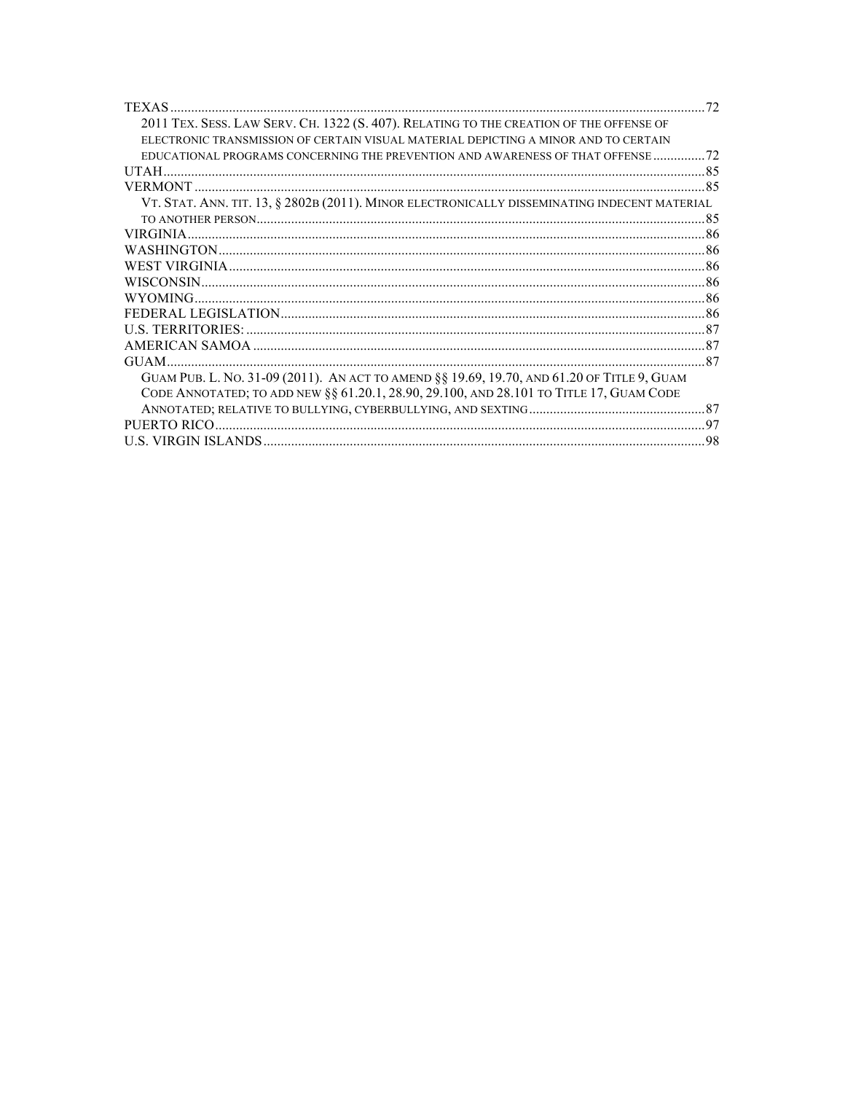| <b>TEXAS</b>                                                                                 | 72 |
|----------------------------------------------------------------------------------------------|----|
| 2011 TEX. SESS. LAW SERV. CH. 1322 (S. 407). RELATING TO THE CREATION OF THE OFFENSE OF      |    |
| ELECTRONIC TRANSMISSION OF CERTAIN VISUAL MATERIAL DEPICTING A MINOR AND TO CERTAIN          |    |
| EDUCATIONAL PROGRAMS CONCERNING THE PREVENTION AND AWARENESS OF THAT OFFENSE  72             |    |
| UTAH.                                                                                        |    |
|                                                                                              |    |
| VT. STAT. ANN. TIT. 13, § 2802B (2011). MINOR ELECTRONICALLY DISSEMINATING INDECENT MATERIAL |    |
|                                                                                              |    |
|                                                                                              |    |
|                                                                                              |    |
|                                                                                              |    |
|                                                                                              |    |
| <b>WYOMING</b>                                                                               |    |
|                                                                                              |    |
|                                                                                              |    |
|                                                                                              |    |
|                                                                                              |    |
| GUAM PUB. L. NO. 31-09 (2011). AN ACT TO AMEND § § 19.69, 19.70, AND 61.20 OF TITLE 9, GUAM  |    |
| CODE ANNOTATED; TO ADD NEW § § 61.20.1, 28.90, 29.100, AND 28.101 TO TITLE 17, GUAM CODE     |    |
|                                                                                              |    |
| PUERTO RICO.                                                                                 |    |
|                                                                                              | 98 |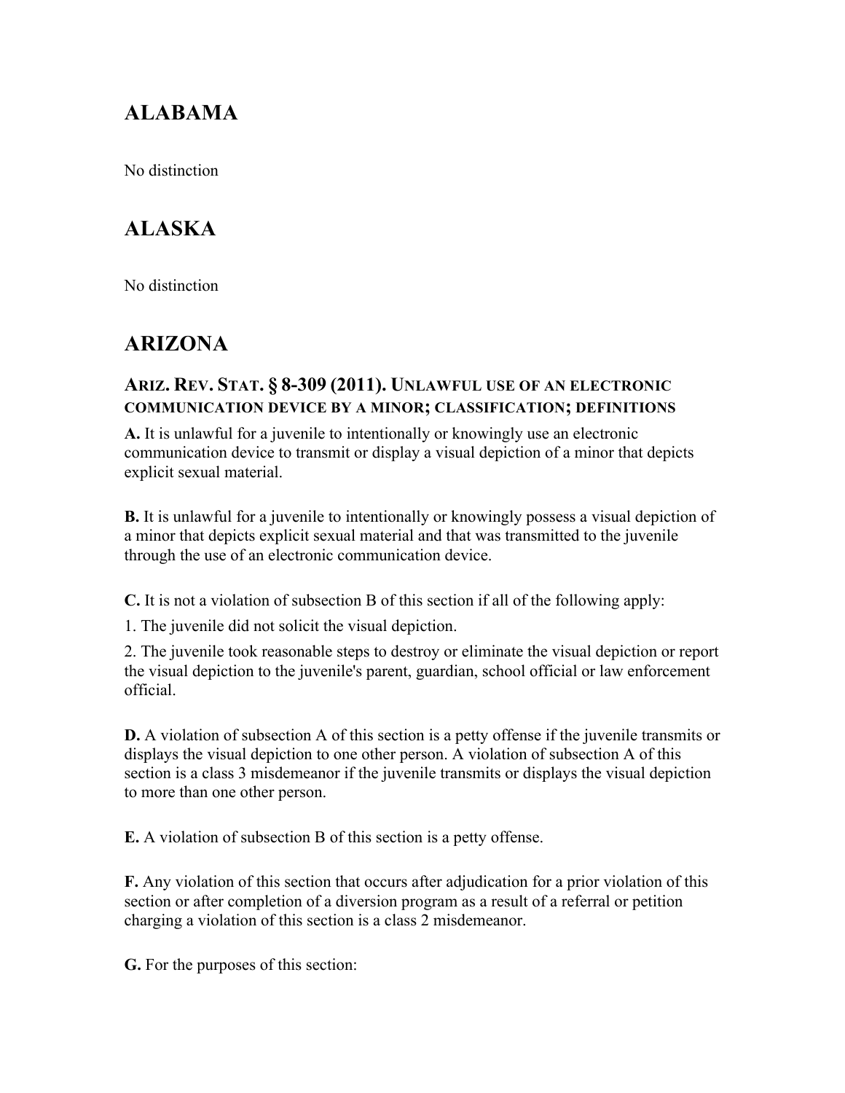# **ALABAMA**

No distinction

# **ALASKA**

No distinction

# **ARIZONA**

## **ARIZ. REV. STAT. § 8-309 (2011). UNLAWFUL USE OF AN ELECTRONIC COMMUNICATION DEVICE BY A MINOR; CLASSIFICATION; DEFINITIONS**

**A.** It is unlawful for a juvenile to intentionally or knowingly use an electronic communication device to transmit or display a visual depiction of a minor that depicts explicit sexual material.

**B.** It is unlawful for a juvenile to intentionally or knowingly possess a visual depiction of a minor that depicts explicit sexual material and that was transmitted to the juvenile through the use of an electronic communication device.

**C.** It is not a violation of subsection B of this section if all of the following apply:

1. The juvenile did not solicit the visual depiction.

2. The juvenile took reasonable steps to destroy or eliminate the visual depiction or report the visual depiction to the juvenile's parent, guardian, school official or law enforcement official.

**D.** A violation of subsection A of this section is a petty offense if the juvenile transmits or displays the visual depiction to one other person. A violation of subsection A of this section is a class 3 misdemeanor if the juvenile transmits or displays the visual depiction to more than one other person.

**E.** A violation of subsection B of this section is a petty offense.

**F.** Any violation of this section that occurs after adjudication for a prior violation of this section or after completion of a diversion program as a result of a referral or petition charging a violation of this section is a class 2 misdemeanor.

**G.** For the purposes of this section: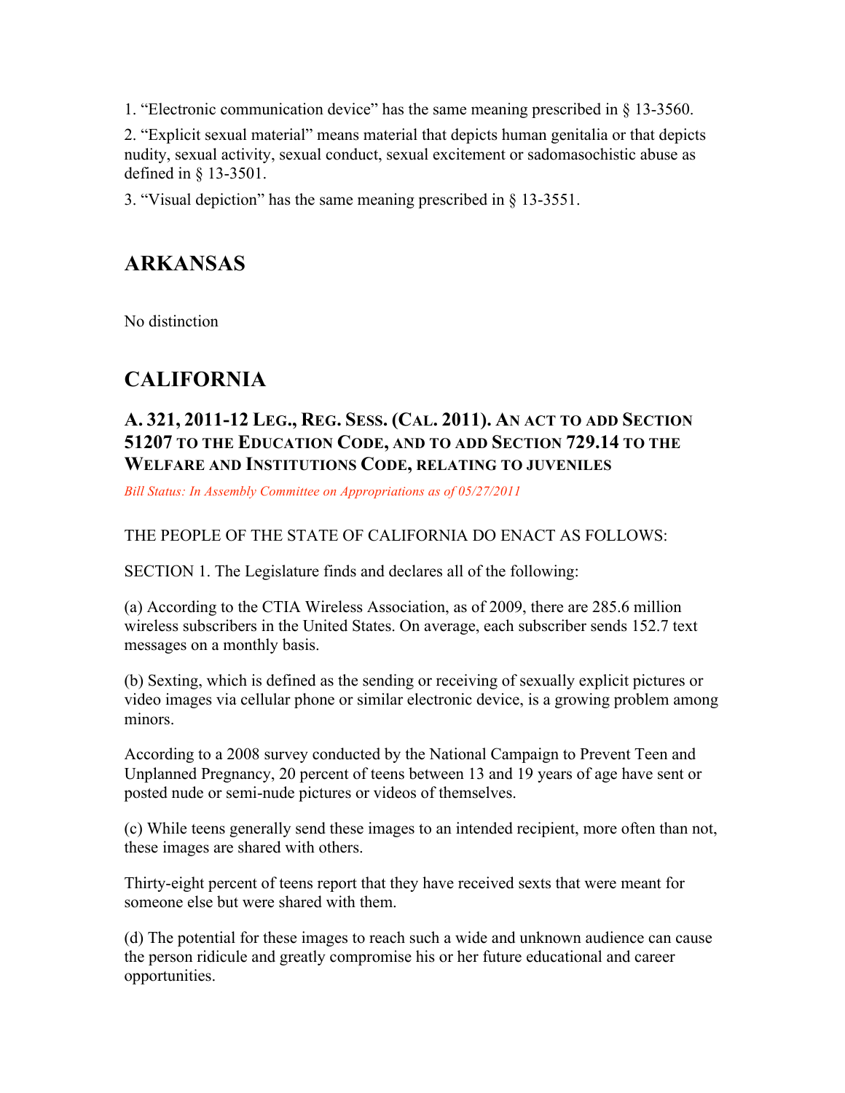1. "Electronic communication device" has the same meaning prescribed in § 13-3560.

2. "Explicit sexual material" means material that depicts human genitalia or that depicts nudity, sexual activity, sexual conduct, sexual excitement or sadomasochistic abuse as defined in § 13-3501.

3. "Visual depiction" has the same meaning prescribed in § 13-3551.

## **ARKANSAS**

No distinction

## **CALIFORNIA**

## **A. 321, 2011-12 LEG., REG. SESS. (CAL. 2011). AN ACT TO ADD SECTION 51207 TO THE EDUCATION CODE, AND TO ADD SECTION 729.14 TO THE WELFARE AND INSTITUTIONS CODE, RELATING TO JUVENILES**

*Bill Status: In Assembly Committee on Appropriations as of 05/27/2011*

#### THE PEOPLE OF THE STATE OF CALIFORNIA DO ENACT AS FOLLOWS:

SECTION 1. The Legislature finds and declares all of the following:

(a) According to the CTIA Wireless Association, as of 2009, there are 285.6 million wireless subscribers in the United States. On average, each subscriber sends 152.7 text messages on a monthly basis.

(b) Sexting, which is defined as the sending or receiving of sexually explicit pictures or video images via cellular phone or similar electronic device, is a growing problem among minors.

According to a 2008 survey conducted by the National Campaign to Prevent Teen and Unplanned Pregnancy, 20 percent of teens between 13 and 19 years of age have sent or posted nude or semi-nude pictures or videos of themselves.

(c) While teens generally send these images to an intended recipient, more often than not, these images are shared with others.

Thirty-eight percent of teens report that they have received sexts that were meant for someone else but were shared with them.

(d) The potential for these images to reach such a wide and unknown audience can cause the person ridicule and greatly compromise his or her future educational and career opportunities.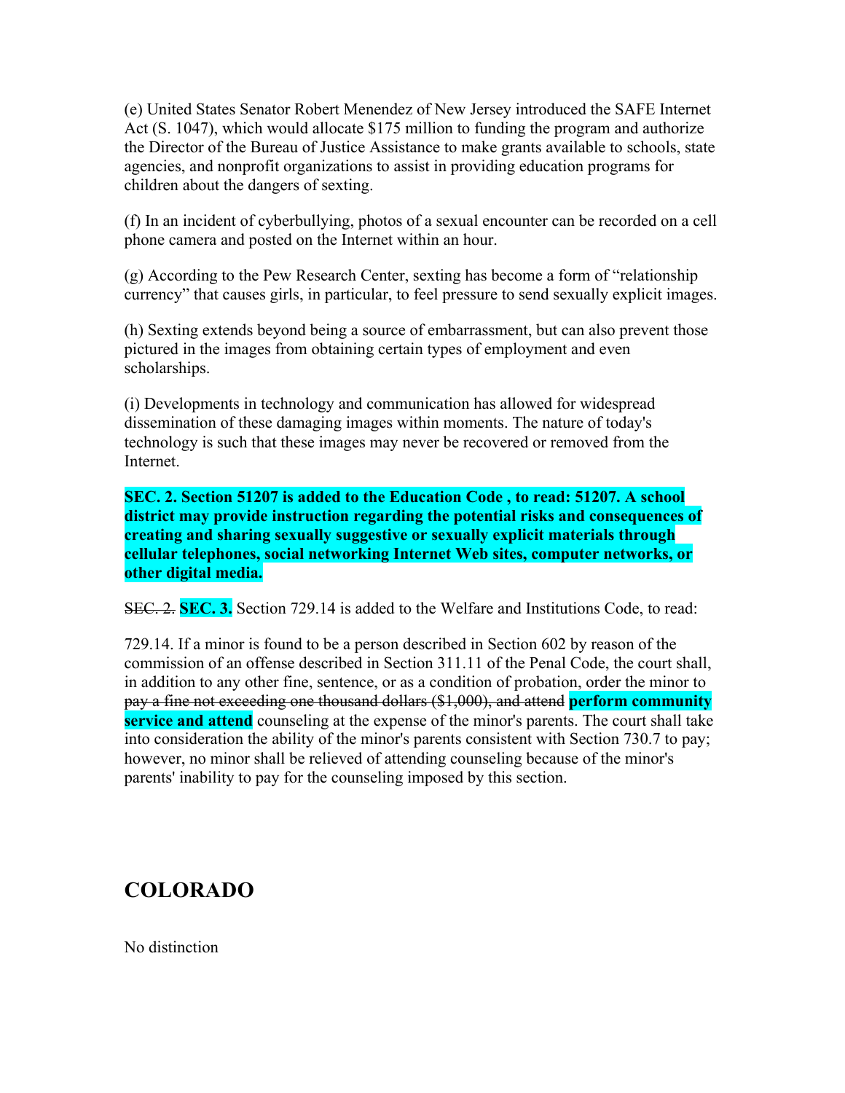(e) United States Senator Robert Menendez of New Jersey introduced the SAFE Internet Act (S. 1047), which would allocate \$175 million to funding the program and authorize the Director of the Bureau of Justice Assistance to make grants available to schools, state agencies, and nonprofit organizations to assist in providing education programs for children about the dangers of sexting.

(f) In an incident of cyberbullying, photos of a sexual encounter can be recorded on a cell phone camera and posted on the Internet within an hour.

(g) According to the Pew Research Center, sexting has become a form of "relationship currency" that causes girls, in particular, to feel pressure to send sexually explicit images.

(h) Sexting extends beyond being a source of embarrassment, but can also prevent those pictured in the images from obtaining certain types of employment and even scholarships.

(i) Developments in technology and communication has allowed for widespread dissemination of these damaging images within moments. The nature of today's technology is such that these images may never be recovered or removed from the Internet.

**SEC. 2. Section 51207 is added to the Education Code , to read: 51207. A school district may provide instruction regarding the potential risks and consequences of creating and sharing sexually suggestive or sexually explicit materials through cellular telephones, social networking Internet Web sites, computer networks, or other digital media.**

SEC. 2. **SEC. 3.** Section 729.14 is added to the Welfare and Institutions Code, to read:

729.14. If a minor is found to be a person described in Section 602 by reason of the commission of an offense described in Section 311.11 of the Penal Code, the court shall, in addition to any other fine, sentence, or as a condition of probation, order the minor to pay a fine not exceeding one thousand dollars (\$1,000), and attend **perform community service and attend** counseling at the expense of the minor's parents. The court shall take into consideration the ability of the minor's parents consistent with Section 730.7 to pay; however, no minor shall be relieved of attending counseling because of the minor's parents' inability to pay for the counseling imposed by this section.

## **COLORADO**

No distinction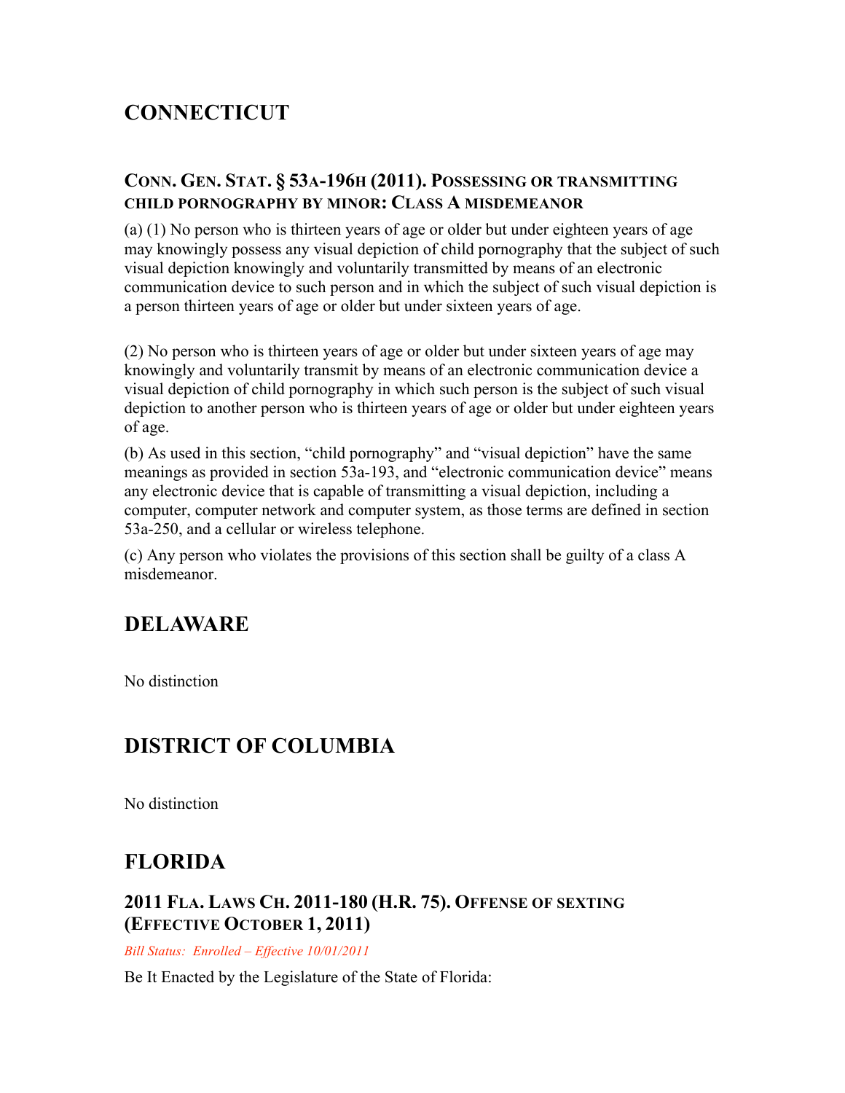# **CONNECTICUT**

#### **CONN. GEN. STAT. § 53A-196H (2011). POSSESSING OR TRANSMITTING CHILD PORNOGRAPHY BY MINOR: CLASS A MISDEMEANOR**

(a) (1) No person who is thirteen years of age or older but under eighteen years of age may knowingly possess any visual depiction of child pornography that the subject of such visual depiction knowingly and voluntarily transmitted by means of an electronic communication device to such person and in which the subject of such visual depiction is a person thirteen years of age or older but under sixteen years of age.

(2) No person who is thirteen years of age or older but under sixteen years of age may knowingly and voluntarily transmit by means of an electronic communication device a visual depiction of child pornography in which such person is the subject of such visual depiction to another person who is thirteen years of age or older but under eighteen years of age.

(b) As used in this section, "child pornography" and "visual depiction" have the same meanings as provided in section 53a-193, and "electronic communication device" means any electronic device that is capable of transmitting a visual depiction, including a computer, computer network and computer system, as those terms are defined in section 53a-250, and a cellular or wireless telephone.

(c) Any person who violates the provisions of this section shall be guilty of a class A misdemeanor.

# **DELAWARE**

No distinction

# **DISTRICT OF COLUMBIA**

No distinction

# **FLORIDA**

## **2011 FLA. LAWS CH. 2011-180 (H.R. 75). OFFENSE OF SEXTING (EFFECTIVE OCTOBER 1, 2011)**

*Bill Status: Enrolled – Effective 10/01/2011*

Be It Enacted by the Legislature of the State of Florida: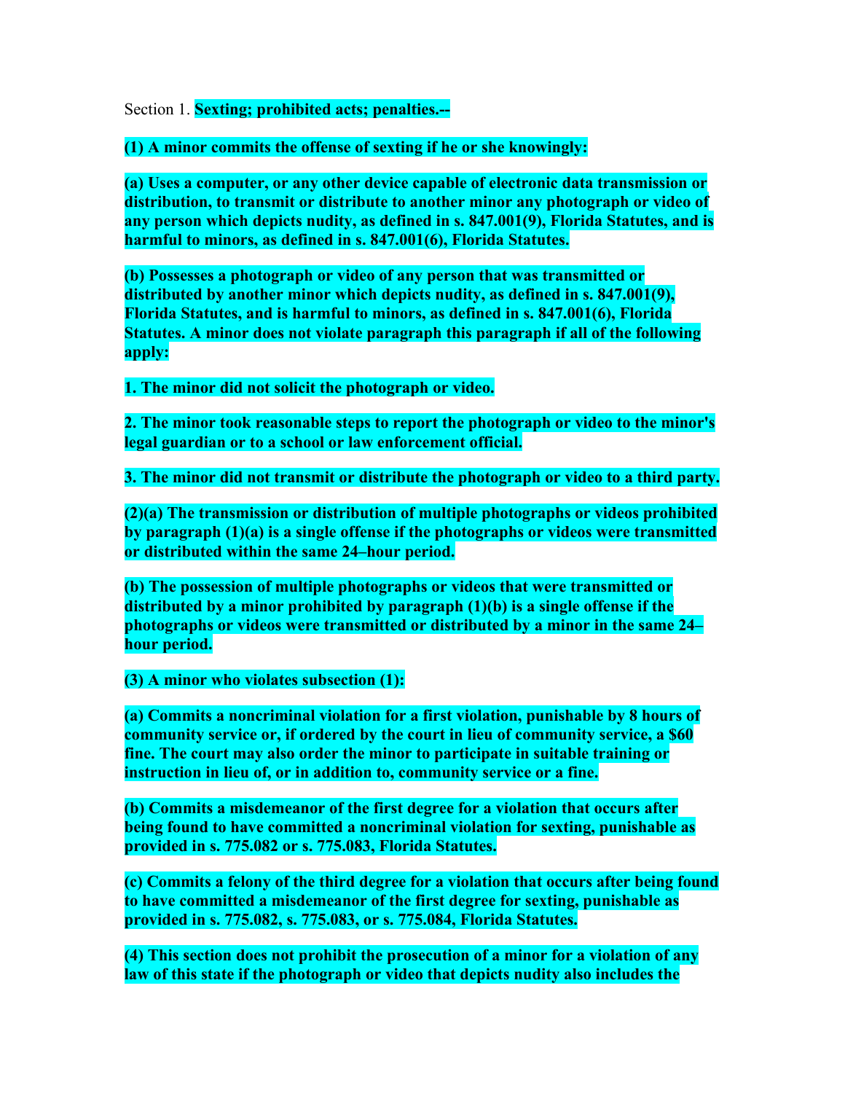Section 1. **Sexting; prohibited acts; penalties.--**

**(1) A minor commits the offense of sexting if he or she knowingly:**

**(a) Uses a computer, or any other device capable of electronic data transmission or distribution, to transmit or distribute to another minor any photograph or video of any person which depicts nudity, as defined in s. 847.001(9), Florida Statutes, and is harmful to minors, as defined in s. 847.001(6), Florida Statutes.**

**(b) Possesses a photograph or video of any person that was transmitted or distributed by another minor which depicts nudity, as defined in s. 847.001(9), Florida Statutes, and is harmful to minors, as defined in s. 847.001(6), Florida Statutes. A minor does not violate paragraph this paragraph if all of the following apply:**

**1. The minor did not solicit the photograph or video.**

**2. The minor took reasonable steps to report the photograph or video to the minor's legal guardian or to a school or law enforcement official.**

**3. The minor did not transmit or distribute the photograph or video to a third party.**

**(2)(a) The transmission or distribution of multiple photographs or videos prohibited by paragraph (1)(a) is a single offense if the photographs or videos were transmitted or distributed within the same 24–hour period.**

**(b) The possession of multiple photographs or videos that were transmitted or distributed by a minor prohibited by paragraph (1)(b) is a single offense if the photographs or videos were transmitted or distributed by a minor in the same 24– hour period.**

**(3) A minor who violates subsection (1):**

**(a) Commits a noncriminal violation for a first violation, punishable by 8 hours of community service or, if ordered by the court in lieu of community service, a \$60 fine. The court may also order the minor to participate in suitable training or instruction in lieu of, or in addition to, community service or a fine.**

**(b) Commits a misdemeanor of the first degree for a violation that occurs after being found to have committed a noncriminal violation for sexting, punishable as provided in s. 775.082 or s. 775.083, Florida Statutes.**

**(c) Commits a felony of the third degree for a violation that occurs after being found to have committed a misdemeanor of the first degree for sexting, punishable as provided in s. 775.082, s. 775.083, or s. 775.084, Florida Statutes.**

**(4) This section does not prohibit the prosecution of a minor for a violation of any law of this state if the photograph or video that depicts nudity also includes the**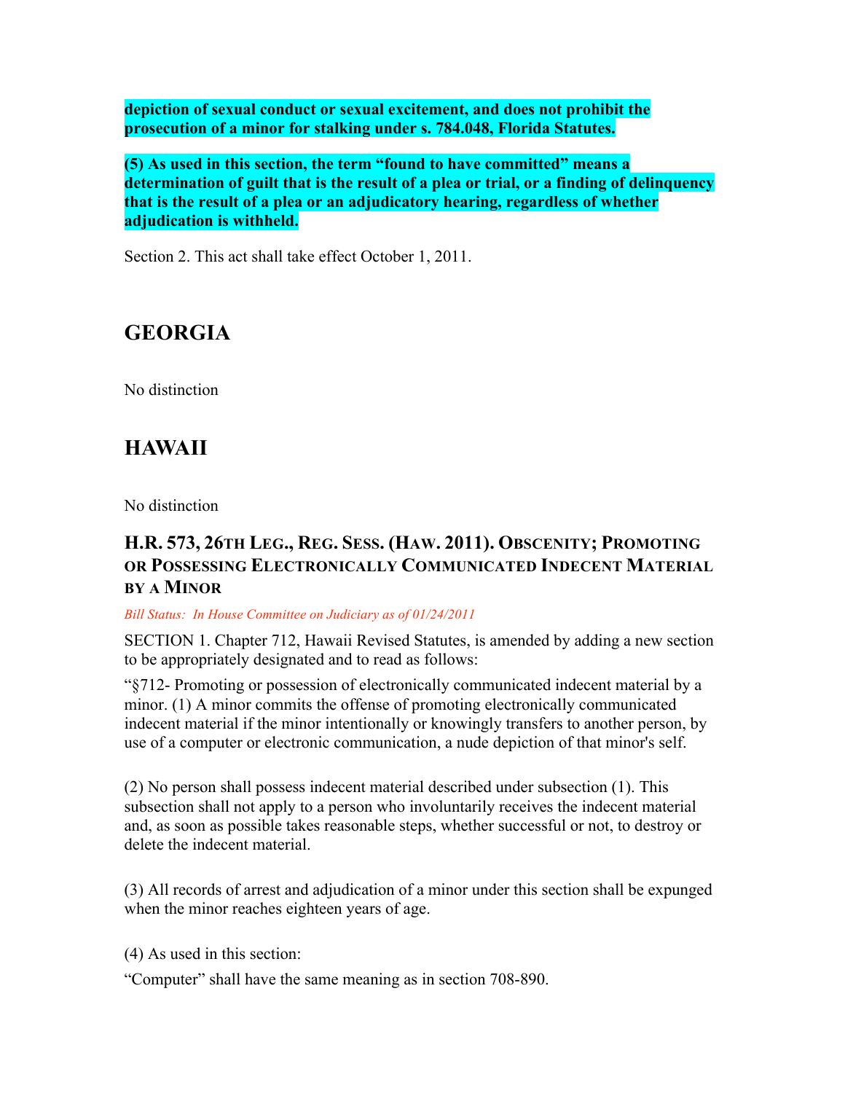**depiction of sexual conduct or sexual excitement, and does not prohibit the prosecution of a minor for stalking under s. 784.048, Florida Statutes.**

**(5) As used in this section, the term "found to have committed" means a determination of guilt that is the result of a plea or trial, or a finding of delinquency that is the result of a plea or an adjudicatory hearing, regardless of whether adjudication is withheld.**

Section 2. This act shall take effect October 1, 2011.

## **GEORGIA**

No distinction

## **HAWAII**

No distinction

#### **H.R. 573, 26TH LEG., REG. SESS. (HAW. 2011). OBSCENITY; PROMOTING OR POSSESSING ELECTRONICALLY COMMUNICATED INDECENT MATERIAL BY A MINOR**

#### *Bill Status: In House Committee on Judiciary as of 01/24/2011*

SECTION 1. Chapter 712, Hawaii Revised Statutes, is amended by adding a new section to be appropriately designated and to read as follows:

"§712- Promoting or possession of electronically communicated indecent material by a minor. (1) A minor commits the offense of promoting electronically communicated indecent material if the minor intentionally or knowingly transfers to another person, by use of a computer or electronic communication, a nude depiction of that minor's self.

(2) No person shall possess indecent material described under subsection (1). This subsection shall not apply to a person who involuntarily receives the indecent material and, as soon as possible takes reasonable steps, whether successful or not, to destroy or delete the indecent material.

(3) All records of arrest and adjudication of a minor under this section shall be expunged when the minor reaches eighteen years of age.

(4) As used in this section:

"Computer" shall have the same meaning as in section 708-890.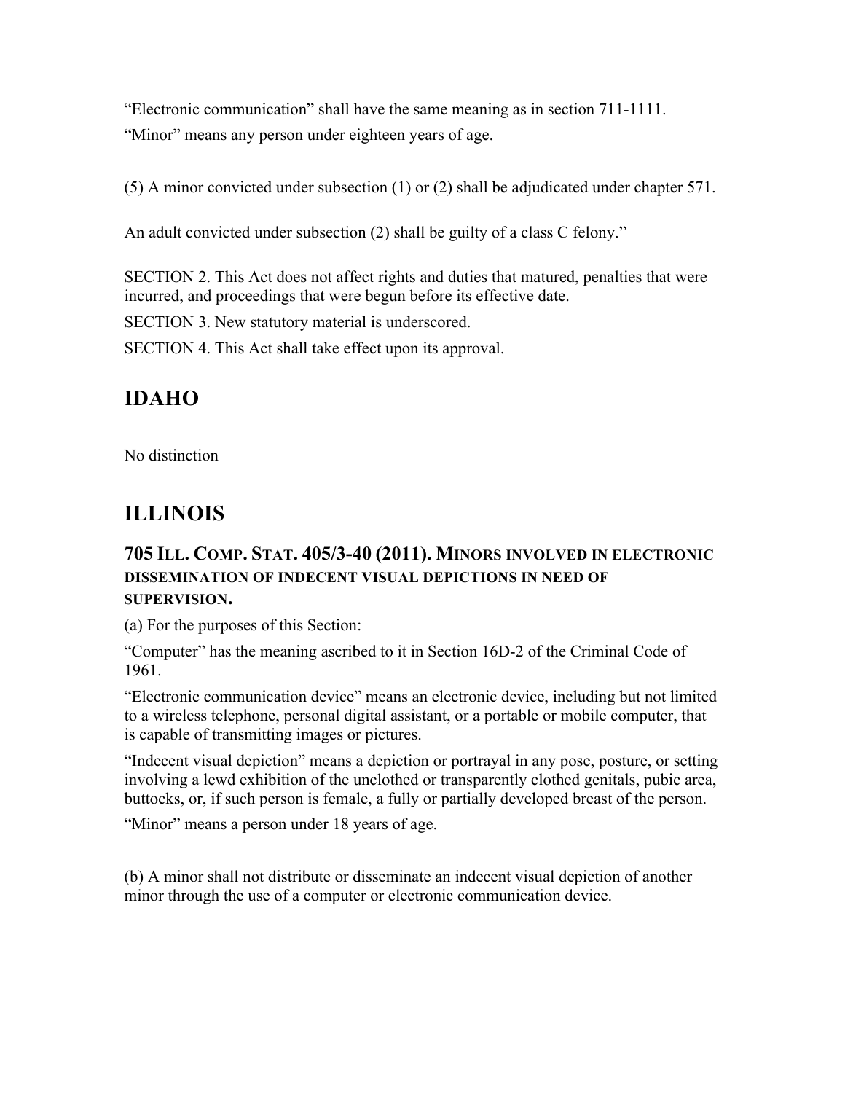"Electronic communication" shall have the same meaning as in section 711-1111. "Minor" means any person under eighteen years of age.

(5) A minor convicted under subsection (1) or (2) shall be adjudicated under chapter 571.

An adult convicted under subsection (2) shall be guilty of a class C felony."

SECTION 2. This Act does not affect rights and duties that matured, penalties that were incurred, and proceedings that were begun before its effective date.

SECTION 3. New statutory material is underscored.

SECTION 4. This Act shall take effect upon its approval.

# **IDAHO**

No distinction

# **ILLINOIS**

## **705 ILL. COMP. STAT. 405/3-40 (2011). MINORS INVOLVED IN ELECTRONIC DISSEMINATION OF INDECENT VISUAL DEPICTIONS IN NEED OF SUPERVISION.**

(a) For the purposes of this Section:

"Computer" has the meaning ascribed to it in Section 16D-2 of the Criminal Code of 1961.

"Electronic communication device" means an electronic device, including but not limited to a wireless telephone, personal digital assistant, or a portable or mobile computer, that is capable of transmitting images or pictures.

"Indecent visual depiction" means a depiction or portrayal in any pose, posture, or setting involving a lewd exhibition of the unclothed or transparently clothed genitals, pubic area, buttocks, or, if such person is female, a fully or partially developed breast of the person.

"Minor" means a person under 18 years of age.

(b) A minor shall not distribute or disseminate an indecent visual depiction of another minor through the use of a computer or electronic communication device.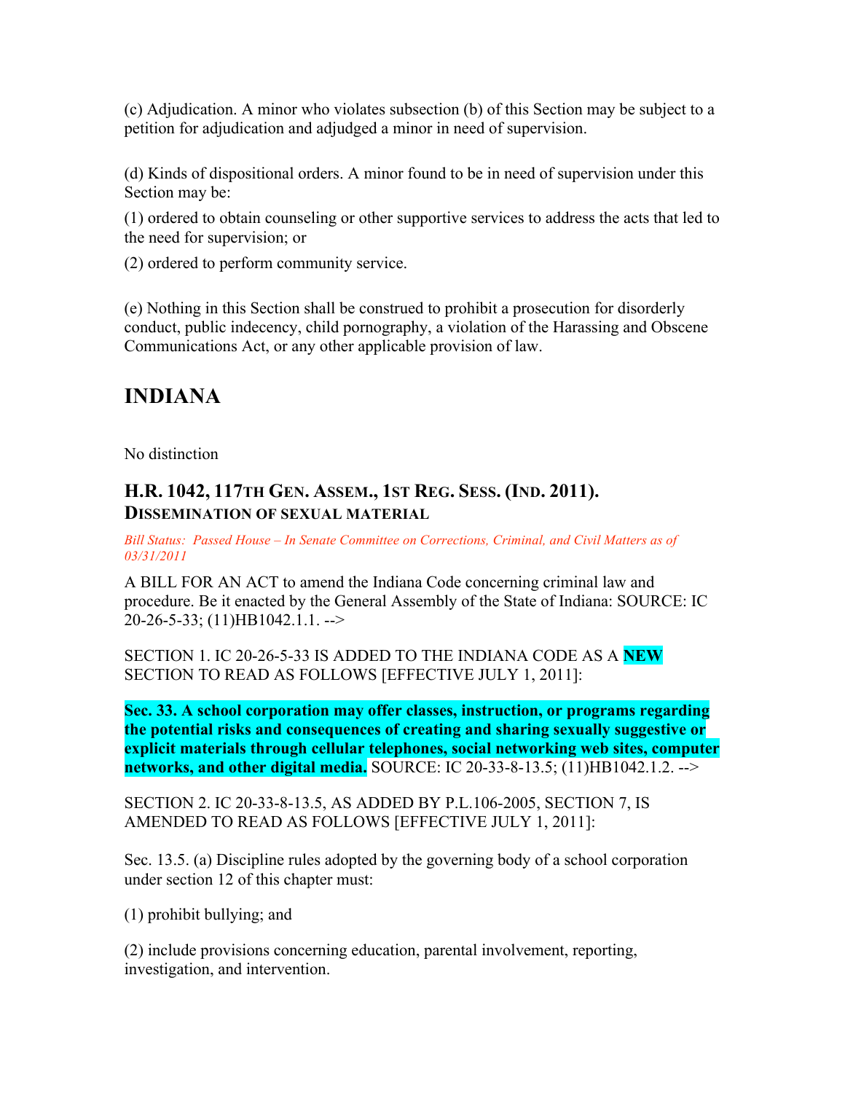(c) Adjudication. A minor who violates subsection (b) of this Section may be subject to a petition for adjudication and adjudged a minor in need of supervision.

(d) Kinds of dispositional orders. A minor found to be in need of supervision under this Section may be:

(1) ordered to obtain counseling or other supportive services to address the acts that led to the need for supervision; or

(2) ordered to perform community service.

(e) Nothing in this Section shall be construed to prohibit a prosecution for disorderly conduct, public indecency, child pornography, a violation of the Harassing and Obscene Communications Act, or any other applicable provision of law.

## **INDIANA**

No distinction

#### **H.R. 1042, 117TH GEN. ASSEM., 1ST REG. SESS. (IND. 2011). DISSEMINATION OF SEXUAL MATERIAL**

*Bill Status: Passed House – In Senate Committee on Corrections, Criminal, and Civil Matters as of 03/31/2011*

A BILL FOR AN ACT to amend the Indiana Code concerning criminal law and procedure. Be it enacted by the General Assembly of the State of Indiana: SOURCE: IC 20-26-5-33; (11)HB1042.1.1. -->

SECTION 1. IC 20-26-5-33 IS ADDED TO THE INDIANA CODE AS A **NEW** SECTION TO READ AS FOLLOWS [EFFECTIVE JULY 1, 2011]:

**Sec. 33. A school corporation may offer classes, instruction, or programs regarding the potential risks and consequences of creating and sharing sexually suggestive or explicit materials through cellular telephones, social networking web sites, computer networks, and other digital media.** SOURCE: IC 20-33-8-13.5; (11)HB1042.1.2. -->

SECTION 2. IC 20-33-8-13.5, AS ADDED BY P.L.106-2005, SECTION 7, IS AMENDED TO READ AS FOLLOWS [EFFECTIVE JULY 1, 2011]:

Sec. 13.5. (a) Discipline rules adopted by the governing body of a school corporation under section 12 of this chapter must:

(1) prohibit bullying; and

(2) include provisions concerning education, parental involvement, reporting, investigation, and intervention.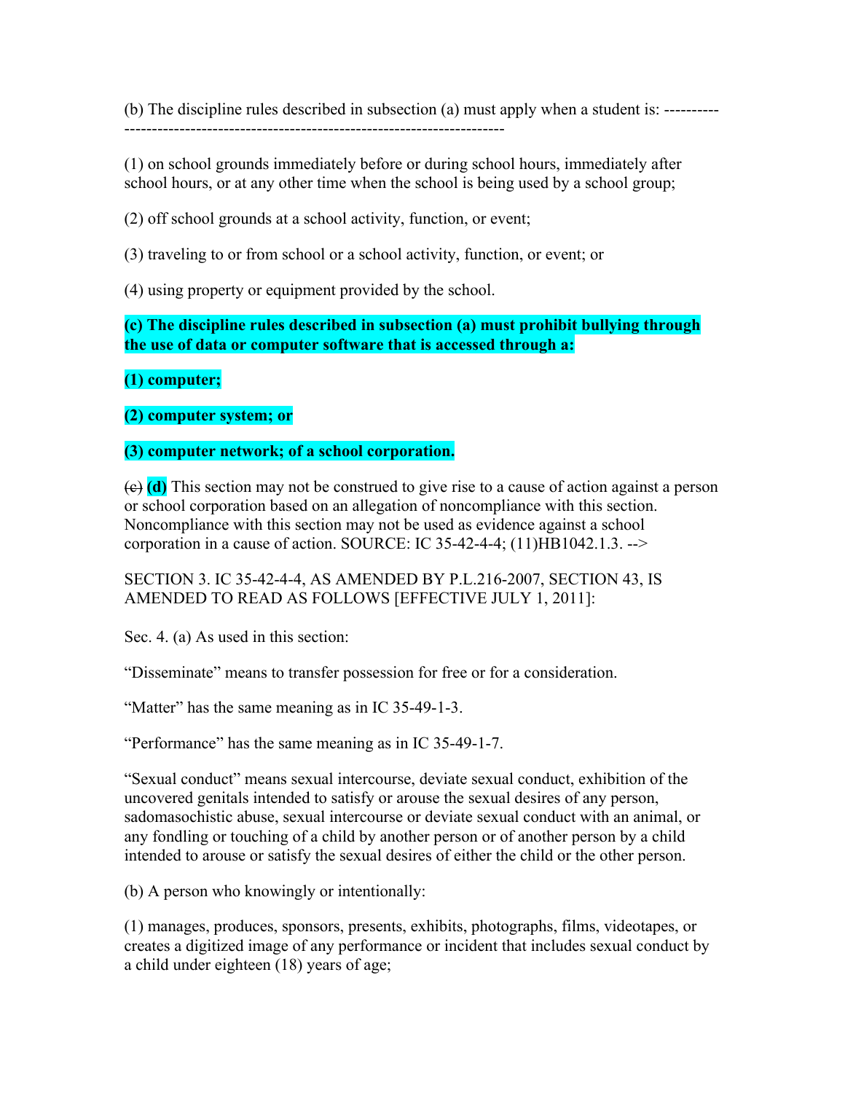(b) The discipline rules described in subsection (a) must apply when a student is: ---------- ---------------------------------------------------------------------

(1) on school grounds immediately before or during school hours, immediately after school hours, or at any other time when the school is being used by a school group;

(2) off school grounds at a school activity, function, or event;

(3) traveling to or from school or a school activity, function, or event; or

(4) using property or equipment provided by the school.

**(c) The discipline rules described in subsection (a) must prohibit bullying through the use of data or computer software that is accessed through a:**

**(1) computer;**

**(2) computer system; or**

**(3) computer network; of a school corporation.**

(c) **(d)** This section may not be construed to give rise to a cause of action against a person or school corporation based on an allegation of noncompliance with this section. Noncompliance with this section may not be used as evidence against a school corporation in a cause of action. SOURCE: IC 35-42-4-4;  $(11)HB1042.1.3. \rightarrow$ 

SECTION 3. IC 35-42-4-4, AS AMENDED BY P.L.216-2007, SECTION 43, IS AMENDED TO READ AS FOLLOWS [EFFECTIVE JULY 1, 2011]:

Sec. 4. (a) As used in this section:

"Disseminate" means to transfer possession for free or for a consideration.

"Matter" has the same meaning as in IC 35-49-1-3.

"Performance" has the same meaning as in IC 35-49-1-7.

"Sexual conduct" means sexual intercourse, deviate sexual conduct, exhibition of the uncovered genitals intended to satisfy or arouse the sexual desires of any person, sadomasochistic abuse, sexual intercourse or deviate sexual conduct with an animal, or any fondling or touching of a child by another person or of another person by a child intended to arouse or satisfy the sexual desires of either the child or the other person.

(b) A person who knowingly or intentionally:

(1) manages, produces, sponsors, presents, exhibits, photographs, films, videotapes, or creates a digitized image of any performance or incident that includes sexual conduct by a child under eighteen (18) years of age;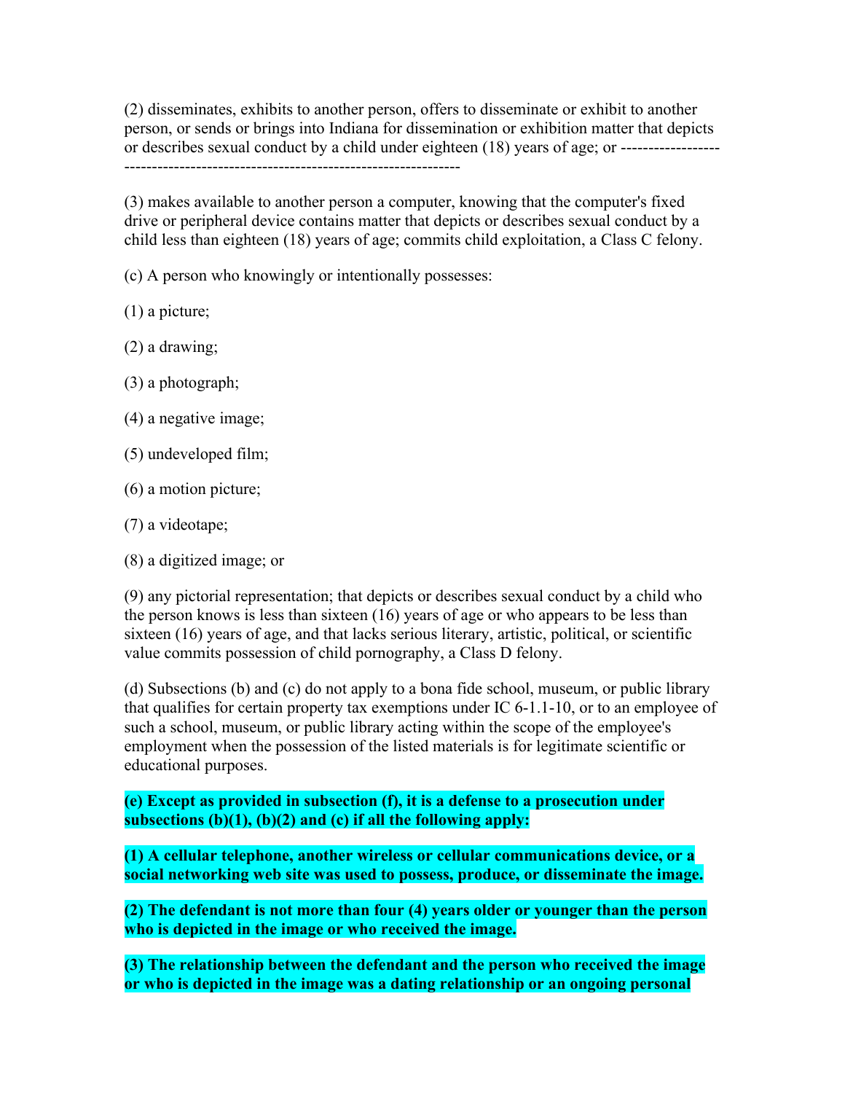(2) disseminates, exhibits to another person, offers to disseminate or exhibit to another person, or sends or brings into Indiana for dissemination or exhibition matter that depicts or describes sexual conduct by a child under eighteen (18) years of age; or ------------------ -------------------------------------------------------------

(3) makes available to another person a computer, knowing that the computer's fixed drive or peripheral device contains matter that depicts or describes sexual conduct by a child less than eighteen (18) years of age; commits child exploitation, a Class C felony.

(c) A person who knowingly or intentionally possesses:

(1) a picture;

(2) a drawing;

(3) a photograph;

(4) a negative image;

(5) undeveloped film;

(6) a motion picture;

(7) a videotape;

(8) a digitized image; or

(9) any pictorial representation; that depicts or describes sexual conduct by a child who the person knows is less than sixteen (16) years of age or who appears to be less than sixteen (16) years of age, and that lacks serious literary, artistic, political, or scientific value commits possession of child pornography, a Class D felony.

(d) Subsections (b) and (c) do not apply to a bona fide school, museum, or public library that qualifies for certain property tax exemptions under IC 6-1.1-10, or to an employee of such a school, museum, or public library acting within the scope of the employee's employment when the possession of the listed materials is for legitimate scientific or educational purposes.

**(e) Except as provided in subsection (f), it is a defense to a prosecution under subsections (b)(1), (b)(2) and (c) if all the following apply:**

**(1) A cellular telephone, another wireless or cellular communications device, or a social networking web site was used to possess, produce, or disseminate the image.**

**(2) The defendant is not more than four (4) years older or younger than the person who is depicted in the image or who received the image.**

**(3) The relationship between the defendant and the person who received the image or who is depicted in the image was a dating relationship or an ongoing personal**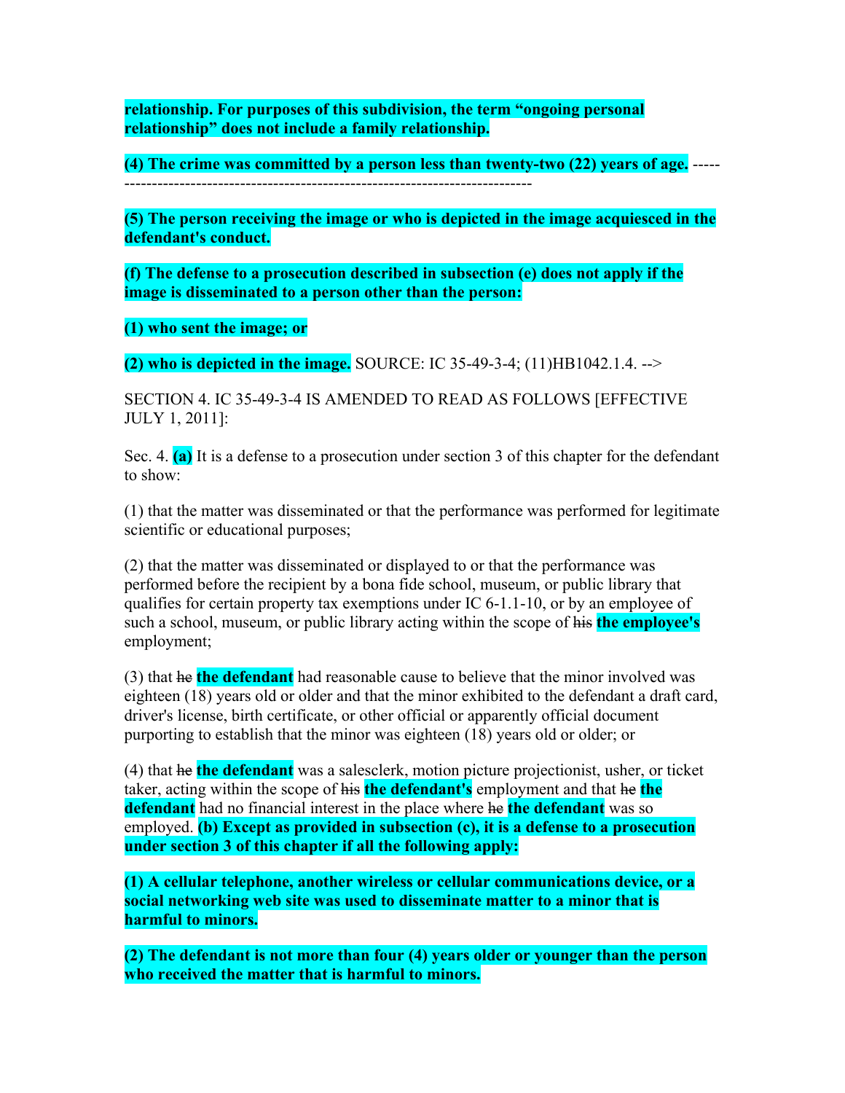**relationship. For purposes of this subdivision, the term "ongoing personal relationship" does not include a family relationship.**

**(4) The crime was committed by a person less than twenty-two (22) years of age.** ----- --------------------------------------------------------------------------

**(5) The person receiving the image or who is depicted in the image acquiesced in the defendant's conduct.**

**(f) The defense to a prosecution described in subsection (e) does not apply if the image is disseminated to a person other than the person:**

**(1) who sent the image; or**

**(2) who is depicted in the image.** SOURCE: IC 35-49-3-4; (11)HB1042.1.4. -->

SECTION 4. IC 35-49-3-4 IS AMENDED TO READ AS FOLLOWS [EFFECTIVE JULY 1, 2011]:

Sec. 4. **(a)** It is a defense to a prosecution under section 3 of this chapter for the defendant to show:

(1) that the matter was disseminated or that the performance was performed for legitimate scientific or educational purposes;

(2) that the matter was disseminated or displayed to or that the performance was performed before the recipient by a bona fide school, museum, or public library that qualifies for certain property tax exemptions under IC 6-1.1-10, or by an employee of such a school, museum, or public library acting within the scope of his **the employee's** employment;

(3) that he **the defendant** had reasonable cause to believe that the minor involved was eighteen (18) years old or older and that the minor exhibited to the defendant a draft card, driver's license, birth certificate, or other official or apparently official document purporting to establish that the minor was eighteen (18) years old or older; or

(4) that he **the defendant** was a salesclerk, motion picture projectionist, usher, or ticket taker, acting within the scope of his **the defendant's** employment and that he **the defendant** had no financial interest in the place where he **the defendant** was so employed. **(b) Except as provided in subsection (c), it is a defense to a prosecution under section 3 of this chapter if all the following apply:**

**(1) A cellular telephone, another wireless or cellular communications device, or a social networking web site was used to disseminate matter to a minor that is harmful to minors.**

**(2) The defendant is not more than four (4) years older or younger than the person who received the matter that is harmful to minors.**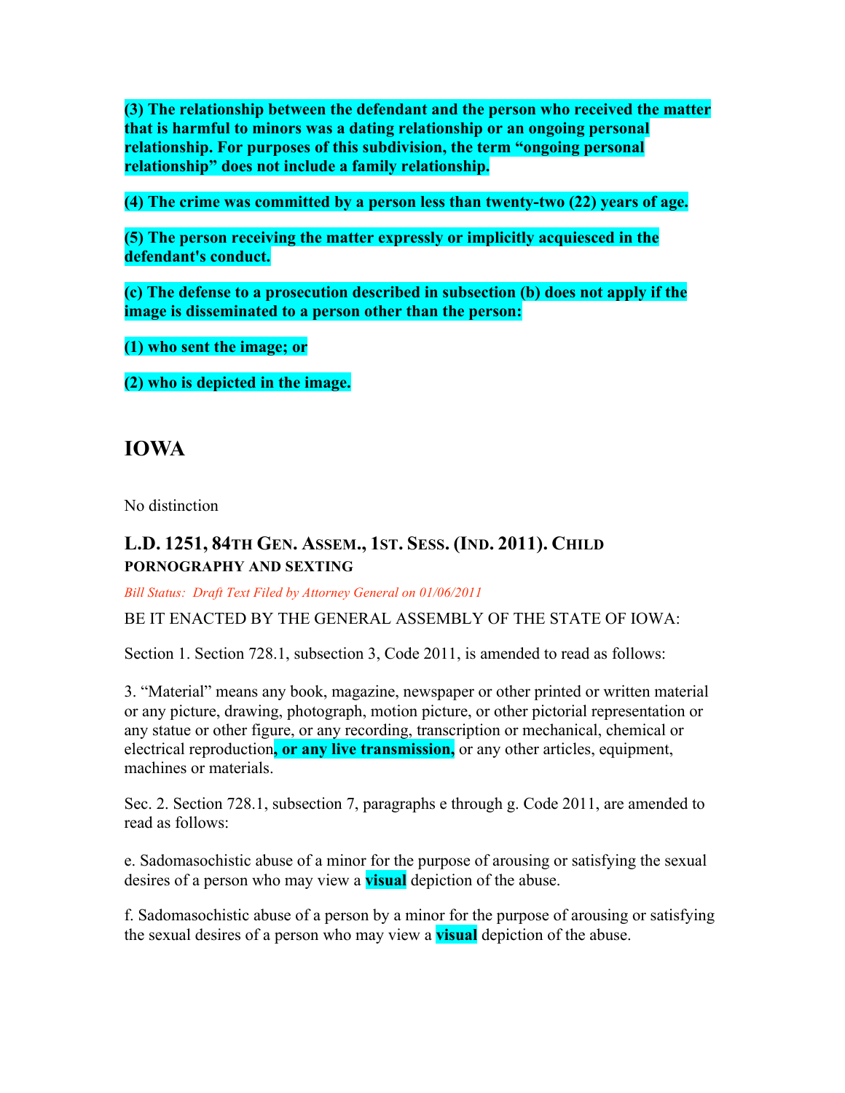**(3) The relationship between the defendant and the person who received the matter that is harmful to minors was a dating relationship or an ongoing personal relationship. For purposes of this subdivision, the term "ongoing personal relationship" does not include a family relationship.**

**(4) The crime was committed by a person less than twenty-two (22) years of age.**

**(5) The person receiving the matter expressly or implicitly acquiesced in the defendant's conduct.**

**(c) The defense to a prosecution described in subsection (b) does not apply if the image is disseminated to a person other than the person:**

**(1) who sent the image; or**

**(2) who is depicted in the image.**

**IOWA**

No distinction

#### **L.D. 1251, 84TH GEN. ASSEM., 1ST. SESS. (IND. 2011). CHILD PORNOGRAPHY AND SEXTING**

*Bill Status: Draft Text Filed by Attorney General on 01/06/2011*

BE IT ENACTED BY THE GENERAL ASSEMBLY OF THE STATE OF IOWA:

Section 1. Section 728.1, subsection 3, Code 2011, is amended to read as follows:

3. "Material" means any book, magazine, newspaper or other printed or written material or any picture, drawing, photograph, motion picture, or other pictorial representation or any statue or other figure, or any recording, transcription or mechanical, chemical or electrical reproduction**, or any live transmission,** or any other articles, equipment, machines or materials.

Sec. 2. Section 728.1, subsection 7, paragraphs e through g. Code 2011, are amended to read as follows:

e. Sadomasochistic abuse of a minor for the purpose of arousing or satisfying the sexual desires of a person who may view a **visual** depiction of the abuse.

f. Sadomasochistic abuse of a person by a minor for the purpose of arousing or satisfying the sexual desires of a person who may view a **visual** depiction of the abuse.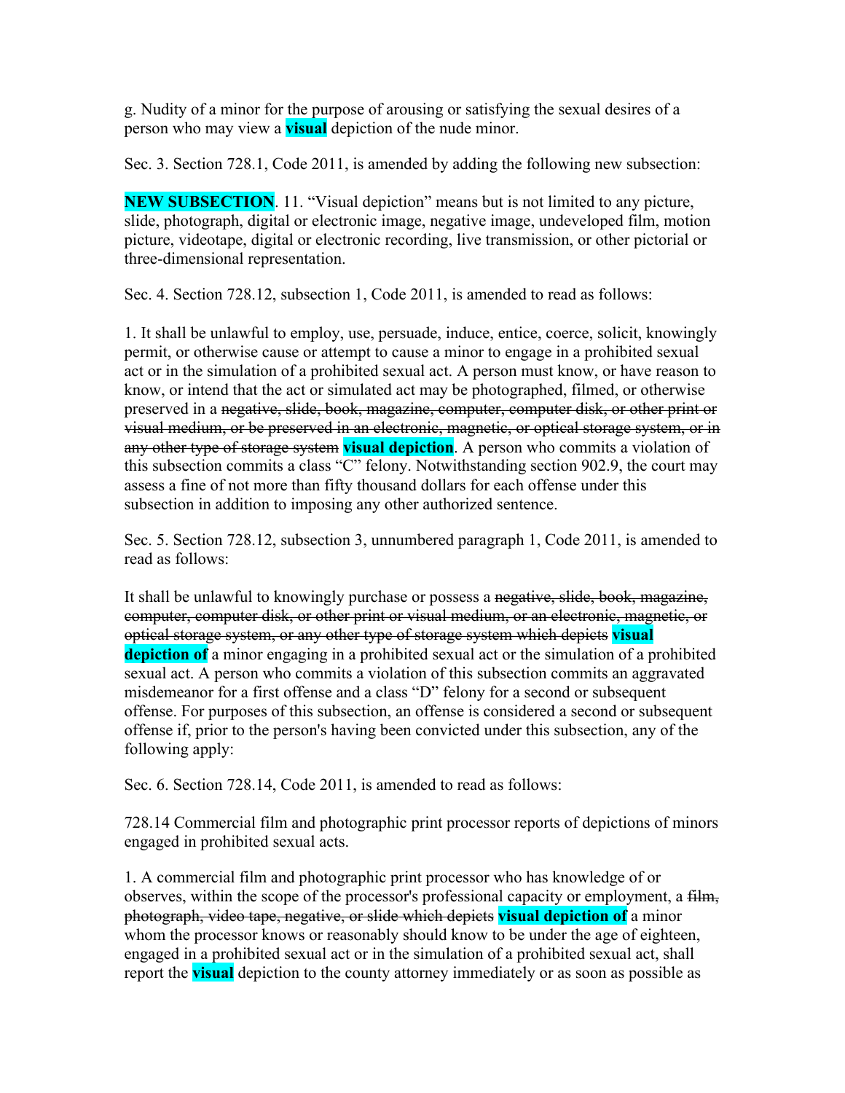g. Nudity of a minor for the purpose of arousing or satisfying the sexual desires of a person who may view a **visual** depiction of the nude minor.

Sec. 3. Section 728.1, Code 2011, is amended by adding the following new subsection:

**NEW SUBSECTION.** 11. "Visual depiction" means but is not limited to any picture, slide, photograph, digital or electronic image, negative image, undeveloped film, motion picture, videotape, digital or electronic recording, live transmission, or other pictorial or three-dimensional representation.

Sec. 4. Section 728.12, subsection 1, Code 2011, is amended to read as follows:

1. It shall be unlawful to employ, use, persuade, induce, entice, coerce, solicit, knowingly permit, or otherwise cause or attempt to cause a minor to engage in a prohibited sexual act or in the simulation of a prohibited sexual act. A person must know, or have reason to know, or intend that the act or simulated act may be photographed, filmed, or otherwise preserved in a negative, slide, book, magazine, computer, computer disk, or other print or visual medium, or be preserved in an electronic, magnetic, or optical storage system, or in any other type of storage system **visual depiction**. A person who commits a violation of this subsection commits a class "C" felony. Notwithstanding section 902.9, the court may assess a fine of not more than fifty thousand dollars for each offense under this subsection in addition to imposing any other authorized sentence.

Sec. 5. Section 728.12, subsection 3, unnumbered paragraph 1, Code 2011, is amended to read as follows:

It shall be unlawful to knowingly purchase or possess a negative, slide, book, magazine, computer, computer disk, or other print or visual medium, or an electronic, magnetic, or optical storage system, or any other type of storage system which depicts **visual depiction of** a minor engaging in a prohibited sexual act or the simulation of a prohibited sexual act. A person who commits a violation of this subsection commits an aggravated misdemeanor for a first offense and a class "D" felony for a second or subsequent offense. For purposes of this subsection, an offense is considered a second or subsequent offense if, prior to the person's having been convicted under this subsection, any of the following apply:

Sec. 6. Section 728.14, Code 2011, is amended to read as follows:

728.14 Commercial film and photographic print processor reports of depictions of minors engaged in prohibited sexual acts.

1. A commercial film and photographic print processor who has knowledge of or observes, within the scope of the processor's professional capacity or employment, a film, photograph, video tape, negative, or slide which depicts **visual depiction of** a minor whom the processor knows or reasonably should know to be under the age of eighteen, engaged in a prohibited sexual act or in the simulation of a prohibited sexual act, shall report the **visual** depiction to the county attorney immediately or as soon as possible as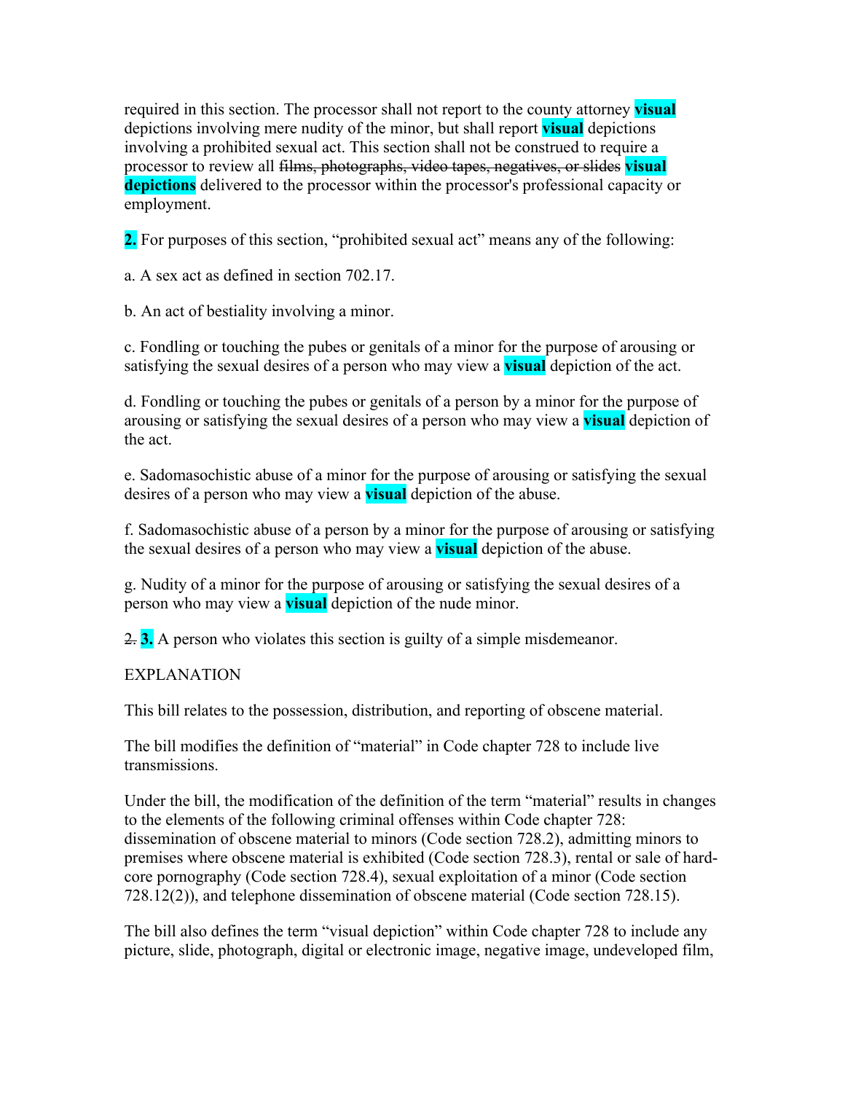required in this section. The processor shall not report to the county attorney **visual** depictions involving mere nudity of the minor, but shall report **visual** depictions involving a prohibited sexual act. This section shall not be construed to require a processor to review all films, photographs, video tapes, negatives, or slides **visual depictions** delivered to the processor within the processor's professional capacity or employment.

**2.** For purposes of this section, "prohibited sexual act" means any of the following:

a. A sex act as defined in section 702.17.

b. An act of bestiality involving a minor.

c. Fondling or touching the pubes or genitals of a minor for the purpose of arousing or satisfying the sexual desires of a person who may view a **visual** depiction of the act.

d. Fondling or touching the pubes or genitals of a person by a minor for the purpose of arousing or satisfying the sexual desires of a person who may view a **visual** depiction of the act.

e. Sadomasochistic abuse of a minor for the purpose of arousing or satisfying the sexual desires of a person who may view a **visual** depiction of the abuse.

f. Sadomasochistic abuse of a person by a minor for the purpose of arousing or satisfying the sexual desires of a person who may view a **visual** depiction of the abuse.

g. Nudity of a minor for the purpose of arousing or satisfying the sexual desires of a person who may view a **visual** depiction of the nude minor.

2. **3.** A person who violates this section is guilty of a simple misdemeanor.

#### EXPLANATION

This bill relates to the possession, distribution, and reporting of obscene material.

The bill modifies the definition of "material" in Code chapter 728 to include live transmissions.

Under the bill, the modification of the definition of the term "material" results in changes to the elements of the following criminal offenses within Code chapter 728: dissemination of obscene material to minors (Code section 728.2), admitting minors to premises where obscene material is exhibited (Code section 728.3), rental or sale of hardcore pornography (Code section 728.4), sexual exploitation of a minor (Code section 728.12(2)), and telephone dissemination of obscene material (Code section 728.15).

The bill also defines the term "visual depiction" within Code chapter 728 to include any picture, slide, photograph, digital or electronic image, negative image, undeveloped film,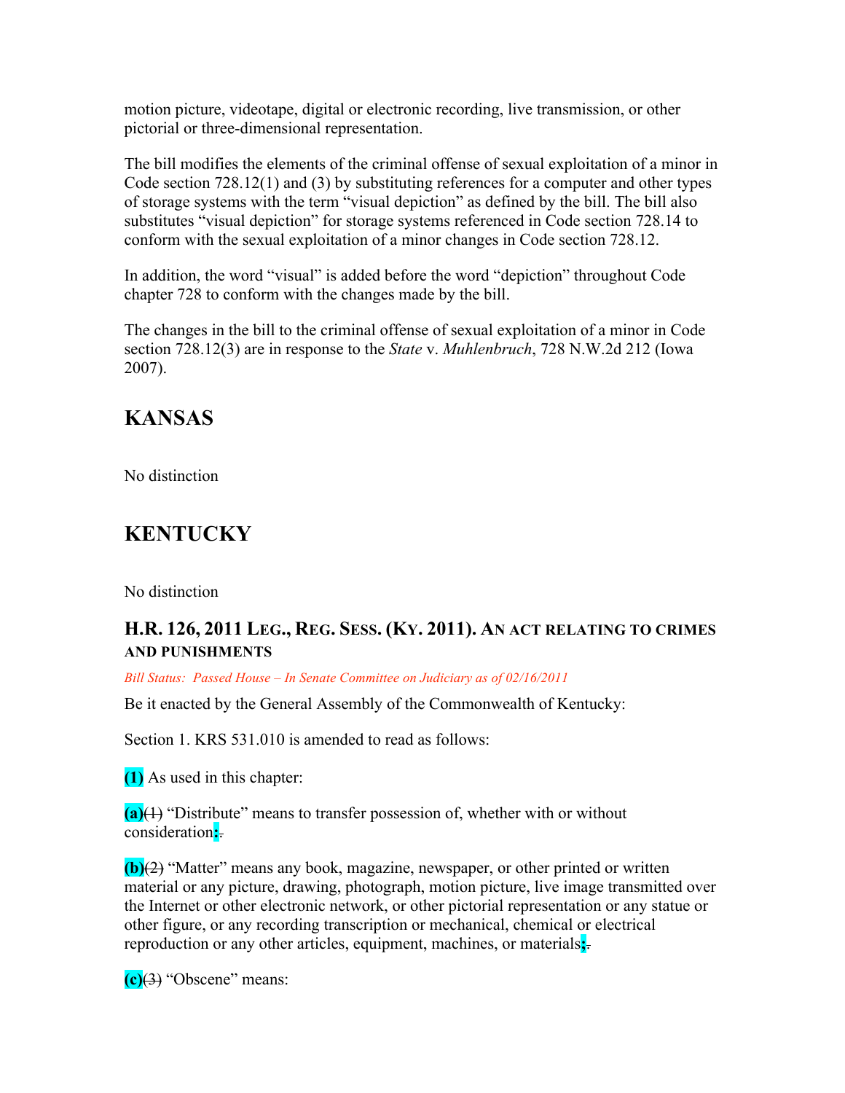motion picture, videotape, digital or electronic recording, live transmission, or other pictorial or three-dimensional representation.

The bill modifies the elements of the criminal offense of sexual exploitation of a minor in Code section 728.12(1) and (3) by substituting references for a computer and other types of storage systems with the term "visual depiction" as defined by the bill. The bill also substitutes "visual depiction" for storage systems referenced in Code section 728.14 to conform with the sexual exploitation of a minor changes in Code section 728.12.

In addition, the word "visual" is added before the word "depiction" throughout Code chapter 728 to conform with the changes made by the bill.

The changes in the bill to the criminal offense of sexual exploitation of a minor in Code section 728.12(3) are in response to the *State* v. *Muhlenbruch*, 728 N.W.2d 212 (Iowa 2007).

# **KANSAS**

No distinction

# **KENTUCKY**

No distinction

## **H.R. 126, 2011 LEG., REG. SESS. (KY. 2011). AN ACT RELATING TO CRIMES AND PUNISHMENTS**

*Bill Status: Passed House – In Senate Committee on Judiciary as of 02/16/2011*

Be it enacted by the General Assembly of the Commonwealth of Kentucky:

Section 1. KRS 531.010 is amended to read as follows:

**(1)** As used in this chapter:

**(a)**(1) "Distribute" means to transfer possession of, whether with or without consideration**:**.

**(b)**(2) "Matter" means any book, magazine, newspaper, or other printed or written material or any picture, drawing, photograph, motion picture, live image transmitted over the Internet or other electronic network, or other pictorial representation or any statue or other figure, or any recording transcription or mechanical, chemical or electrical reproduction or any other articles, equipment, machines, or materials**;**.

**(c)**(3) "Obscene" means: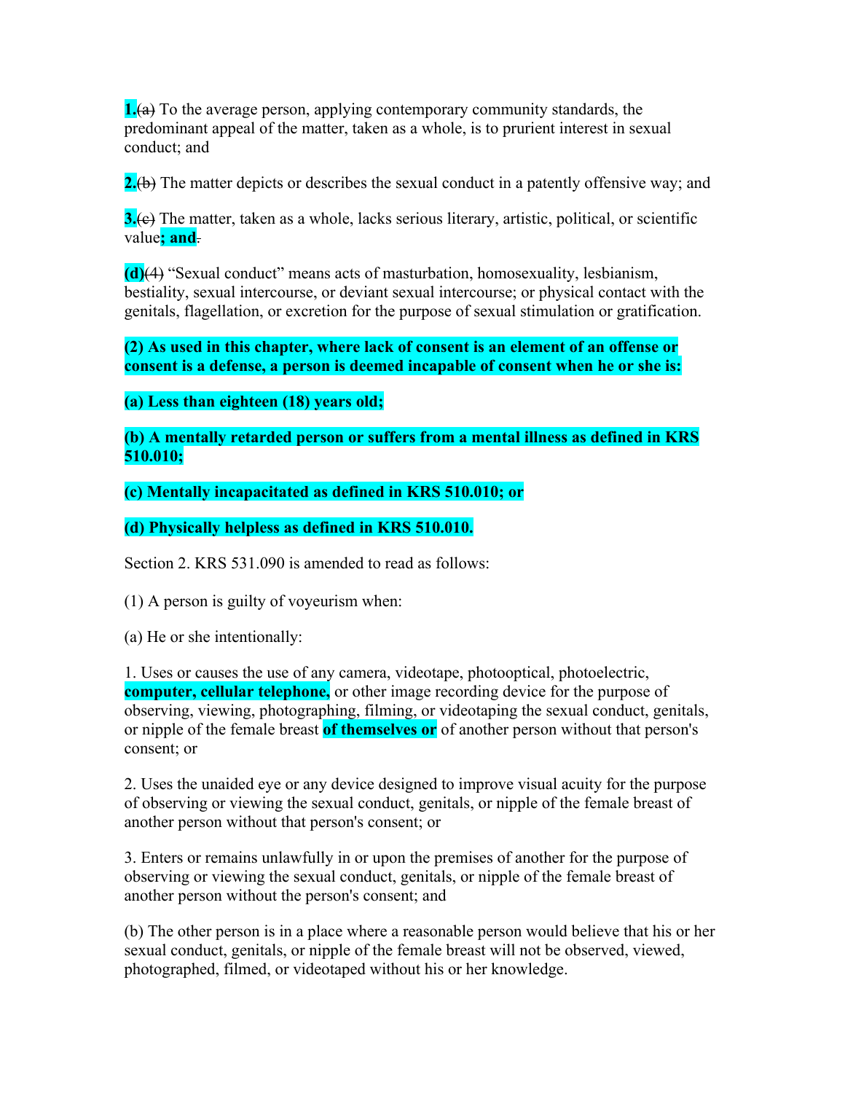**1.**(a) To the average person, applying contemporary community standards, the predominant appeal of the matter, taken as a whole, is to prurient interest in sexual conduct; and

**2.**(b) The matter depicts or describes the sexual conduct in a patently offensive way; and

**3.**(e) The matter, taken as a whole, lacks serious literary, artistic, political, or scientific value**; and**.

**(d)**(4) "Sexual conduct" means acts of masturbation, homosexuality, lesbianism, bestiality, sexual intercourse, or deviant sexual intercourse; or physical contact with the genitals, flagellation, or excretion for the purpose of sexual stimulation or gratification.

**(2) As used in this chapter, where lack of consent is an element of an offense or consent is a defense, a person is deemed incapable of consent when he or she is:**

**(a) Less than eighteen (18) years old;**

**(b) A mentally retarded person or suffers from a mental illness as defined in KRS 510.010;**

**(c) Mentally incapacitated as defined in KRS 510.010; or**

**(d) Physically helpless as defined in KRS 510.010.**

Section 2. KRS 531.090 is amended to read as follows:

(1) A person is guilty of voyeurism when:

(a) He or she intentionally:

1. Uses or causes the use of any camera, videotape, photooptical, photoelectric, **computer, cellular telephone,** or other image recording device for the purpose of observing, viewing, photographing, filming, or videotaping the sexual conduct, genitals, or nipple of the female breast **of themselves or** of another person without that person's consent; or

2. Uses the unaided eye or any device designed to improve visual acuity for the purpose of observing or viewing the sexual conduct, genitals, or nipple of the female breast of another person without that person's consent; or

3. Enters or remains unlawfully in or upon the premises of another for the purpose of observing or viewing the sexual conduct, genitals, or nipple of the female breast of another person without the person's consent; and

(b) The other person is in a place where a reasonable person would believe that his or her sexual conduct, genitals, or nipple of the female breast will not be observed, viewed, photographed, filmed, or videotaped without his or her knowledge.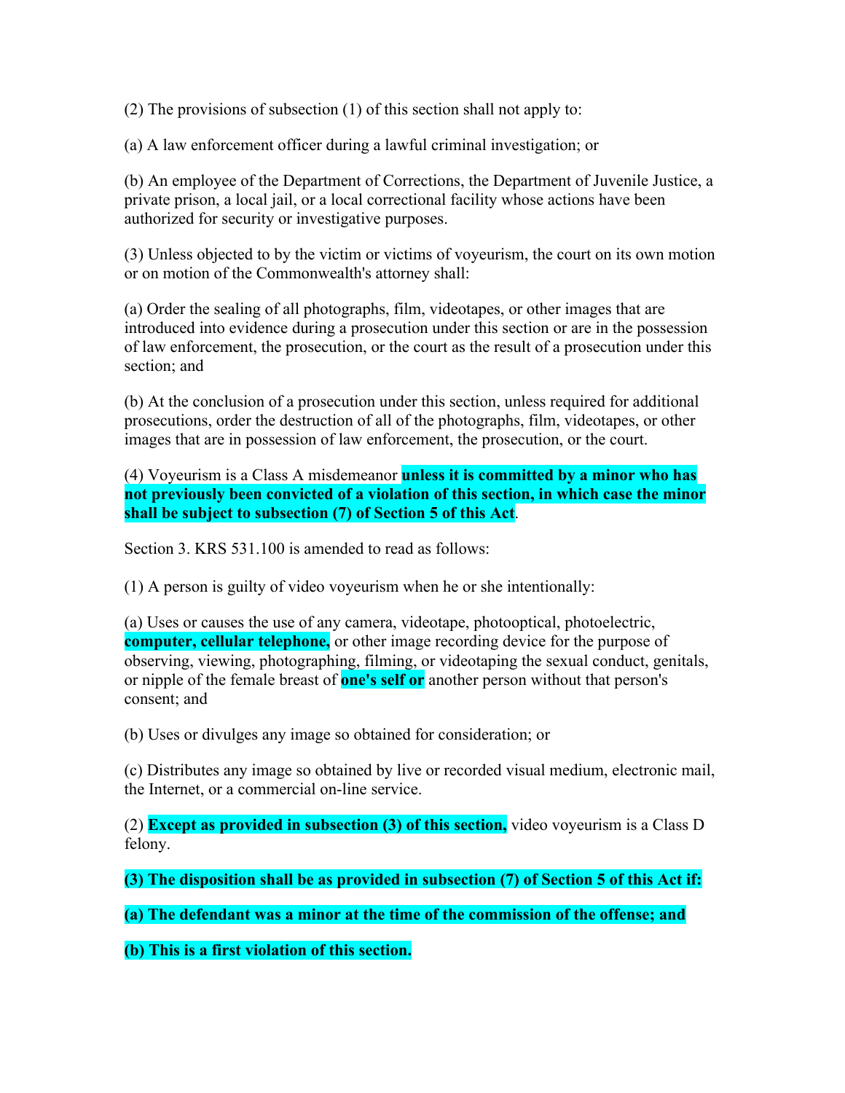(2) The provisions of subsection (1) of this section shall not apply to:

(a) A law enforcement officer during a lawful criminal investigation; or

(b) An employee of the Department of Corrections, the Department of Juvenile Justice, a private prison, a local jail, or a local correctional facility whose actions have been authorized for security or investigative purposes.

(3) Unless objected to by the victim or victims of voyeurism, the court on its own motion or on motion of the Commonwealth's attorney shall:

(a) Order the sealing of all photographs, film, videotapes, or other images that are introduced into evidence during a prosecution under this section or are in the possession of law enforcement, the prosecution, or the court as the result of a prosecution under this section; and

(b) At the conclusion of a prosecution under this section, unless required for additional prosecutions, order the destruction of all of the photographs, film, videotapes, or other images that are in possession of law enforcement, the prosecution, or the court.

(4) Voyeurism is a Class A misdemeanor **unless it is committed by a minor who has not previously been convicted of a violation of this section, in which case the minor shall be subject to subsection (7) of Section 5 of this Act**.

Section 3. KRS 531.100 is amended to read as follows:

(1) A person is guilty of video voyeurism when he or she intentionally:

(a) Uses or causes the use of any camera, videotape, photooptical, photoelectric, **computer, cellular telephone,** or other image recording device for the purpose of observing, viewing, photographing, filming, or videotaping the sexual conduct, genitals, or nipple of the female breast of **one's self or** another person without that person's consent; and

(b) Uses or divulges any image so obtained for consideration; or

(c) Distributes any image so obtained by live or recorded visual medium, electronic mail, the Internet, or a commercial on-line service.

(2) **Except as provided in subsection (3) of this section,** video voyeurism is a Class D felony.

**(3) The disposition shall be as provided in subsection (7) of Section 5 of this Act if:**

**(a) The defendant was a minor at the time of the commission of the offense; and**

**(b) This is a first violation of this section.**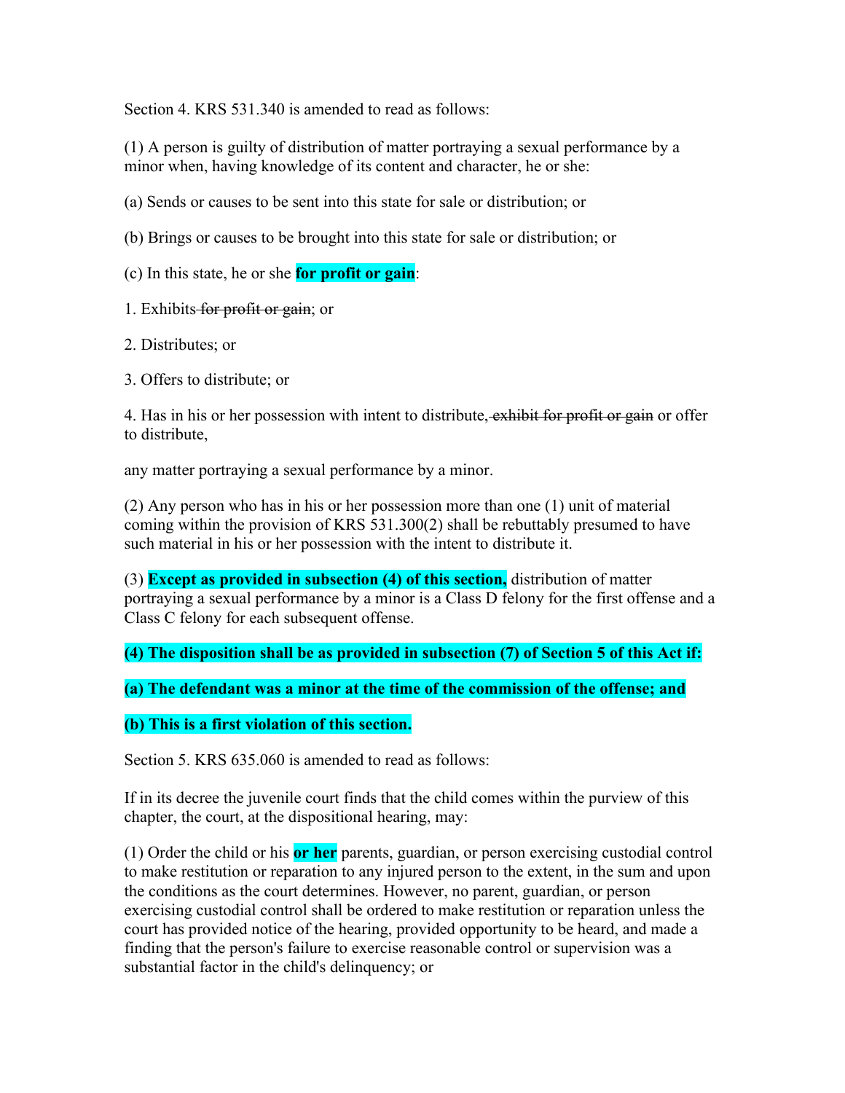Section 4, KRS 531, 340 is amended to read as follows:

(1) A person is guilty of distribution of matter portraying a sexual performance by a minor when, having knowledge of its content and character, he or she:

(a) Sends or causes to be sent into this state for sale or distribution; or

(b) Brings or causes to be brought into this state for sale or distribution; or

(c) In this state, he or she **for profit or gain**:

1. Exhibits for profit or gain; or

2. Distributes; or

3. Offers to distribute; or

4. Has in his or her possession with intent to distribute, exhibit for profit or gain or offer to distribute,

any matter portraying a sexual performance by a minor.

(2) Any person who has in his or her possession more than one (1) unit of material coming within the provision of KRS 531.300(2) shall be rebuttably presumed to have such material in his or her possession with the intent to distribute it.

(3) **Except as provided in subsection (4) of this section,** distribution of matter portraying a sexual performance by a minor is a Class D felony for the first offense and a Class C felony for each subsequent offense.

**(4) The disposition shall be as provided in subsection (7) of Section 5 of this Act if:**

**(a) The defendant was a minor at the time of the commission of the offense; and**

**(b) This is a first violation of this section.**

Section 5. KRS 635.060 is amended to read as follows:

If in its decree the juvenile court finds that the child comes within the purview of this chapter, the court, at the dispositional hearing, may:

(1) Order the child or his **or her** parents, guardian, or person exercising custodial control to make restitution or reparation to any injured person to the extent, in the sum and upon the conditions as the court determines. However, no parent, guardian, or person exercising custodial control shall be ordered to make restitution or reparation unless the court has provided notice of the hearing, provided opportunity to be heard, and made a finding that the person's failure to exercise reasonable control or supervision was a substantial factor in the child's delinquency; or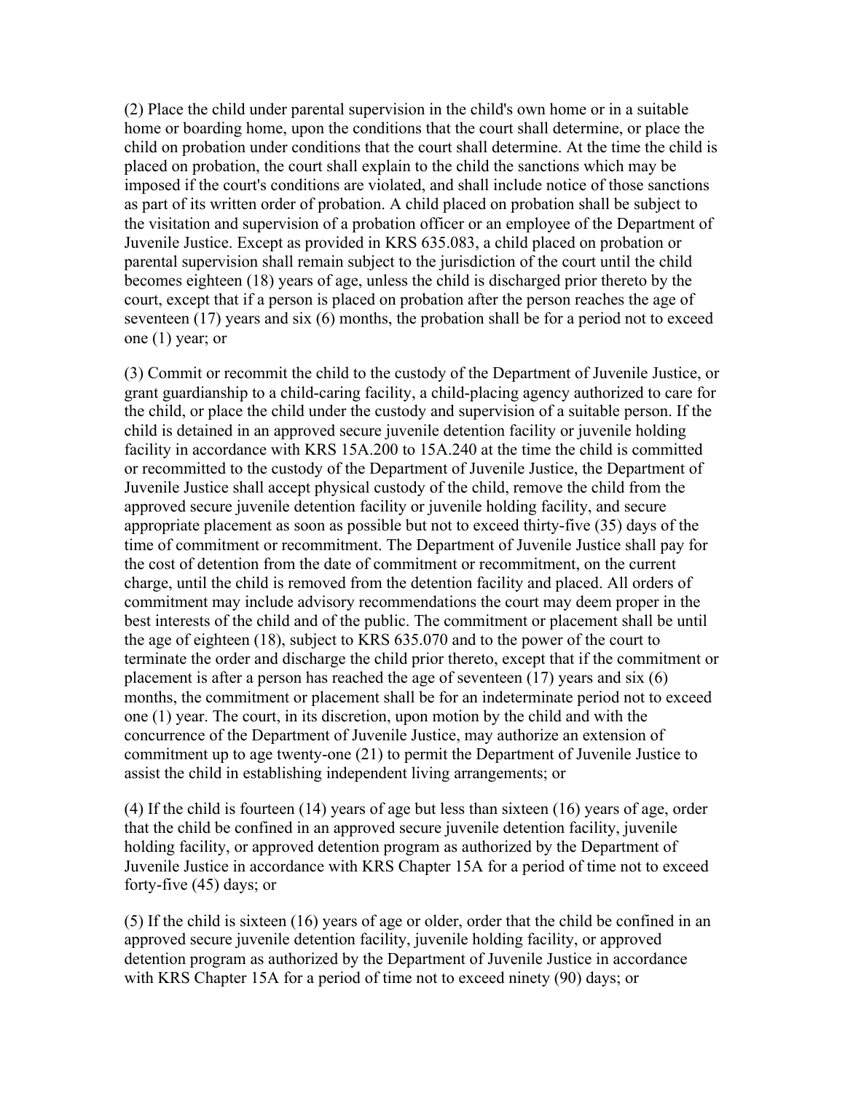(2) Place the child under parental supervision in the child's own home or in a suitable home or boarding home, upon the conditions that the court shall determine, or place the child on probation under conditions that the court shall determine. At the time the child is placed on probation, the court shall explain to the child the sanctions which may be imposed if the court's conditions are violated, and shall include notice of those sanctions as part of its written order of probation. A child placed on probation shall be subject to the visitation and supervision of a probation officer or an employee of the Department of Juvenile Justice. Except as provided in KRS 635.083, a child placed on probation or parental supervision shall remain subject to the jurisdiction of the court until the child becomes eighteen (18) years of age, unless the child is discharged prior thereto by the court, except that if a person is placed on probation after the person reaches the age of seventeen (17) years and six (6) months, the probation shall be for a period not to exceed one (1) year; or

(3) Commit or recommit the child to the custody of the Department of Juvenile Justice, or grant guardianship to a child-caring facility, a child-placing agency authorized to care for the child, or place the child under the custody and supervision of a suitable person. If the child is detained in an approved secure juvenile detention facility or juvenile holding facility in accordance with KRS 15A.200 to 15A.240 at the time the child is committed or recommitted to the custody of the Department of Juvenile Justice, the Department of Juvenile Justice shall accept physical custody of the child, remove the child from the approved secure juvenile detention facility or juvenile holding facility, and secure appropriate placement as soon as possible but not to exceed thirty-five (35) days of the time of commitment or recommitment. The Department of Juvenile Justice shall pay for the cost of detention from the date of commitment or recommitment, on the current charge, until the child is removed from the detention facility and placed. All orders of commitment may include advisory recommendations the court may deem proper in the best interests of the child and of the public. The commitment or placement shall be until the age of eighteen (18), subject to KRS 635.070 and to the power of the court to terminate the order and discharge the child prior thereto, except that if the commitment or placement is after a person has reached the age of seventeen (17) years and six (6) months, the commitment or placement shall be for an indeterminate period not to exceed one (1) year. The court, in its discretion, upon motion by the child and with the concurrence of the Department of Juvenile Justice, may authorize an extension of commitment up to age twenty-one (21) to permit the Department of Juvenile Justice to assist the child in establishing independent living arrangements; or

(4) If the child is fourteen (14) years of age but less than sixteen (16) years of age, order that the child be confined in an approved secure juvenile detention facility, juvenile holding facility, or approved detention program as authorized by the Department of Juvenile Justice in accordance with KRS Chapter 15A for a period of time not to exceed forty-five (45) days; or

(5) If the child is sixteen (16) years of age or older, order that the child be confined in an approved secure juvenile detention facility, juvenile holding facility, or approved detention program as authorized by the Department of Juvenile Justice in accordance with KRS Chapter 15A for a period of time not to exceed ninety (90) days; or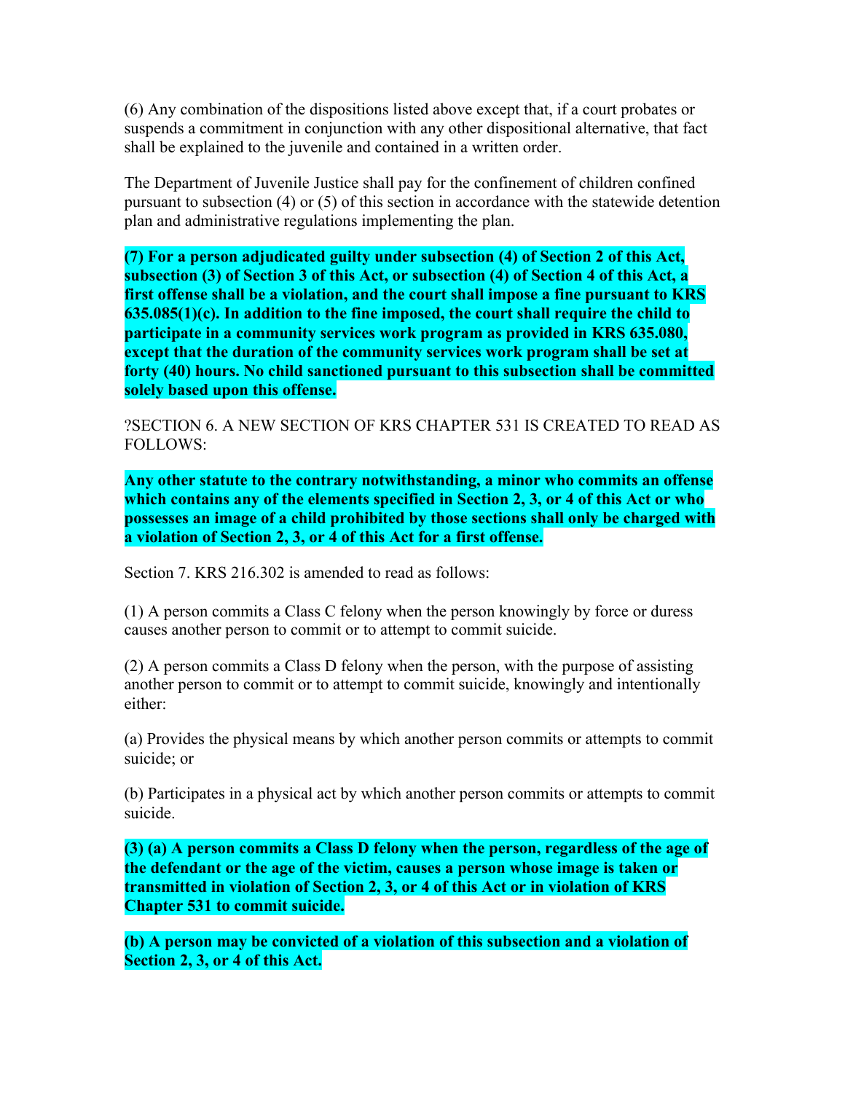(6) Any combination of the dispositions listed above except that, if a court probates or suspends a commitment in conjunction with any other dispositional alternative, that fact shall be explained to the juvenile and contained in a written order.

The Department of Juvenile Justice shall pay for the confinement of children confined pursuant to subsection (4) or (5) of this section in accordance with the statewide detention plan and administrative regulations implementing the plan.

**(7) For a person adjudicated guilty under subsection (4) of Section 2 of this Act, subsection (3) of Section 3 of this Act, or subsection (4) of Section 4 of this Act, a first offense shall be a violation, and the court shall impose a fine pursuant to KRS 635.085(1)(c). In addition to the fine imposed, the court shall require the child to participate in a community services work program as provided in KRS 635.080, except that the duration of the community services work program shall be set at forty (40) hours. No child sanctioned pursuant to this subsection shall be committed solely based upon this offense.**

?SECTION 6. A NEW SECTION OF KRS CHAPTER 531 IS CREATED TO READ AS FOLLOWS:

**Any other statute to the contrary notwithstanding, a minor who commits an offense which contains any of the elements specified in Section 2, 3, or 4 of this Act or who possesses an image of a child prohibited by those sections shall only be charged with a violation of Section 2, 3, or 4 of this Act for a first offense.** 

Section 7. KRS 216.302 is amended to read as follows:

(1) A person commits a Class C felony when the person knowingly by force or duress causes another person to commit or to attempt to commit suicide.

(2) A person commits a Class D felony when the person, with the purpose of assisting another person to commit or to attempt to commit suicide, knowingly and intentionally either:

(a) Provides the physical means by which another person commits or attempts to commit suicide; or

(b) Participates in a physical act by which another person commits or attempts to commit suicide.

**(3) (a) A person commits a Class D felony when the person, regardless of the age of the defendant or the age of the victim, causes a person whose image is taken or transmitted in violation of Section 2, 3, or 4 of this Act or in violation of KRS Chapter 531 to commit suicide.**

**(b) A person may be convicted of a violation of this subsection and a violation of Section 2, 3, or 4 of this Act.**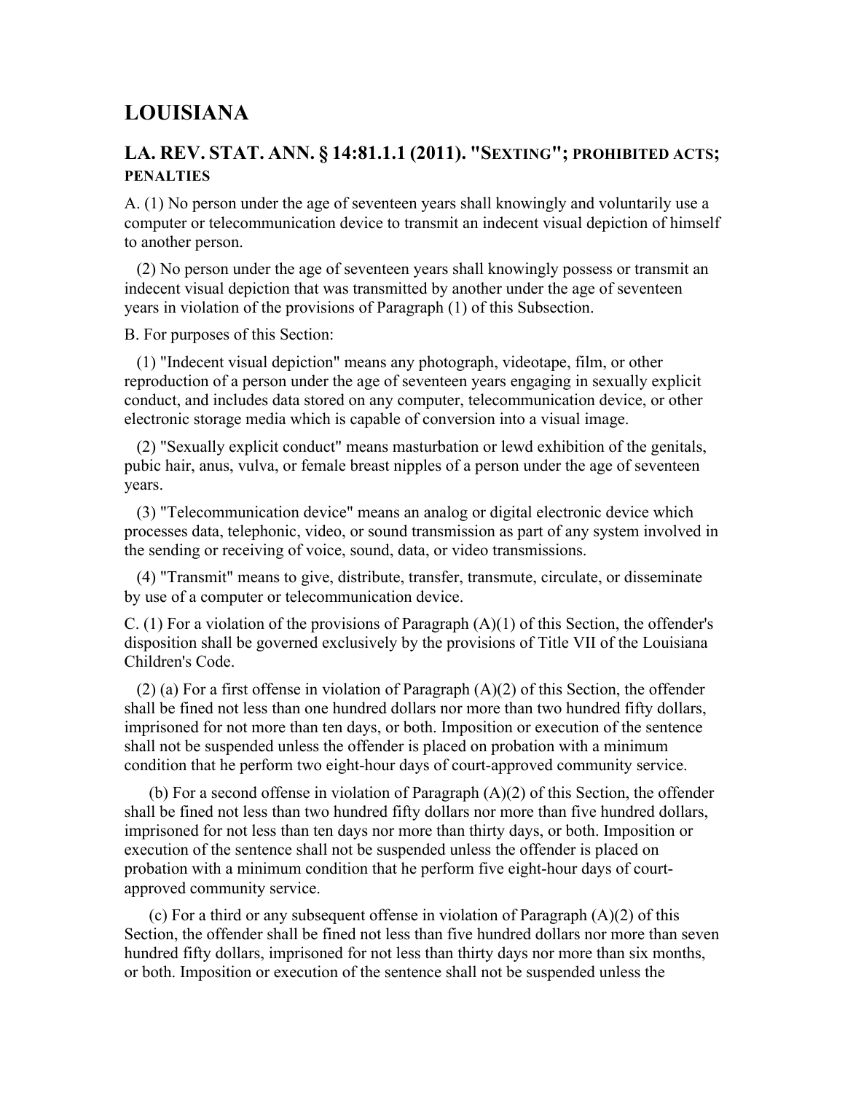## **LOUISIANA**

## **LA. REV. STAT. ANN. § 14:81.1.1 (2011). "SEXTING"; PROHIBITED ACTS; PENALTIES**

A. (1) No person under the age of seventeen years shall knowingly and voluntarily use a computer or telecommunication device to transmit an indecent visual depiction of himself to another person.

 (2) No person under the age of seventeen years shall knowingly possess or transmit an indecent visual depiction that was transmitted by another under the age of seventeen years in violation of the provisions of Paragraph (1) of this Subsection.

B. For purposes of this Section:

 (1) "Indecent visual depiction" means any photograph, videotape, film, or other reproduction of a person under the age of seventeen years engaging in sexually explicit conduct, and includes data stored on any computer, telecommunication device, or other electronic storage media which is capable of conversion into a visual image.

 (2) "Sexually explicit conduct" means masturbation or lewd exhibition of the genitals, pubic hair, anus, vulva, or female breast nipples of a person under the age of seventeen years.

 (3) "Telecommunication device" means an analog or digital electronic device which processes data, telephonic, video, or sound transmission as part of any system involved in the sending or receiving of voice, sound, data, or video transmissions.

 (4) "Transmit" means to give, distribute, transfer, transmute, circulate, or disseminate by use of a computer or telecommunication device.

C. (1) For a violation of the provisions of Paragraph (A)(1) of this Section, the offender's disposition shall be governed exclusively by the provisions of Title VII of the Louisiana Children's Code.

 $(2)$  (a) For a first offense in violation of Paragraph  $(A)(2)$  of this Section, the offender shall be fined not less than one hundred dollars nor more than two hundred fifty dollars, imprisoned for not more than ten days, or both. Imposition or execution of the sentence shall not be suspended unless the offender is placed on probation with a minimum condition that he perform two eight-hour days of court-approved community service.

 (b) For a second offense in violation of Paragraph (A)(2) of this Section, the offender shall be fined not less than two hundred fifty dollars nor more than five hundred dollars, imprisoned for not less than ten days nor more than thirty days, or both. Imposition or execution of the sentence shall not be suspended unless the offender is placed on probation with a minimum condition that he perform five eight-hour days of courtapproved community service.

 (c) For a third or any subsequent offense in violation of Paragraph (A)(2) of this Section, the offender shall be fined not less than five hundred dollars nor more than seven hundred fifty dollars, imprisoned for not less than thirty days nor more than six months, or both. Imposition or execution of the sentence shall not be suspended unless the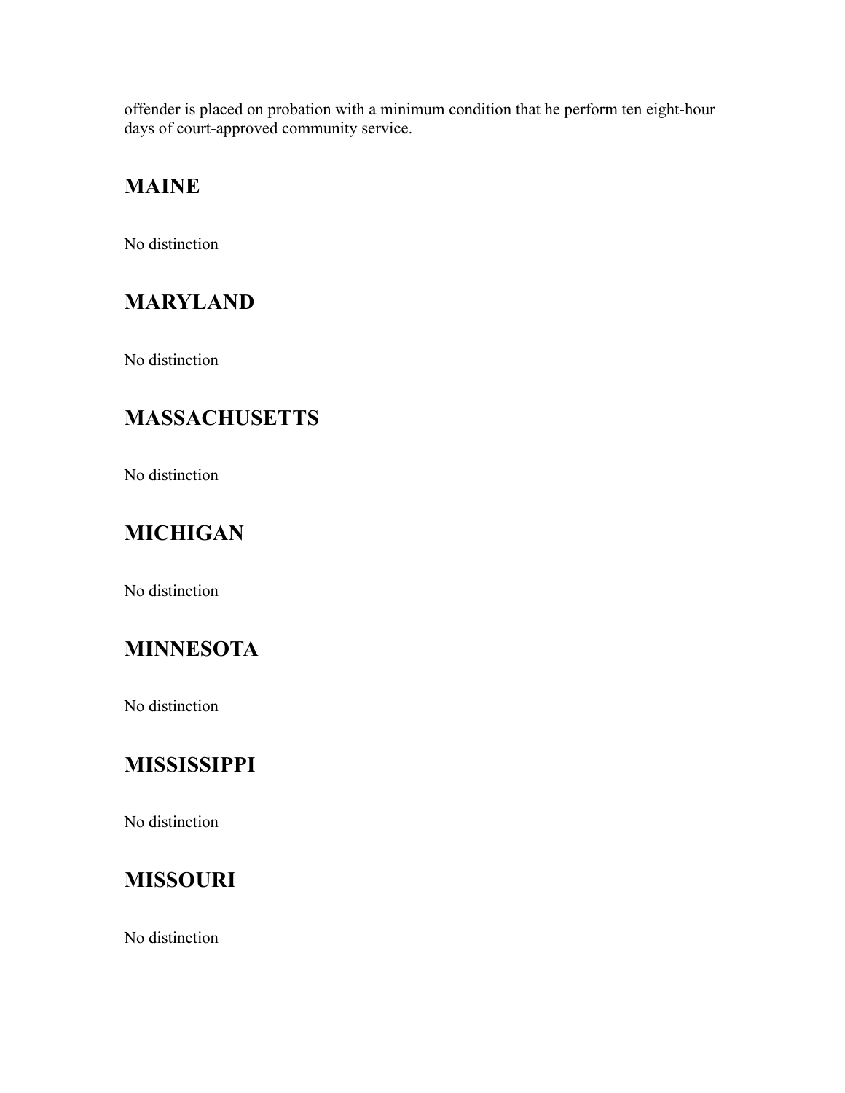offender is placed on probation with a minimum condition that he perform ten eight-hour days of court-approved community service.

## **MAINE**

No distinction

# **MARYLAND**

No distinction

# **MASSACHUSETTS**

No distinction

# **MICHIGAN**

No distinction

# **MINNESOTA**

No distinction

# **MISSISSIPPI**

No distinction

# **MISSOURI**

No distinction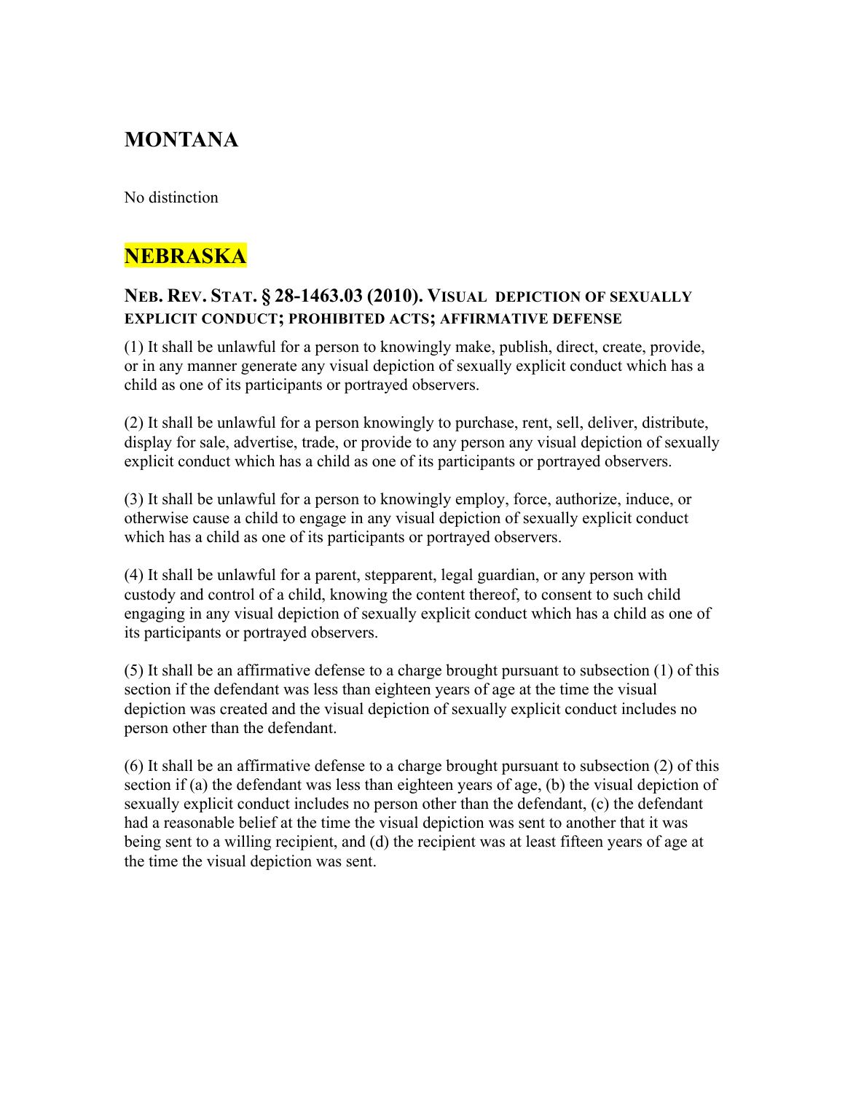## **MONTANA**

No distinction

# **NEBRASKA**

#### **NEB. REV. STAT. § 28-1463.03 (2010). VISUAL DEPICTION OF SEXUALLY EXPLICIT CONDUCT; PROHIBITED ACTS; AFFIRMATIVE DEFENSE**

(1) It shall be unlawful for a person to knowingly make, publish, direct, create, provide, or in any manner generate any visual depiction of sexually explicit conduct which has a child as one of its participants or portrayed observers.

(2) It shall be unlawful for a person knowingly to purchase, rent, sell, deliver, distribute, display for sale, advertise, trade, or provide to any person any visual depiction of sexually explicit conduct which has a child as one of its participants or portrayed observers.

(3) It shall be unlawful for a person to knowingly employ, force, authorize, induce, or otherwise cause a child to engage in any visual depiction of sexually explicit conduct which has a child as one of its participants or portrayed observers.

(4) It shall be unlawful for a parent, stepparent, legal guardian, or any person with custody and control of a child, knowing the content thereof, to consent to such child engaging in any visual depiction of sexually explicit conduct which has a child as one of its participants or portrayed observers.

(5) It shall be an affirmative defense to a charge brought pursuant to subsection (1) of this section if the defendant was less than eighteen years of age at the time the visual depiction was created and the visual depiction of sexually explicit conduct includes no person other than the defendant.

(6) It shall be an affirmative defense to a charge brought pursuant to subsection (2) of this section if (a) the defendant was less than eighteen years of age, (b) the visual depiction of sexually explicit conduct includes no person other than the defendant, (c) the defendant had a reasonable belief at the time the visual depiction was sent to another that it was being sent to a willing recipient, and (d) the recipient was at least fifteen years of age at the time the visual depiction was sent.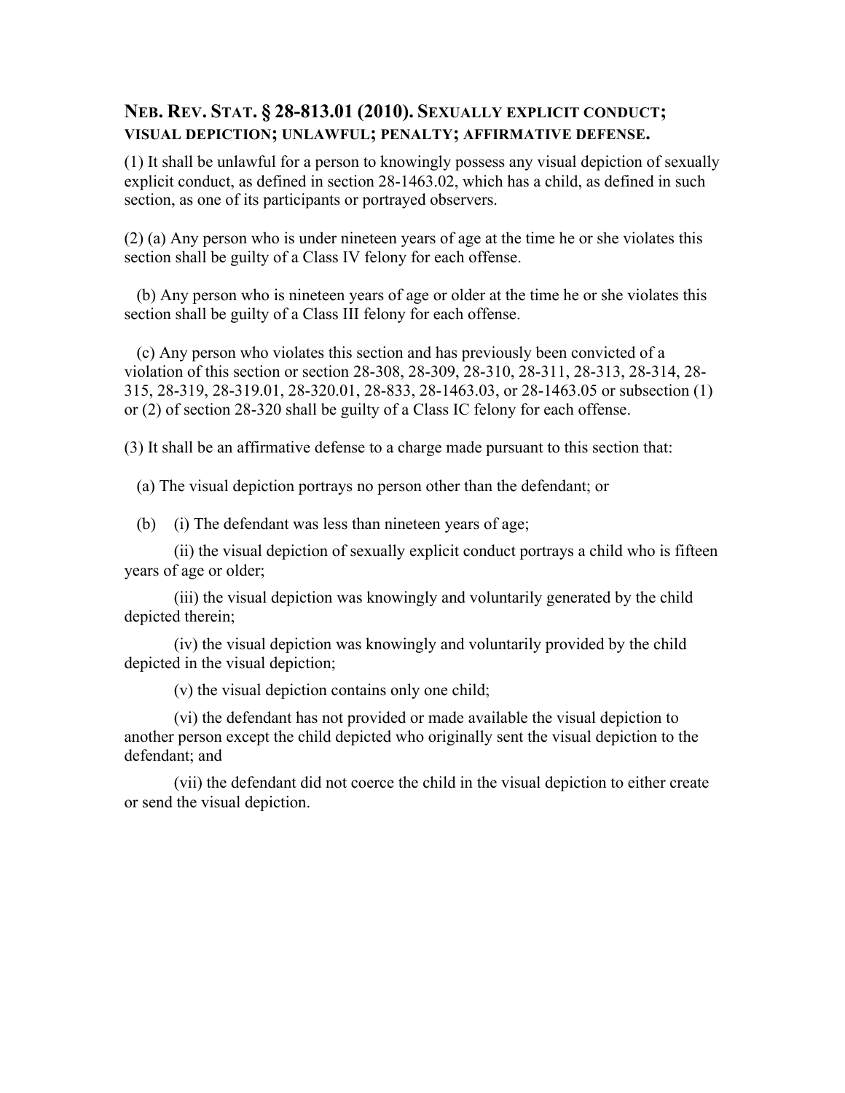#### **NEB. REV. STAT. § 28-813.01 (2010). SEXUALLY EXPLICIT CONDUCT; VISUAL DEPICTION; UNLAWFUL; PENALTY; AFFIRMATIVE DEFENSE.**

(1) It shall be unlawful for a person to knowingly possess any visual depiction of sexually explicit conduct, as defined in section 28-1463.02, which has a child, as defined in such section, as one of its participants or portrayed observers.

(2) (a) Any person who is under nineteen years of age at the time he or she violates this section shall be guilty of a Class IV felony for each offense.

 (b) Any person who is nineteen years of age or older at the time he or she violates this section shall be guilty of a Class III felony for each offense.

 (c) Any person who violates this section and has previously been convicted of a violation of this section or section 28-308, 28-309, 28-310, 28-311, 28-313, 28-314, 28- 315, 28-319, 28-319.01, 28-320.01, 28-833, 28-1463.03, or 28-1463.05 or subsection (1) or (2) of section 28-320 shall be guilty of a Class IC felony for each offense.

(3) It shall be an affirmative defense to a charge made pursuant to this section that:

(a) The visual depiction portrays no person other than the defendant; or

(b) (i) The defendant was less than nineteen years of age;

(ii) the visual depiction of sexually explicit conduct portrays a child who is fifteen years of age or older;

(iii) the visual depiction was knowingly and voluntarily generated by the child depicted therein;

(iv) the visual depiction was knowingly and voluntarily provided by the child depicted in the visual depiction;

(v) the visual depiction contains only one child;

(vi) the defendant has not provided or made available the visual depiction to another person except the child depicted who originally sent the visual depiction to the defendant; and

(vii) the defendant did not coerce the child in the visual depiction to either create or send the visual depiction.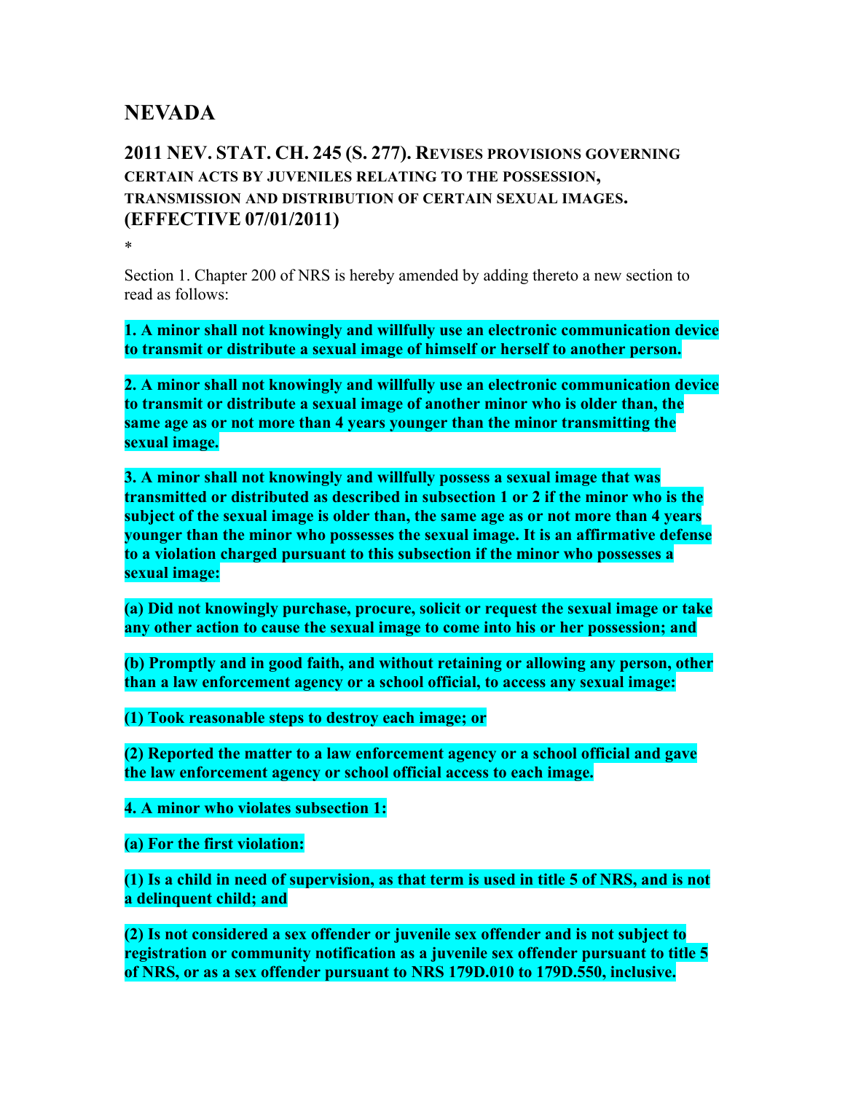## **NEVADA**

## **2011 NEV. STAT. CH. 245 (S. 277). REVISES PROVISIONS GOVERNING CERTAIN ACTS BY JUVENILES RELATING TO THE POSSESSION, TRANSMISSION AND DISTRIBUTION OF CERTAIN SEXUAL IMAGES. (EFFECTIVE 07/01/2011)**

\*

Section 1. Chapter 200 of NRS is hereby amended by adding thereto a new section to read as follows:

**1. A minor shall not knowingly and willfully use an electronic communication device to transmit or distribute a sexual image of himself or herself to another person.**

**2. A minor shall not knowingly and willfully use an electronic communication device to transmit or distribute a sexual image of another minor who is older than, the same age as or not more than 4 years younger than the minor transmitting the sexual image.**

**3. A minor shall not knowingly and willfully possess a sexual image that was transmitted or distributed as described in subsection 1 or 2 if the minor who is the subject of the sexual image is older than, the same age as or not more than 4 years younger than the minor who possesses the sexual image. It is an affirmative defense to a violation charged pursuant to this subsection if the minor who possesses a sexual image:**

**(a) Did not knowingly purchase, procure, solicit or request the sexual image or take any other action to cause the sexual image to come into his or her possession; and**

**(b) Promptly and in good faith, and without retaining or allowing any person, other than a law enforcement agency or a school official, to access any sexual image:**

**(1) Took reasonable steps to destroy each image; or**

**(2) Reported the matter to a law enforcement agency or a school official and gave the law enforcement agency or school official access to each image.**

**4. A minor who violates subsection 1:**

**(a) For the first violation:**

**(1) Is a child in need of supervision, as that term is used in title 5 of NRS, and is not a delinquent child; and**

**(2) Is not considered a sex offender or juvenile sex offender and is not subject to registration or community notification as a juvenile sex offender pursuant to title 5 of NRS, or as a sex offender pursuant to NRS 179D.010 to 179D.550, inclusive.**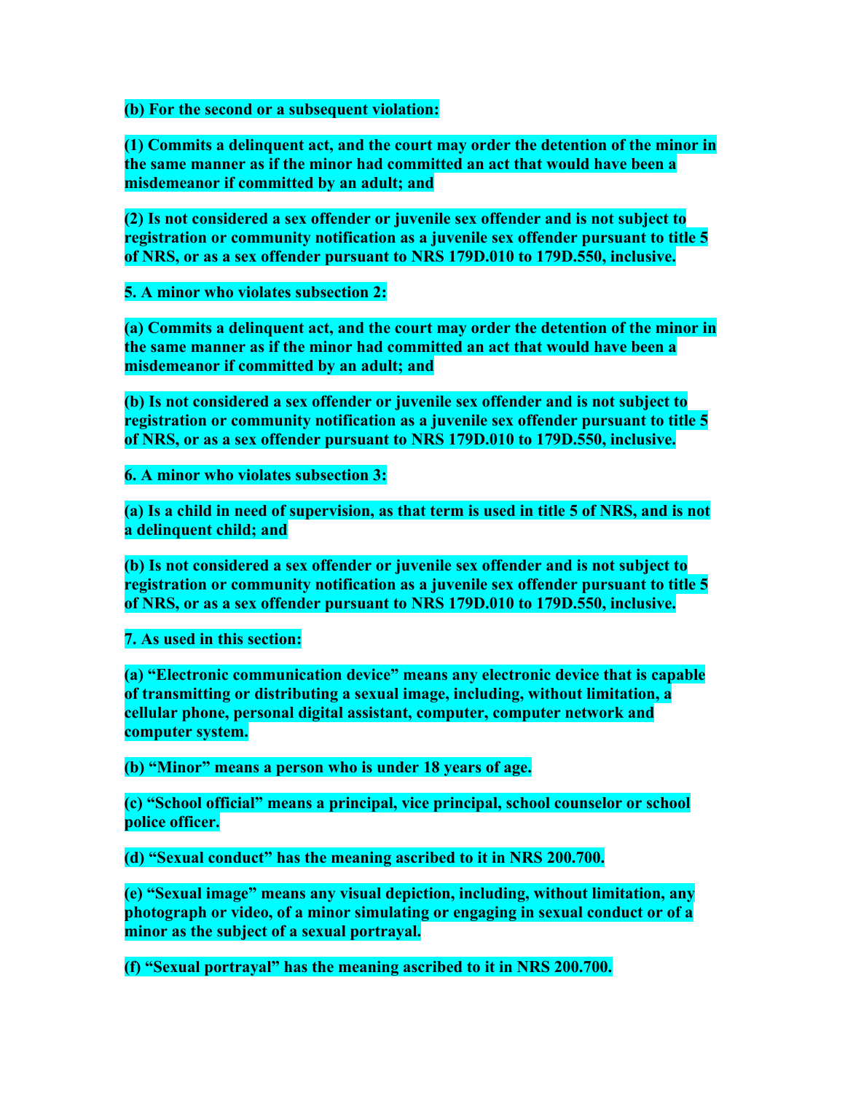#### **(b) For the second or a subsequent violation:**

**(1) Commits a delinquent act, and the court may order the detention of the minor in the same manner as if the minor had committed an act that would have been a misdemeanor if committed by an adult; and**

**(2) Is not considered a sex offender or juvenile sex offender and is not subject to registration or community notification as a juvenile sex offender pursuant to title 5 of NRS, or as a sex offender pursuant to NRS 179D.010 to 179D.550, inclusive.**

**5. A minor who violates subsection 2:**

**(a) Commits a delinquent act, and the court may order the detention of the minor in the same manner as if the minor had committed an act that would have been a misdemeanor if committed by an adult; and**

**(b) Is not considered a sex offender or juvenile sex offender and is not subject to registration or community notification as a juvenile sex offender pursuant to title 5 of NRS, or as a sex offender pursuant to NRS 179D.010 to 179D.550, inclusive.**

**6. A minor who violates subsection 3:**

**(a) Is a child in need of supervision, as that term is used in title 5 of NRS, and is not a delinquent child; and**

**(b) Is not considered a sex offender or juvenile sex offender and is not subject to registration or community notification as a juvenile sex offender pursuant to title 5 of NRS, or as a sex offender pursuant to NRS 179D.010 to 179D.550, inclusive.**

**7. As used in this section:**

**(a) "Electronic communication device" means any electronic device that is capable of transmitting or distributing a sexual image, including, without limitation, a cellular phone, personal digital assistant, computer, computer network and computer system.**

**(b) "Minor" means a person who is under 18 years of age.**

**(c) "School official" means a principal, vice principal, school counselor or school police officer.**

**(d) "Sexual conduct" has the meaning ascribed to it in NRS 200.700.**

**(e) "Sexual image" means any visual depiction, including, without limitation, any photograph or video, of a minor simulating or engaging in sexual conduct or of a minor as the subject of a sexual portrayal.**

**(f) "Sexual portrayal" has the meaning ascribed to it in NRS 200.700.**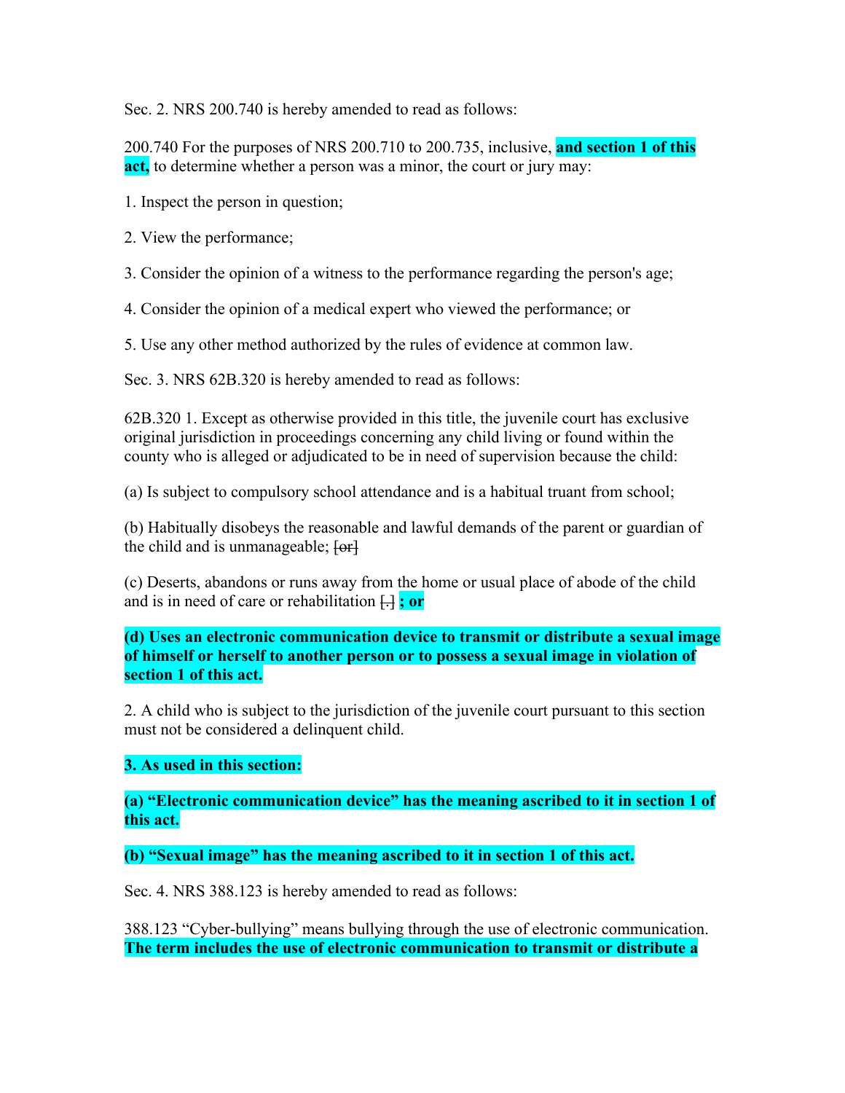Sec. 2. NRS 200.740 is hereby amended to read as follows:

200.740 For the purposes of NRS 200.710 to 200.735, inclusive, **and section 1 of this act,** to determine whether a person was a minor, the court or jury may:

1. Inspect the person in question;

2. View the performance;

3. Consider the opinion of a witness to the performance regarding the person's age;

4. Consider the opinion of a medical expert who viewed the performance; or

5. Use any other method authorized by the rules of evidence at common law.

Sec. 3. NRS 62B.320 is hereby amended to read as follows:

62B.320 1. Except as otherwise provided in this title, the juvenile court has exclusive original jurisdiction in proceedings concerning any child living or found within the county who is alleged or adjudicated to be in need of supervision because the child:

(a) Is subject to compulsory school attendance and is a habitual truant from school;

(b) Habitually disobeys the reasonable and lawful demands of the parent or guardian of the child and is unmanageable; [or]

(c) Deserts, abandons or runs away from the home or usual place of abode of the child and is in need of care or rehabilitation [.] **; or**

#### **(d) Uses an electronic communication device to transmit or distribute a sexual image of himself or herself to another person or to possess a sexual image in violation of section 1 of this act.**

2. A child who is subject to the jurisdiction of the juvenile court pursuant to this section must not be considered a delinquent child.

#### **3. As used in this section:**

**(a) "Electronic communication device" has the meaning ascribed to it in section 1 of this act.**

**(b) "Sexual image" has the meaning ascribed to it in section 1 of this act.**

Sec. 4. NRS 388.123 is hereby amended to read as follows:

388.123 "Cyber-bullying" means bullying through the use of electronic communication. **The term includes the use of electronic communication to transmit or distribute a**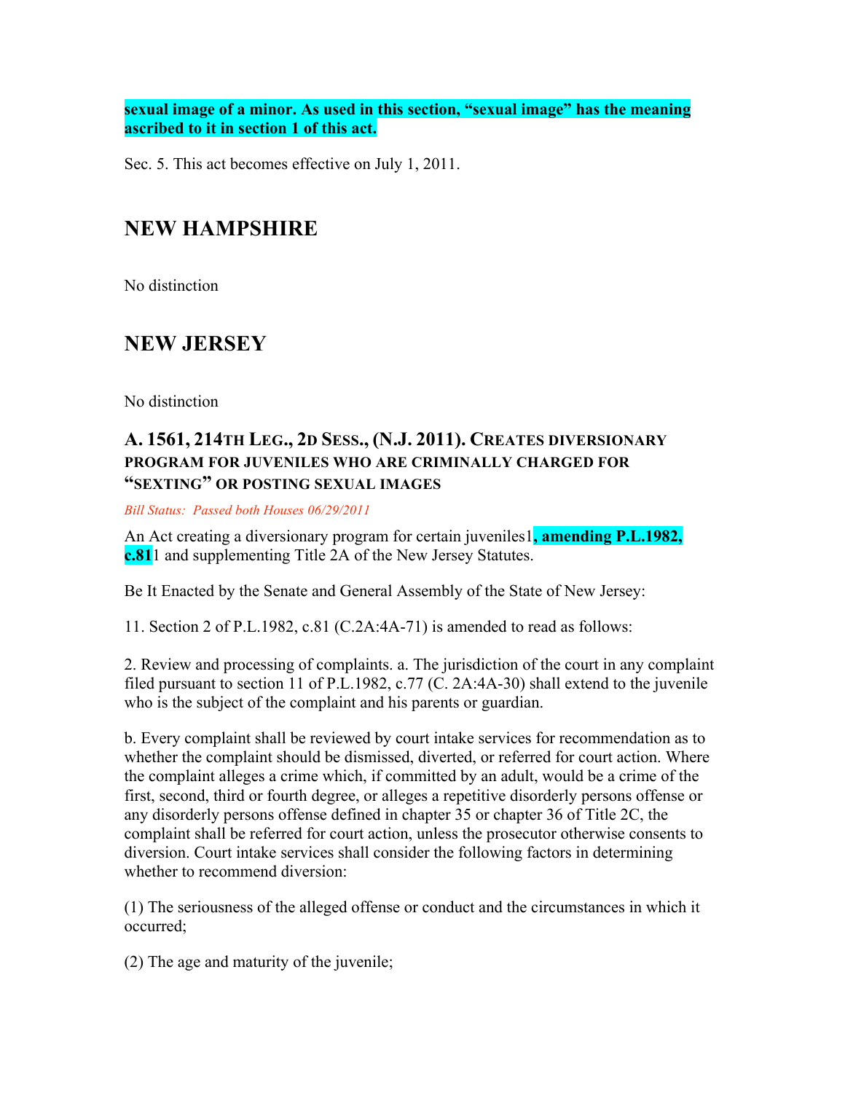**sexual image of a minor. As used in this section, "sexual image" has the meaning ascribed to it in section 1 of this act.**

Sec. 5. This act becomes effective on July 1, 2011.

## **NEW HAMPSHIRE**

No distinction

## **NEW JERSEY**

No distinction

## **A. 1561, 214TH LEG., 2D SESS., (N.J. 2011). CREATES DIVERSIONARY PROGRAM FOR JUVENILES WHO ARE CRIMINALLY CHARGED FOR "SEXTING" OR POSTING SEXUAL IMAGES**

*Bill Status: Passed both Houses 06/29/2011*

An Act creating a diversionary program for certain juveniles1**, amending P.L.1982, c.81**1 and supplementing Title 2A of the New Jersey Statutes.

Be It Enacted by the Senate and General Assembly of the State of New Jersey:

11. Section 2 of P.L.1982, c.81 (C.2A:4A-71) is amended to read as follows:

2. Review and processing of complaints. a. The jurisdiction of the court in any complaint filed pursuant to section 11 of P.L.1982, c.77 (C. 2A:4A-30) shall extend to the juvenile who is the subject of the complaint and his parents or guardian.

b. Every complaint shall be reviewed by court intake services for recommendation as to whether the complaint should be dismissed, diverted, or referred for court action. Where the complaint alleges a crime which, if committed by an adult, would be a crime of the first, second, third or fourth degree, or alleges a repetitive disorderly persons offense or any disorderly persons offense defined in chapter 35 or chapter 36 of Title 2C, the complaint shall be referred for court action, unless the prosecutor otherwise consents to diversion. Court intake services shall consider the following factors in determining whether to recommend diversion:

(1) The seriousness of the alleged offense or conduct and the circumstances in which it occurred;

(2) The age and maturity of the juvenile;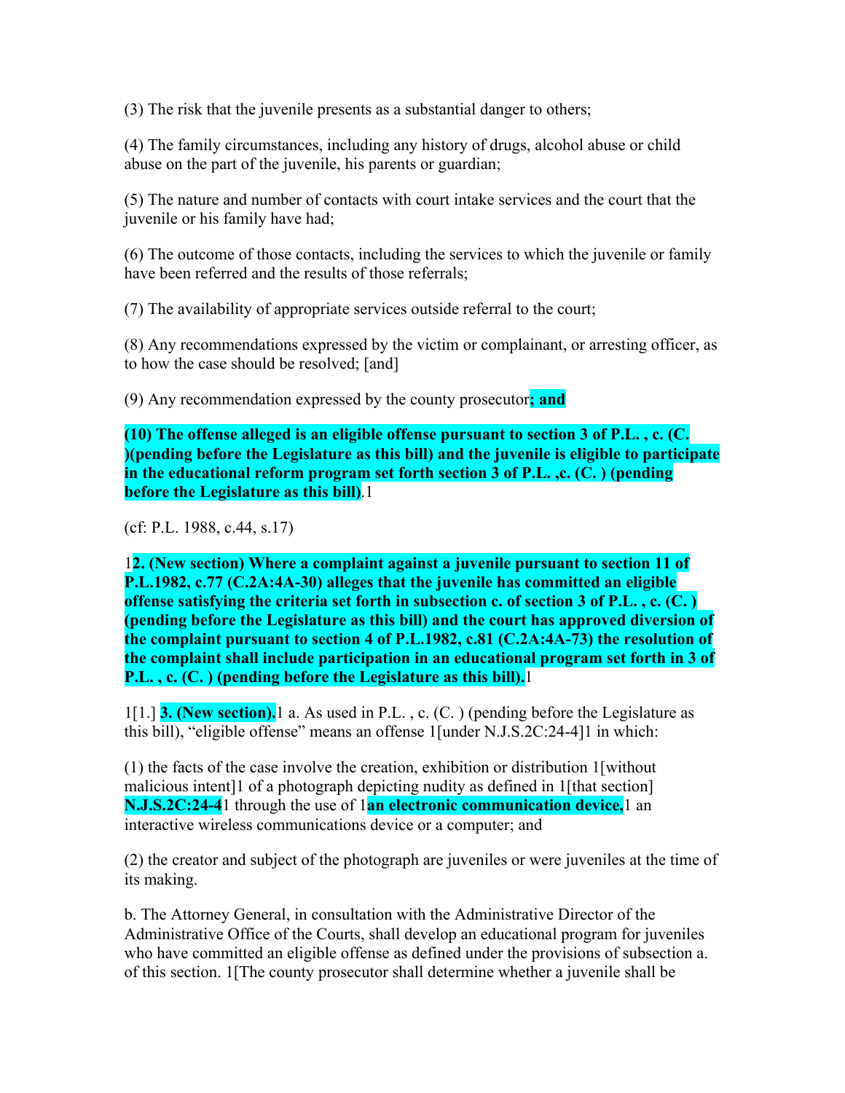(3) The risk that the juvenile presents as a substantial danger to others;

(4) The family circumstances, including any history of drugs, alcohol abuse or child abuse on the part of the juvenile, his parents or guardian;

(5) The nature and number of contacts with court intake services and the court that the juvenile or his family have had;

(6) The outcome of those contacts, including the services to which the juvenile or family have been referred and the results of those referrals;

(7) The availability of appropriate services outside referral to the court;

(8) Any recommendations expressed by the victim or complainant, or arresting officer, as to how the case should be resolved; [and]

(9) Any recommendation expressed by the county prosecutor**; and**

**(10) The offense alleged is an eligible offense pursuant to section 3 of P.L. , c. (C. )(pending before the Legislature as this bill) and the juvenile is eligible to participate in the educational reform program set forth section 3 of P.L. ,c. (C. ) (pending before the Legislature as this bill)**.1

(cf: P.L. 1988, c.44, s.17)

1**2. (New section) Where a complaint against a juvenile pursuant to section 11 of P.L.1982, c.77 (C.2A:4A-30) alleges that the juvenile has committed an eligible offense satisfying the criteria set forth in subsection c. of section 3 of P.L. , c. (C. ) (pending before the Legislature as this bill) and the court has approved diversion of the complaint pursuant to section 4 of P.L.1982, c.81 (C.2A:4A-73) the resolution of the complaint shall include participation in an educational program set forth in 3 of P.L. , c. (C. ) (pending before the Legislature as this bill).**1

1[1.] **3. (New section).**1 a. As used in P.L. , c. (C. ) (pending before the Legislature as this bill), "eligible offense" means an offense 1[under N.J.S.2C:24-4]1 in which:

(1) the facts of the case involve the creation, exhibition or distribution 1[without malicious intent]1 of a photograph depicting nudity as defined in 1[that section] **N.J.S.2C:24-4**1 through the use of 1**an electronic communication device,**1 an interactive wireless communications device or a computer; and

(2) the creator and subject of the photograph are juveniles or were juveniles at the time of its making.

b. The Attorney General, in consultation with the Administrative Director of the Administrative Office of the Courts, shall develop an educational program for juveniles who have committed an eligible offense as defined under the provisions of subsection a. of this section. 1[The county prosecutor shall determine whether a juvenile shall be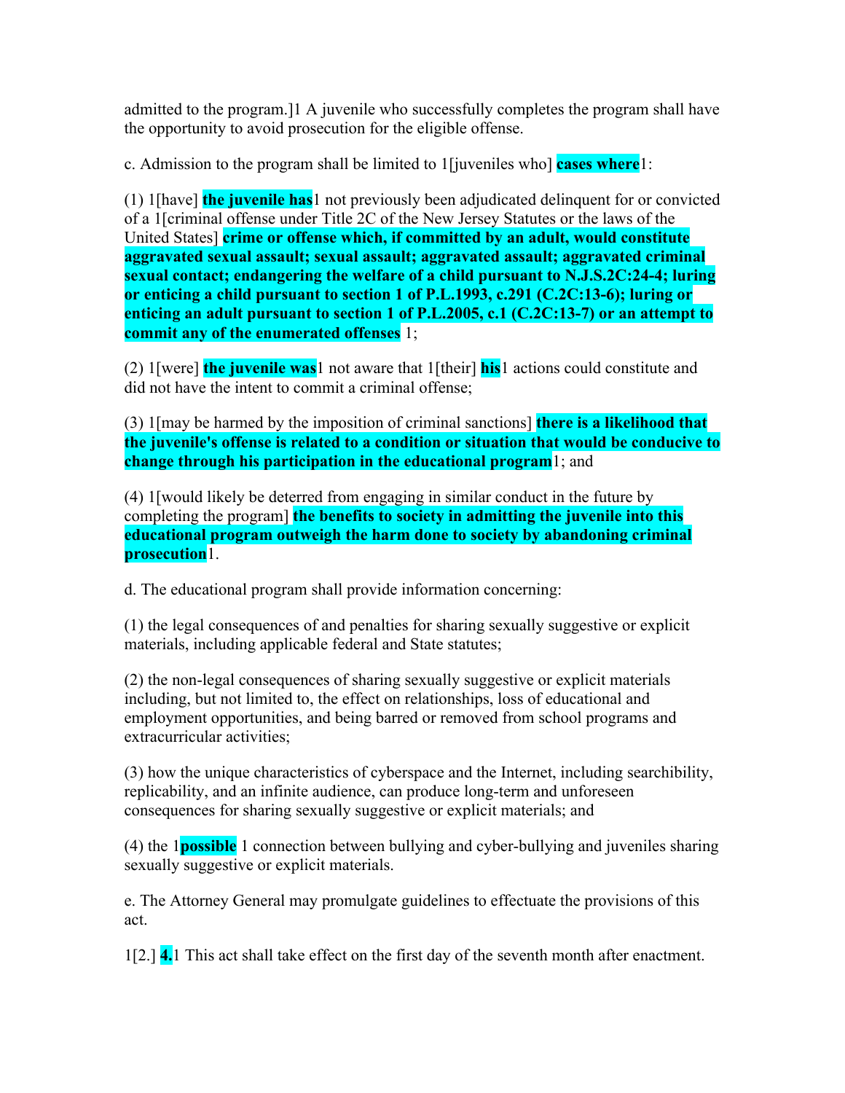admitted to the program.]1 A juvenile who successfully completes the program shall have the opportunity to avoid prosecution for the eligible offense.

c. Admission to the program shall be limited to 1[juveniles who] **cases where**1:

(1) 1[have] **the juvenile has**1 not previously been adjudicated delinquent for or convicted of a 1[criminal offense under Title 2C of the New Jersey Statutes or the laws of the United States] **crime or offense which, if committed by an adult, would constitute aggravated sexual assault; sexual assault; aggravated assault; aggravated criminal sexual contact; endangering the welfare of a child pursuant to N.J.S.2C:24-4; luring or enticing a child pursuant to section 1 of P.L.1993, c.291 (C.2C:13-6); luring or enticing an adult pursuant to section 1 of P.L.2005, c.1 (C.2C:13-7) or an attempt to commit any of the enumerated offenses** 1;

(2) 1[were] **the juvenile was**1 not aware that 1[their] **his**1 actions could constitute and did not have the intent to commit a criminal offense;

(3) 1[may be harmed by the imposition of criminal sanctions] **there is a likelihood that the juvenile's offense is related to a condition or situation that would be conducive to change through his participation in the educational program**1; and

(4) 1[would likely be deterred from engaging in similar conduct in the future by completing the program] **the benefits to society in admitting the juvenile into this educational program outweigh the harm done to society by abandoning criminal prosecution**1.

d. The educational program shall provide information concerning:

(1) the legal consequences of and penalties for sharing sexually suggestive or explicit materials, including applicable federal and State statutes;

(2) the non-legal consequences of sharing sexually suggestive or explicit materials including, but not limited to, the effect on relationships, loss of educational and employment opportunities, and being barred or removed from school programs and extracurricular activities;

(3) how the unique characteristics of cyberspace and the Internet, including searchibility, replicability, and an infinite audience, can produce long-term and unforeseen consequences for sharing sexually suggestive or explicit materials; and

(4) the 1**possible** 1 connection between bullying and cyber-bullying and juveniles sharing sexually suggestive or explicit materials.

e. The Attorney General may promulgate guidelines to effectuate the provisions of this act.

1[2.] **4.**1 This act shall take effect on the first day of the seventh month after enactment.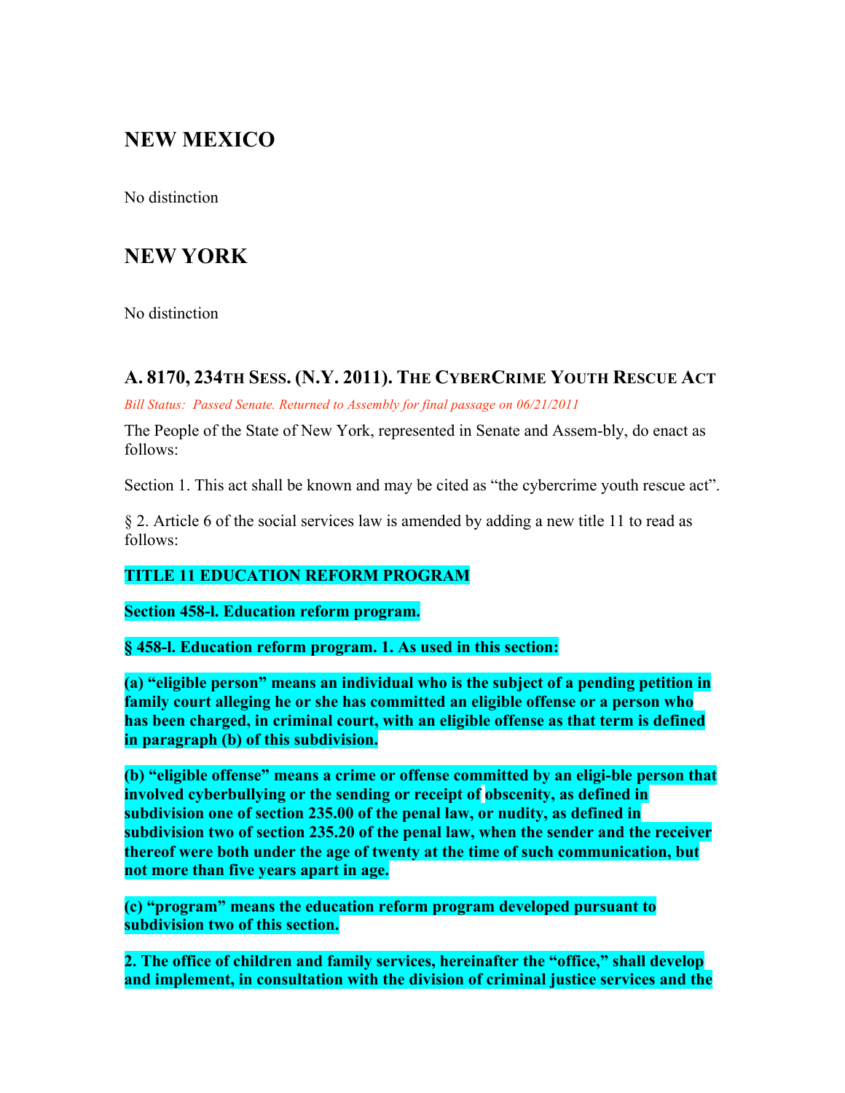## **NEW MEXICO**

No distinction

## **NEW YORK**

No distinction

#### **A. 8170, 234TH SESS. (N.Y. 2011). THE CYBERCRIME YOUTH RESCUE ACT**

*Bill Status: Passed Senate. Returned to Assembly for final passage on 06/21/2011*

The People of the State of New York, represented in Senate and Assem-bly, do enact as follows:

Section 1. This act shall be known and may be cited as "the cybercrime youth rescue act".

§ 2. Article 6 of the social services law is amended by adding a new title 11 to read as follows:

#### **TITLE 11 EDUCATION REFORM PROGRAM**

**Section 458-l. Education reform program.**

**§ 458-l. Education reform program. 1. As used in this section:**

**(a) "eligible person" means an individual who is the subject of a pending petition in family court alleging he or she has committed an eligible offense or a person who has been charged, in criminal court, with an eligible offense as that term is defined in paragraph (b) of this subdivision.**

**(b) "eligible offense" means a crime or offense committed by an eligi-ble person that involved cyberbullying or the sending or receipt of obscenity, as defined in subdivision one of section 235.00 of the penal law, or nudity, as defined in subdivision two of section 235.20 of the penal law, when the sender and the receiver thereof were both under the age of twenty at the time of such communication, but not more than five years apart in age.**

**(c) "program" means the education reform program developed pursuant to subdivision two of this section.**

**2. The office of children and family services, hereinafter the "office," shall develop and implement, in consultation with the division of criminal justice services and the**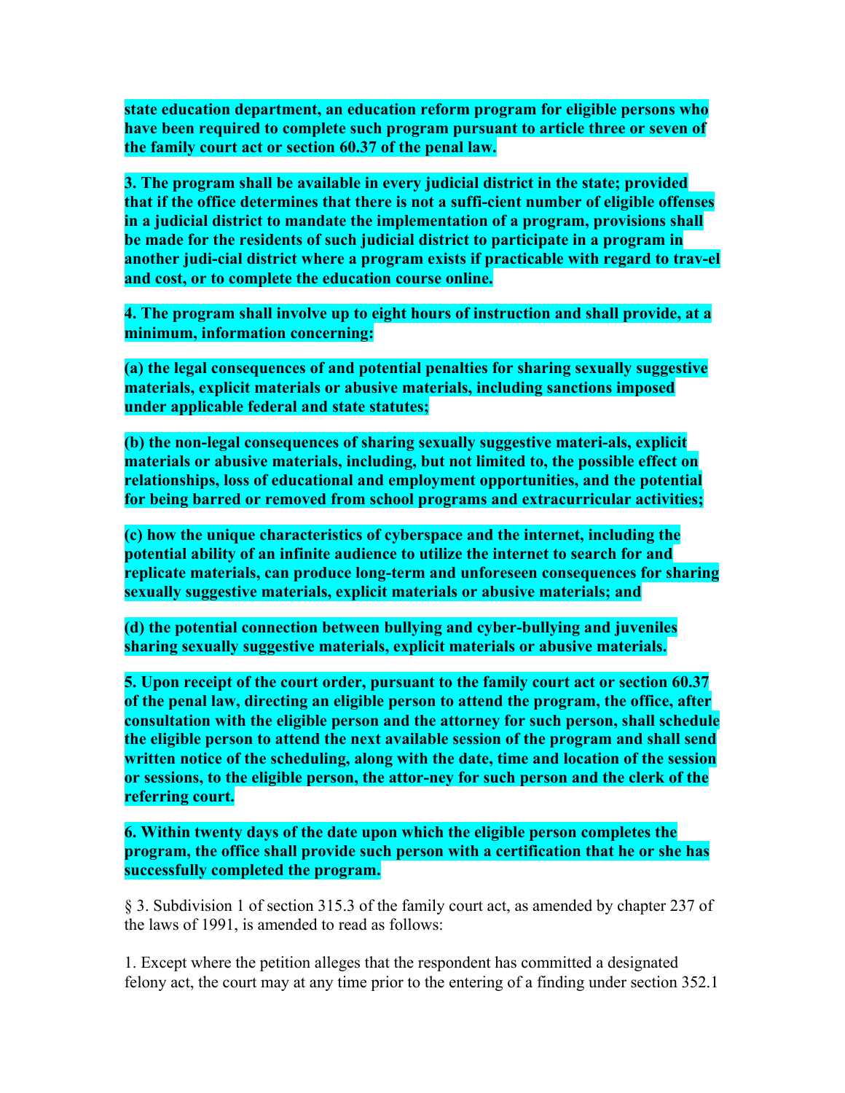**state education department, an education reform program for eligible persons who have been required to complete such program pursuant to article three or seven of the family court act or section 60.37 of the penal law.**

**3. The program shall be available in every judicial district in the state; provided that if the office determines that there is not a suffi-cient number of eligible offenses in a judicial district to mandate the implementation of a program, provisions shall be made for the residents of such judicial district to participate in a program in another judi-cial district where a program exists if practicable with regard to trav-el and cost, or to complete the education course online.**

**4. The program shall involve up to eight hours of instruction and shall provide, at a minimum, information concerning:**

**(a) the legal consequences of and potential penalties for sharing sexually suggestive materials, explicit materials or abusive materials, including sanctions imposed under applicable federal and state statutes;**

**(b) the non-legal consequences of sharing sexually suggestive materi-als, explicit materials or abusive materials, including, but not limited to, the possible effect on relationships, loss of educational and employment opportunities, and the potential for being barred or removed from school programs and extracurricular activities;**

**(c) how the unique characteristics of cyberspace and the internet, including the potential ability of an infinite audience to utilize the internet to search for and replicate materials, can produce long-term and unforeseen consequences for sharing sexually suggestive materials, explicit materials or abusive materials; and**

**(d) the potential connection between bullying and cyber-bullying and juveniles sharing sexually suggestive materials, explicit materials or abusive materials.**

**5. Upon receipt of the court order, pursuant to the family court act or section 60.37 of the penal law, directing an eligible person to attend the program, the office, after consultation with the eligible person and the attorney for such person, shall schedule the eligible person to attend the next available session of the program and shall send written notice of the scheduling, along with the date, time and location of the session or sessions, to the eligible person, the attor-ney for such person and the clerk of the referring court.**

**6. Within twenty days of the date upon which the eligible person completes the program, the office shall provide such person with a certification that he or she has successfully completed the program.**

§ 3. Subdivision 1 of section 315.3 of the family court act, as amended by chapter 237 of the laws of 1991, is amended to read as follows:

1. Except where the petition alleges that the respondent has committed a designated felony act, the court may at any time prior to the entering of a finding under section 352.1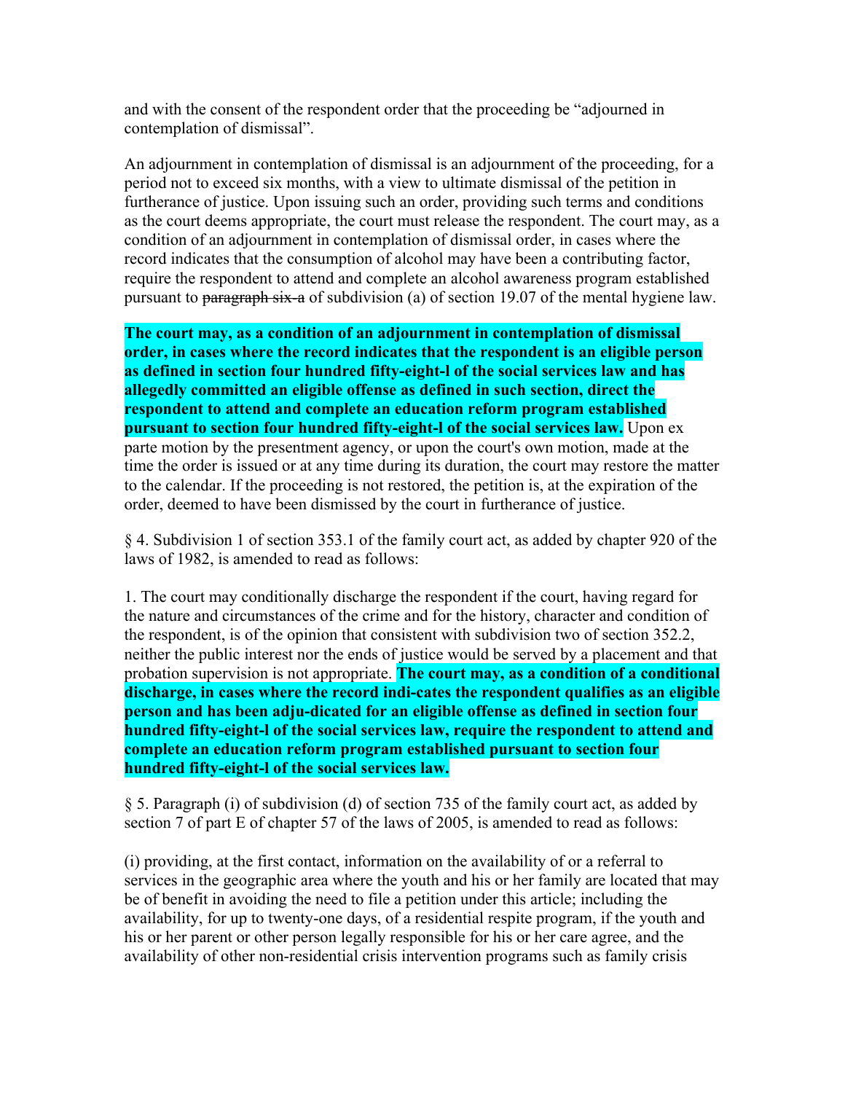and with the consent of the respondent order that the proceeding be "adjourned in contemplation of dismissal".

An adjournment in contemplation of dismissal is an adjournment of the proceeding, for a period not to exceed six months, with a view to ultimate dismissal of the petition in furtherance of justice. Upon issuing such an order, providing such terms and conditions as the court deems appropriate, the court must release the respondent. The court may, as a condition of an adjournment in contemplation of dismissal order, in cases where the record indicates that the consumption of alcohol may have been a contributing factor, require the respondent to attend and complete an alcohol awareness program established pursuant to paragraph six-a of subdivision (a) of section 19.07 of the mental hygiene law.

**The court may, as a condition of an adjournment in contemplation of dismissal order, in cases where the record indicates that the respondent is an eligible person as defined in section four hundred fifty-eight-l of the social services law and has allegedly committed an eligible offense as defined in such section, direct the respondent to attend and complete an education reform program established pursuant to section four hundred fifty-eight-l of the social services law.** Upon ex parte motion by the presentment agency, or upon the court's own motion, made at the time the order is issued or at any time during its duration, the court may restore the matter to the calendar. If the proceeding is not restored, the petition is, at the expiration of the order, deemed to have been dismissed by the court in furtherance of justice.

§ 4. Subdivision 1 of section 353.1 of the family court act, as added by chapter 920 of the laws of 1982, is amended to read as follows:

1. The court may conditionally discharge the respondent if the court, having regard for the nature and circumstances of the crime and for the history, character and condition of the respondent, is of the opinion that consistent with subdivision two of section 352.2, neither the public interest nor the ends of justice would be served by a placement and that probation supervision is not appropriate. **The court may, as a condition of a conditional discharge, in cases where the record indi-cates the respondent qualifies as an eligible person and has been adju-dicated for an eligible offense as defined in section four hundred fifty-eight-l of the social services law, require the respondent to attend and complete an education reform program established pursuant to section four hundred fifty-eight-l of the social services law.**

§ 5. Paragraph (i) of subdivision (d) of section 735 of the family court act, as added by section 7 of part E of chapter 57 of the laws of 2005, is amended to read as follows:

(i) providing, at the first contact, information on the availability of or a referral to services in the geographic area where the youth and his or her family are located that may be of benefit in avoiding the need to file a petition under this article; including the availability, for up to twenty-one days, of a residential respite program, if the youth and his or her parent or other person legally responsible for his or her care agree, and the availability of other non-residential crisis intervention programs such as family crisis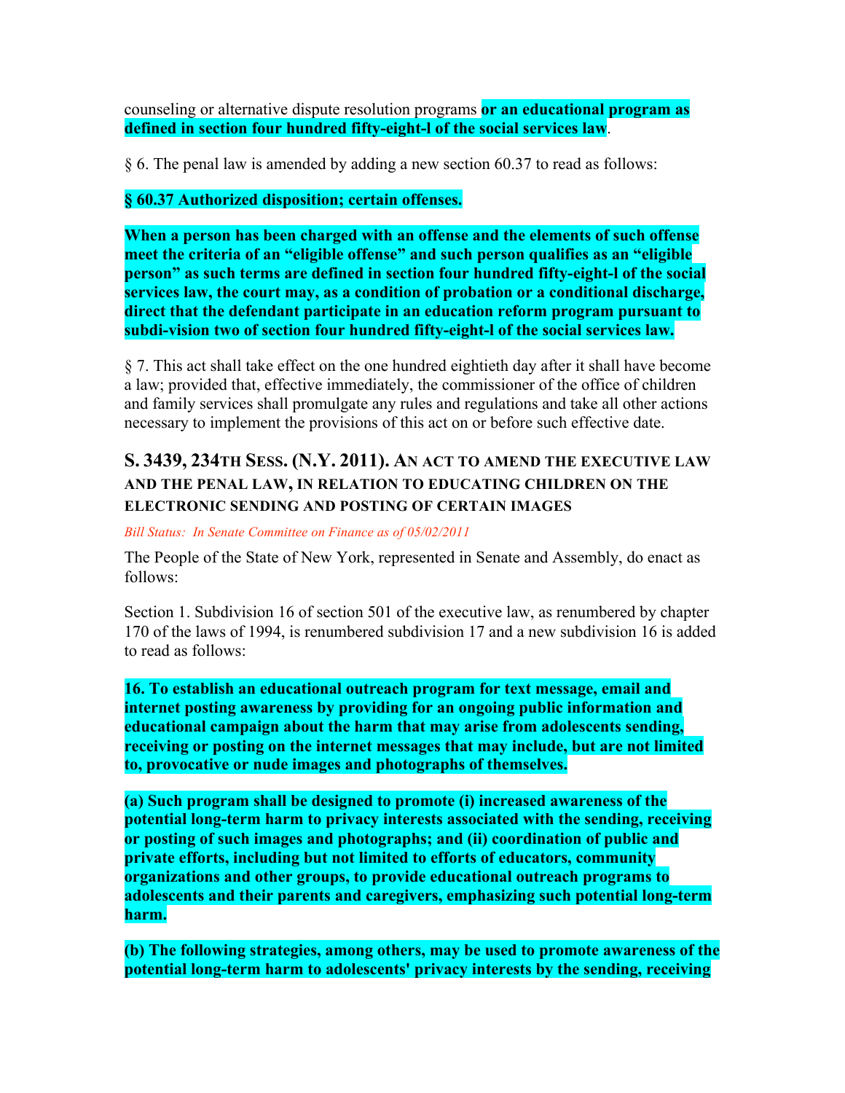counseling or alternative dispute resolution programs **or an educational program as defined in section four hundred fifty-eight-l of the social services law**.

§ 6. The penal law is amended by adding a new section 60.37 to read as follows:

#### **§ 60.37 Authorized disposition; certain offenses.**

**When a person has been charged with an offense and the elements of such offense meet the criteria of an "eligible offense" and such person qualifies as an "eligible person" as such terms are defined in section four hundred fifty-eight-l of the social services law, the court may, as a condition of probation or a conditional discharge, direct that the defendant participate in an education reform program pursuant to subdi-vision two of section four hundred fifty-eight-l of the social services law.**

§ 7. This act shall take effect on the one hundred eightieth day after it shall have become a law; provided that, effective immediately, the commissioner of the office of children and family services shall promulgate any rules and regulations and take all other actions necessary to implement the provisions of this act on or before such effective date.

### **S. 3439, 234TH SESS. (N.Y. 2011). AN ACT TO AMEND THE EXECUTIVE LAW AND THE PENAL LAW, IN RELATION TO EDUCATING CHILDREN ON THE ELECTRONIC SENDING AND POSTING OF CERTAIN IMAGES**

*Bill Status: In Senate Committee on Finance as of 05/02/2011*

The People of the State of New York, represented in Senate and Assembly, do enact as follows:

Section 1. Subdivision 16 of section 501 of the executive law, as renumbered by chapter 170 of the laws of 1994, is renumbered subdivision 17 and a new subdivision 16 is added to read as follows:

**16. To establish an educational outreach program for text message, email and internet posting awareness by providing for an ongoing public information and educational campaign about the harm that may arise from adolescents sending, receiving or posting on the internet messages that may include, but are not limited to, provocative or nude images and photographs of themselves.**

**(a) Such program shall be designed to promote (i) increased awareness of the potential long-term harm to privacy interests associated with the sending, receiving or posting of such images and photographs; and (ii) coordination of public and private efforts, including but not limited to efforts of educators, community organizations and other groups, to provide educational outreach programs to adolescents and their parents and caregivers, emphasizing such potential long-term harm.**

**(b) The following strategies, among others, may be used to promote awareness of the potential long-term harm to adolescents' privacy interests by the sending, receiving**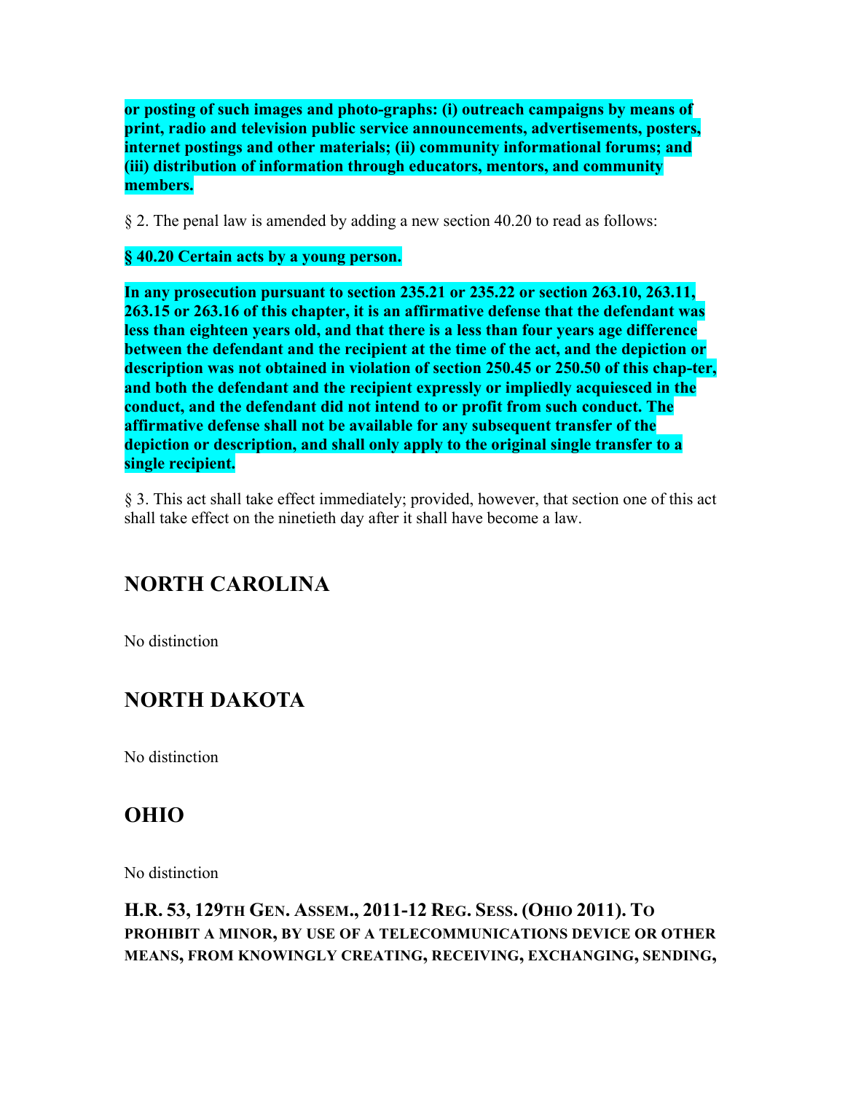**or posting of such images and photo-graphs: (i) outreach campaigns by means of print, radio and television public service announcements, advertisements, posters, internet postings and other materials; (ii) community informational forums; and (iii) distribution of information through educators, mentors, and community members.**

§ 2. The penal law is amended by adding a new section 40.20 to read as follows:

**§ 40.20 Certain acts by a young person.**

**In any prosecution pursuant to section 235.21 or 235.22 or section 263.10, 263.11, 263.15 or 263.16 of this chapter, it is an affirmative defense that the defendant was less than eighteen years old, and that there is a less than four years age difference between the defendant and the recipient at the time of the act, and the depiction or description was not obtained in violation of section 250.45 or 250.50 of this chap-ter, and both the defendant and the recipient expressly or impliedly acquiesced in the conduct, and the defendant did not intend to or profit from such conduct. The affirmative defense shall not be available for any subsequent transfer of the depiction or description, and shall only apply to the original single transfer to a single recipient.**

§ 3. This act shall take effect immediately; provided, however, that section one of this act shall take effect on the ninetieth day after it shall have become a law.

# **NORTH CAROLINA**

No distinction

# **NORTH DAKOTA**

No distinction

## **OHIO**

No distinction

## **H.R. 53, 129TH GEN. ASSEM., 2011-12 REG. SESS. (OHIO 2011). TO PROHIBIT A MINOR, BY USE OF A TELECOMMUNICATIONS DEVICE OR OTHER MEANS, FROM KNOWINGLY CREATING, RECEIVING, EXCHANGING, SENDING,**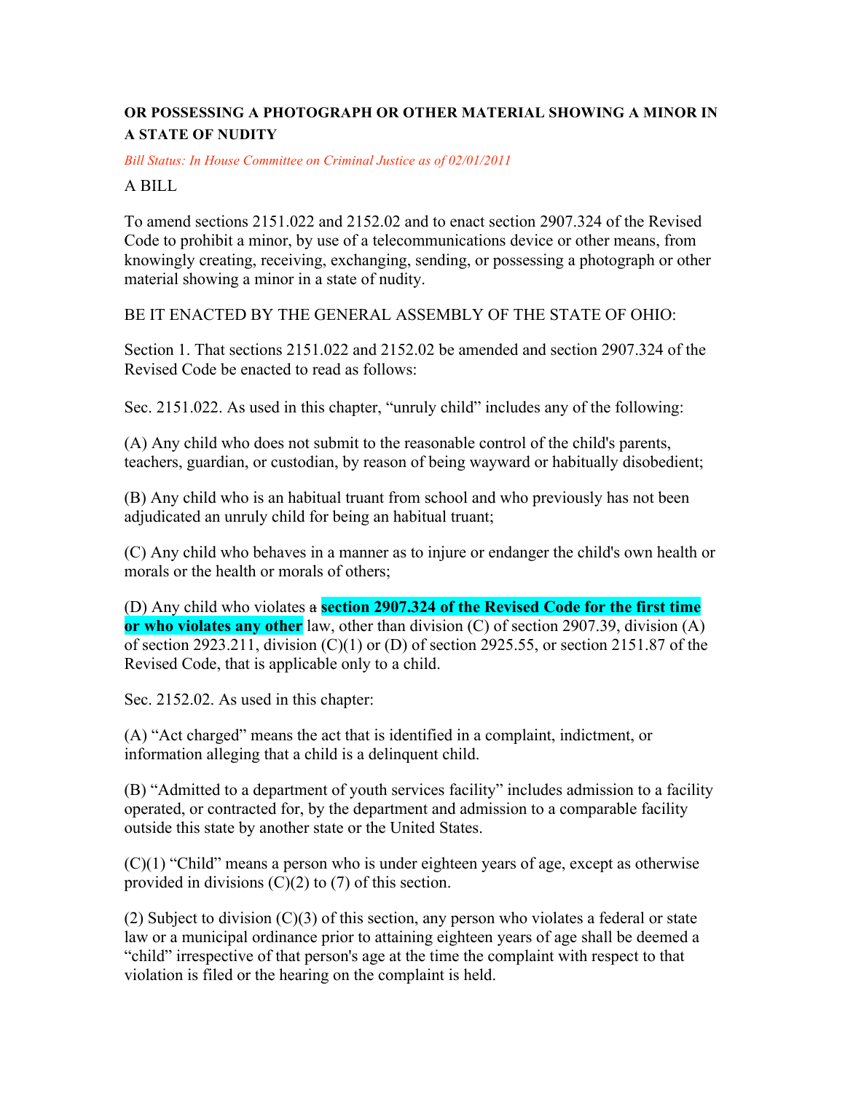#### **OR POSSESSING A PHOTOGRAPH OR OTHER MATERIAL SHOWING A MINOR IN A STATE OF NUDITY**

*Bill Status: In House Committee on Criminal Justice as of 02/01/2011*

#### A BILL

To amend sections 2151.022 and 2152.02 and to enact section 2907.324 of the Revised Code to prohibit a minor, by use of a telecommunications device or other means, from knowingly creating, receiving, exchanging, sending, or possessing a photograph or other material showing a minor in a state of nudity.

BE IT ENACTED BY THE GENERAL ASSEMBLY OF THE STATE OF OHIO:

Section 1. That sections 2151.022 and 2152.02 be amended and section 2907.324 of the Revised Code be enacted to read as follows:

Sec. 2151.022. As used in this chapter, "unruly child" includes any of the following:

(A) Any child who does not submit to the reasonable control of the child's parents, teachers, guardian, or custodian, by reason of being wayward or habitually disobedient;

(B) Any child who is an habitual truant from school and who previously has not been adjudicated an unruly child for being an habitual truant;

(C) Any child who behaves in a manner as to injure or endanger the child's own health or morals or the health or morals of others;

(D) Any child who violates a **section 2907.324 of the Revised Code for the first time or who violates any other** law, other than division (C) of section 2907.39, division (A) of section 2923.211, division (C)(1) or (D) of section 2925.55, or section 2151.87 of the Revised Code, that is applicable only to a child.

Sec. 2152.02. As used in this chapter:

(A) "Act charged" means the act that is identified in a complaint, indictment, or information alleging that a child is a delinquent child.

(B) "Admitted to a department of youth services facility" includes admission to a facility operated, or contracted for, by the department and admission to a comparable facility outside this state by another state or the United States.

(C)(1) "Child" means a person who is under eighteen years of age, except as otherwise provided in divisions  $(C)(2)$  to  $(7)$  of this section.

(2) Subject to division  $(C)(3)$  of this section, any person who violates a federal or state law or a municipal ordinance prior to attaining eighteen years of age shall be deemed a "child" irrespective of that person's age at the time the complaint with respect to that violation is filed or the hearing on the complaint is held.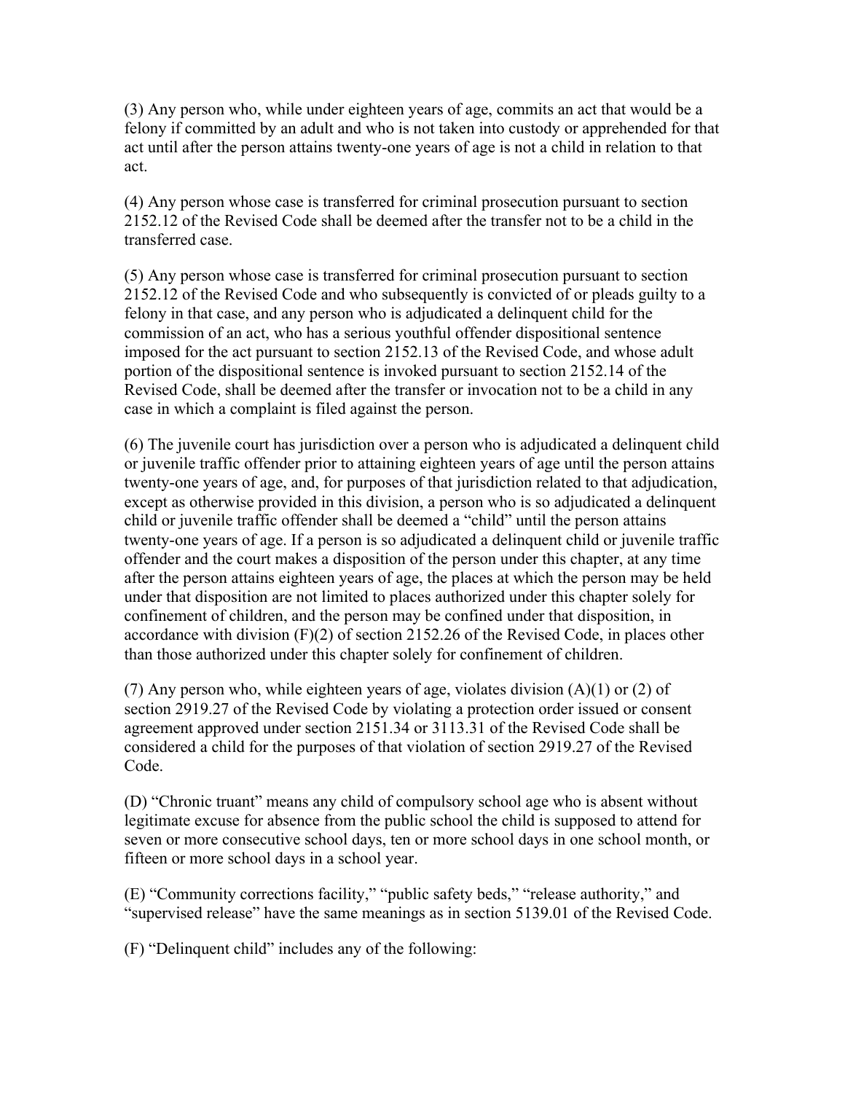(3) Any person who, while under eighteen years of age, commits an act that would be a felony if committed by an adult and who is not taken into custody or apprehended for that act until after the person attains twenty-one years of age is not a child in relation to that act.

(4) Any person whose case is transferred for criminal prosecution pursuant to section 2152.12 of the Revised Code shall be deemed after the transfer not to be a child in the transferred case.

(5) Any person whose case is transferred for criminal prosecution pursuant to section 2152.12 of the Revised Code and who subsequently is convicted of or pleads guilty to a felony in that case, and any person who is adjudicated a delinquent child for the commission of an act, who has a serious youthful offender dispositional sentence imposed for the act pursuant to section 2152.13 of the Revised Code, and whose adult portion of the dispositional sentence is invoked pursuant to section 2152.14 of the Revised Code, shall be deemed after the transfer or invocation not to be a child in any case in which a complaint is filed against the person.

(6) The juvenile court has jurisdiction over a person who is adjudicated a delinquent child or juvenile traffic offender prior to attaining eighteen years of age until the person attains twenty-one years of age, and, for purposes of that jurisdiction related to that adjudication, except as otherwise provided in this division, a person who is so adjudicated a delinquent child or juvenile traffic offender shall be deemed a "child" until the person attains twenty-one years of age. If a person is so adjudicated a delinquent child or juvenile traffic offender and the court makes a disposition of the person under this chapter, at any time after the person attains eighteen years of age, the places at which the person may be held under that disposition are not limited to places authorized under this chapter solely for confinement of children, and the person may be confined under that disposition, in accordance with division (F)(2) of section 2152.26 of the Revised Code, in places other than those authorized under this chapter solely for confinement of children.

(7) Any person who, while eighteen years of age, violates division  $(A)(1)$  or (2) of section 2919.27 of the Revised Code by violating a protection order issued or consent agreement approved under section 2151.34 or 3113.31 of the Revised Code shall be considered a child for the purposes of that violation of section 2919.27 of the Revised Code.

(D) "Chronic truant" means any child of compulsory school age who is absent without legitimate excuse for absence from the public school the child is supposed to attend for seven or more consecutive school days, ten or more school days in one school month, or fifteen or more school days in a school year.

(E) "Community corrections facility," "public safety beds," "release authority," and "supervised release" have the same meanings as in section 5139.01 of the Revised Code.

(F) "Delinquent child" includes any of the following: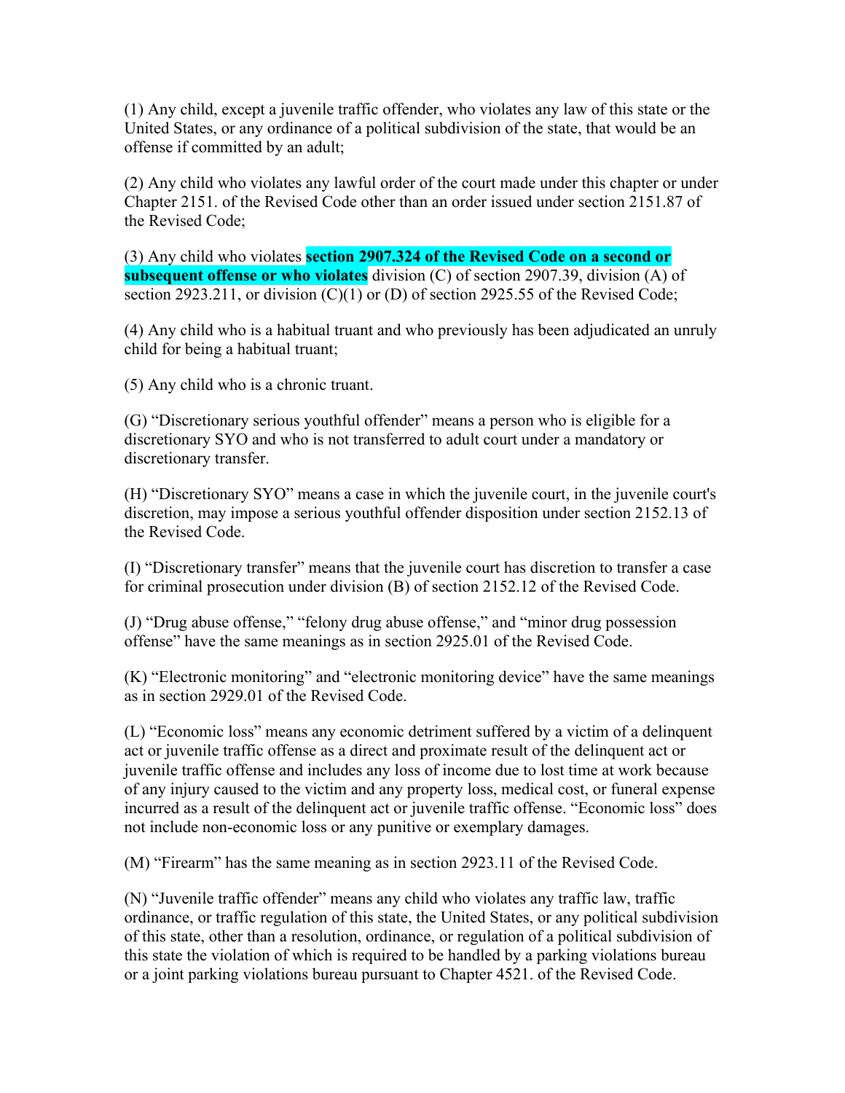(1) Any child, except a juvenile traffic offender, who violates any law of this state or the United States, or any ordinance of a political subdivision of the state, that would be an offense if committed by an adult;

(2) Any child who violates any lawful order of the court made under this chapter or under Chapter 2151. of the Revised Code other than an order issued under section 2151.87 of the Revised Code;

(3) Any child who violates **section 2907.324 of the Revised Code on a second or subsequent offense or who violates** division (C) of section 2907.39, division (A) of section 2923.211, or division  $(C)(1)$  or  $(D)$  of section 2925.55 of the Revised Code;

(4) Any child who is a habitual truant and who previously has been adjudicated an unruly child for being a habitual truant;

(5) Any child who is a chronic truant.

(G) "Discretionary serious youthful offender" means a person who is eligible for a discretionary SYO and who is not transferred to adult court under a mandatory or discretionary transfer.

(H) "Discretionary SYO" means a case in which the juvenile court, in the juvenile court's discretion, may impose a serious youthful offender disposition under section 2152.13 of the Revised Code.

(I) "Discretionary transfer" means that the juvenile court has discretion to transfer a case for criminal prosecution under division (B) of section 2152.12 of the Revised Code.

(J) "Drug abuse offense," "felony drug abuse offense," and "minor drug possession offense" have the same meanings as in section 2925.01 of the Revised Code.

(K) "Electronic monitoring" and "electronic monitoring device" have the same meanings as in section 2929.01 of the Revised Code.

(L) "Economic loss" means any economic detriment suffered by a victim of a delinquent act or juvenile traffic offense as a direct and proximate result of the delinquent act or juvenile traffic offense and includes any loss of income due to lost time at work because of any injury caused to the victim and any property loss, medical cost, or funeral expense incurred as a result of the delinquent act or juvenile traffic offense. "Economic loss" does not include non-economic loss or any punitive or exemplary damages.

(M) "Firearm" has the same meaning as in section 2923.11 of the Revised Code.

(N) "Juvenile traffic offender" means any child who violates any traffic law, traffic ordinance, or traffic regulation of this state, the United States, or any political subdivision of this state, other than a resolution, ordinance, or regulation of a political subdivision of this state the violation of which is required to be handled by a parking violations bureau or a joint parking violations bureau pursuant to Chapter 4521. of the Revised Code.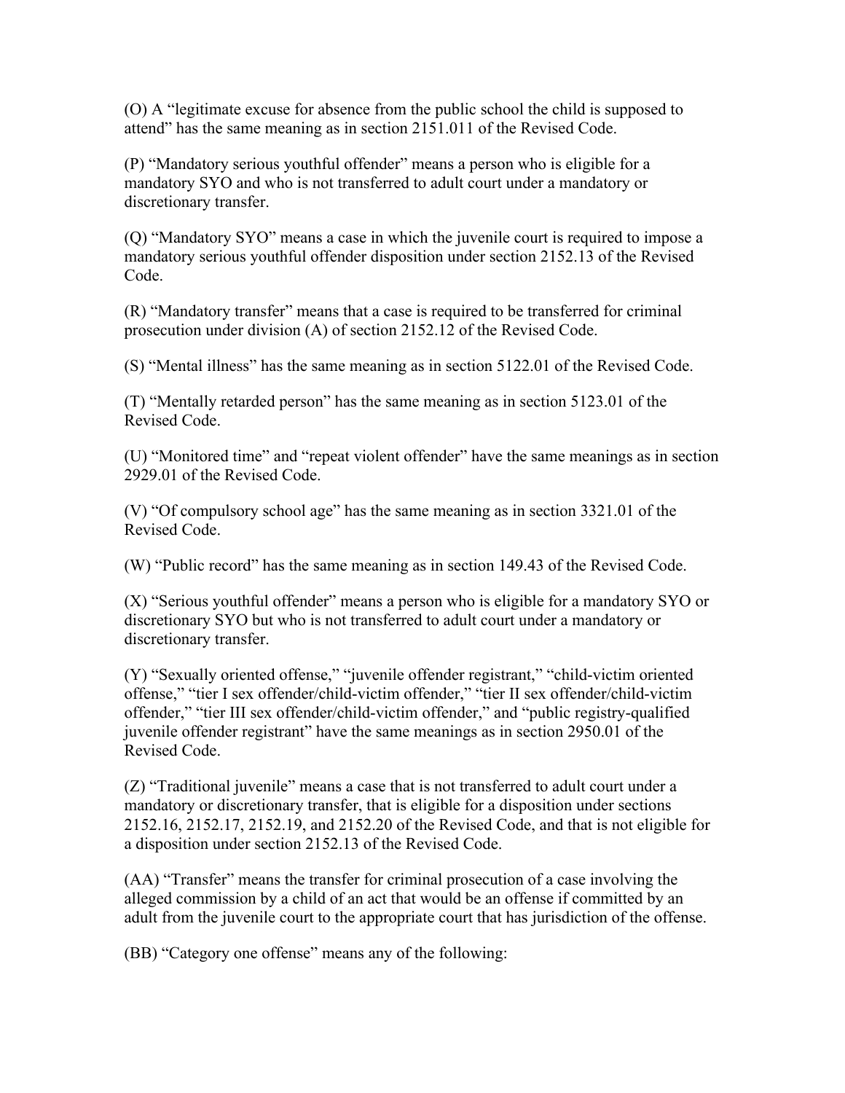(O) A "legitimate excuse for absence from the public school the child is supposed to attend" has the same meaning as in section 2151.011 of the Revised Code.

(P) "Mandatory serious youthful offender" means a person who is eligible for a mandatory SYO and who is not transferred to adult court under a mandatory or discretionary transfer.

(Q) "Mandatory SYO" means a case in which the juvenile court is required to impose a mandatory serious youthful offender disposition under section 2152.13 of the Revised Code.

(R) "Mandatory transfer" means that a case is required to be transferred for criminal prosecution under division (A) of section 2152.12 of the Revised Code.

(S) "Mental illness" has the same meaning as in section 5122.01 of the Revised Code.

(T) "Mentally retarded person" has the same meaning as in section 5123.01 of the Revised Code.

(U) "Monitored time" and "repeat violent offender" have the same meanings as in section 2929.01 of the Revised Code.

(V) "Of compulsory school age" has the same meaning as in section 3321.01 of the Revised Code.

(W) "Public record" has the same meaning as in section 149.43 of the Revised Code.

(X) "Serious youthful offender" means a person who is eligible for a mandatory SYO or discretionary SYO but who is not transferred to adult court under a mandatory or discretionary transfer.

(Y) "Sexually oriented offense," "juvenile offender registrant," "child-victim oriented offense," "tier I sex offender/child-victim offender," "tier II sex offender/child-victim offender," "tier III sex offender/child-victim offender," and "public registry-qualified juvenile offender registrant" have the same meanings as in section 2950.01 of the Revised Code.

(Z) "Traditional juvenile" means a case that is not transferred to adult court under a mandatory or discretionary transfer, that is eligible for a disposition under sections 2152.16, 2152.17, 2152.19, and 2152.20 of the Revised Code, and that is not eligible for a disposition under section 2152.13 of the Revised Code.

(AA) "Transfer" means the transfer for criminal prosecution of a case involving the alleged commission by a child of an act that would be an offense if committed by an adult from the juvenile court to the appropriate court that has jurisdiction of the offense.

(BB) "Category one offense" means any of the following: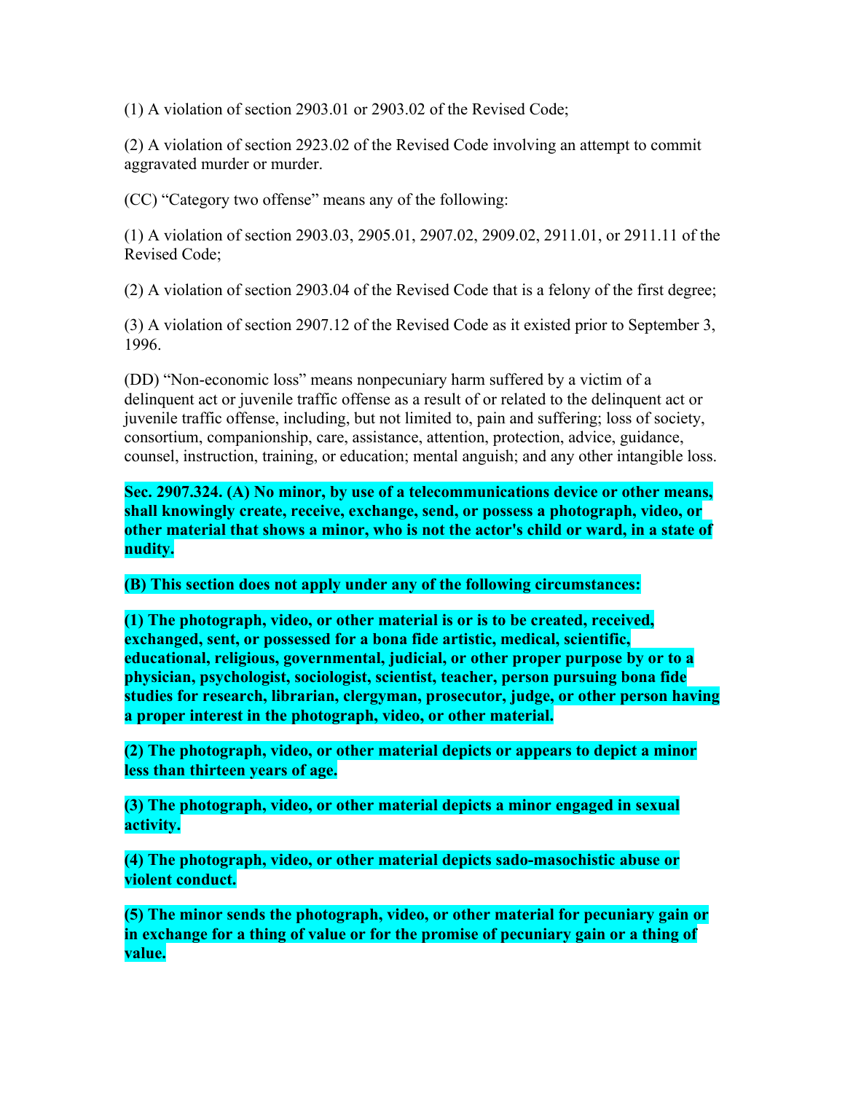(1) A violation of section 2903.01 or 2903.02 of the Revised Code;

(2) A violation of section 2923.02 of the Revised Code involving an attempt to commit aggravated murder or murder.

(CC) "Category two offense" means any of the following:

(1) A violation of section 2903.03, 2905.01, 2907.02, 2909.02, 2911.01, or 2911.11 of the Revised Code;

(2) A violation of section 2903.04 of the Revised Code that is a felony of the first degree;

(3) A violation of section 2907.12 of the Revised Code as it existed prior to September 3, 1996.

(DD) "Non-economic loss" means nonpecuniary harm suffered by a victim of a delinquent act or juvenile traffic offense as a result of or related to the delinquent act or juvenile traffic offense, including, but not limited to, pain and suffering; loss of society, consortium, companionship, care, assistance, attention, protection, advice, guidance, counsel, instruction, training, or education; mental anguish; and any other intangible loss.

**Sec. 2907.324. (A) No minor, by use of a telecommunications device or other means, shall knowingly create, receive, exchange, send, or possess a photograph, video, or other material that shows a minor, who is not the actor's child or ward, in a state of nudity.**

**(B) This section does not apply under any of the following circumstances:**

**(1) The photograph, video, or other material is or is to be created, received, exchanged, sent, or possessed for a bona fide artistic, medical, scientific, educational, religious, governmental, judicial, or other proper purpose by or to a physician, psychologist, sociologist, scientist, teacher, person pursuing bona fide studies for research, librarian, clergyman, prosecutor, judge, or other person having a proper interest in the photograph, video, or other material.**

**(2) The photograph, video, or other material depicts or appears to depict a minor less than thirteen years of age.**

**(3) The photograph, video, or other material depicts a minor engaged in sexual activity.**

**(4) The photograph, video, or other material depicts sado-masochistic abuse or violent conduct.**

**(5) The minor sends the photograph, video, or other material for pecuniary gain or in exchange for a thing of value or for the promise of pecuniary gain or a thing of value.**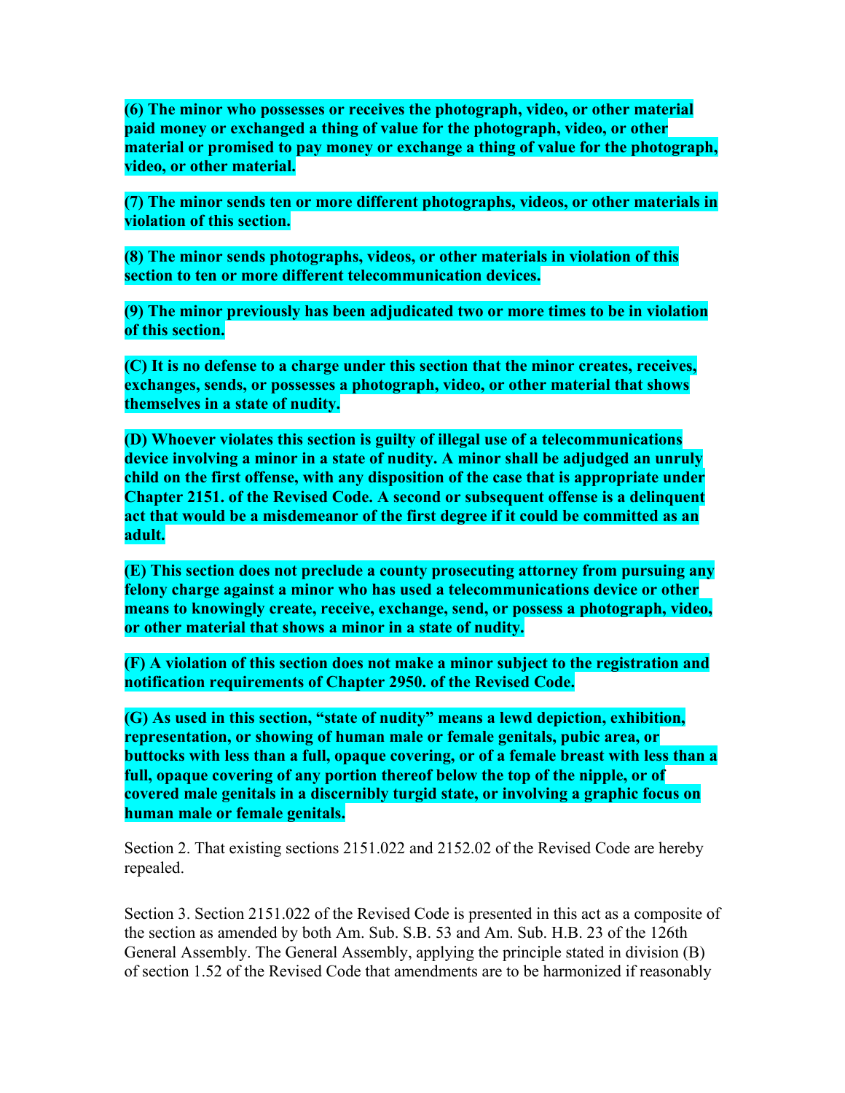**(6) The minor who possesses or receives the photograph, video, or other material paid money or exchanged a thing of value for the photograph, video, or other material or promised to pay money or exchange a thing of value for the photograph, video, or other material.**

**(7) The minor sends ten or more different photographs, videos, or other materials in violation of this section.**

**(8) The minor sends photographs, videos, or other materials in violation of this section to ten or more different telecommunication devices.**

**(9) The minor previously has been adjudicated two or more times to be in violation of this section.**

**(C) It is no defense to a charge under this section that the minor creates, receives, exchanges, sends, or possesses a photograph, video, or other material that shows themselves in a state of nudity.**

**(D) Whoever violates this section is guilty of illegal use of a telecommunications device involving a minor in a state of nudity. A minor shall be adjudged an unruly child on the first offense, with any disposition of the case that is appropriate under Chapter 2151. of the Revised Code. A second or subsequent offense is a delinquent act that would be a misdemeanor of the first degree if it could be committed as an adult.**

**(E) This section does not preclude a county prosecuting attorney from pursuing any felony charge against a minor who has used a telecommunications device or other means to knowingly create, receive, exchange, send, or possess a photograph, video, or other material that shows a minor in a state of nudity.**

**(F) A violation of this section does not make a minor subject to the registration and notification requirements of Chapter 2950. of the Revised Code.**

**(G) As used in this section, "state of nudity" means a lewd depiction, exhibition, representation, or showing of human male or female genitals, pubic area, or buttocks with less than a full, opaque covering, or of a female breast with less than a full, opaque covering of any portion thereof below the top of the nipple, or of covered male genitals in a discernibly turgid state, or involving a graphic focus on human male or female genitals.**

Section 2. That existing sections 2151.022 and 2152.02 of the Revised Code are hereby repealed.

Section 3. Section 2151.022 of the Revised Code is presented in this act as a composite of the section as amended by both Am. Sub. S.B. 53 and Am. Sub. H.B. 23 of the 126th General Assembly. The General Assembly, applying the principle stated in division (B) of section 1.52 of the Revised Code that amendments are to be harmonized if reasonably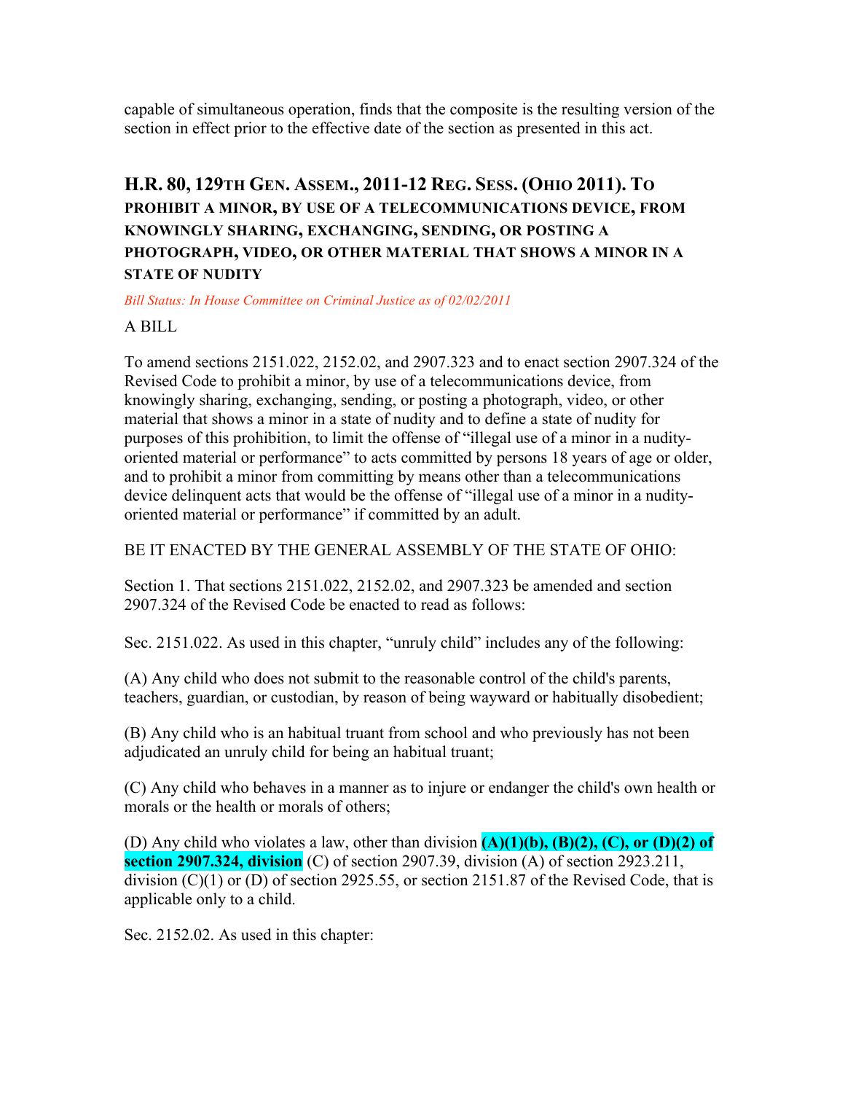capable of simultaneous operation, finds that the composite is the resulting version of the section in effect prior to the effective date of the section as presented in this act.

## **H.R. 80, 129TH GEN. ASSEM., 2011-12 REG. SESS. (OHIO 2011). TO PROHIBIT A MINOR, BY USE OF A TELECOMMUNICATIONS DEVICE, FROM KNOWINGLY SHARING, EXCHANGING, SENDING, OR POSTING A PHOTOGRAPH, VIDEO, OR OTHER MATERIAL THAT SHOWS A MINOR IN A STATE OF NUDITY**

*Bill Status: In House Committee on Criminal Justice as of 02/02/2011*

#### A BILL

To amend sections 2151.022, 2152.02, and 2907.323 and to enact section 2907.324 of the Revised Code to prohibit a minor, by use of a telecommunications device, from knowingly sharing, exchanging, sending, or posting a photograph, video, or other material that shows a minor in a state of nudity and to define a state of nudity for purposes of this prohibition, to limit the offense of "illegal use of a minor in a nudityoriented material or performance" to acts committed by persons 18 years of age or older, and to prohibit a minor from committing by means other than a telecommunications device delinquent acts that would be the offense of "illegal use of a minor in a nudityoriented material or performance" if committed by an adult.

BE IT ENACTED BY THE GENERAL ASSEMBLY OF THE STATE OF OHIO:

Section 1. That sections 2151.022, 2152.02, and 2907.323 be amended and section 2907.324 of the Revised Code be enacted to read as follows:

Sec. 2151.022. As used in this chapter, "unruly child" includes any of the following:

(A) Any child who does not submit to the reasonable control of the child's parents, teachers, guardian, or custodian, by reason of being wayward or habitually disobedient;

(B) Any child who is an habitual truant from school and who previously has not been adjudicated an unruly child for being an habitual truant;

(C) Any child who behaves in a manner as to injure or endanger the child's own health or morals or the health or morals of others;

(D) Any child who violates a law, other than division **(A)(1)(b), (B)(2), (C), or (D)(2) of section 2907.324, division** (C) of section 2907.39, division (A) of section 2923.211, division  $(C)(1)$  or  $(D)$  of section 2925.55, or section 2151.87 of the Revised Code, that is applicable only to a child.

Sec. 2152.02. As used in this chapter: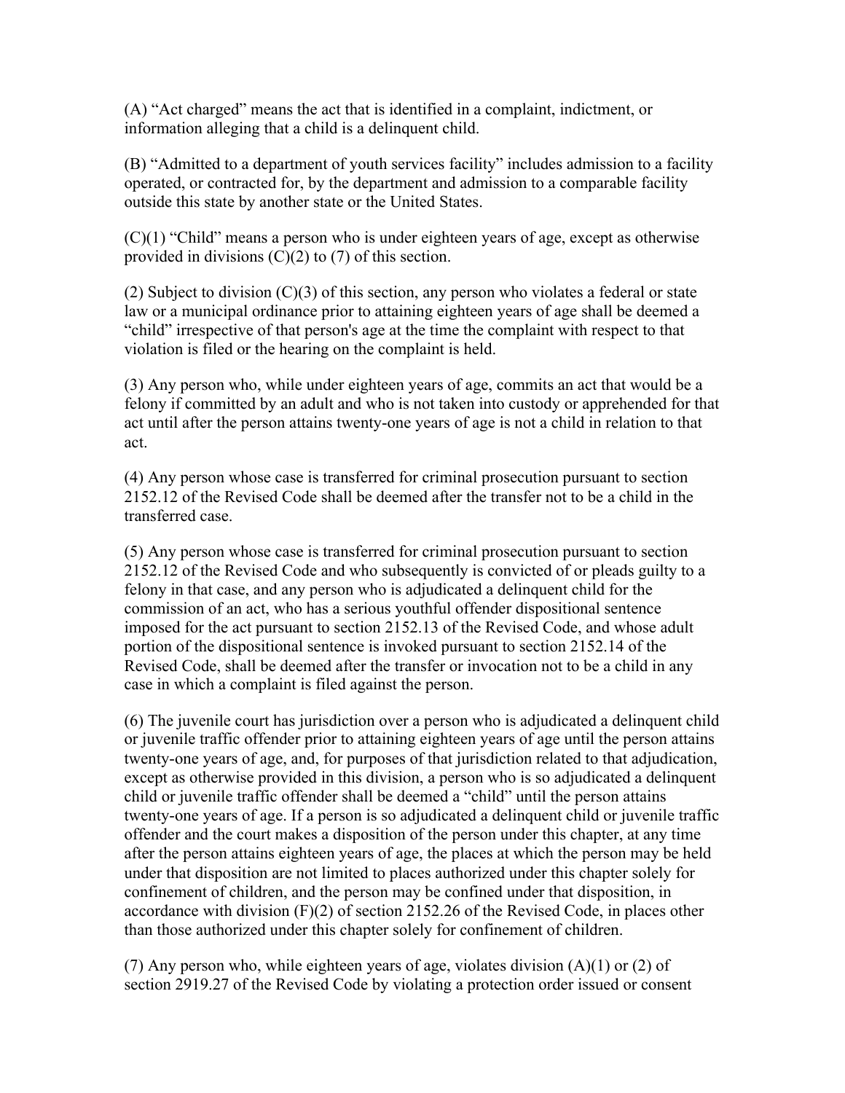(A) "Act charged" means the act that is identified in a complaint, indictment, or information alleging that a child is a delinquent child.

(B) "Admitted to a department of youth services facility" includes admission to a facility operated, or contracted for, by the department and admission to a comparable facility outside this state by another state or the United States.

(C)(1) "Child" means a person who is under eighteen years of age, except as otherwise provided in divisions  $(C)(2)$  to  $(7)$  of this section.

(2) Subject to division  $(C)(3)$  of this section, any person who violates a federal or state law or a municipal ordinance prior to attaining eighteen years of age shall be deemed a "child" irrespective of that person's age at the time the complaint with respect to that violation is filed or the hearing on the complaint is held.

(3) Any person who, while under eighteen years of age, commits an act that would be a felony if committed by an adult and who is not taken into custody or apprehended for that act until after the person attains twenty-one years of age is not a child in relation to that act.

(4) Any person whose case is transferred for criminal prosecution pursuant to section 2152.12 of the Revised Code shall be deemed after the transfer not to be a child in the transferred case.

(5) Any person whose case is transferred for criminal prosecution pursuant to section 2152.12 of the Revised Code and who subsequently is convicted of or pleads guilty to a felony in that case, and any person who is adjudicated a delinquent child for the commission of an act, who has a serious youthful offender dispositional sentence imposed for the act pursuant to section 2152.13 of the Revised Code, and whose adult portion of the dispositional sentence is invoked pursuant to section 2152.14 of the Revised Code, shall be deemed after the transfer or invocation not to be a child in any case in which a complaint is filed against the person.

(6) The juvenile court has jurisdiction over a person who is adjudicated a delinquent child or juvenile traffic offender prior to attaining eighteen years of age until the person attains twenty-one years of age, and, for purposes of that jurisdiction related to that adjudication, except as otherwise provided in this division, a person who is so adjudicated a delinquent child or juvenile traffic offender shall be deemed a "child" until the person attains twenty-one years of age. If a person is so adjudicated a delinquent child or juvenile traffic offender and the court makes a disposition of the person under this chapter, at any time after the person attains eighteen years of age, the places at which the person may be held under that disposition are not limited to places authorized under this chapter solely for confinement of children, and the person may be confined under that disposition, in accordance with division (F)(2) of section 2152.26 of the Revised Code, in places other than those authorized under this chapter solely for confinement of children.

(7) Any person who, while eighteen years of age, violates division  $(A)(1)$  or (2) of section 2919.27 of the Revised Code by violating a protection order issued or consent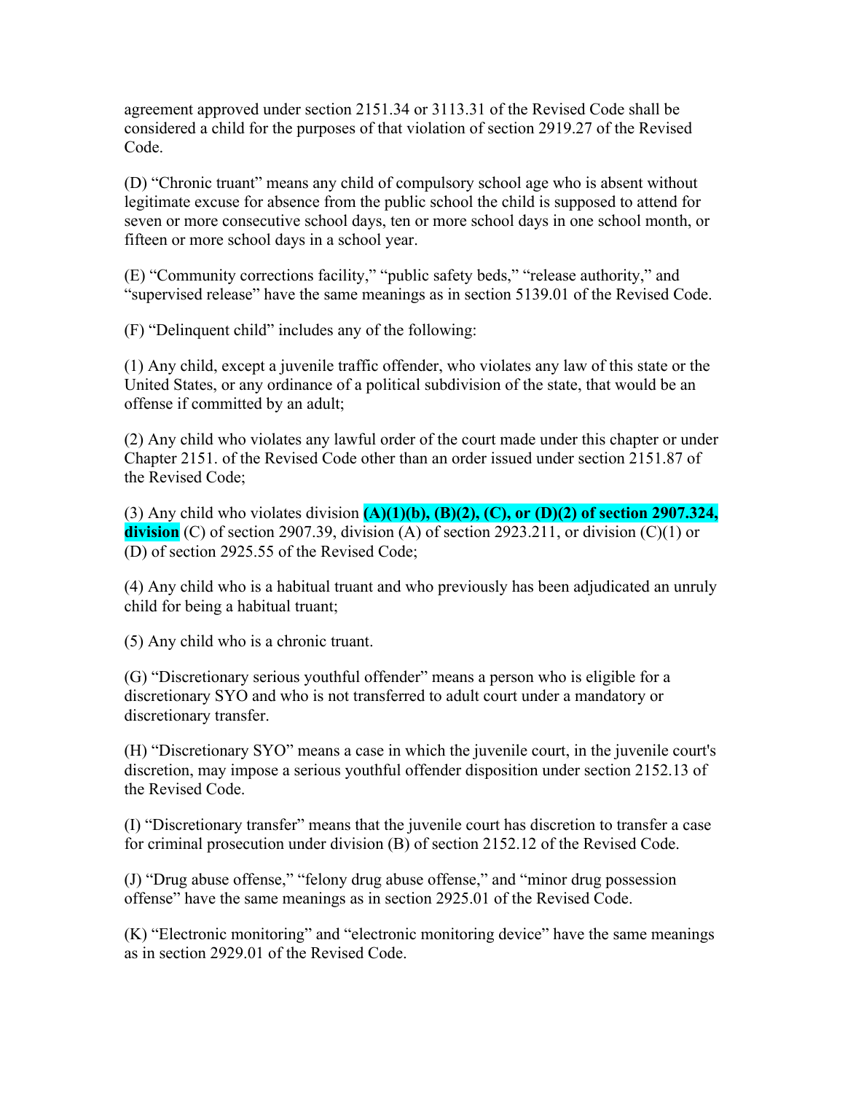agreement approved under section 2151.34 or 3113.31 of the Revised Code shall be considered a child for the purposes of that violation of section 2919.27 of the Revised Code.

(D) "Chronic truant" means any child of compulsory school age who is absent without legitimate excuse for absence from the public school the child is supposed to attend for seven or more consecutive school days, ten or more school days in one school month, or fifteen or more school days in a school year.

(E) "Community corrections facility," "public safety beds," "release authority," and "supervised release" have the same meanings as in section 5139.01 of the Revised Code.

(F) "Delinquent child" includes any of the following:

(1) Any child, except a juvenile traffic offender, who violates any law of this state or the United States, or any ordinance of a political subdivision of the state, that would be an offense if committed by an adult;

(2) Any child who violates any lawful order of the court made under this chapter or under Chapter 2151. of the Revised Code other than an order issued under section 2151.87 of the Revised Code;

(3) Any child who violates division **(A)(1)(b), (B)(2), (C), or (D)(2) of section 2907.324, division** (C) of section 2907.39, division (A) of section 2923.211, or division (C)(1) or (D) of section 2925.55 of the Revised Code;

(4) Any child who is a habitual truant and who previously has been adjudicated an unruly child for being a habitual truant;

(5) Any child who is a chronic truant.

(G) "Discretionary serious youthful offender" means a person who is eligible for a discretionary SYO and who is not transferred to adult court under a mandatory or discretionary transfer.

(H) "Discretionary SYO" means a case in which the juvenile court, in the juvenile court's discretion, may impose a serious youthful offender disposition under section 2152.13 of the Revised Code.

(I) "Discretionary transfer" means that the juvenile court has discretion to transfer a case for criminal prosecution under division (B) of section 2152.12 of the Revised Code.

(J) "Drug abuse offense," "felony drug abuse offense," and "minor drug possession offense" have the same meanings as in section 2925.01 of the Revised Code.

(K) "Electronic monitoring" and "electronic monitoring device" have the same meanings as in section 2929.01 of the Revised Code.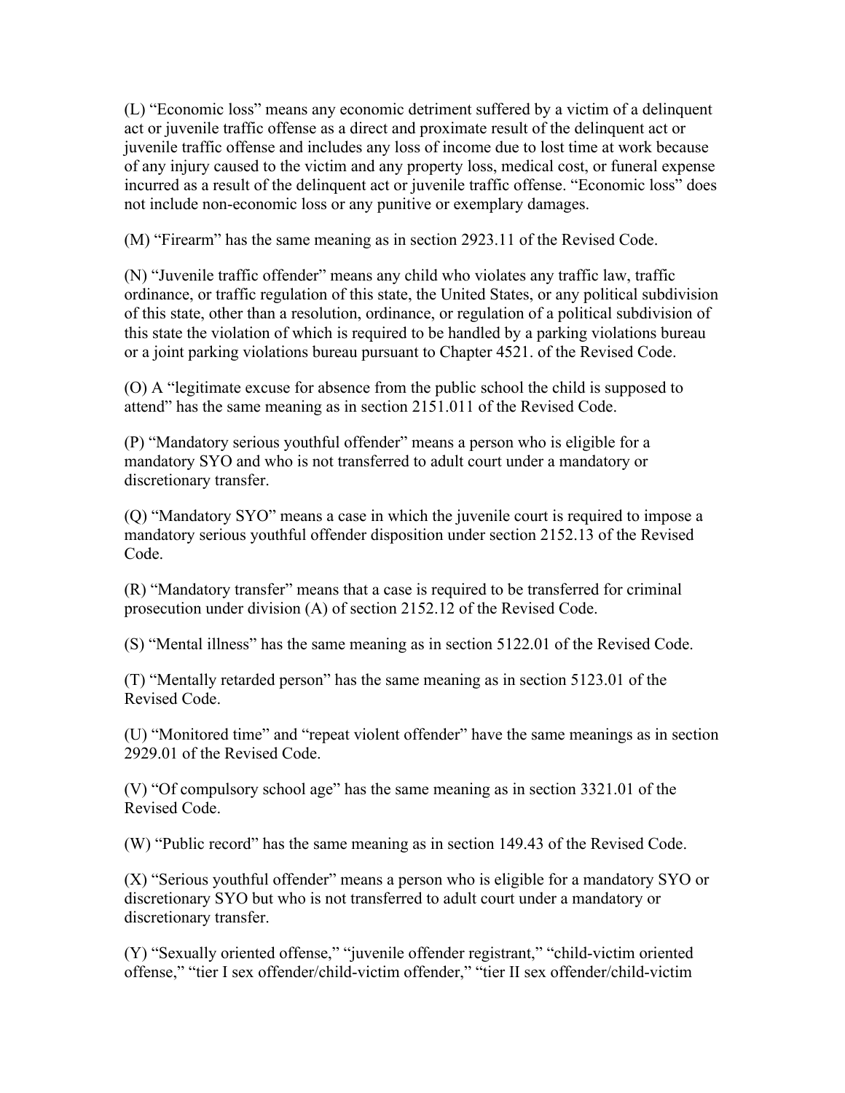(L) "Economic loss" means any economic detriment suffered by a victim of a delinquent act or juvenile traffic offense as a direct and proximate result of the delinquent act or juvenile traffic offense and includes any loss of income due to lost time at work because of any injury caused to the victim and any property loss, medical cost, or funeral expense incurred as a result of the delinquent act or juvenile traffic offense. "Economic loss" does not include non-economic loss or any punitive or exemplary damages.

(M) "Firearm" has the same meaning as in section 2923.11 of the Revised Code.

(N) "Juvenile traffic offender" means any child who violates any traffic law, traffic ordinance, or traffic regulation of this state, the United States, or any political subdivision of this state, other than a resolution, ordinance, or regulation of a political subdivision of this state the violation of which is required to be handled by a parking violations bureau or a joint parking violations bureau pursuant to Chapter 4521. of the Revised Code.

(O) A "legitimate excuse for absence from the public school the child is supposed to attend" has the same meaning as in section 2151.011 of the Revised Code.

(P) "Mandatory serious youthful offender" means a person who is eligible for a mandatory SYO and who is not transferred to adult court under a mandatory or discretionary transfer.

(Q) "Mandatory SYO" means a case in which the juvenile court is required to impose a mandatory serious youthful offender disposition under section 2152.13 of the Revised Code.

(R) "Mandatory transfer" means that a case is required to be transferred for criminal prosecution under division (A) of section 2152.12 of the Revised Code.

(S) "Mental illness" has the same meaning as in section 5122.01 of the Revised Code.

(T) "Mentally retarded person" has the same meaning as in section 5123.01 of the Revised Code.

(U) "Monitored time" and "repeat violent offender" have the same meanings as in section 2929.01 of the Revised Code.

(V) "Of compulsory school age" has the same meaning as in section 3321.01 of the Revised Code.

(W) "Public record" has the same meaning as in section 149.43 of the Revised Code.

(X) "Serious youthful offender" means a person who is eligible for a mandatory SYO or discretionary SYO but who is not transferred to adult court under a mandatory or discretionary transfer.

(Y) "Sexually oriented offense," "juvenile offender registrant," "child-victim oriented offense," "tier I sex offender/child-victim offender," "tier II sex offender/child-victim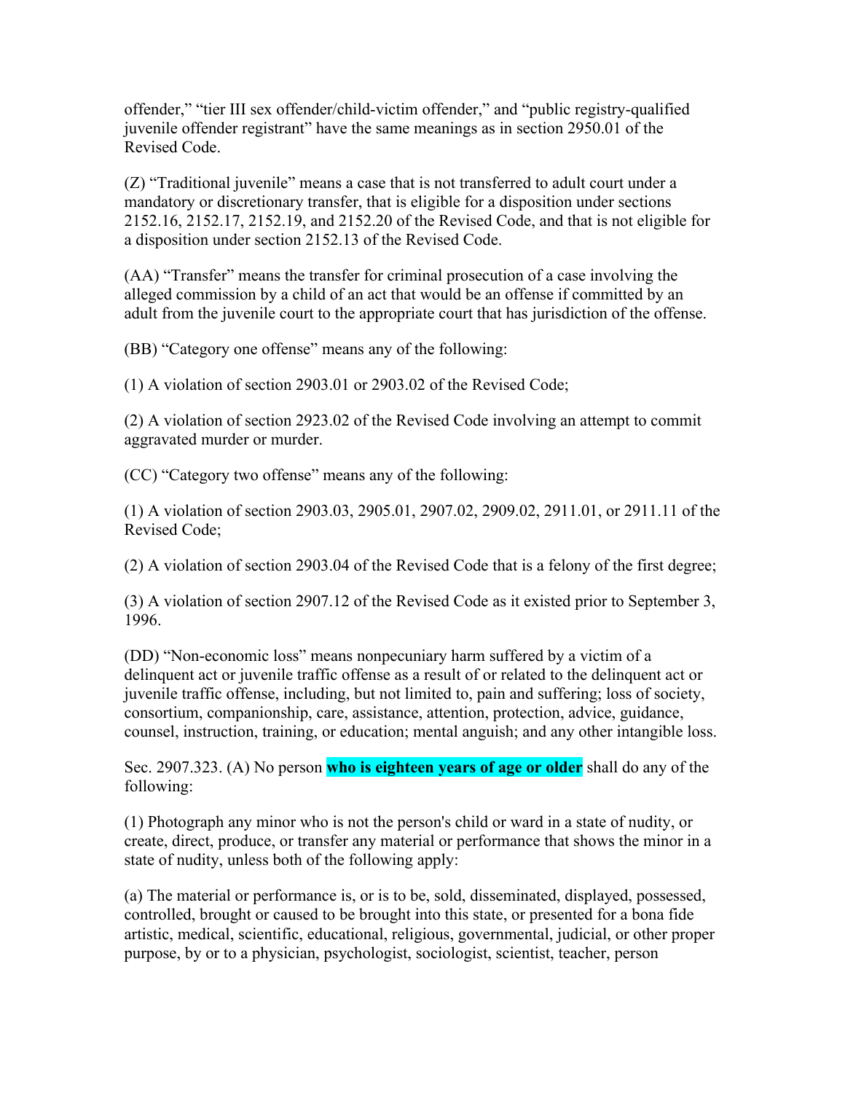offender," "tier III sex offender/child-victim offender," and "public registry-qualified juvenile offender registrant" have the same meanings as in section 2950.01 of the Revised Code.

(Z) "Traditional juvenile" means a case that is not transferred to adult court under a mandatory or discretionary transfer, that is eligible for a disposition under sections 2152.16, 2152.17, 2152.19, and 2152.20 of the Revised Code, and that is not eligible for a disposition under section 2152.13 of the Revised Code.

(AA) "Transfer" means the transfer for criminal prosecution of a case involving the alleged commission by a child of an act that would be an offense if committed by an adult from the juvenile court to the appropriate court that has jurisdiction of the offense.

(BB) "Category one offense" means any of the following:

(1) A violation of section 2903.01 or 2903.02 of the Revised Code;

(2) A violation of section 2923.02 of the Revised Code involving an attempt to commit aggravated murder or murder.

(CC) "Category two offense" means any of the following:

(1) A violation of section 2903.03, 2905.01, 2907.02, 2909.02, 2911.01, or 2911.11 of the Revised Code;

(2) A violation of section 2903.04 of the Revised Code that is a felony of the first degree;

(3) A violation of section 2907.12 of the Revised Code as it existed prior to September 3, 1996.

(DD) "Non-economic loss" means nonpecuniary harm suffered by a victim of a delinquent act or juvenile traffic offense as a result of or related to the delinquent act or juvenile traffic offense, including, but not limited to, pain and suffering; loss of society, consortium, companionship, care, assistance, attention, protection, advice, guidance, counsel, instruction, training, or education; mental anguish; and any other intangible loss.

Sec. 2907.323. (A) No person **who is eighteen years of age or older** shall do any of the following:

(1) Photograph any minor who is not the person's child or ward in a state of nudity, or create, direct, produce, or transfer any material or performance that shows the minor in a state of nudity, unless both of the following apply:

(a) The material or performance is, or is to be, sold, disseminated, displayed, possessed, controlled, brought or caused to be brought into this state, or presented for a bona fide artistic, medical, scientific, educational, religious, governmental, judicial, or other proper purpose, by or to a physician, psychologist, sociologist, scientist, teacher, person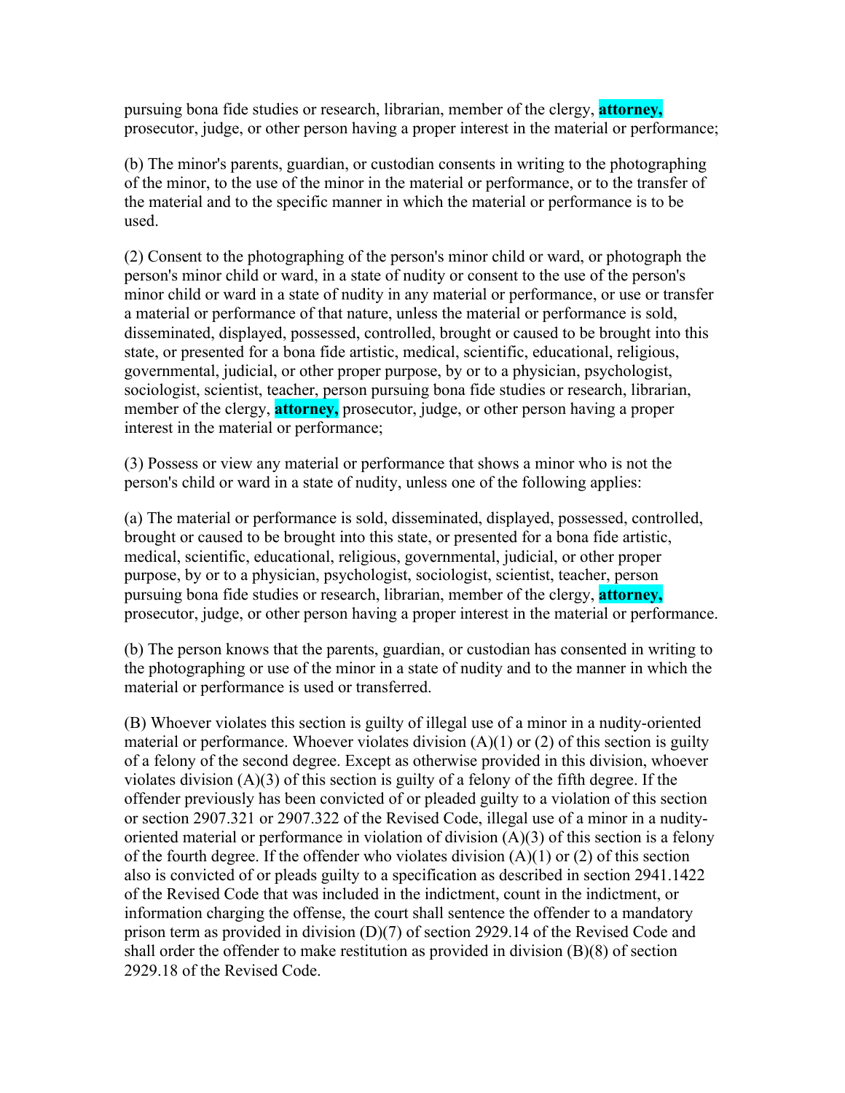pursuing bona fide studies or research, librarian, member of the clergy, **attorney,** prosecutor, judge, or other person having a proper interest in the material or performance;

(b) The minor's parents, guardian, or custodian consents in writing to the photographing of the minor, to the use of the minor in the material or performance, or to the transfer of the material and to the specific manner in which the material or performance is to be used.

(2) Consent to the photographing of the person's minor child or ward, or photograph the person's minor child or ward, in a state of nudity or consent to the use of the person's minor child or ward in a state of nudity in any material or performance, or use or transfer a material or performance of that nature, unless the material or performance is sold, disseminated, displayed, possessed, controlled, brought or caused to be brought into this state, or presented for a bona fide artistic, medical, scientific, educational, religious, governmental, judicial, or other proper purpose, by or to a physician, psychologist, sociologist, scientist, teacher, person pursuing bona fide studies or research, librarian, member of the clergy, **attorney,** prosecutor, judge, or other person having a proper interest in the material or performance;

(3) Possess or view any material or performance that shows a minor who is not the person's child or ward in a state of nudity, unless one of the following applies:

(a) The material or performance is sold, disseminated, displayed, possessed, controlled, brought or caused to be brought into this state, or presented for a bona fide artistic, medical, scientific, educational, religious, governmental, judicial, or other proper purpose, by or to a physician, psychologist, sociologist, scientist, teacher, person pursuing bona fide studies or research, librarian, member of the clergy, **attorney,** prosecutor, judge, or other person having a proper interest in the material or performance.

(b) The person knows that the parents, guardian, or custodian has consented in writing to the photographing or use of the minor in a state of nudity and to the manner in which the material or performance is used or transferred.

(B) Whoever violates this section is guilty of illegal use of a minor in a nudity-oriented material or performance. Whoever violates division  $(A)(1)$  or  $(2)$  of this section is guilty of a felony of the second degree. Except as otherwise provided in this division, whoever violates division (A)(3) of this section is guilty of a felony of the fifth degree. If the offender previously has been convicted of or pleaded guilty to a violation of this section or section 2907.321 or 2907.322 of the Revised Code, illegal use of a minor in a nudityoriented material or performance in violation of division (A)(3) of this section is a felony of the fourth degree. If the offender who violates division  $(A)(1)$  or  $(2)$  of this section also is convicted of or pleads guilty to a specification as described in section 2941.1422 of the Revised Code that was included in the indictment, count in the indictment, or information charging the offense, the court shall sentence the offender to a mandatory prison term as provided in division (D)(7) of section 2929.14 of the Revised Code and shall order the offender to make restitution as provided in division (B)(8) of section 2929.18 of the Revised Code.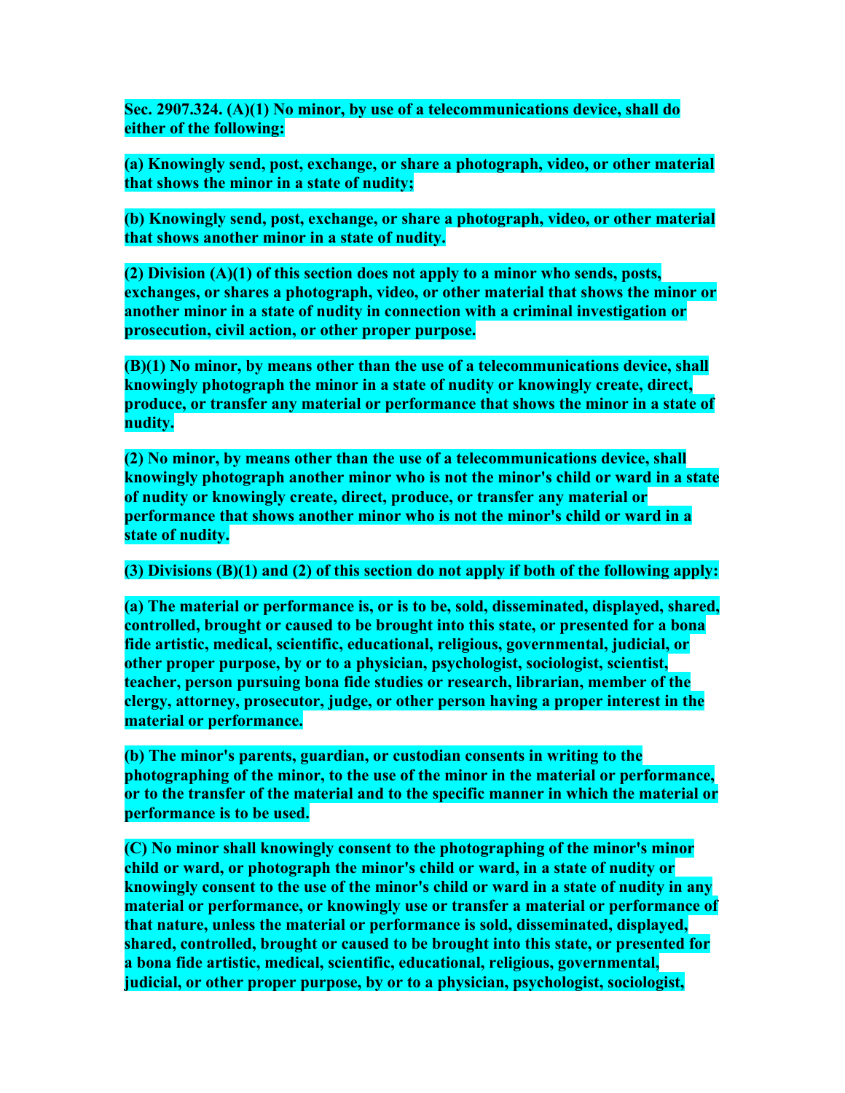**Sec. 2907.324. (A)(1) No minor, by use of a telecommunications device, shall do either of the following:**

**(a) Knowingly send, post, exchange, or share a photograph, video, or other material that shows the minor in a state of nudity;**

**(b) Knowingly send, post, exchange, or share a photograph, video, or other material that shows another minor in a state of nudity.**

**(2) Division (A)(1) of this section does not apply to a minor who sends, posts, exchanges, or shares a photograph, video, or other material that shows the minor or another minor in a state of nudity in connection with a criminal investigation or prosecution, civil action, or other proper purpose.**

**(B)(1) No minor, by means other than the use of a telecommunications device, shall knowingly photograph the minor in a state of nudity or knowingly create, direct, produce, or transfer any material or performance that shows the minor in a state of nudity.**

**(2) No minor, by means other than the use of a telecommunications device, shall knowingly photograph another minor who is not the minor's child or ward in a state of nudity or knowingly create, direct, produce, or transfer any material or performance that shows another minor who is not the minor's child or ward in a state of nudity.**

#### **(3) Divisions (B)(1) and (2) of this section do not apply if both of the following apply:**

**(a) The material or performance is, or is to be, sold, disseminated, displayed, shared, controlled, brought or caused to be brought into this state, or presented for a bona fide artistic, medical, scientific, educational, religious, governmental, judicial, or other proper purpose, by or to a physician, psychologist, sociologist, scientist, teacher, person pursuing bona fide studies or research, librarian, member of the clergy, attorney, prosecutor, judge, or other person having a proper interest in the material or performance.**

**(b) The minor's parents, guardian, or custodian consents in writing to the photographing of the minor, to the use of the minor in the material or performance, or to the transfer of the material and to the specific manner in which the material or performance is to be used.**

**(C) No minor shall knowingly consent to the photographing of the minor's minor child or ward, or photograph the minor's child or ward, in a state of nudity or knowingly consent to the use of the minor's child or ward in a state of nudity in any material or performance, or knowingly use or transfer a material or performance of that nature, unless the material or performance is sold, disseminated, displayed, shared, controlled, brought or caused to be brought into this state, or presented for a bona fide artistic, medical, scientific, educational, religious, governmental, judicial, or other proper purpose, by or to a physician, psychologist, sociologist,**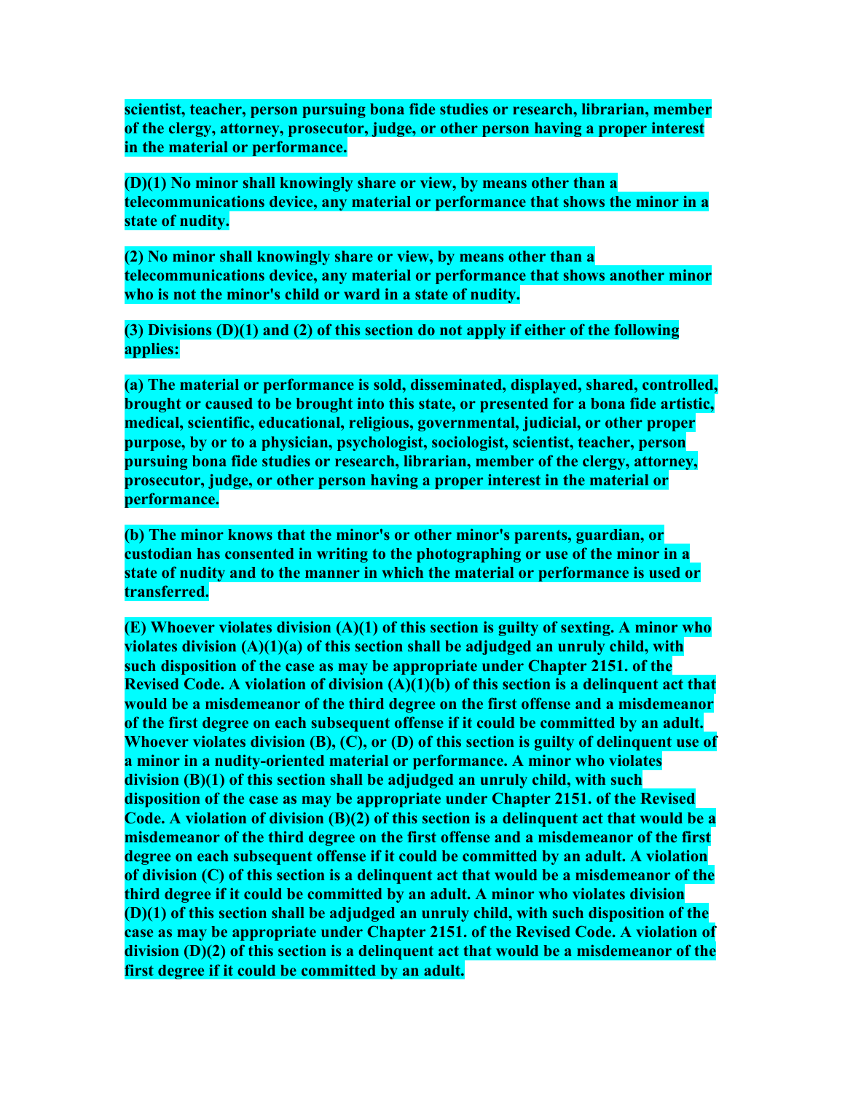**scientist, teacher, person pursuing bona fide studies or research, librarian, member of the clergy, attorney, prosecutor, judge, or other person having a proper interest in the material or performance.**

**(D)(1) No minor shall knowingly share or view, by means other than a telecommunications device, any material or performance that shows the minor in a state of nudity.**

**(2) No minor shall knowingly share or view, by means other than a telecommunications device, any material or performance that shows another minor who is not the minor's child or ward in a state of nudity.**

**(3) Divisions (D)(1) and (2) of this section do not apply if either of the following applies:**

**(a) The material or performance is sold, disseminated, displayed, shared, controlled, brought or caused to be brought into this state, or presented for a bona fide artistic, medical, scientific, educational, religious, governmental, judicial, or other proper purpose, by or to a physician, psychologist, sociologist, scientist, teacher, person pursuing bona fide studies or research, librarian, member of the clergy, attorney, prosecutor, judge, or other person having a proper interest in the material or performance.**

**(b) The minor knows that the minor's or other minor's parents, guardian, or custodian has consented in writing to the photographing or use of the minor in a state of nudity and to the manner in which the material or performance is used or transferred.**

**(E) Whoever violates division (A)(1) of this section is guilty of sexting. A minor who violates division (A)(1)(a) of this section shall be adjudged an unruly child, with such disposition of the case as may be appropriate under Chapter 2151. of the Revised Code. A violation of division (A)(1)(b) of this section is a delinquent act that would be a misdemeanor of the third degree on the first offense and a misdemeanor of the first degree on each subsequent offense if it could be committed by an adult. Whoever violates division (B), (C), or (D) of this section is guilty of delinquent use of a minor in a nudity-oriented material or performance. A minor who violates division (B)(1) of this section shall be adjudged an unruly child, with such disposition of the case as may be appropriate under Chapter 2151. of the Revised Code. A violation of division (B)(2) of this section is a delinquent act that would be a misdemeanor of the third degree on the first offense and a misdemeanor of the first degree on each subsequent offense if it could be committed by an adult. A violation of division (C) of this section is a delinquent act that would be a misdemeanor of the third degree if it could be committed by an adult. A minor who violates division (D)(1) of this section shall be adjudged an unruly child, with such disposition of the case as may be appropriate under Chapter 2151. of the Revised Code. A violation of division (D)(2) of this section is a delinquent act that would be a misdemeanor of the first degree if it could be committed by an adult.**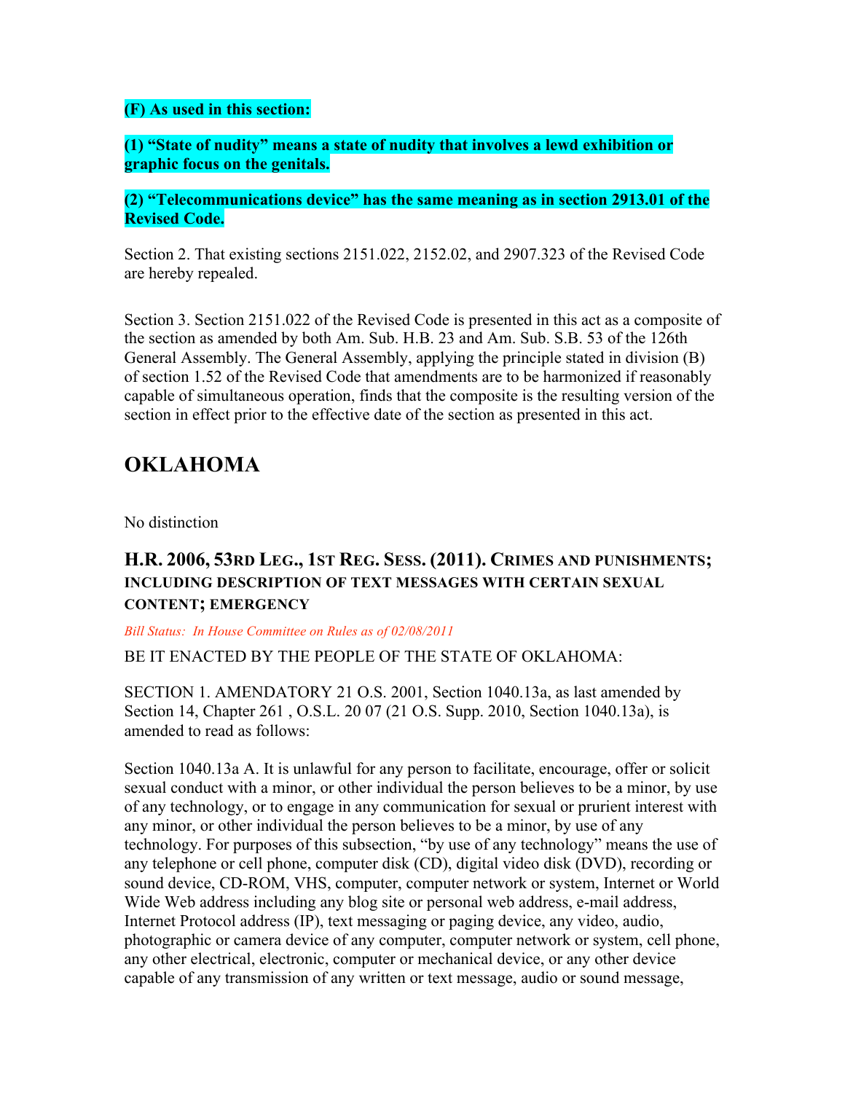#### **(F) As used in this section:**

**(1) "State of nudity" means a state of nudity that involves a lewd exhibition or graphic focus on the genitals.**

#### **(2) "Telecommunications device" has the same meaning as in section 2913.01 of the Revised Code.**

Section 2. That existing sections 2151.022, 2152.02, and 2907.323 of the Revised Code are hereby repealed.

Section 3. Section 2151.022 of the Revised Code is presented in this act as a composite of the section as amended by both Am. Sub. H.B. 23 and Am. Sub. S.B. 53 of the 126th General Assembly. The General Assembly, applying the principle stated in division (B) of section 1.52 of the Revised Code that amendments are to be harmonized if reasonably capable of simultaneous operation, finds that the composite is the resulting version of the section in effect prior to the effective date of the section as presented in this act.

# **OKLAHOMA**

No distinction

### **H.R. 2006, 53RD LEG., 1ST REG. SESS. (2011). CRIMES AND PUNISHMENTS; INCLUDING DESCRIPTION OF TEXT MESSAGES WITH CERTAIN SEXUAL CONTENT; EMERGENCY**

*Bill Status: In House Committee on Rules as of 02/08/2011*

BE IT ENACTED BY THE PEOPLE OF THE STATE OF OKLAHOMA:

SECTION 1. AMENDATORY 21 O.S. 2001, Section 1040.13a, as last amended by Section 14, Chapter 261 , O.S.L. 20 07 (21 O.S. Supp. 2010, Section 1040.13a), is amended to read as follows:

Section 1040.13a A. It is unlawful for any person to facilitate, encourage, offer or solicit sexual conduct with a minor, or other individual the person believes to be a minor, by use of any technology, or to engage in any communication for sexual or prurient interest with any minor, or other individual the person believes to be a minor, by use of any technology. For purposes of this subsection, "by use of any technology" means the use of any telephone or cell phone, computer disk (CD), digital video disk (DVD), recording or sound device, CD-ROM, VHS, computer, computer network or system, Internet or World Wide Web address including any blog site or personal web address, e-mail address, Internet Protocol address (IP), text messaging or paging device, any video, audio, photographic or camera device of any computer, computer network or system, cell phone, any other electrical, electronic, computer or mechanical device, or any other device capable of any transmission of any written or text message, audio or sound message,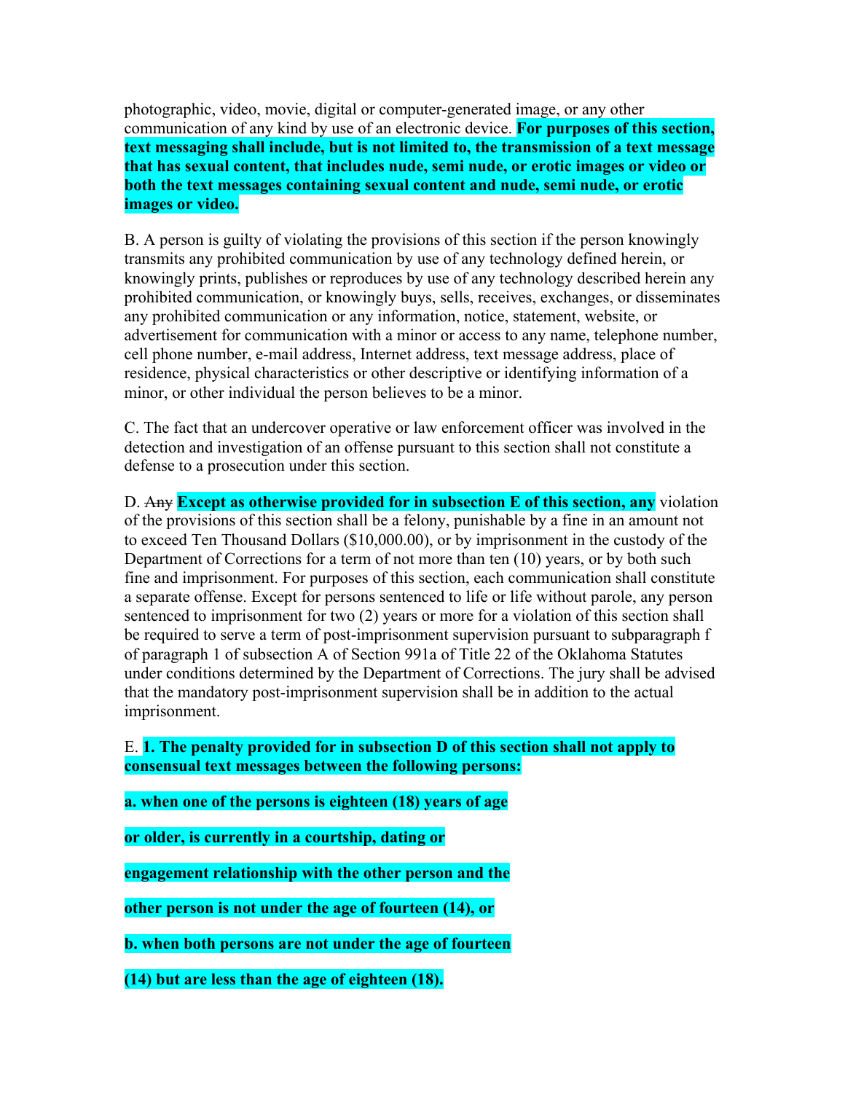photographic, video, movie, digital or computer-generated image, or any other communication of any kind by use of an electronic device. **For purposes of this section, text messaging shall include, but is not limited to, the transmission of a text message that has sexual content, that includes nude, semi nude, or erotic images or video or both the text messages containing sexual content and nude, semi nude, or erotic images or video.**

B. A person is guilty of violating the provisions of this section if the person knowingly transmits any prohibited communication by use of any technology defined herein, or knowingly prints, publishes or reproduces by use of any technology described herein any prohibited communication, or knowingly buys, sells, receives, exchanges, or disseminates any prohibited communication or any information, notice, statement, website, or advertisement for communication with a minor or access to any name, telephone number, cell phone number, e-mail address, Internet address, text message address, place of residence, physical characteristics or other descriptive or identifying information of a minor, or other individual the person believes to be a minor.

C. The fact that an undercover operative or law enforcement officer was involved in the detection and investigation of an offense pursuant to this section shall not constitute a defense to a prosecution under this section.

D. Any **Except as otherwise provided for in subsection E of this section, any** violation of the provisions of this section shall be a felony, punishable by a fine in an amount not to exceed Ten Thousand Dollars (\$10,000.00), or by imprisonment in the custody of the Department of Corrections for a term of not more than ten (10) years, or by both such fine and imprisonment. For purposes of this section, each communication shall constitute a separate offense. Except for persons sentenced to life or life without parole, any person sentenced to imprisonment for two (2) years or more for a violation of this section shall be required to serve a term of post-imprisonment supervision pursuant to subparagraph f of paragraph 1 of subsection A of Section 991a of Title 22 of the Oklahoma Statutes under conditions determined by the Department of Corrections. The jury shall be advised that the mandatory post-imprisonment supervision shall be in addition to the actual imprisonment.

E. **1. The penalty provided for in subsection D of this section shall not apply to consensual text messages between the following persons:**

**a. when one of the persons is eighteen (18) years of age**

**or older, is currently in a courtship, dating or**

**engagement relationship with the other person and the**

**other person is not under the age of fourteen (14), or**

**b. when both persons are not under the age of fourteen**

**(14) but are less than the age of eighteen (18).**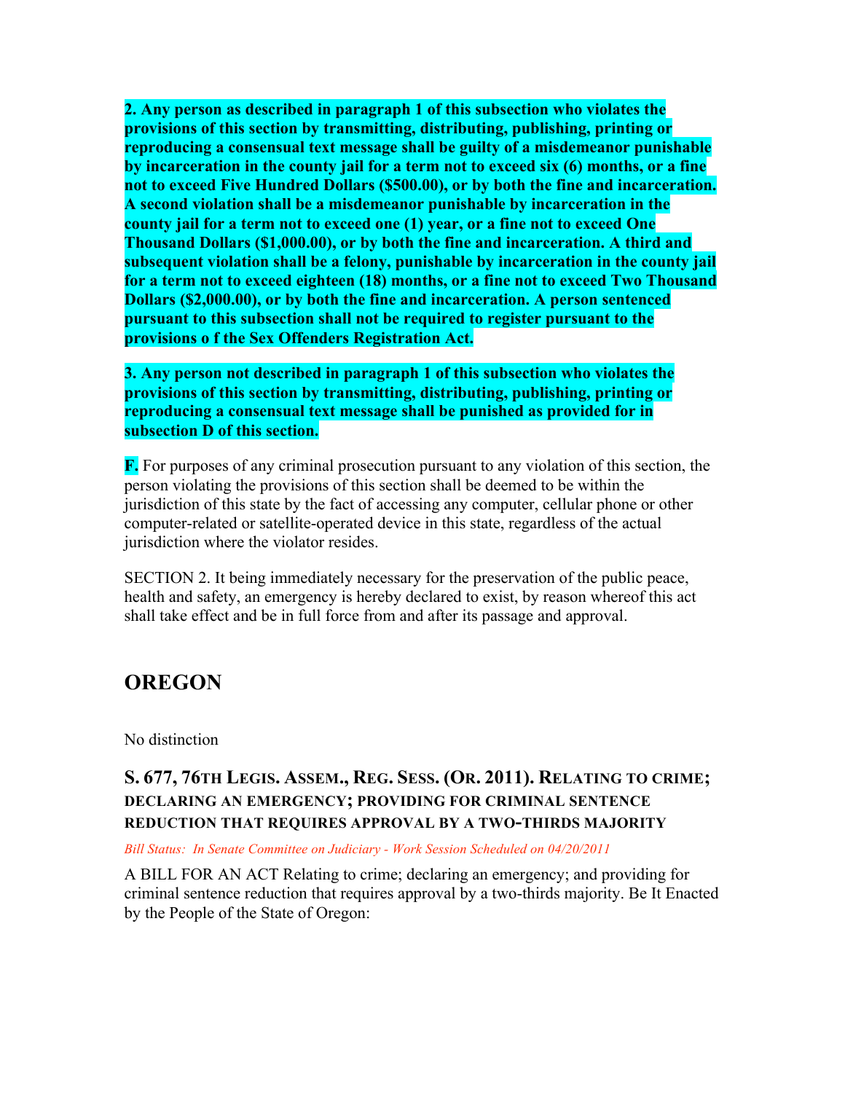**2. Any person as described in paragraph 1 of this subsection who violates the provisions of this section by transmitting, distributing, publishing, printing or reproducing a consensual text message shall be guilty of a misdemeanor punishable by incarceration in the county jail for a term not to exceed six (6) months, or a fine not to exceed Five Hundred Dollars (\$500.00), or by both the fine and incarceration. A second violation shall be a misdemeanor punishable by incarceration in the county jail for a term not to exceed one (1) year, or a fine not to exceed One Thousand Dollars (\$1,000.00), or by both the fine and incarceration. A third and subsequent violation shall be a felony, punishable by incarceration in the county jail for a term not to exceed eighteen (18) months, or a fine not to exceed Two Thousand Dollars (\$2,000.00), or by both the fine and incarceration. A person sentenced pursuant to this subsection shall not be required to register pursuant to the provisions o f the Sex Offenders Registration Act.**

**3. Any person not described in paragraph 1 of this subsection who violates the provisions of this section by transmitting, distributing, publishing, printing or reproducing a consensual text message shall be punished as provided for in subsection D of this section.**

**F.** For purposes of any criminal prosecution pursuant to any violation of this section, the person violating the provisions of this section shall be deemed to be within the jurisdiction of this state by the fact of accessing any computer, cellular phone or other computer-related or satellite-operated device in this state, regardless of the actual jurisdiction where the violator resides.

SECTION 2. It being immediately necessary for the preservation of the public peace, health and safety, an emergency is hereby declared to exist, by reason whereof this act shall take effect and be in full force from and after its passage and approval.

## **OREGON**

No distinction

## **S. 677, 76TH LEGIS. ASSEM., REG. SESS. (OR. 2011). RELATING TO CRIME; DECLARING AN EMERGENCY; PROVIDING FOR CRIMINAL SENTENCE REDUCTION THAT REQUIRES APPROVAL BY A TWO-THIRDS MAJORITY**

*Bill Status: In Senate Committee on Judiciary - Work Session Scheduled on 04/20/2011*

A BILL FOR AN ACT Relating to crime; declaring an emergency; and providing for criminal sentence reduction that requires approval by a two-thirds majority. Be It Enacted by the People of the State of Oregon: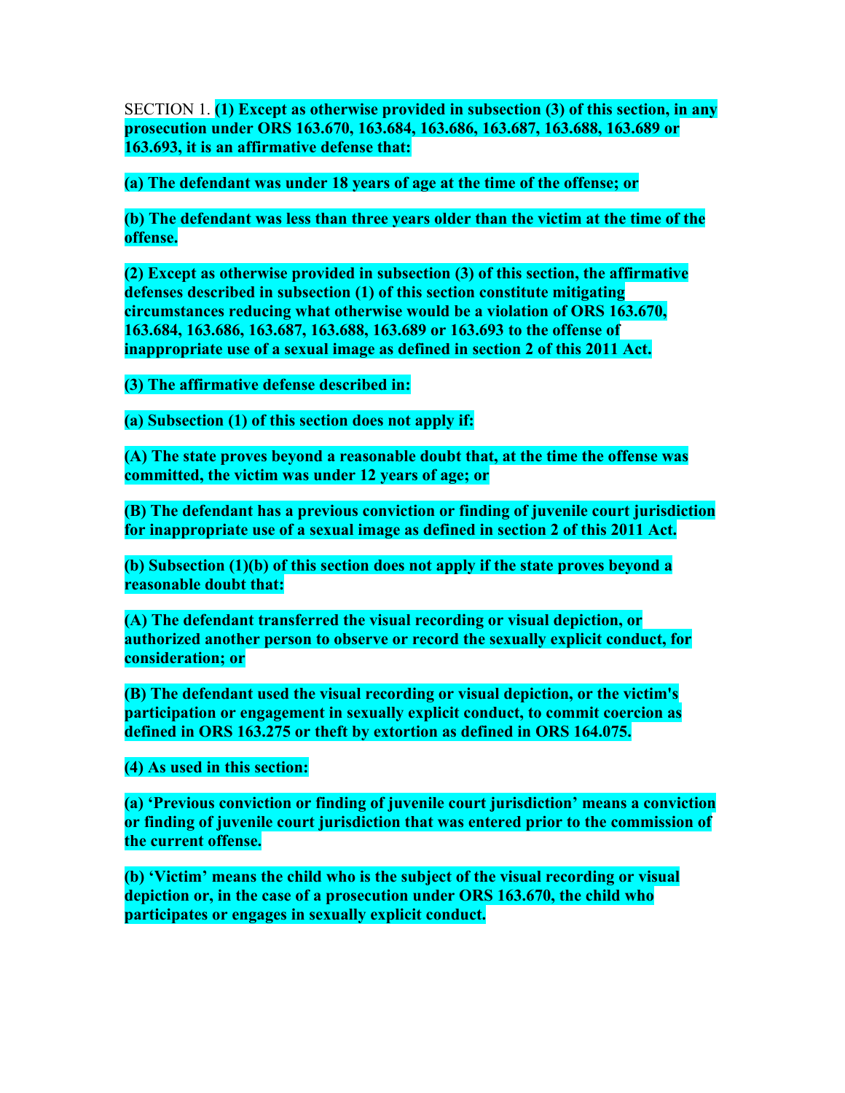SECTION 1. **(1) Except as otherwise provided in subsection (3) of this section, in any prosecution under ORS 163.670, 163.684, 163.686, 163.687, 163.688, 163.689 or 163.693, it is an affirmative defense that:**

**(a) The defendant was under 18 years of age at the time of the offense; or**

**(b) The defendant was less than three years older than the victim at the time of the offense.**

**(2) Except as otherwise provided in subsection (3) of this section, the affirmative defenses described in subsection (1) of this section constitute mitigating circumstances reducing what otherwise would be a violation of ORS 163.670, 163.684, 163.686, 163.687, 163.688, 163.689 or 163.693 to the offense of inappropriate use of a sexual image as defined in section 2 of this 2011 Act.**

**(3) The affirmative defense described in:**

**(a) Subsection (1) of this section does not apply if:**

**(A) The state proves beyond a reasonable doubt that, at the time the offense was committed, the victim was under 12 years of age; or**

**(B) The defendant has a previous conviction or finding of juvenile court jurisdiction for inappropriate use of a sexual image as defined in section 2 of this 2011 Act.**

**(b) Subsection (1)(b) of this section does not apply if the state proves beyond a reasonable doubt that:**

**(A) The defendant transferred the visual recording or visual depiction, or authorized another person to observe or record the sexually explicit conduct, for consideration; or**

**(B) The defendant used the visual recording or visual depiction, or the victim's participation or engagement in sexually explicit conduct, to commit coercion as defined in ORS 163.275 or theft by extortion as defined in ORS 164.075.**

**(4) As used in this section:**

**(a) 'Previous conviction or finding of juvenile court jurisdiction' means a conviction or finding of juvenile court jurisdiction that was entered prior to the commission of the current offense.**

**(b) 'Victim' means the child who is the subject of the visual recording or visual depiction or, in the case of a prosecution under ORS 163.670, the child who participates or engages in sexually explicit conduct.**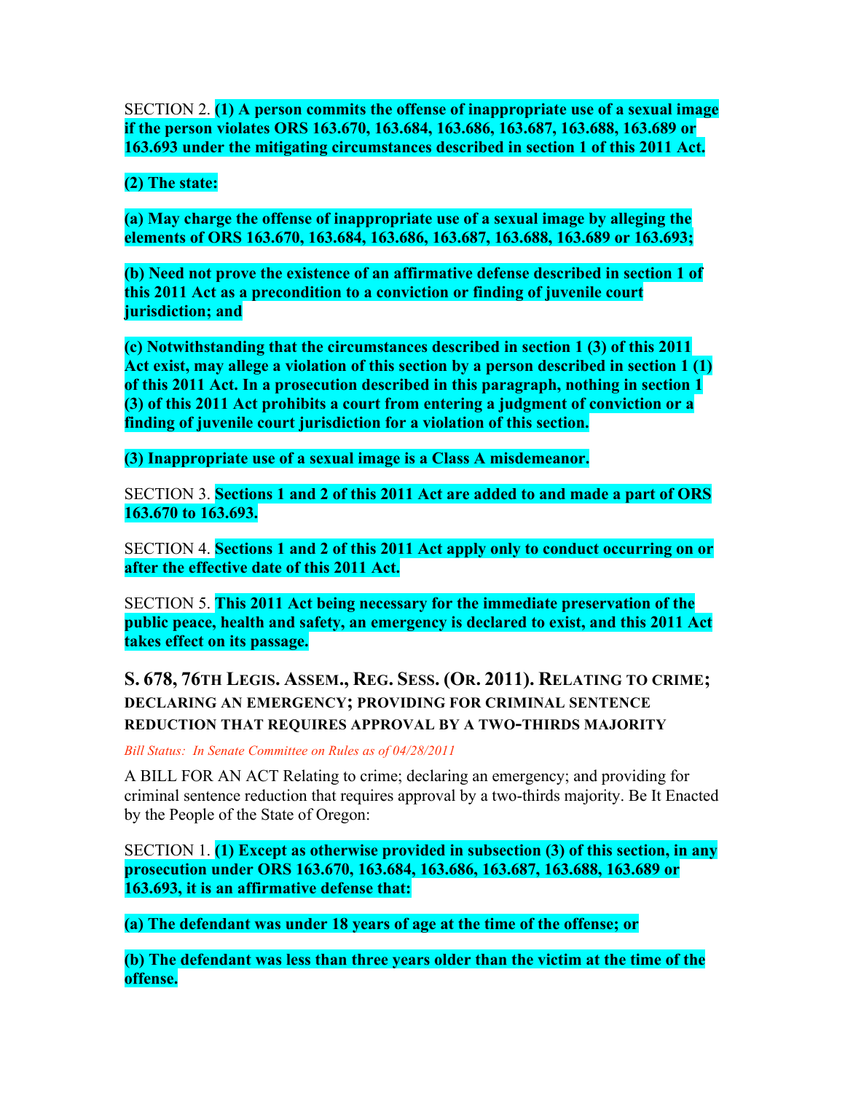SECTION 2. **(1) A person commits the offense of inappropriate use of a sexual image if the person violates ORS 163.670, 163.684, 163.686, 163.687, 163.688, 163.689 or 163.693 under the mitigating circumstances described in section 1 of this 2011 Act.**

#### **(2) The state:**

**(a) May charge the offense of inappropriate use of a sexual image by alleging the elements of ORS 163.670, 163.684, 163.686, 163.687, 163.688, 163.689 or 163.693;**

**(b) Need not prove the existence of an affirmative defense described in section 1 of this 2011 Act as a precondition to a conviction or finding of juvenile court jurisdiction; and**

**(c) Notwithstanding that the circumstances described in section 1 (3) of this 2011 Act exist, may allege a violation of this section by a person described in section 1 (1) of this 2011 Act. In a prosecution described in this paragraph, nothing in section 1 (3) of this 2011 Act prohibits a court from entering a judgment of conviction or a finding of juvenile court jurisdiction for a violation of this section.**

**(3) Inappropriate use of a sexual image is a Class A misdemeanor.** 

SECTION 3. **Sections 1 and 2 of this 2011 Act are added to and made a part of ORS 163.670 to 163.693.** 

SECTION 4. **Sections 1 and 2 of this 2011 Act apply only to conduct occurring on or after the effective date of this 2011 Act.** 

SECTION 5. **This 2011 Act being necessary for the immediate preservation of the public peace, health and safety, an emergency is declared to exist, and this 2011 Act takes effect on its passage.** 

**S. 678, 76TH LEGIS. ASSEM., REG. SESS. (OR. 2011). RELATING TO CRIME; DECLARING AN EMERGENCY; PROVIDING FOR CRIMINAL SENTENCE REDUCTION THAT REQUIRES APPROVAL BY A TWO-THIRDS MAJORITY**

*Bill Status: In Senate Committee on Rules as of 04/28/2011*

A BILL FOR AN ACT Relating to crime; declaring an emergency; and providing for criminal sentence reduction that requires approval by a two-thirds majority. Be It Enacted by the People of the State of Oregon:

SECTION 1. **(1) Except as otherwise provided in subsection (3) of this section, in any prosecution under ORS 163.670, 163.684, 163.686, 163.687, 163.688, 163.689 or 163.693, it is an affirmative defense that:**

**(a) The defendant was under 18 years of age at the time of the offense; or**

**(b) The defendant was less than three years older than the victim at the time of the offense.**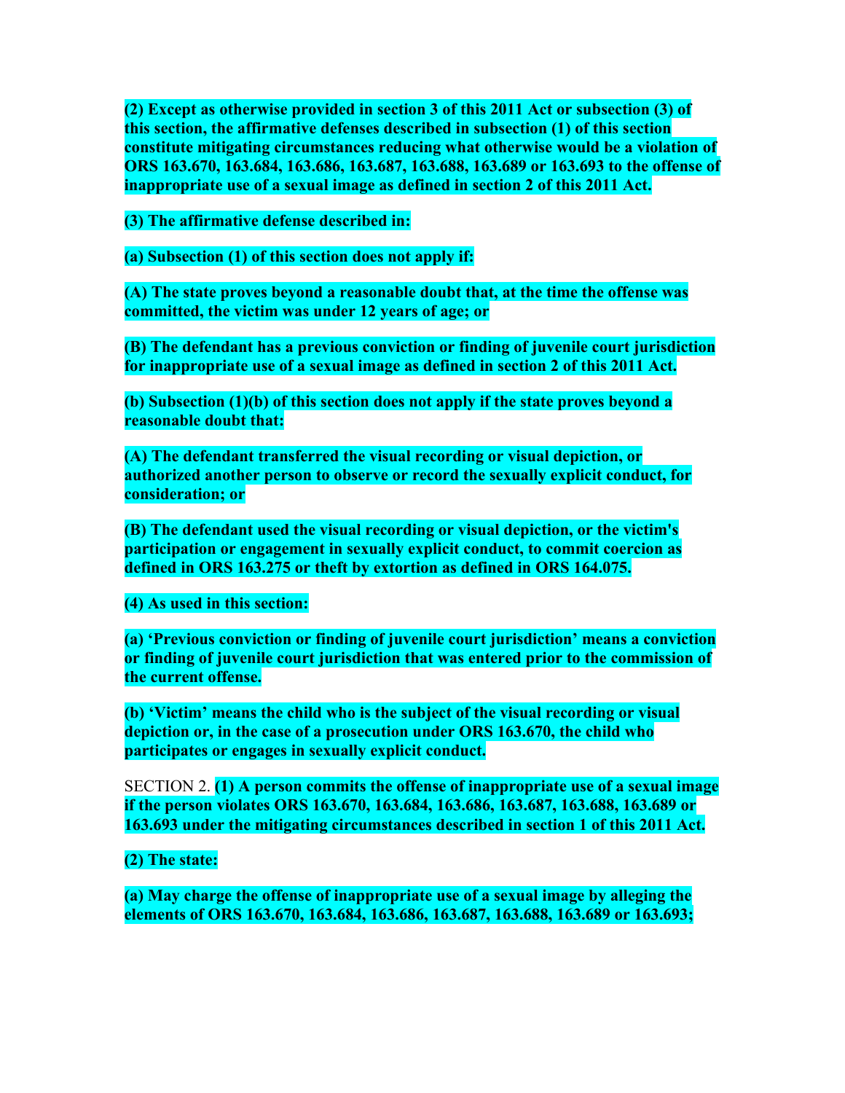**(2) Except as otherwise provided in section 3 of this 2011 Act or subsection (3) of this section, the affirmative defenses described in subsection (1) of this section constitute mitigating circumstances reducing what otherwise would be a violation of ORS 163.670, 163.684, 163.686, 163.687, 163.688, 163.689 or 163.693 to the offense of inappropriate use of a sexual image as defined in section 2 of this 2011 Act.**

**(3) The affirmative defense described in:**

**(a) Subsection (1) of this section does not apply if:**

**(A) The state proves beyond a reasonable doubt that, at the time the offense was committed, the victim was under 12 years of age; or**

**(B) The defendant has a previous conviction or finding of juvenile court jurisdiction for inappropriate use of a sexual image as defined in section 2 of this 2011 Act.**

**(b) Subsection (1)(b) of this section does not apply if the state proves beyond a reasonable doubt that:**

**(A) The defendant transferred the visual recording or visual depiction, or authorized another person to observe or record the sexually explicit conduct, for consideration; or**

**(B) The defendant used the visual recording or visual depiction, or the victim's participation or engagement in sexually explicit conduct, to commit coercion as defined in ORS 163.275 or theft by extortion as defined in ORS 164.075.**

**(4) As used in this section:**

**(a) 'Previous conviction or finding of juvenile court jurisdiction' means a conviction or finding of juvenile court jurisdiction that was entered prior to the commission of the current offense.**

**(b) 'Victim' means the child who is the subject of the visual recording or visual depiction or, in the case of a prosecution under ORS 163.670, the child who participates or engages in sexually explicit conduct.** 

SECTION 2. **(1) A person commits the offense of inappropriate use of a sexual image if the person violates ORS 163.670, 163.684, 163.686, 163.687, 163.688, 163.689 or 163.693 under the mitigating circumstances described in section 1 of this 2011 Act.**

**(2) The state:**

**(a) May charge the offense of inappropriate use of a sexual image by alleging the elements of ORS 163.670, 163.684, 163.686, 163.687, 163.688, 163.689 or 163.693;**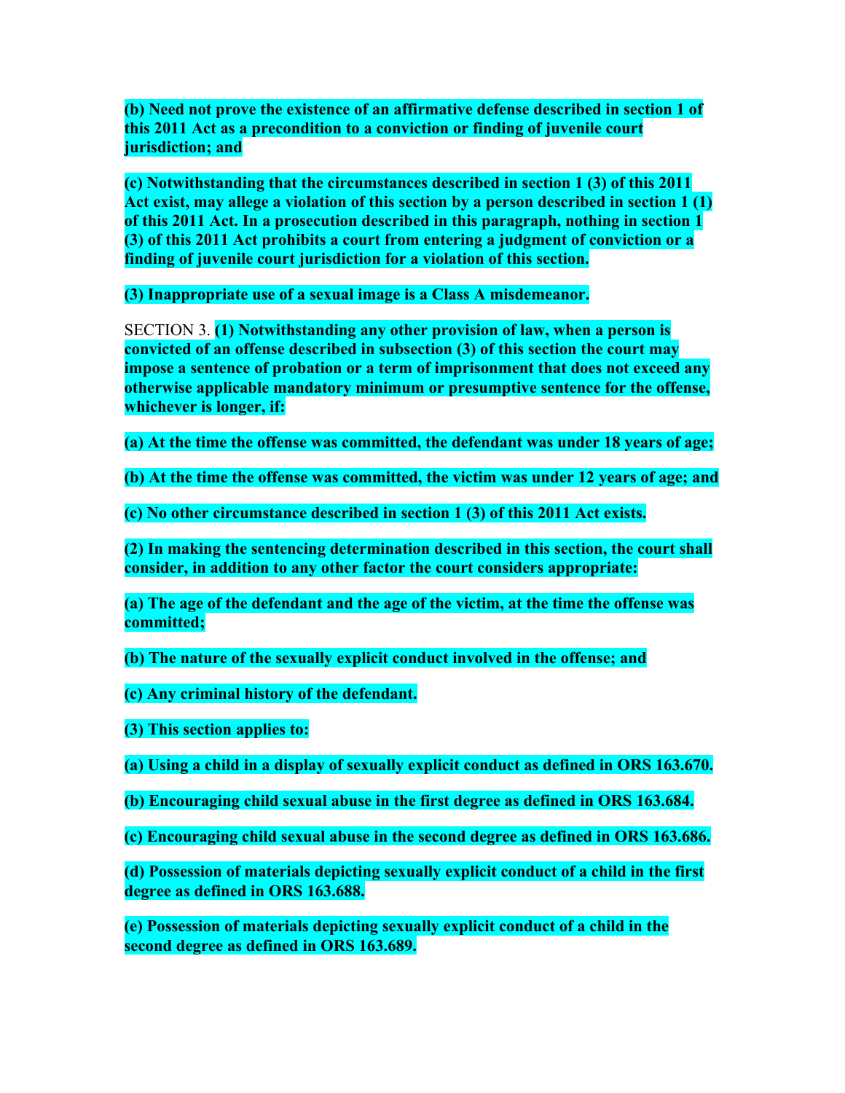**(b) Need not prove the existence of an affirmative defense described in section 1 of this 2011 Act as a precondition to a conviction or finding of juvenile court jurisdiction; and**

**(c) Notwithstanding that the circumstances described in section 1 (3) of this 2011 Act exist, may allege a violation of this section by a person described in section 1 (1) of this 2011 Act. In a prosecution described in this paragraph, nothing in section 1 (3) of this 2011 Act prohibits a court from entering a judgment of conviction or a finding of juvenile court jurisdiction for a violation of this section.**

**(3) Inappropriate use of a sexual image is a Class A misdemeanor.** 

SECTION 3. **(1) Notwithstanding any other provision of law, when a person is convicted of an offense described in subsection (3) of this section the court may impose a sentence of probation or a term of imprisonment that does not exceed any otherwise applicable mandatory minimum or presumptive sentence for the offense, whichever is longer, if:**

**(a) At the time the offense was committed, the defendant was under 18 years of age;**

**(b) At the time the offense was committed, the victim was under 12 years of age; and**

**(c) No other circumstance described in section 1 (3) of this 2011 Act exists.**

**(2) In making the sentencing determination described in this section, the court shall consider, in addition to any other factor the court considers appropriate:**

**(a) The age of the defendant and the age of the victim, at the time the offense was committed;**

**(b) The nature of the sexually explicit conduct involved in the offense; and**

**(c) Any criminal history of the defendant.**

**(3) This section applies to:**

**(a) Using a child in a display of sexually explicit conduct as defined in ORS 163.670.**

**(b) Encouraging child sexual abuse in the first degree as defined in ORS 163.684.**

**(c) Encouraging child sexual abuse in the second degree as defined in ORS 163.686.**

**(d) Possession of materials depicting sexually explicit conduct of a child in the first degree as defined in ORS 163.688.**

**(e) Possession of materials depicting sexually explicit conduct of a child in the second degree as defined in ORS 163.689.**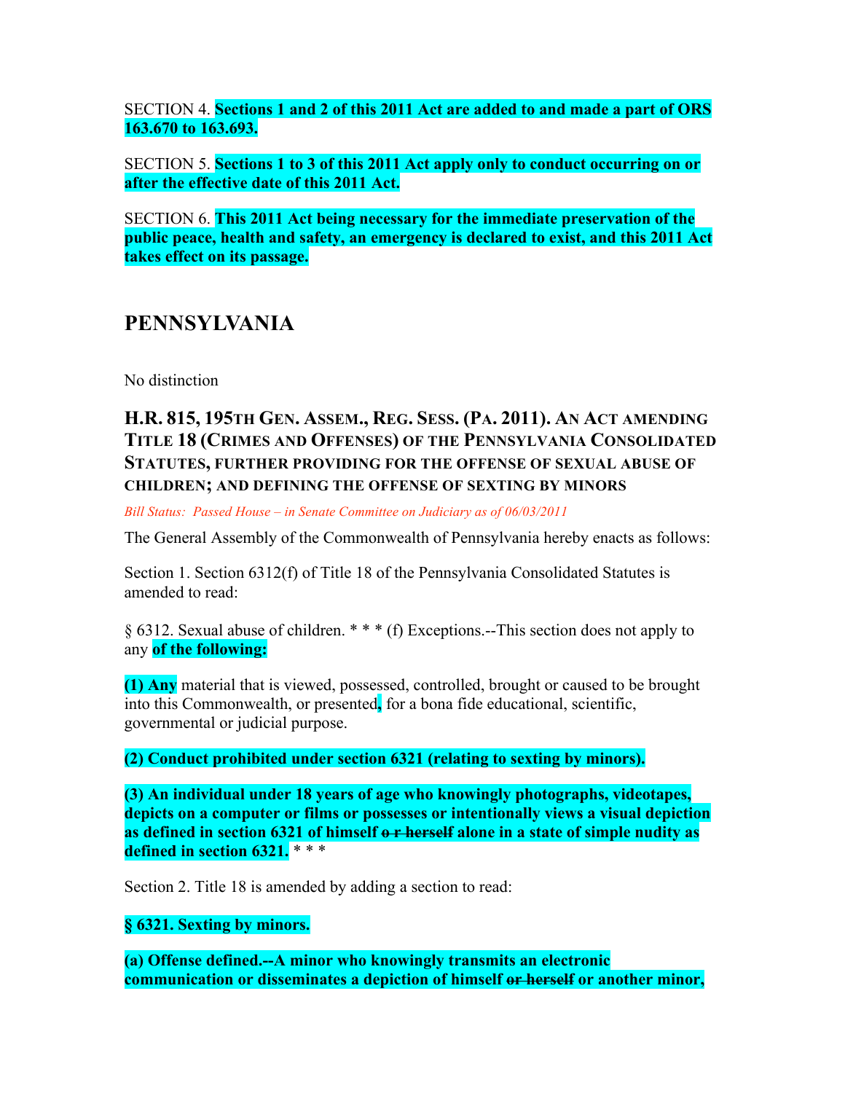SECTION 4. **Sections 1 and 2 of this 2011 Act are added to and made a part of ORS 163.670 to 163.693.** 

SECTION 5. **Sections 1 to 3 of this 2011 Act apply only to conduct occurring on or after the effective date of this 2011 Act.** 

SECTION 6. **This 2011 Act being necessary for the immediate preservation of the public peace, health and safety, an emergency is declared to exist, and this 2011 Act takes effect on its passage.** 

## **PENNSYLVANIA**

No distinction

## **H.R. 815, 195TH GEN. ASSEM., REG. SESS. (PA. 2011). AN ACT AMENDING TITLE 18 (CRIMES AND OFFENSES) OF THE PENNSYLVANIA CONSOLIDATED STATUTES, FURTHER PROVIDING FOR THE OFFENSE OF SEXUAL ABUSE OF CHILDREN; AND DEFINING THE OFFENSE OF SEXTING BY MINORS**

*Bill Status: Passed House – in Senate Committee on Judiciary as of 06/03/2011*

The General Assembly of the Commonwealth of Pennsylvania hereby enacts as follows:

Section 1. Section 6312(f) of Title 18 of the Pennsylvania Consolidated Statutes is amended to read:

§ 6312. Sexual abuse of children. \* \* \* (f) Exceptions.--This section does not apply to any **of the following:**

**(1) Any** material that is viewed, possessed, controlled, brought or caused to be brought into this Commonwealth, or presented**,** for a bona fide educational, scientific, governmental or judicial purpose.

**(2) Conduct prohibited under section 6321 (relating to sexting by minors).**

**(3) An individual under 18 years of age who knowingly photographs, videotapes, depicts on a computer or films or possesses or intentionally views a visual depiction as defined in section 6321 of himself o r herself alone in a state of simple nudity as defined in section 6321.** \* \* \*

Section 2. Title 18 is amended by adding a section to read:

#### **§ 6321. Sexting by minors.**

**(a) Offense defined.--A minor who knowingly transmits an electronic communication or disseminates a depiction of himself or herself or another minor,**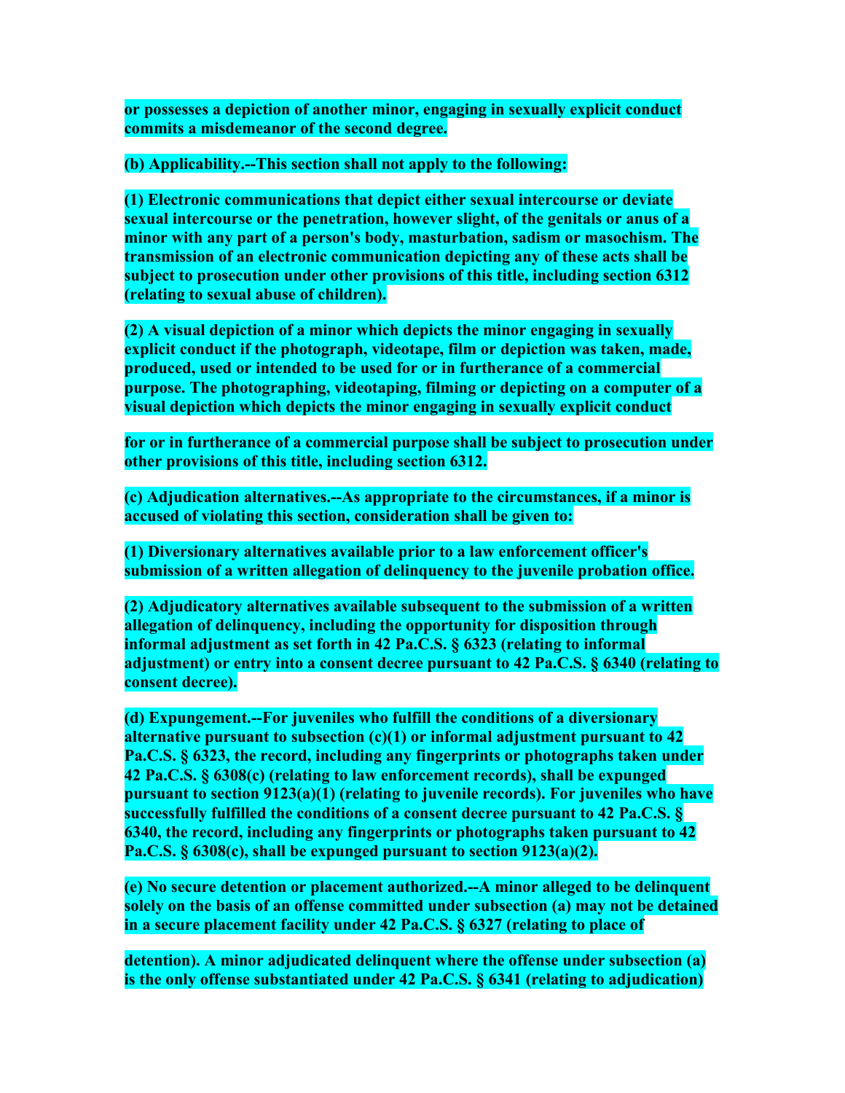**or possesses a depiction of another minor, engaging in sexually explicit conduct commits a misdemeanor of the second degree.**

**(b) Applicability.--This section shall not apply to the following:**

**(1) Electronic communications that depict either sexual intercourse or deviate sexual intercourse or the penetration, however slight, of the genitals or anus of a minor with any part of a person's body, masturbation, sadism or masochism. The transmission of an electronic communication depicting any of these acts shall be subject to prosecution under other provisions of this title, including section 6312 (relating to sexual abuse of children).**

**(2) A visual depiction of a minor which depicts the minor engaging in sexually explicit conduct if the photograph, videotape, film or depiction was taken, made, produced, used or intended to be used for or in furtherance of a commercial purpose. The photographing, videotaping, filming or depicting on a computer of a visual depiction which depicts the minor engaging in sexually explicit conduct**

**for or in furtherance of a commercial purpose shall be subject to prosecution under other provisions of this title, including section 6312.**

**(c) Adjudication alternatives.--As appropriate to the circumstances, if a minor is accused of violating this section, consideration shall be given to:**

**(1) Diversionary alternatives available prior to a law enforcement officer's submission of a written allegation of delinquency to the juvenile probation office.**

**(2) Adjudicatory alternatives available subsequent to the submission of a written allegation of delinquency, including the opportunity for disposition through informal adjustment as set forth in 42 Pa.C.S. § 6323 (relating to informal adjustment) or entry into a consent decree pursuant to 42 Pa.C.S. § 6340 (relating to consent decree).**

**(d) Expungement.--For juveniles who fulfill the conditions of a diversionary alternative pursuant to subsection (c)(1) or informal adjustment pursuant to 42 Pa.C.S. § 6323, the record, including any fingerprints or photographs taken under 42 Pa.C.S. § 6308(c) (relating to law enforcement records), shall be expunged pursuant to section 9123(a)(1) (relating to juvenile records). For juveniles who have successfully fulfilled the conditions of a consent decree pursuant to 42 Pa.C.S. § 6340, the record, including any fingerprints or photographs taken pursuant to 42 Pa.C.S. § 6308(c), shall be expunged pursuant to section 9123(a)(2).**

**(e) No secure detention or placement authorized.--A minor alleged to be delinquent solely on the basis of an offense committed under subsection (a) may not be detained in a secure placement facility under 42 Pa.C.S. § 6327 (relating to place of**

**detention). A minor adjudicated delinquent where the offense under subsection (a) is the only offense substantiated under 42 Pa.C.S. § 6341 (relating to adjudication)**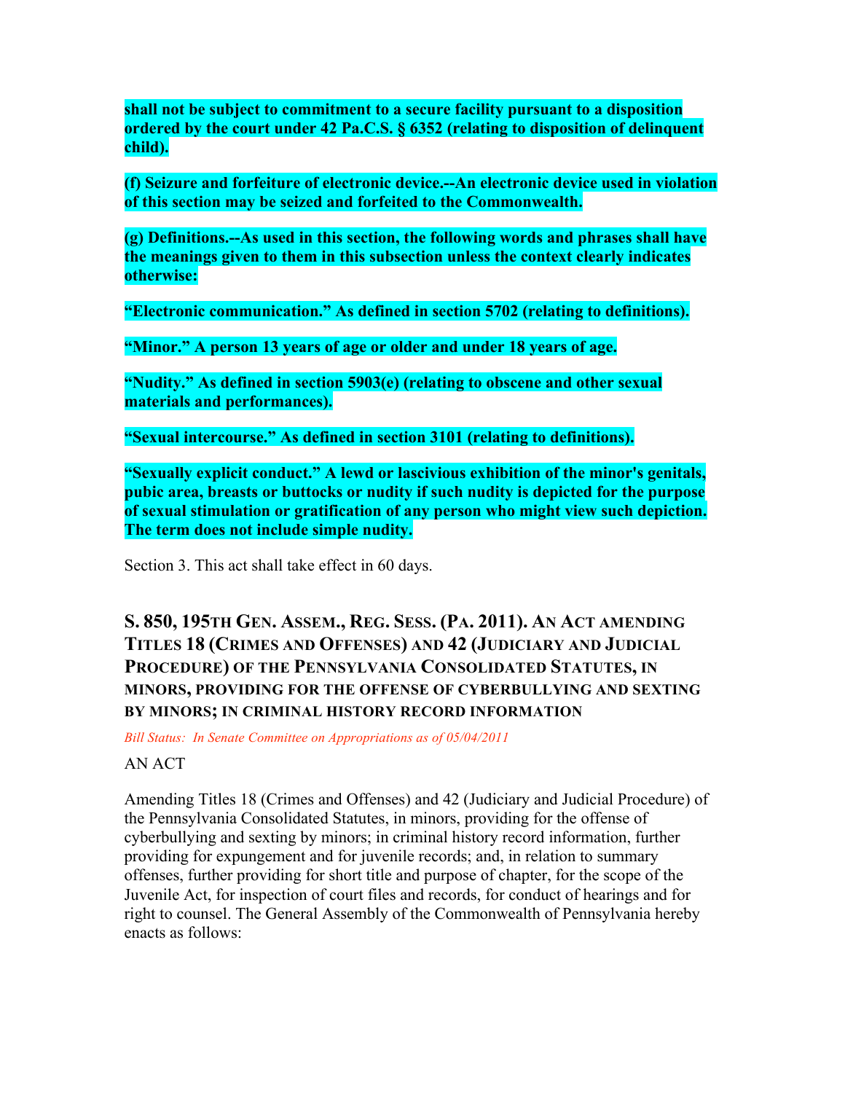**shall not be subject to commitment to a secure facility pursuant to a disposition ordered by the court under 42 Pa.C.S. § 6352 (relating to disposition of delinquent child).**

**(f) Seizure and forfeiture of electronic device.--An electronic device used in violation of this section may be seized and forfeited to the Commonwealth.**

**(g) Definitions.--As used in this section, the following words and phrases shall have the meanings given to them in this subsection unless the context clearly indicates otherwise:**

**"Electronic communication." As defined in section 5702 (relating to definitions).**

**"Minor." A person 13 years of age or older and under 18 years of age.**

**"Nudity." As defined in section 5903(e) (relating to obscene and other sexual materials and performances).**

**"Sexual intercourse." As defined in section 3101 (relating to definitions).**

**"Sexually explicit conduct." A lewd or lascivious exhibition of the minor's genitals, pubic area, breasts or buttocks or nudity if such nudity is depicted for the purpose of sexual stimulation or gratification of any person who might view such depiction. The term does not include simple nudity.**

Section 3. This act shall take effect in 60 days.

## **S. 850, 195TH GEN. ASSEM., REG. SESS. (PA. 2011). AN ACT AMENDING TITLES 18 (CRIMES AND OFFENSES) AND 42 (JUDICIARY AND JUDICIAL PROCEDURE) OF THE PENNSYLVANIA CONSOLIDATED STATUTES, IN MINORS, PROVIDING FOR THE OFFENSE OF CYBERBULLYING AND SEXTING BY MINORS; IN CRIMINAL HISTORY RECORD INFORMATION**

*Bill Status: In Senate Committee on Appropriations as of 05/04/2011*

AN ACT

Amending Titles 18 (Crimes and Offenses) and 42 (Judiciary and Judicial Procedure) of the Pennsylvania Consolidated Statutes, in minors, providing for the offense of cyberbullying and sexting by minors; in criminal history record information, further providing for expungement and for juvenile records; and, in relation to summary offenses, further providing for short title and purpose of chapter, for the scope of the Juvenile Act, for inspection of court files and records, for conduct of hearings and for right to counsel. The General Assembly of the Commonwealth of Pennsylvania hereby enacts as follows: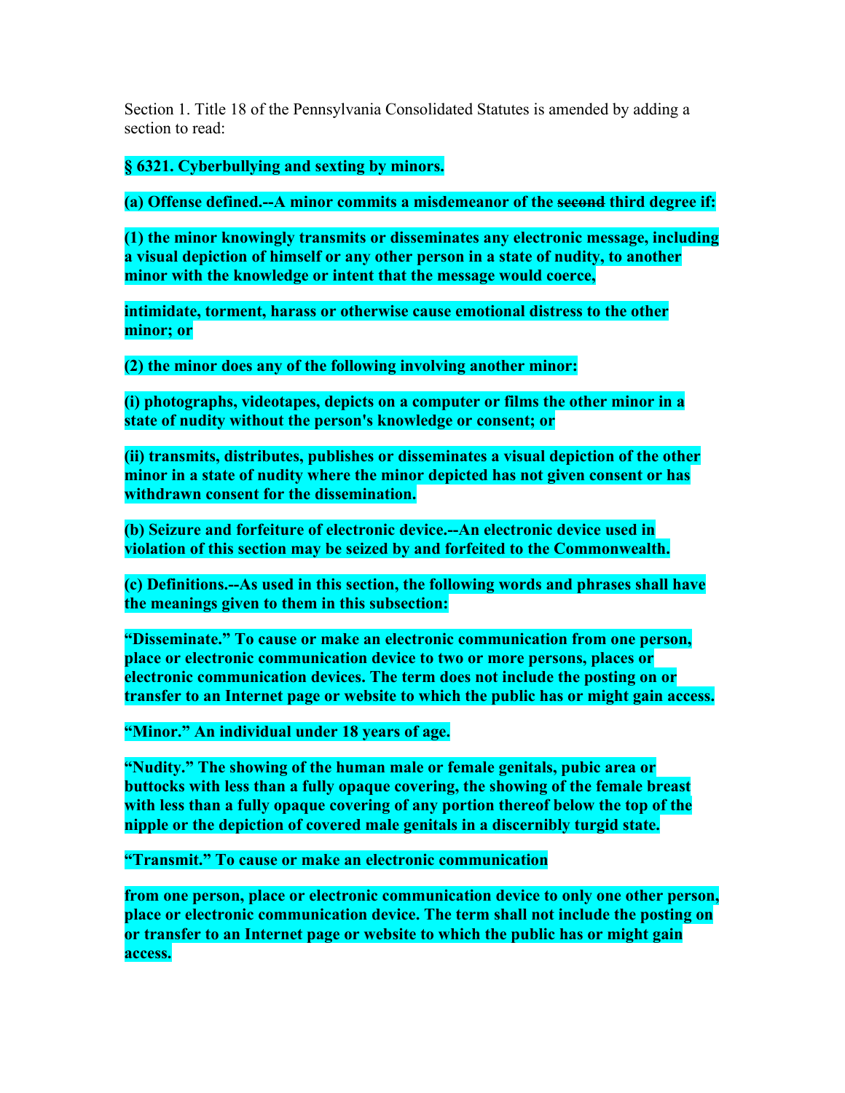Section 1. Title 18 of the Pennsylvania Consolidated Statutes is amended by adding a section to read:

**§ 6321. Cyberbullying and sexting by minors.**

**(a) Offense defined.--A minor commits a misdemeanor of the second third degree if:**

**(1) the minor knowingly transmits or disseminates any electronic message, including a visual depiction of himself or any other person in a state of nudity, to another minor with the knowledge or intent that the message would coerce,**

**intimidate, torment, harass or otherwise cause emotional distress to the other minor; or**

**(2) the minor does any of the following involving another minor:**

**(i) photographs, videotapes, depicts on a computer or films the other minor in a state of nudity without the person's knowledge or consent; or**

**(ii) transmits, distributes, publishes or disseminates a visual depiction of the other minor in a state of nudity where the minor depicted has not given consent or has withdrawn consent for the dissemination.**

**(b) Seizure and forfeiture of electronic device.--An electronic device used in violation of this section may be seized by and forfeited to the Commonwealth.**

**(c) Definitions.--As used in this section, the following words and phrases shall have the meanings given to them in this subsection:**

**"Disseminate." To cause or make an electronic communication from one person, place or electronic communication device to two or more persons, places or electronic communication devices. The term does not include the posting on or transfer to an Internet page or website to which the public has or might gain access.**

**"Minor." An individual under 18 years of age.**

**"Nudity." The showing of the human male or female genitals, pubic area or buttocks with less than a fully opaque covering, the showing of the female breast with less than a fully opaque covering of any portion thereof below the top of the nipple or the depiction of covered male genitals in a discernibly turgid state.**

**"Transmit." To cause or make an electronic communication**

**from one person, place or electronic communication device to only one other person, place or electronic communication device. The term shall not include the posting on or transfer to an Internet page or website to which the public has or might gain access.**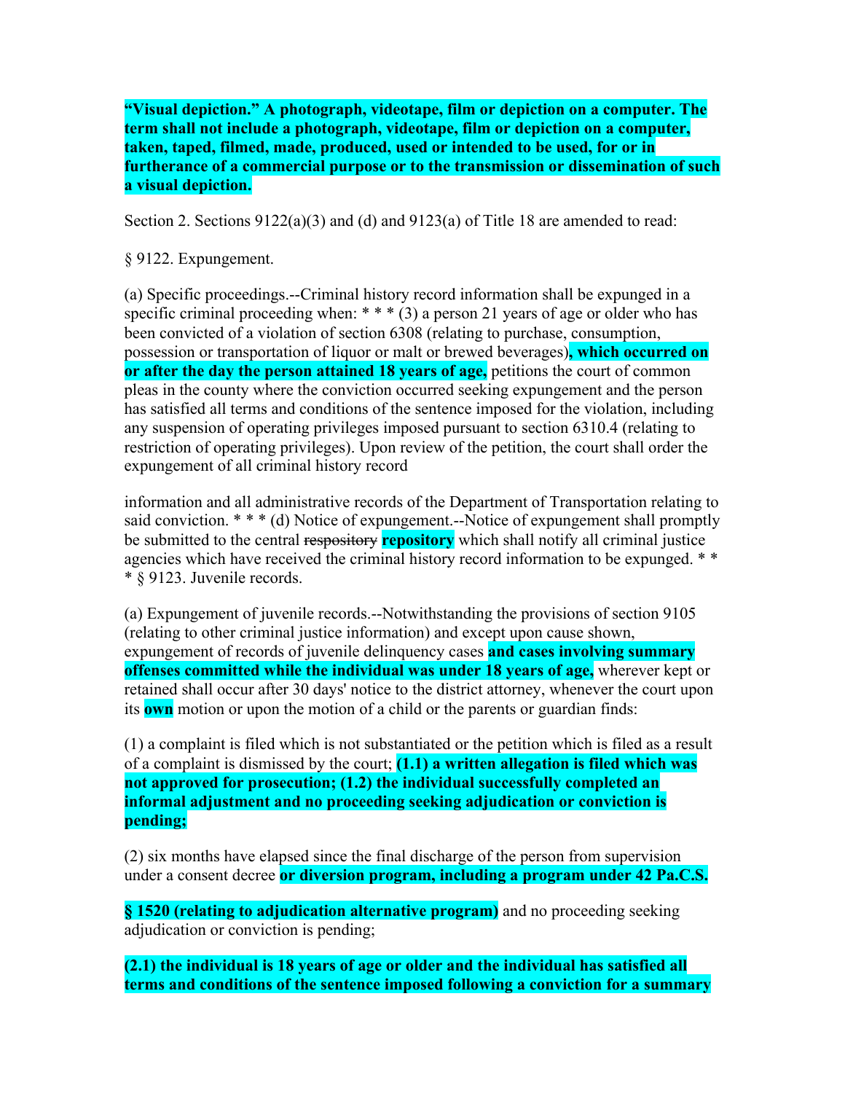**"Visual depiction." A photograph, videotape, film or depiction on a computer. The term shall not include a photograph, videotape, film or depiction on a computer, taken, taped, filmed, made, produced, used or intended to be used, for or in furtherance of a commercial purpose or to the transmission or dissemination of such a visual depiction.**

Section 2. Sections  $9122(a)(3)$  and (d) and  $9123(a)$  of Title 18 are amended to read:

§ 9122. Expungement.

(a) Specific proceedings.--Criminal history record information shall be expunged in a specific criminal proceeding when: \* \* \*  $(3)$  a person 21 years of age or older who has been convicted of a violation of section 6308 (relating to purchase, consumption, possession or transportation of liquor or malt or brewed beverages)**, which occurred on or after the day the person attained 18 years of age,** petitions the court of common pleas in the county where the conviction occurred seeking expungement and the person has satisfied all terms and conditions of the sentence imposed for the violation, including any suspension of operating privileges imposed pursuant to section 6310.4 (relating to restriction of operating privileges). Upon review of the petition, the court shall order the expungement of all criminal history record

information and all administrative records of the Department of Transportation relating to said conviction. \* \* \* (d) Notice of expungement.--Notice of expungement shall promptly be submitted to the central respository **repository** which shall notify all criminal justice agencies which have received the criminal history record information to be expunged. \* \* \* § 9123. Juvenile records.

(a) Expungement of juvenile records.--Notwithstanding the provisions of section 9105 (relating to other criminal justice information) and except upon cause shown, expungement of records of juvenile delinquency cases **and cases involving summary offenses committed while the individual was under 18 years of age,** wherever kept or retained shall occur after 30 days' notice to the district attorney, whenever the court upon its **own** motion or upon the motion of a child or the parents or guardian finds:

(1) a complaint is filed which is not substantiated or the petition which is filed as a result of a complaint is dismissed by the court; **(1.1) a written allegation is filed which was not approved for prosecution; (1.2) the individual successfully completed an informal adjustment and no proceeding seeking adjudication or conviction is pending;**

(2) six months have elapsed since the final discharge of the person from supervision under a consent decree **or diversion program, including a program under 42 Pa.C.S.**

**§ 1520 (relating to adjudication alternative program)** and no proceeding seeking adjudication or conviction is pending;

**(2.1) the individual is 18 years of age or older and the individual has satisfied all terms and conditions of the sentence imposed following a conviction for a summary**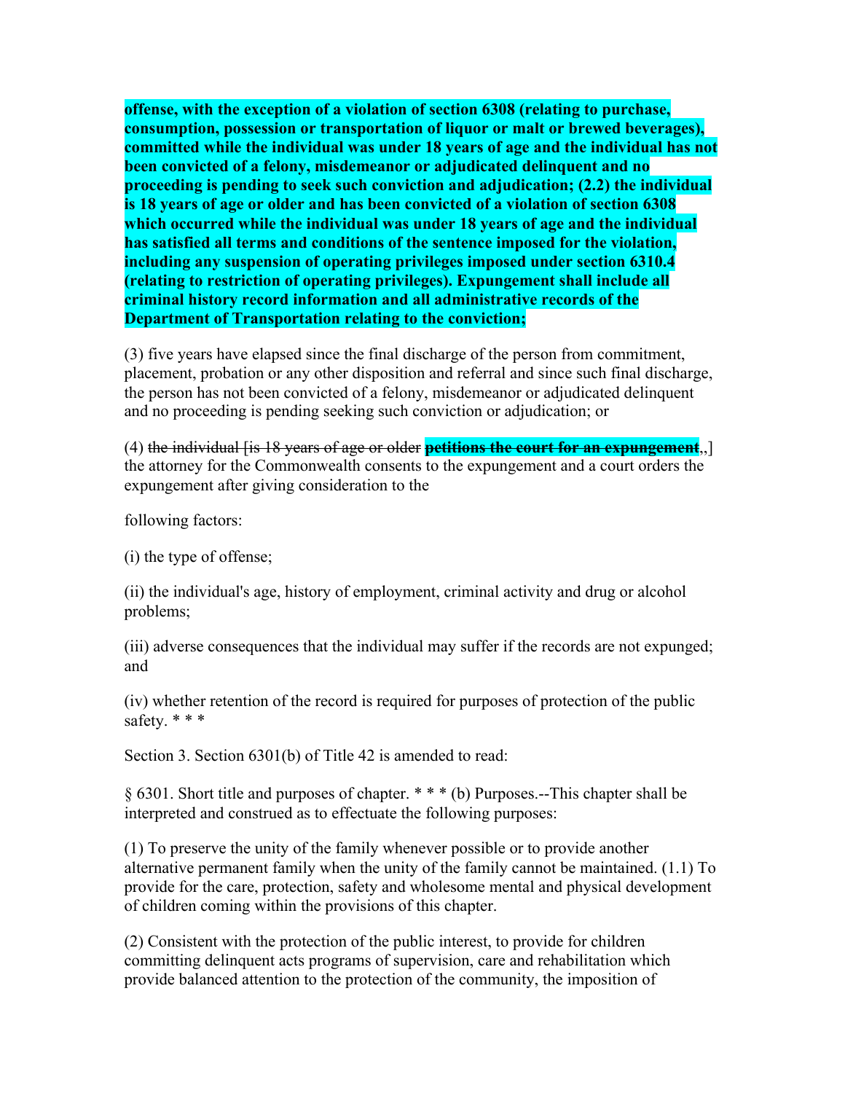**offense, with the exception of a violation of section 6308 (relating to purchase, consumption, possession or transportation of liquor or malt or brewed beverages), committed while the individual was under 18 years of age and the individual has not been convicted of a felony, misdemeanor or adjudicated delinquent and no proceeding is pending to seek such conviction and adjudication; (2.2) the individual is 18 years of age or older and has been convicted of a violation of section 6308 which occurred while the individual was under 18 years of age and the individual has satisfied all terms and conditions of the sentence imposed for the violation, including any suspension of operating privileges imposed under section 6310.4 (relating to restriction of operating privileges). Expungement shall include all criminal history record information and all administrative records of the Department of Transportation relating to the conviction;**

(3) five years have elapsed since the final discharge of the person from commitment, placement, probation or any other disposition and referral and since such final discharge, the person has not been convicted of a felony, misdemeanor or adjudicated delinquent and no proceeding is pending seeking such conviction or adjudication; or

(4) the individual [is 18 years of age or older **petitions the court for an expungement**,,] the attorney for the Commonwealth consents to the expungement and a court orders the expungement after giving consideration to the

following factors:

(i) the type of offense;

(ii) the individual's age, history of employment, criminal activity and drug or alcohol problems;

(iii) adverse consequences that the individual may suffer if the records are not expunged; and

(iv) whether retention of the record is required for purposes of protection of the public safety. \* \* \*

Section 3. Section 6301(b) of Title 42 is amended to read:

§ 6301. Short title and purposes of chapter. \* \* \* (b) Purposes.--This chapter shall be interpreted and construed as to effectuate the following purposes:

(1) To preserve the unity of the family whenever possible or to provide another alternative permanent family when the unity of the family cannot be maintained. (1.1) To provide for the care, protection, safety and wholesome mental and physical development of children coming within the provisions of this chapter.

(2) Consistent with the protection of the public interest, to provide for children committing delinquent acts programs of supervision, care and rehabilitation which provide balanced attention to the protection of the community, the imposition of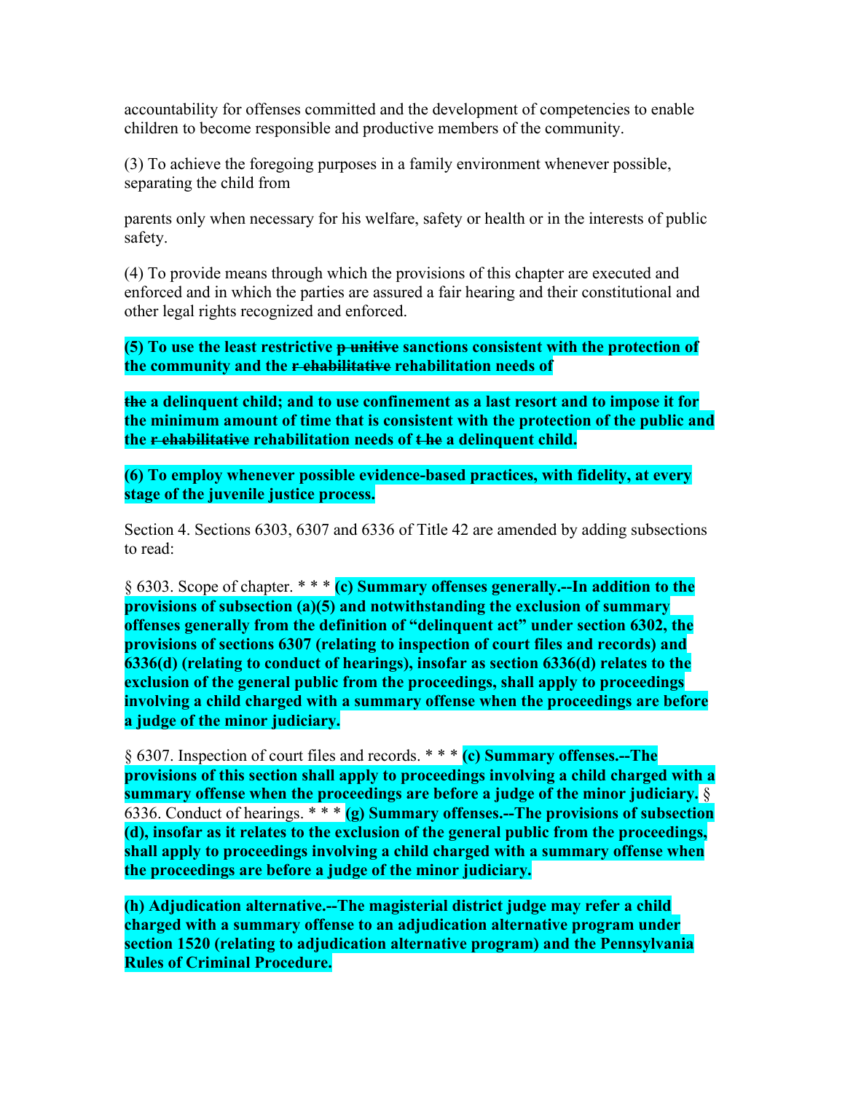accountability for offenses committed and the development of competencies to enable children to become responsible and productive members of the community.

(3) To achieve the foregoing purposes in a family environment whenever possible, separating the child from

parents only when necessary for his welfare, safety or health or in the interests of public safety.

(4) To provide means through which the provisions of this chapter are executed and enforced and in which the parties are assured a fair hearing and their constitutional and other legal rights recognized and enforced.

**(5) To use the least restrictive p unitive sanctions consistent with the protection of the community and the r ehabilitative rehabilitation needs of**

**the a delinquent child; and to use confinement as a last resort and to impose it for the minimum amount of time that is consistent with the protection of the public and the r ehabilitative rehabilitation needs of t he a delinquent child.**

**(6) To employ whenever possible evidence-based practices, with fidelity, at every stage of the juvenile justice process.**

Section 4. Sections 6303, 6307 and 6336 of Title 42 are amended by adding subsections to read:

§ 6303. Scope of chapter. \* \* \* **(c) Summary offenses generally.--In addition to the provisions of subsection (a)(5) and notwithstanding the exclusion of summary offenses generally from the definition of "delinquent act" under section 6302, the provisions of sections 6307 (relating to inspection of court files and records) and 6336(d) (relating to conduct of hearings), insofar as section 6336(d) relates to the exclusion of the general public from the proceedings, shall apply to proceedings involving a child charged with a summary offense when the proceedings are before a judge of the minor judiciary.**

§ 6307. Inspection of court files and records. \* \* \* **(c) Summary offenses.--The provisions of this section shall apply to proceedings involving a child charged with a summary offense when the proceedings are before a judge of the minor judiciary.** § 6336. Conduct of hearings. \* \* \* **(g) Summary offenses.--The provisions of subsection (d), insofar as it relates to the exclusion of the general public from the proceedings, shall apply to proceedings involving a child charged with a summary offense when the proceedings are before a judge of the minor judiciary.**

**(h) Adjudication alternative.--The magisterial district judge may refer a child charged with a summary offense to an adjudication alternative program under section 1520 (relating to adjudication alternative program) and the Pennsylvania Rules of Criminal Procedure.**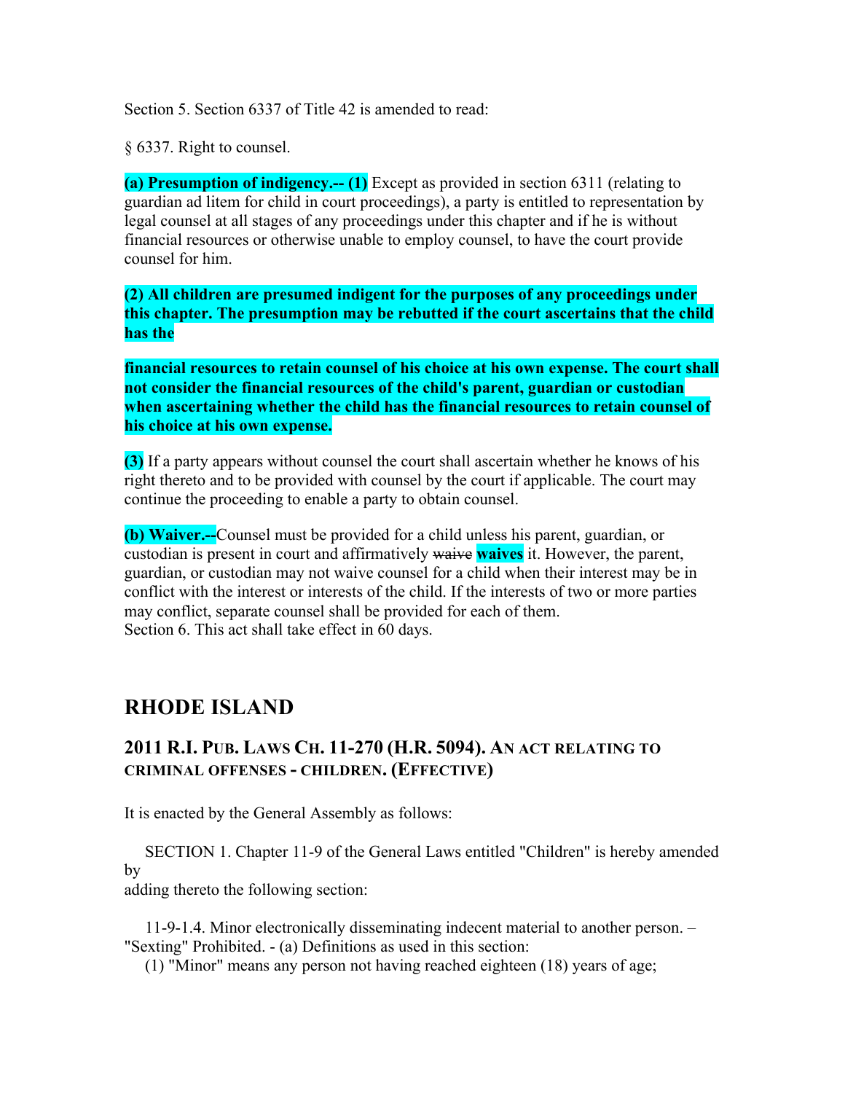Section 5. Section 6337 of Title 42 is amended to read:

§ 6337. Right to counsel.

**(a) Presumption of indigency.-- (1)** Except as provided in section 6311 (relating to guardian ad litem for child in court proceedings), a party is entitled to representation by legal counsel at all stages of any proceedings under this chapter and if he is without financial resources or otherwise unable to employ counsel, to have the court provide counsel for him.

**(2) All children are presumed indigent for the purposes of any proceedings under this chapter. The presumption may be rebutted if the court ascertains that the child has the**

**financial resources to retain counsel of his choice at his own expense. The court shall not consider the financial resources of the child's parent, guardian or custodian when ascertaining whether the child has the financial resources to retain counsel of his choice at his own expense.**

**(3)** If a party appears without counsel the court shall ascertain whether he knows of his right thereto and to be provided with counsel by the court if applicable. The court may continue the proceeding to enable a party to obtain counsel.

**(b) Waiver.--**Counsel must be provided for a child unless his parent, guardian, or custodian is present in court and affirmatively waive **waives** it. However, the parent, guardian, or custodian may not waive counsel for a child when their interest may be in conflict with the interest or interests of the child. If the interests of two or more parties may conflict, separate counsel shall be provided for each of them. Section 6. This act shall take effect in 60 days.

## **RHODE ISLAND**

### **2011 R.I. PUB. LAWS CH. 11-270 (H.R. 5094). AN ACT RELATING TO CRIMINAL OFFENSES - CHILDREN. (EFFECTIVE)**

It is enacted by the General Assembly as follows:

 SECTION 1. Chapter 11-9 of the General Laws entitled "Children" is hereby amended by

adding thereto the following section:

 11-9-1.4. Minor electronically disseminating indecent material to another person. – "Sexting" Prohibited. - (a) Definitions as used in this section:

(1) "Minor" means any person not having reached eighteen (18) years of age;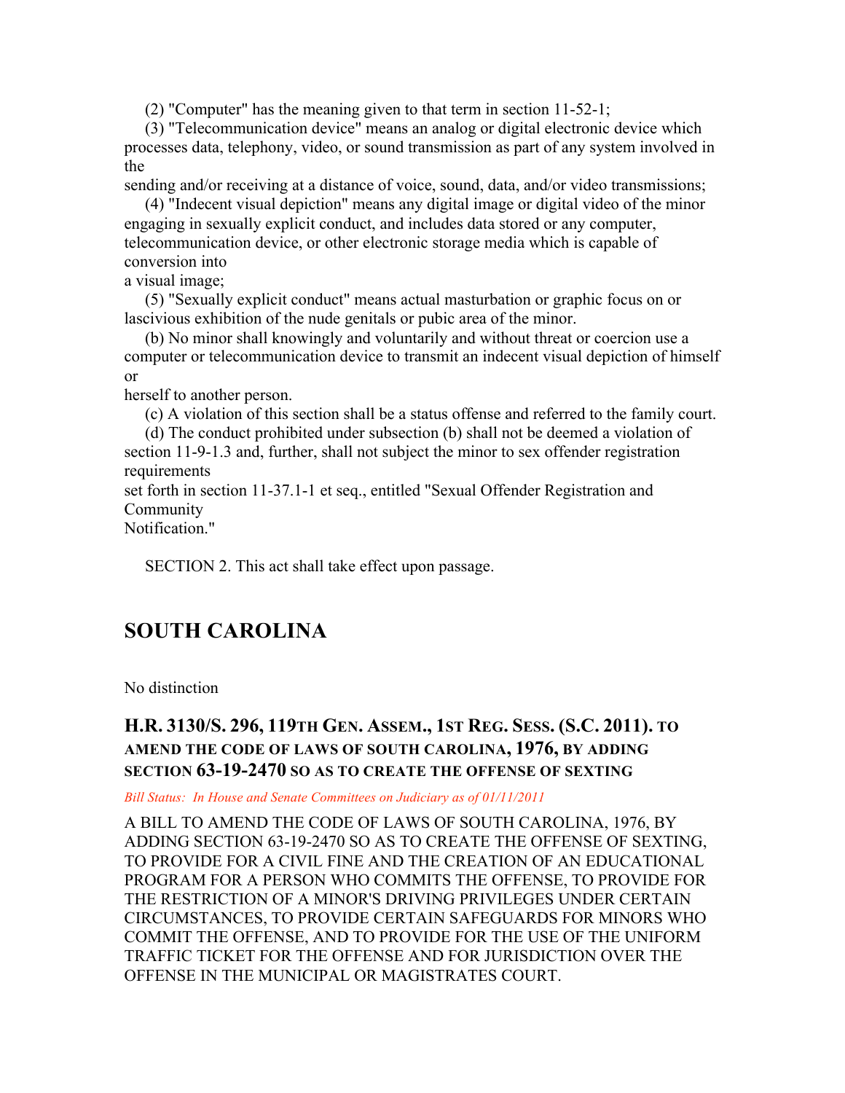(2) "Computer" has the meaning given to that term in section 11-52-1;

 (3) "Telecommunication device" means an analog or digital electronic device which processes data, telephony, video, or sound transmission as part of any system involved in the

sending and/or receiving at a distance of voice, sound, data, and/or video transmissions;

 (4) "Indecent visual depiction" means any digital image or digital video of the minor engaging in sexually explicit conduct, and includes data stored or any computer, telecommunication device, or other electronic storage media which is capable of conversion into

a visual image;

 (5) "Sexually explicit conduct" means actual masturbation or graphic focus on or lascivious exhibition of the nude genitals or pubic area of the minor.

 (b) No minor shall knowingly and voluntarily and without threat or coercion use a computer or telecommunication device to transmit an indecent visual depiction of himself or

herself to another person.

(c) A violation of this section shall be a status offense and referred to the family court.

 (d) The conduct prohibited under subsection (b) shall not be deemed a violation of section 11-9-1.3 and, further, shall not subject the minor to sex offender registration requirements

set forth in section 11-37.1-1 et seq., entitled "Sexual Offender Registration and Community

Notification."

SECTION 2. This act shall take effect upon passage.

## **SOUTH CAROLINA**

No distinction

### **H.R. 3130/S. 296, 119TH GEN. ASSEM., 1ST REG. SESS. (S.C. 2011). TO AMEND THE CODE OF LAWS OF SOUTH CAROLINA, 1976, BY ADDING SECTION 63-19-2470 SO AS TO CREATE THE OFFENSE OF SEXTING**

*Bill Status: In House and Senate Committees on Judiciary as of 01/11/2011*

A BILL TO AMEND THE CODE OF LAWS OF SOUTH CAROLINA, 1976, BY ADDING SECTION 63-19-2470 SO AS TO CREATE THE OFFENSE OF SEXTING, TO PROVIDE FOR A CIVIL FINE AND THE CREATION OF AN EDUCATIONAL PROGRAM FOR A PERSON WHO COMMITS THE OFFENSE, TO PROVIDE FOR THE RESTRICTION OF A MINOR'S DRIVING PRIVILEGES UNDER CERTAIN CIRCUMSTANCES, TO PROVIDE CERTAIN SAFEGUARDS FOR MINORS WHO COMMIT THE OFFENSE, AND TO PROVIDE FOR THE USE OF THE UNIFORM TRAFFIC TICKET FOR THE OFFENSE AND FOR JURISDICTION OVER THE OFFENSE IN THE MUNICIPAL OR MAGISTRATES COURT.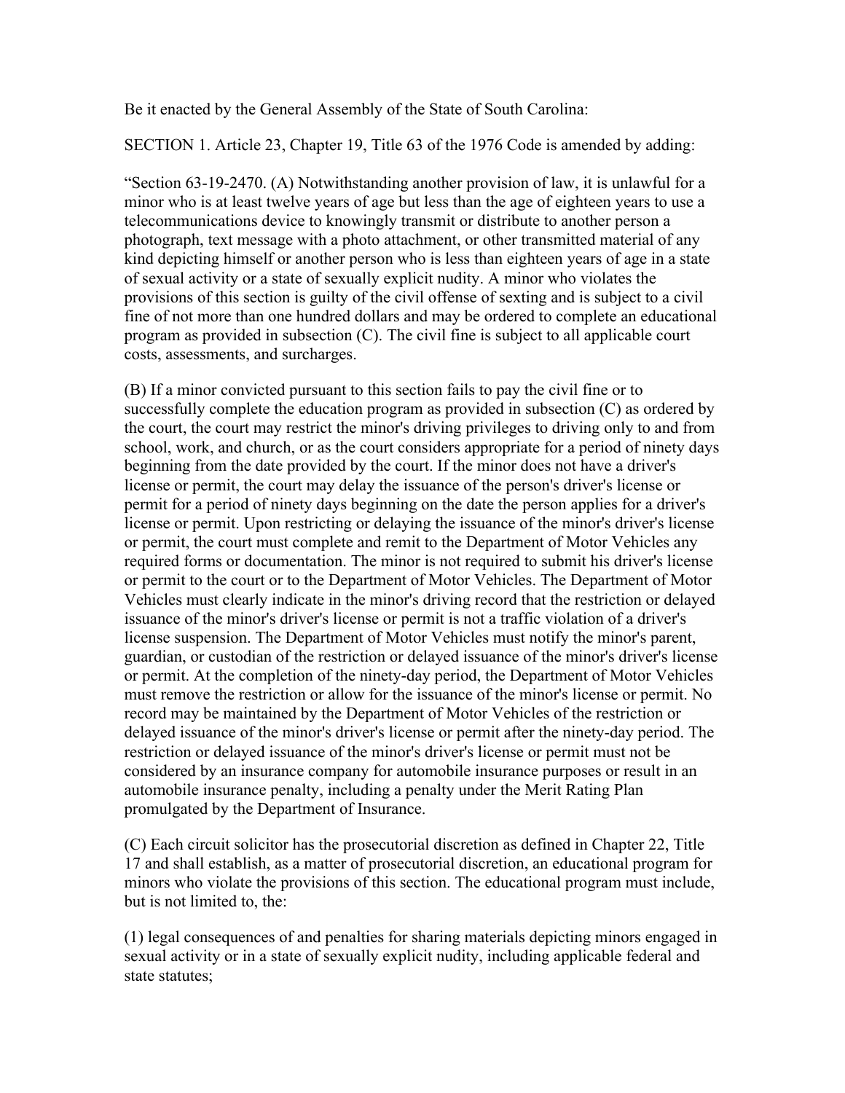Be it enacted by the General Assembly of the State of South Carolina:

SECTION 1. Article 23, Chapter 19, Title 63 of the 1976 Code is amended by adding:

"Section 63-19-2470. (A) Notwithstanding another provision of law, it is unlawful for a minor who is at least twelve years of age but less than the age of eighteen years to use a telecommunications device to knowingly transmit or distribute to another person a photograph, text message with a photo attachment, or other transmitted material of any kind depicting himself or another person who is less than eighteen years of age in a state of sexual activity or a state of sexually explicit nudity. A minor who violates the provisions of this section is guilty of the civil offense of sexting and is subject to a civil fine of not more than one hundred dollars and may be ordered to complete an educational program as provided in subsection (C). The civil fine is subject to all applicable court costs, assessments, and surcharges.

(B) If a minor convicted pursuant to this section fails to pay the civil fine or to successfully complete the education program as provided in subsection (C) as ordered by the court, the court may restrict the minor's driving privileges to driving only to and from school, work, and church, or as the court considers appropriate for a period of ninety days beginning from the date provided by the court. If the minor does not have a driver's license or permit, the court may delay the issuance of the person's driver's license or permit for a period of ninety days beginning on the date the person applies for a driver's license or permit. Upon restricting or delaying the issuance of the minor's driver's license or permit, the court must complete and remit to the Department of Motor Vehicles any required forms or documentation. The minor is not required to submit his driver's license or permit to the court or to the Department of Motor Vehicles. The Department of Motor Vehicles must clearly indicate in the minor's driving record that the restriction or delayed issuance of the minor's driver's license or permit is not a traffic violation of a driver's license suspension. The Department of Motor Vehicles must notify the minor's parent, guardian, or custodian of the restriction or delayed issuance of the minor's driver's license or permit. At the completion of the ninety-day period, the Department of Motor Vehicles must remove the restriction or allow for the issuance of the minor's license or permit. No record may be maintained by the Department of Motor Vehicles of the restriction or delayed issuance of the minor's driver's license or permit after the ninety-day period. The restriction or delayed issuance of the minor's driver's license or permit must not be considered by an insurance company for automobile insurance purposes or result in an automobile insurance penalty, including a penalty under the Merit Rating Plan promulgated by the Department of Insurance.

(C) Each circuit solicitor has the prosecutorial discretion as defined in Chapter 22, Title 17 and shall establish, as a matter of prosecutorial discretion, an educational program for minors who violate the provisions of this section. The educational program must include, but is not limited to, the:

(1) legal consequences of and penalties for sharing materials depicting minors engaged in sexual activity or in a state of sexually explicit nudity, including applicable federal and state statutes;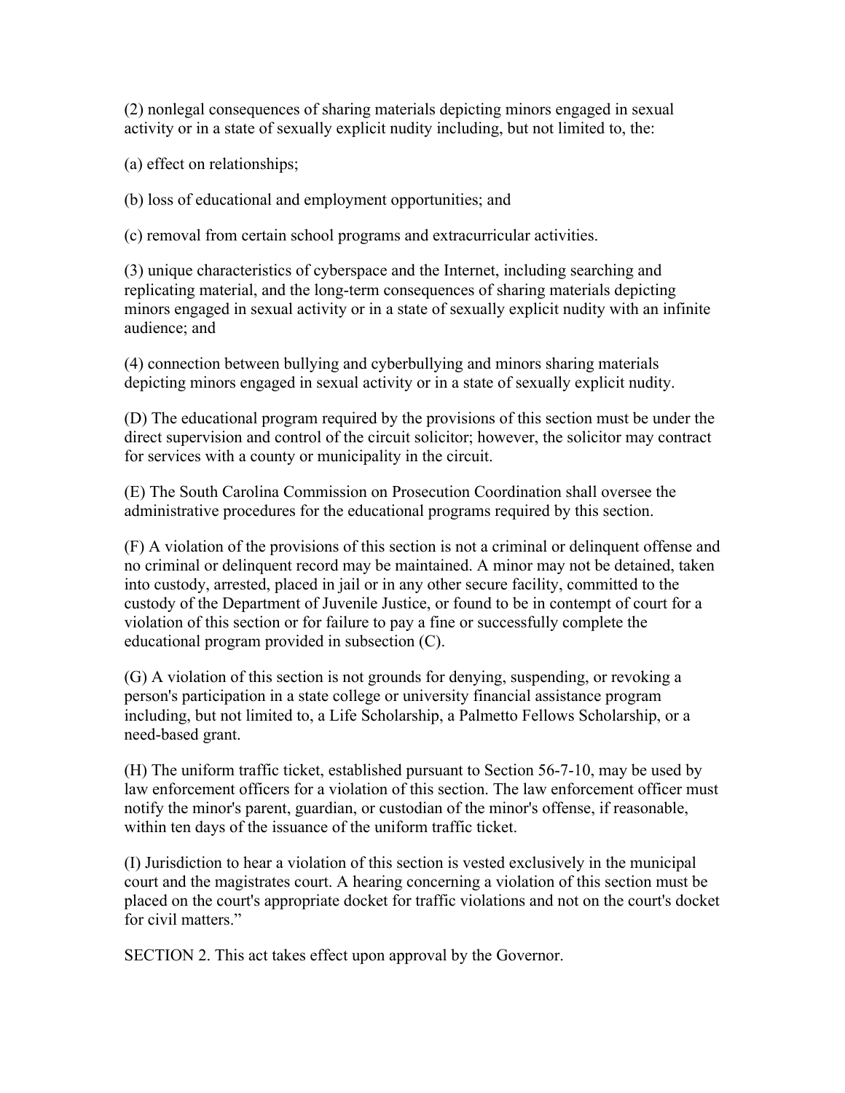(2) nonlegal consequences of sharing materials depicting minors engaged in sexual activity or in a state of sexually explicit nudity including, but not limited to, the:

(a) effect on relationships;

(b) loss of educational and employment opportunities; and

(c) removal from certain school programs and extracurricular activities.

(3) unique characteristics of cyberspace and the Internet, including searching and replicating material, and the long-term consequences of sharing materials depicting minors engaged in sexual activity or in a state of sexually explicit nudity with an infinite audience; and

(4) connection between bullying and cyberbullying and minors sharing materials depicting minors engaged in sexual activity or in a state of sexually explicit nudity.

(D) The educational program required by the provisions of this section must be under the direct supervision and control of the circuit solicitor; however, the solicitor may contract for services with a county or municipality in the circuit.

(E) The South Carolina Commission on Prosecution Coordination shall oversee the administrative procedures for the educational programs required by this section.

(F) A violation of the provisions of this section is not a criminal or delinquent offense and no criminal or delinquent record may be maintained. A minor may not be detained, taken into custody, arrested, placed in jail or in any other secure facility, committed to the custody of the Department of Juvenile Justice, or found to be in contempt of court for a violation of this section or for failure to pay a fine or successfully complete the educational program provided in subsection (C).

(G) A violation of this section is not grounds for denying, suspending, or revoking a person's participation in a state college or university financial assistance program including, but not limited to, a Life Scholarship, a Palmetto Fellows Scholarship, or a need-based grant.

(H) The uniform traffic ticket, established pursuant to Section 56-7-10, may be used by law enforcement officers for a violation of this section. The law enforcement officer must notify the minor's parent, guardian, or custodian of the minor's offense, if reasonable, within ten days of the issuance of the uniform traffic ticket.

(I) Jurisdiction to hear a violation of this section is vested exclusively in the municipal court and the magistrates court. A hearing concerning a violation of this section must be placed on the court's appropriate docket for traffic violations and not on the court's docket for civil matters."

SECTION 2. This act takes effect upon approval by the Governor.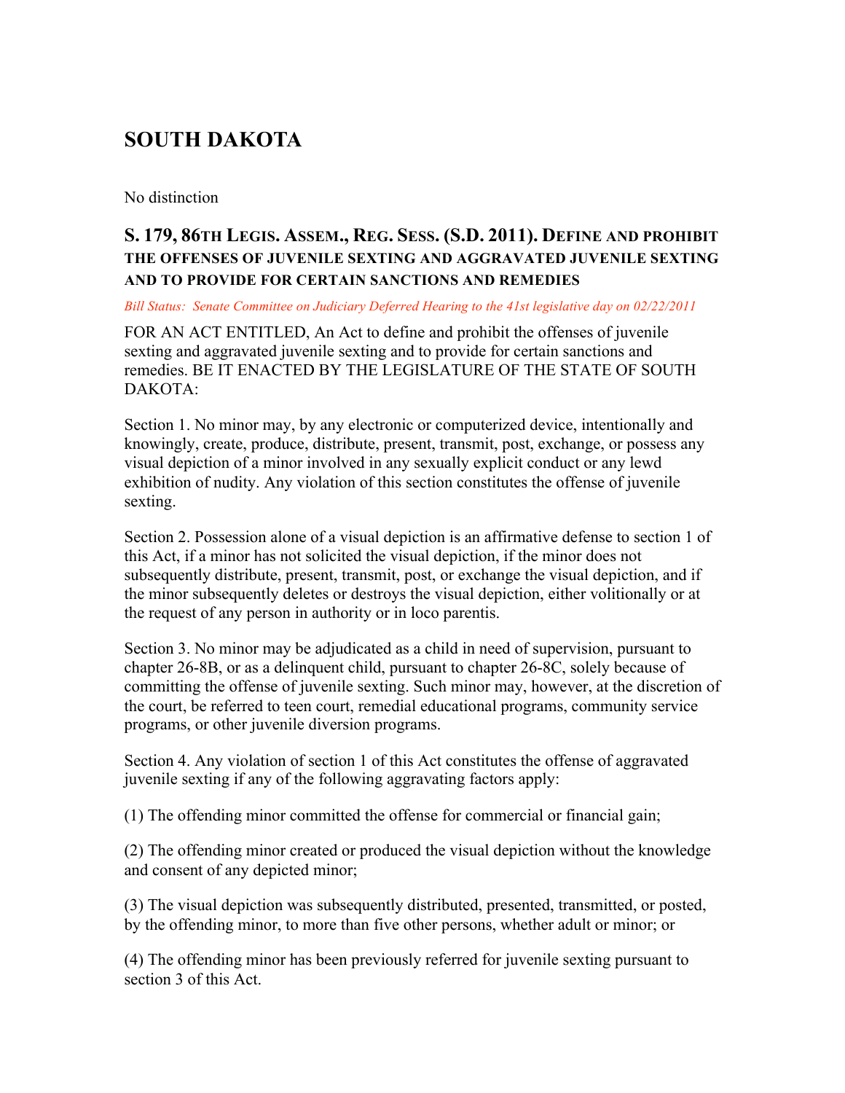## **SOUTH DAKOTA**

No distinction

### **S. 179, 86TH LEGIS. ASSEM., REG. SESS. (S.D. 2011). DEFINE AND PROHIBIT THE OFFENSES OF JUVENILE SEXTING AND AGGRAVATED JUVENILE SEXTING AND TO PROVIDE FOR CERTAIN SANCTIONS AND REMEDIES**

*Bill Status: Senate Committee on Judiciary Deferred Hearing to the 41st legislative day on 02/22/2011*

FOR AN ACT ENTITLED, An Act to define and prohibit the offenses of juvenile sexting and aggravated juvenile sexting and to provide for certain sanctions and remedies. BE IT ENACTED BY THE LEGISLATURE OF THE STATE OF SOUTH DAKOTA:

Section 1. No minor may, by any electronic or computerized device, intentionally and knowingly, create, produce, distribute, present, transmit, post, exchange, or possess any visual depiction of a minor involved in any sexually explicit conduct or any lewd exhibition of nudity. Any violation of this section constitutes the offense of juvenile sexting.

Section 2. Possession alone of a visual depiction is an affirmative defense to section 1 of this Act, if a minor has not solicited the visual depiction, if the minor does not subsequently distribute, present, transmit, post, or exchange the visual depiction, and if the minor subsequently deletes or destroys the visual depiction, either volitionally or at the request of any person in authority or in loco parentis.

Section 3. No minor may be adjudicated as a child in need of supervision, pursuant to chapter 26-8B, or as a delinquent child, pursuant to chapter 26-8C, solely because of committing the offense of juvenile sexting. Such minor may, however, at the discretion of the court, be referred to teen court, remedial educational programs, community service programs, or other juvenile diversion programs.

Section 4. Any violation of section 1 of this Act constitutes the offense of aggravated juvenile sexting if any of the following aggravating factors apply:

(1) The offending minor committed the offense for commercial or financial gain;

(2) The offending minor created or produced the visual depiction without the knowledge and consent of any depicted minor;

(3) The visual depiction was subsequently distributed, presented, transmitted, or posted, by the offending minor, to more than five other persons, whether adult or minor; or

(4) The offending minor has been previously referred for juvenile sexting pursuant to section 3 of this Act.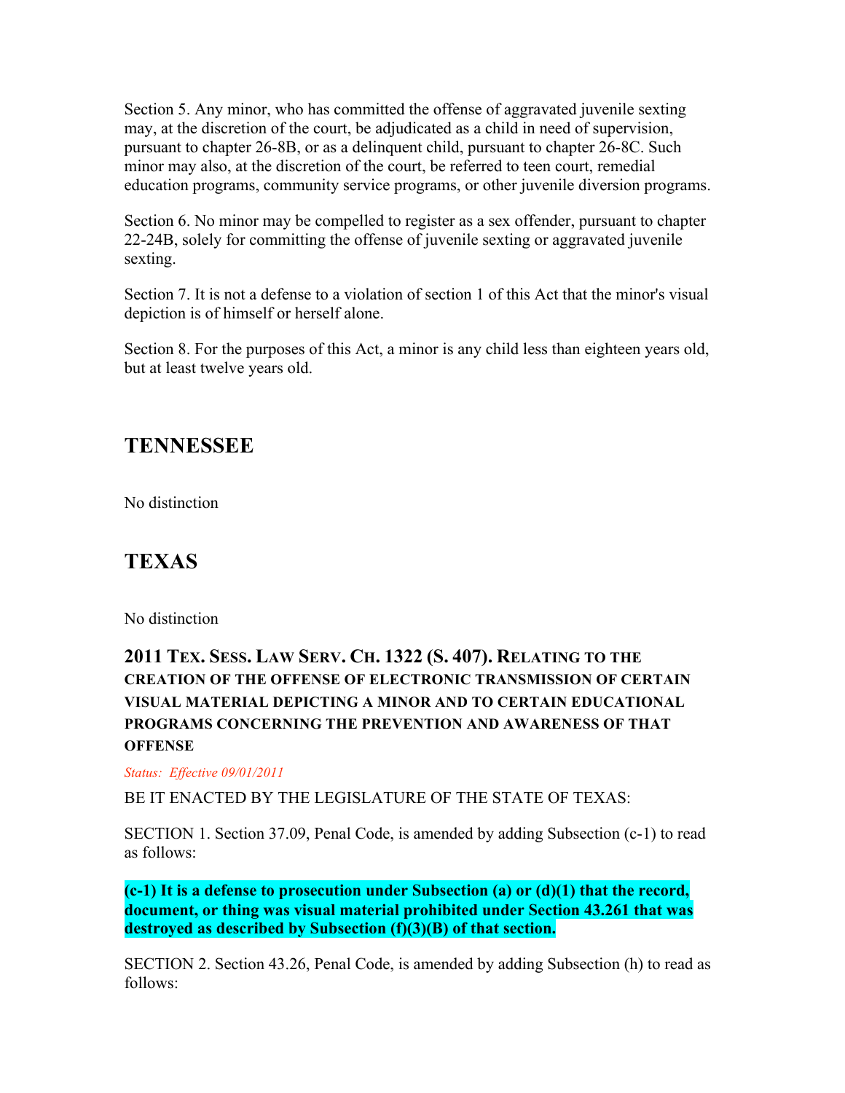Section 5. Any minor, who has committed the offense of aggravated juvenile sexting may, at the discretion of the court, be adjudicated as a child in need of supervision, pursuant to chapter 26-8B, or as a delinquent child, pursuant to chapter 26-8C. Such minor may also, at the discretion of the court, be referred to teen court, remedial education programs, community service programs, or other juvenile diversion programs.

Section 6. No minor may be compelled to register as a sex offender, pursuant to chapter 22-24B, solely for committing the offense of juvenile sexting or aggravated juvenile sexting.

Section 7. It is not a defense to a violation of section 1 of this Act that the minor's visual depiction is of himself or herself alone.

Section 8. For the purposes of this Act, a minor is any child less than eighteen years old, but at least twelve years old.

## **TENNESSEE**

No distinction

# **TEXAS**

No distinction

### **2011 TEX. SESS. LAW SERV. CH. 1322 (S. 407). RELATING TO THE CREATION OF THE OFFENSE OF ELECTRONIC TRANSMISSION OF CERTAIN VISUAL MATERIAL DEPICTING A MINOR AND TO CERTAIN EDUCATIONAL PROGRAMS CONCERNING THE PREVENTION AND AWARENESS OF THAT OFFENSE**

*Status: Effective 09/01/2011*

BE IT ENACTED BY THE LEGISLATURE OF THE STATE OF TEXAS:

SECTION 1. Section 37.09, Penal Code, is amended by adding Subsection (c-1) to read as follows:

**(c-1) It is a defense to prosecution under Subsection (a) or (d)(1) that the record, document, or thing was visual material prohibited under Section 43.261 that was destroyed as described by Subsection (f)(3)(B) of that section.**

SECTION 2. Section 43.26, Penal Code, is amended by adding Subsection (h) to read as follows: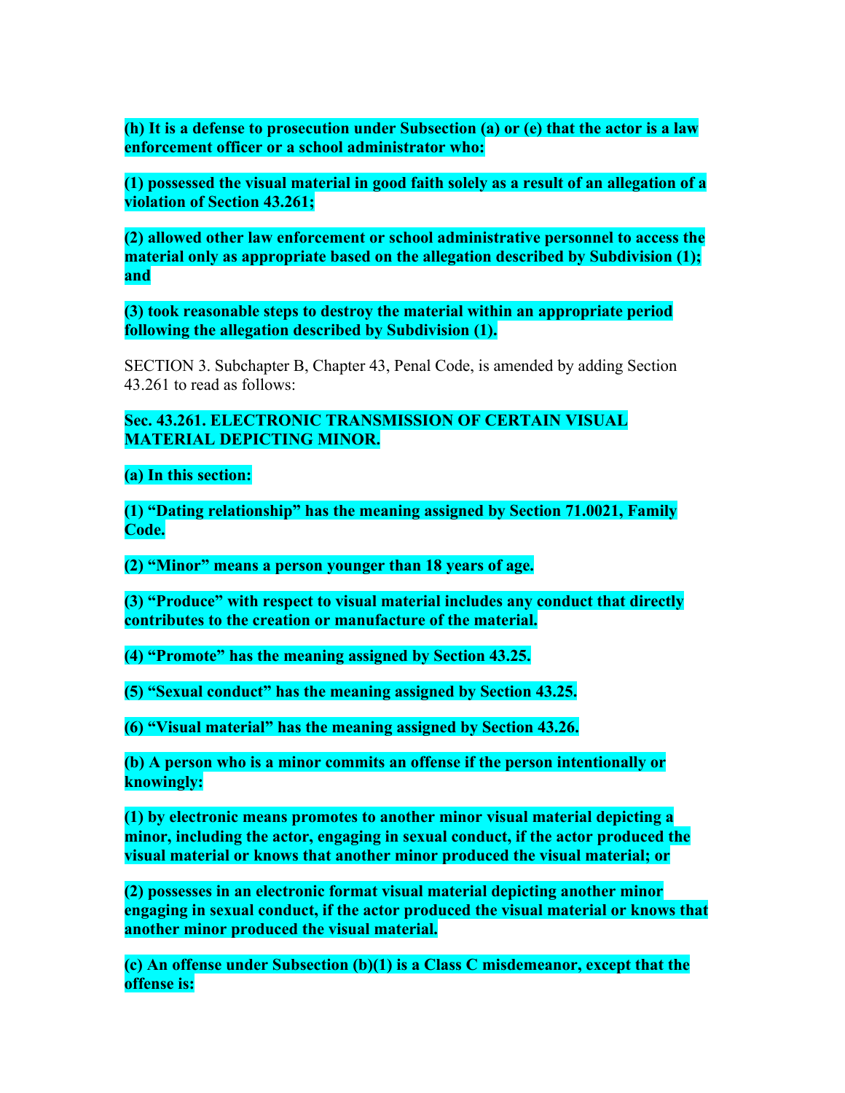**(h) It is a defense to prosecution under Subsection (a) or (e) that the actor is a law enforcement officer or a school administrator who:**

**(1) possessed the visual material in good faith solely as a result of an allegation of a violation of Section 43.261;**

**(2) allowed other law enforcement or school administrative personnel to access the material only as appropriate based on the allegation described by Subdivision (1); and**

**(3) took reasonable steps to destroy the material within an appropriate period following the allegation described by Subdivision (1).**

SECTION 3. Subchapter B, Chapter 43, Penal Code, is amended by adding Section 43.261 to read as follows:

**Sec. 43.261. ELECTRONIC TRANSMISSION OF CERTAIN VISUAL MATERIAL DEPICTING MINOR.**

**(a) In this section:**

**(1) "Dating relationship" has the meaning assigned by Section 71.0021, Family Code.**

**(2) "Minor" means a person younger than 18 years of age.**

**(3) "Produce" with respect to visual material includes any conduct that directly contributes to the creation or manufacture of the material.**

**(4) "Promote" has the meaning assigned by Section 43.25.**

**(5) "Sexual conduct" has the meaning assigned by Section 43.25.**

**(6) "Visual material" has the meaning assigned by Section 43.26.**

**(b) A person who is a minor commits an offense if the person intentionally or knowingly:**

**(1) by electronic means promotes to another minor visual material depicting a minor, including the actor, engaging in sexual conduct, if the actor produced the visual material or knows that another minor produced the visual material; or**

**(2) possesses in an electronic format visual material depicting another minor engaging in sexual conduct, if the actor produced the visual material or knows that another minor produced the visual material.**

**(c) An offense under Subsection (b)(1) is a Class C misdemeanor, except that the offense is:**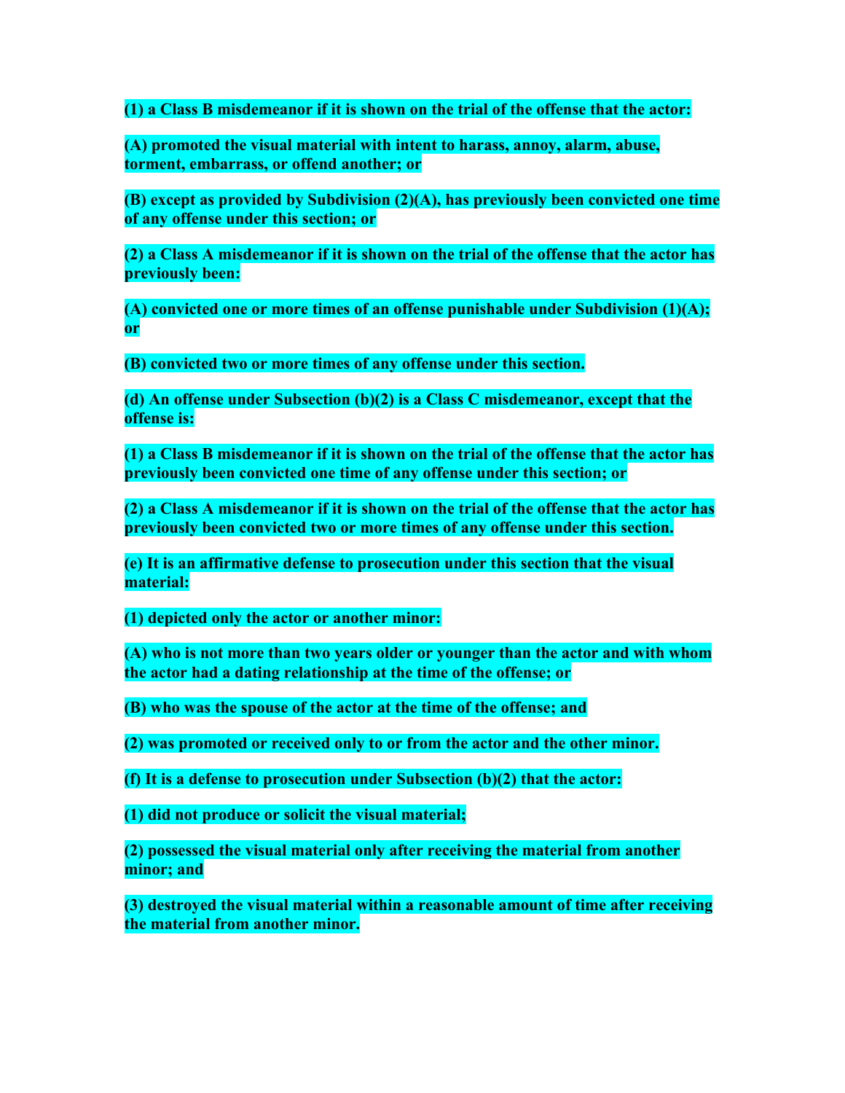**(1) a Class B misdemeanor if it is shown on the trial of the offense that the actor:**

**(A) promoted the visual material with intent to harass, annoy, alarm, abuse, torment, embarrass, or offend another; or**

**(B) except as provided by Subdivision (2)(A), has previously been convicted one time of any offense under this section; or**

**(2) a Class A misdemeanor if it is shown on the trial of the offense that the actor has previously been:**

**(A) convicted one or more times of an offense punishable under Subdivision (1)(A); or**

**(B) convicted two or more times of any offense under this section.**

**(d) An offense under Subsection (b)(2) is a Class C misdemeanor, except that the offense is:**

**(1) a Class B misdemeanor if it is shown on the trial of the offense that the actor has previously been convicted one time of any offense under this section; or**

**(2) a Class A misdemeanor if it is shown on the trial of the offense that the actor has previously been convicted two or more times of any offense under this section.**

**(e) It is an affirmative defense to prosecution under this section that the visual material:**

**(1) depicted only the actor or another minor:**

**(A) who is not more than two years older or younger than the actor and with whom the actor had a dating relationship at the time of the offense; or**

**(B) who was the spouse of the actor at the time of the offense; and**

**(2) was promoted or received only to or from the actor and the other minor.**

**(f) It is a defense to prosecution under Subsection (b)(2) that the actor:**

**(1) did not produce or solicit the visual material;**

**(2) possessed the visual material only after receiving the material from another minor; and**

**(3) destroyed the visual material within a reasonable amount of time after receiving the material from another minor.**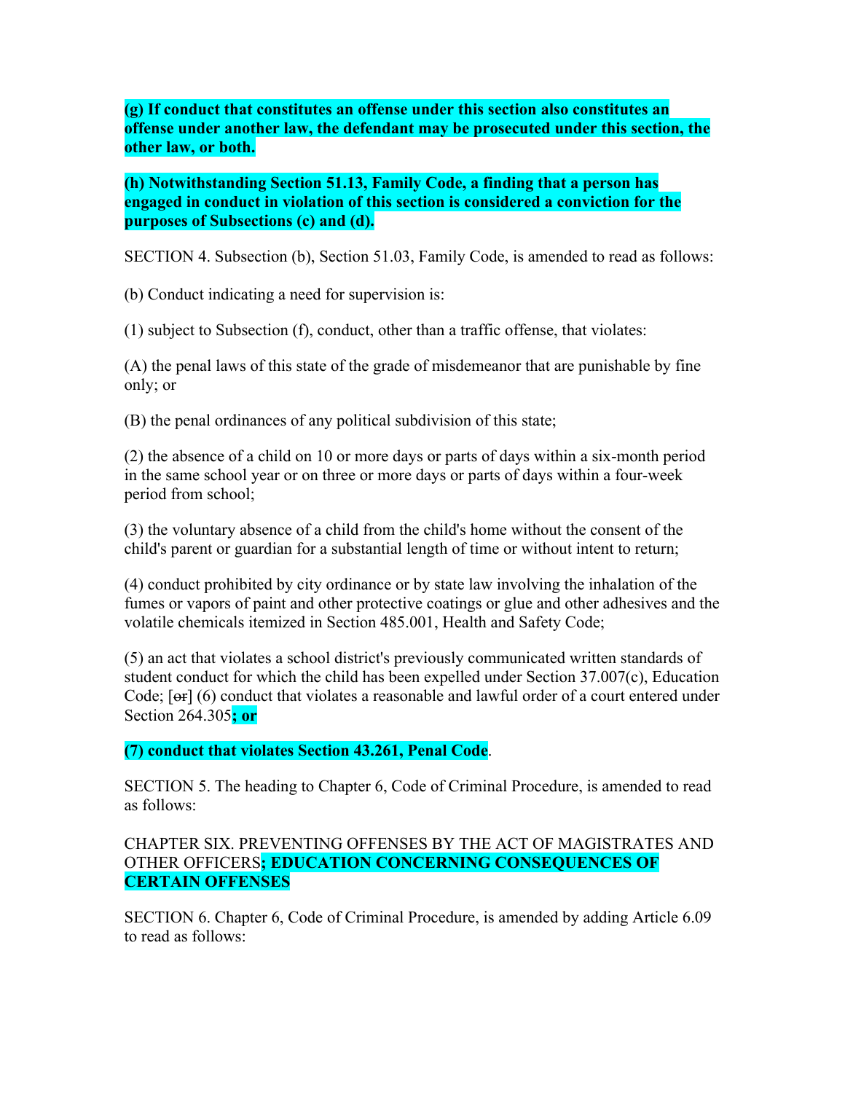**(g) If conduct that constitutes an offense under this section also constitutes an offense under another law, the defendant may be prosecuted under this section, the other law, or both.**

**(h) Notwithstanding Section 51.13, Family Code, a finding that a person has engaged in conduct in violation of this section is considered a conviction for the purposes of Subsections (c) and (d).**

SECTION 4. Subsection (b), Section 51.03, Family Code, is amended to read as follows:

(b) Conduct indicating a need for supervision is:

(1) subject to Subsection (f), conduct, other than a traffic offense, that violates:

(A) the penal laws of this state of the grade of misdemeanor that are punishable by fine only; or

(B) the penal ordinances of any political subdivision of this state;

(2) the absence of a child on 10 or more days or parts of days within a six-month period in the same school year or on three or more days or parts of days within a four-week period from school;

(3) the voluntary absence of a child from the child's home without the consent of the child's parent or guardian for a substantial length of time or without intent to return;

(4) conduct prohibited by city ordinance or by state law involving the inhalation of the fumes or vapors of paint and other protective coatings or glue and other adhesives and the volatile chemicals itemized in Section 485.001, Health and Safety Code;

(5) an act that violates a school district's previously communicated written standards of student conduct for which the child has been expelled under Section 37.007(c), Education Code; [ $\Theta$ ] (6) conduct that violates a reasonable and lawful order of a court entered under Section 264.305**; or**

**(7) conduct that violates Section 43.261, Penal Code**.

SECTION 5. The heading to Chapter 6, Code of Criminal Procedure, is amended to read as follows:

CHAPTER SIX. PREVENTING OFFENSES BY THE ACT OF MAGISTRATES AND OTHER OFFICERS**; EDUCATION CONCERNING CONSEQUENCES OF CERTAIN OFFENSES**

SECTION 6. Chapter 6, Code of Criminal Procedure, is amended by adding Article 6.09 to read as follows: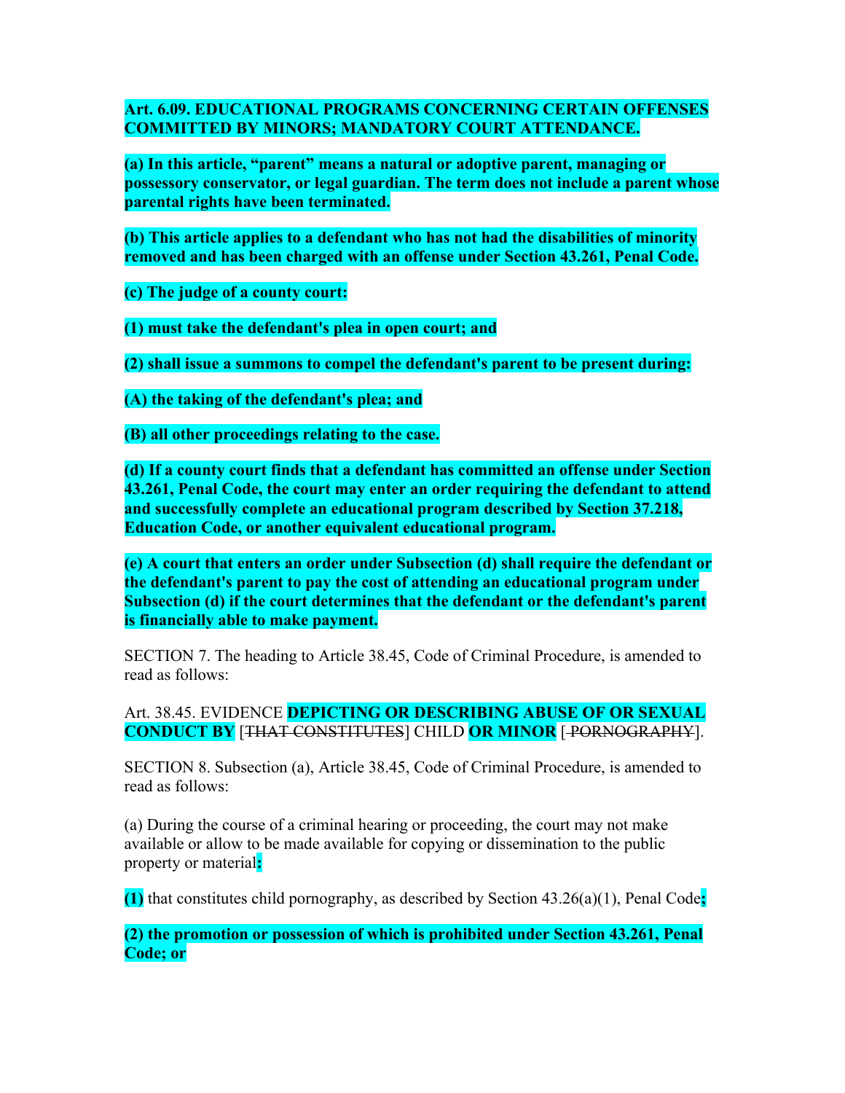### **Art. 6.09. EDUCATIONAL PROGRAMS CONCERNING CERTAIN OFFENSES COMMITTED BY MINORS; MANDATORY COURT ATTENDANCE.**

**(a) In this article, "parent" means a natural or adoptive parent, managing or possessory conservator, or legal guardian. The term does not include a parent whose parental rights have been terminated.**

**(b) This article applies to a defendant who has not had the disabilities of minority removed and has been charged with an offense under Section 43.261, Penal Code.**

**(c) The judge of a county court:**

**(1) must take the defendant's plea in open court; and**

**(2) shall issue a summons to compel the defendant's parent to be present during:**

**(A) the taking of the defendant's plea; and**

**(B) all other proceedings relating to the case.**

**(d) If a county court finds that a defendant has committed an offense under Section 43.261, Penal Code, the court may enter an order requiring the defendant to attend and successfully complete an educational program described by Section 37.218, Education Code, or another equivalent educational program.**

**(e) A court that enters an order under Subsection (d) shall require the defendant or the defendant's parent to pay the cost of attending an educational program under Subsection (d) if the court determines that the defendant or the defendant's parent is financially able to make payment.**

SECTION 7. The heading to Article 38.45, Code of Criminal Procedure, is amended to read as follows:

Art. 38.45. EVIDENCE **DEPICTING OR DESCRIBING ABUSE OF OR SEXUAL CONDUCT BY** [THAT CONSTITUTES] CHILD **OR MINOR** [ PORNOGRAPHY].

SECTION 8. Subsection (a), Article 38.45, Code of Criminal Procedure, is amended to read as follows:

(a) During the course of a criminal hearing or proceeding, the court may not make available or allow to be made available for copying or dissemination to the public property or material**:**

**(1)** that constitutes child pornography, as described by Section 43.26(a)(1), Penal Code**;**

**(2) the promotion or possession of which is prohibited under Section 43.261, Penal Code; or**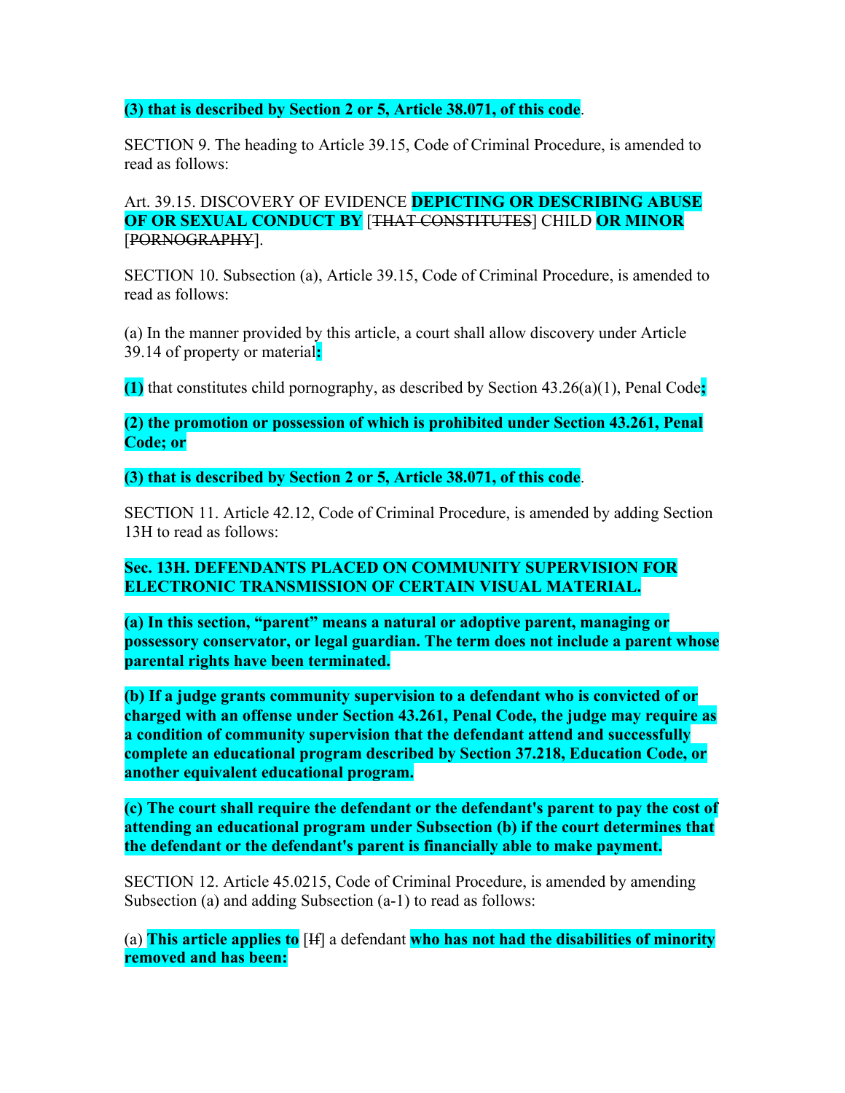**(3) that is described by Section 2 or 5, Article 38.071, of this code**.

SECTION 9. The heading to Article 39.15, Code of Criminal Procedure, is amended to read as follows:

Art. 39.15. DISCOVERY OF EVIDENCE **DEPICTING OR DESCRIBING ABUSE OF OR SEXUAL CONDUCT BY** [THAT CONSTITUTES] CHILD **OR MINOR** [PORNOGRAPHY].

SECTION 10. Subsection (a), Article 39.15, Code of Criminal Procedure, is amended to read as follows:

(a) In the manner provided by this article, a court shall allow discovery under Article 39.14 of property or material**:**

**(1)** that constitutes child pornography, as described by Section 43.26(a)(1), Penal Code**;**

**(2) the promotion or possession of which is prohibited under Section 43.261, Penal Code; or**

**(3) that is described by Section 2 or 5, Article 38.071, of this code**.

SECTION 11. Article 42.12, Code of Criminal Procedure, is amended by adding Section 13H to read as follows:

### **Sec. 13H. DEFENDANTS PLACED ON COMMUNITY SUPERVISION FOR ELECTRONIC TRANSMISSION OF CERTAIN VISUAL MATERIAL.**

**(a) In this section, "parent" means a natural or adoptive parent, managing or possessory conservator, or legal guardian. The term does not include a parent whose parental rights have been terminated.**

**(b) If a judge grants community supervision to a defendant who is convicted of or charged with an offense under Section 43.261, Penal Code, the judge may require as a condition of community supervision that the defendant attend and successfully complete an educational program described by Section 37.218, Education Code, or another equivalent educational program.**

**(c) The court shall require the defendant or the defendant's parent to pay the cost of attending an educational program under Subsection (b) if the court determines that the defendant or the defendant's parent is financially able to make payment.**

SECTION 12. Article 45.0215, Code of Criminal Procedure, is amended by amending Subsection (a) and adding Subsection (a-1) to read as follows:

(a) **This article applies to** [If] a defendant **who has not had the disabilities of minority removed and has been:**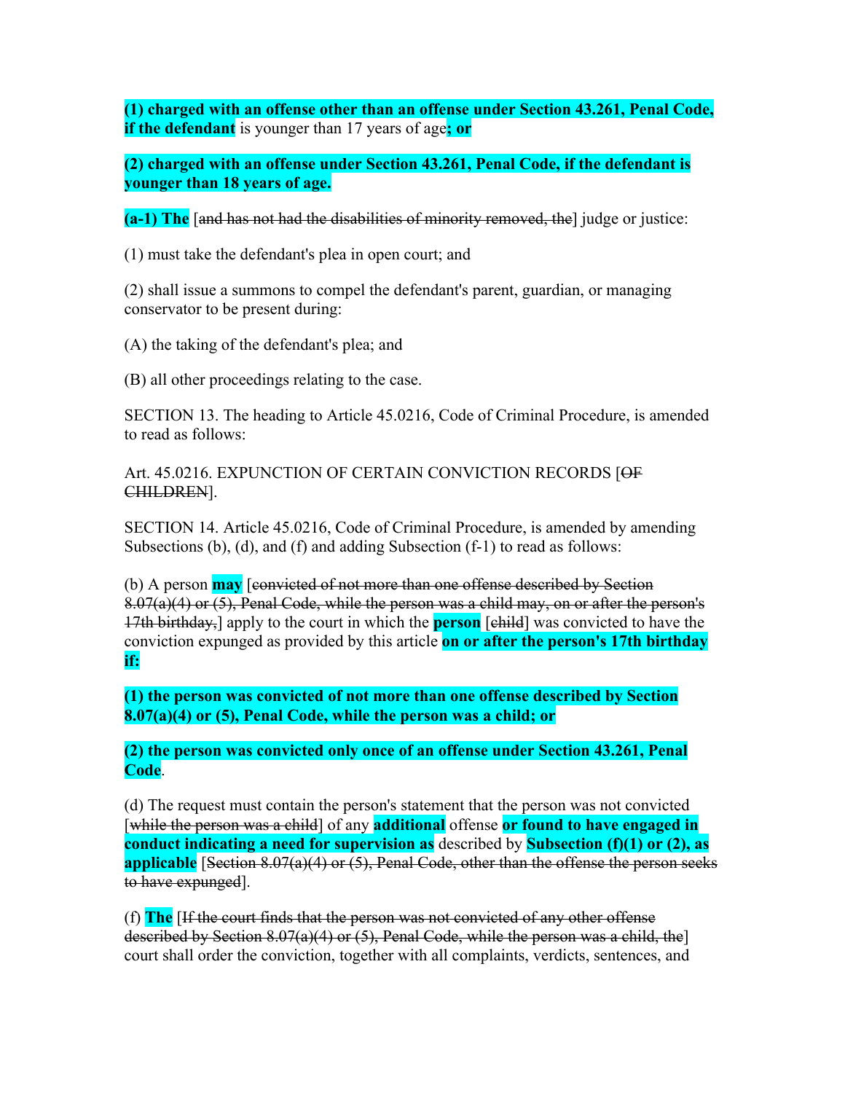**(1) charged with an offense other than an offense under Section 43.261, Penal Code, if the defendant** is younger than 17 years of age**; or**

**(2) charged with an offense under Section 43.261, Penal Code, if the defendant is younger than 18 years of age.**

**(a-1) The** [and has not had the disabilities of minority removed, the] judge or justice:

(1) must take the defendant's plea in open court; and

(2) shall issue a summons to compel the defendant's parent, guardian, or managing conservator to be present during:

(A) the taking of the defendant's plea; and

(B) all other proceedings relating to the case.

SECTION 13. The heading to Article 45.0216, Code of Criminal Procedure, is amended to read as follows:

Art. 45.0216. EXPUNCTION OF CERTAIN CONVICTION RECORDS [OF CHILDREN].

SECTION 14. Article 45.0216, Code of Criminal Procedure, is amended by amending Subsections (b), (d), and (f) and adding Subsection (f-1) to read as follows:

(b) A person **may** [convicted of not more than one offense described by Section 8.07(a)(4) or (5), Penal Code, while the person was a child may, on or after the person's 17th birthday,] apply to the court in which the **person** [child] was convicted to have the conviction expunged as provided by this article **on or after the person's 17th birthday if:**

**(1) the person was convicted of not more than one offense described by Section 8.07(a)(4) or (5), Penal Code, while the person was a child; or**

**(2) the person was convicted only once of an offense under Section 43.261, Penal Code**.

(d) The request must contain the person's statement that the person was not convicted [while the person was a child] of any **additional** offense **or found to have engaged in conduct indicating a need for supervision as** described by **Subsection (f)(1) or (2), as applicable** [Section 8.07(a)(4) or (5), Penal Code, other than the offense the person seeks to have expunged].

(f) **The** [If the court finds that the person was not convicted of any other offense described by Section  $8.07(a)(4)$  or  $(5)$ , Penal Code, while the person was a child, the court shall order the conviction, together with all complaints, verdicts, sentences, and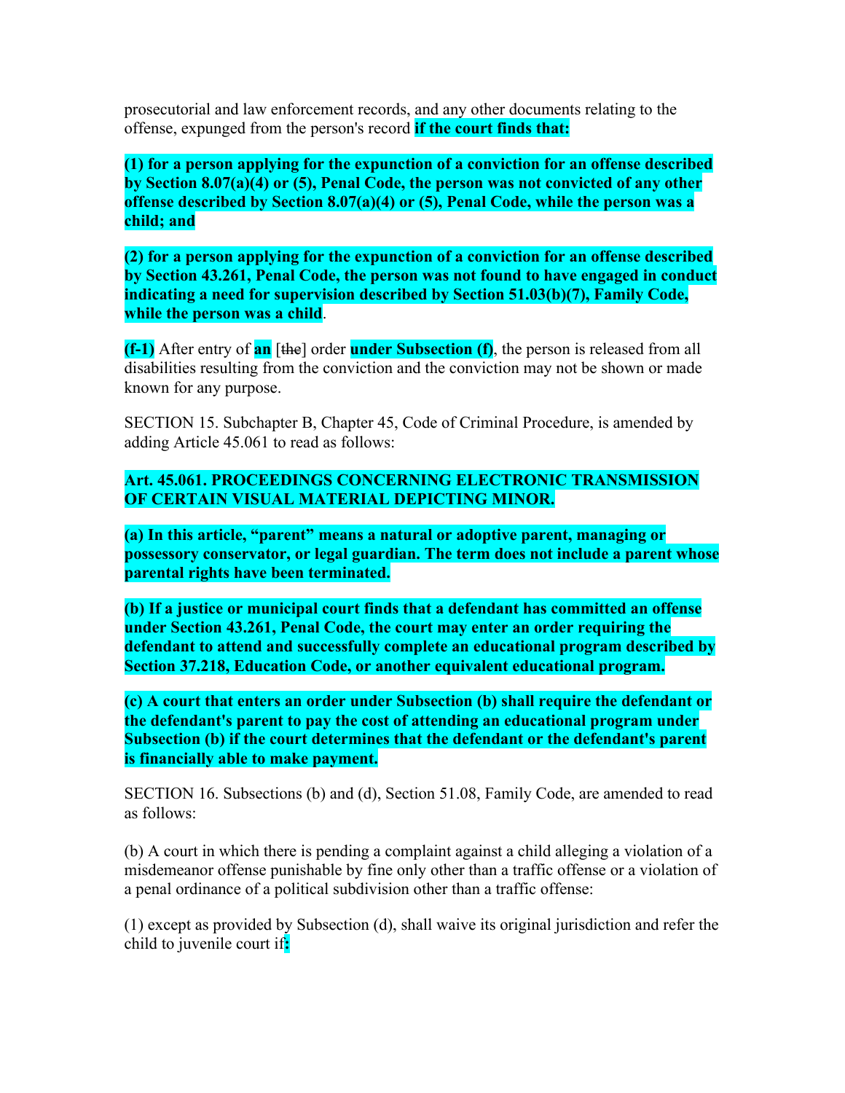prosecutorial and law enforcement records, and any other documents relating to the offense, expunged from the person's record **if the court finds that:**

**(1) for a person applying for the expunction of a conviction for an offense described by Section 8.07(a)(4) or (5), Penal Code, the person was not convicted of any other offense described by Section 8.07(a)(4) or (5), Penal Code, while the person was a child; and**

**(2) for a person applying for the expunction of a conviction for an offense described by Section 43.261, Penal Code, the person was not found to have engaged in conduct indicating a need for supervision described by Section 51.03(b)(7), Family Code, while the person was a child**.

**(f-1)** After entry of **an** [the] order **under Subsection (f)**, the person is released from all disabilities resulting from the conviction and the conviction may not be shown or made known for any purpose.

SECTION 15. Subchapter B, Chapter 45, Code of Criminal Procedure, is amended by adding Article 45.061 to read as follows:

### **Art. 45.061. PROCEEDINGS CONCERNING ELECTRONIC TRANSMISSION OF CERTAIN VISUAL MATERIAL DEPICTING MINOR.**

**(a) In this article, "parent" means a natural or adoptive parent, managing or possessory conservator, or legal guardian. The term does not include a parent whose parental rights have been terminated.**

**(b) If a justice or municipal court finds that a defendant has committed an offense under Section 43.261, Penal Code, the court may enter an order requiring the defendant to attend and successfully complete an educational program described by Section 37.218, Education Code, or another equivalent educational program.**

**(c) A court that enters an order under Subsection (b) shall require the defendant or the defendant's parent to pay the cost of attending an educational program under Subsection (b) if the court determines that the defendant or the defendant's parent is financially able to make payment.**

SECTION 16. Subsections (b) and (d), Section 51.08, Family Code, are amended to read as follows:

(b) A court in which there is pending a complaint against a child alleging a violation of a misdemeanor offense punishable by fine only other than a traffic offense or a violation of a penal ordinance of a political subdivision other than a traffic offense:

(1) except as provided by Subsection (d), shall waive its original jurisdiction and refer the child to juvenile court if**:**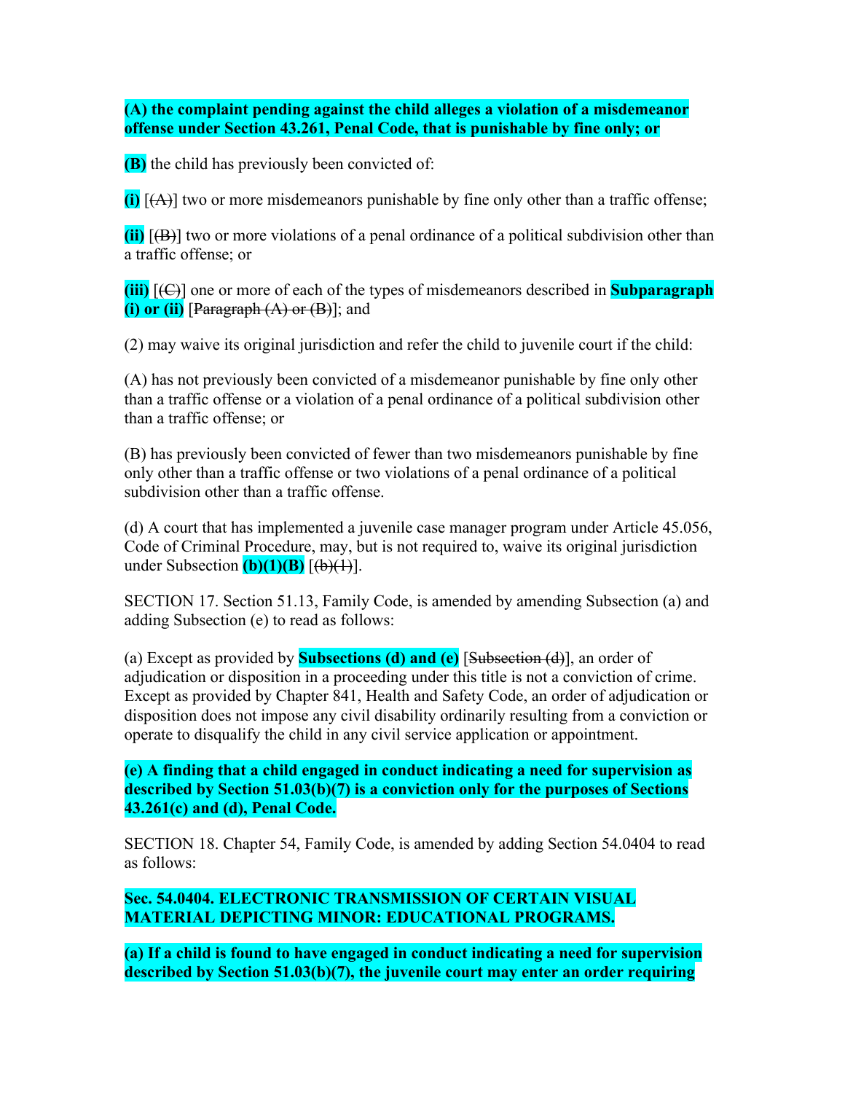**(A) the complaint pending against the child alleges a violation of a misdemeanor offense under Section 43.261, Penal Code, that is punishable by fine only; or**

**(B)** the child has previously been convicted of:

**(i)** [(A)] two or more misdemeanors punishable by fine only other than a traffic offense;

**(ii)** [(B)] two or more violations of a penal ordinance of a political subdivision other than a traffic offense; or

**(iii)** [(C)] one or more of each of the types of misdemeanors described in **Subparagraph (i) or (ii)** [Paragraph (A) or (B)]; and

(2) may waive its original jurisdiction and refer the child to juvenile court if the child:

(A) has not previously been convicted of a misdemeanor punishable by fine only other than a traffic offense or a violation of a penal ordinance of a political subdivision other than a traffic offense; or

(B) has previously been convicted of fewer than two misdemeanors punishable by fine only other than a traffic offense or two violations of a penal ordinance of a political subdivision other than a traffic offense.

(d) A court that has implemented a juvenile case manager program under Article 45.056, Code of Criminal Procedure, may, but is not required to, waive its original jurisdiction under Subsection  $(b)(1)(B)$   $(\theta)(1)$ ].

SECTION 17. Section 51.13, Family Code, is amended by amending Subsection (a) and adding Subsection (e) to read as follows:

(a) Except as provided by **Subsections (d) and (e)** [Subsection (d)], an order of adjudication or disposition in a proceeding under this title is not a conviction of crime. Except as provided by Chapter 841, Health and Safety Code, an order of adjudication or disposition does not impose any civil disability ordinarily resulting from a conviction or operate to disqualify the child in any civil service application or appointment.

**(e) A finding that a child engaged in conduct indicating a need for supervision as described by Section 51.03(b)(7) is a conviction only for the purposes of Sections 43.261(c) and (d), Penal Code.**

SECTION 18. Chapter 54, Family Code, is amended by adding Section 54.0404 to read as follows:

**Sec. 54.0404. ELECTRONIC TRANSMISSION OF CERTAIN VISUAL MATERIAL DEPICTING MINOR: EDUCATIONAL PROGRAMS.**

**(a) If a child is found to have engaged in conduct indicating a need for supervision described by Section 51.03(b)(7), the juvenile court may enter an order requiring**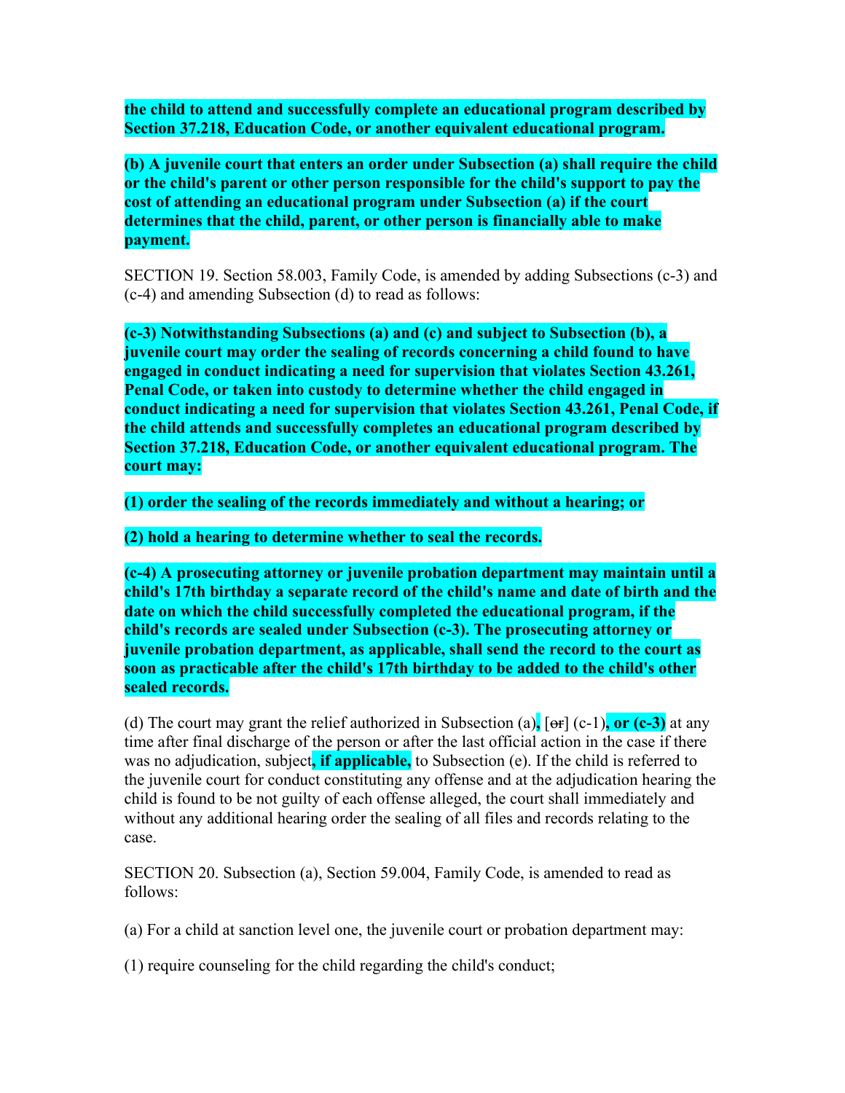**the child to attend and successfully complete an educational program described by Section 37.218, Education Code, or another equivalent educational program.**

**(b) A juvenile court that enters an order under Subsection (a) shall require the child or the child's parent or other person responsible for the child's support to pay the cost of attending an educational program under Subsection (a) if the court determines that the child, parent, or other person is financially able to make payment.**

SECTION 19. Section 58.003, Family Code, is amended by adding Subsections (c-3) and (c-4) and amending Subsection (d) to read as follows:

**(c-3) Notwithstanding Subsections (a) and (c) and subject to Subsection (b), a juvenile court may order the sealing of records concerning a child found to have engaged in conduct indicating a need for supervision that violates Section 43.261, Penal Code, or taken into custody to determine whether the child engaged in conduct indicating a need for supervision that violates Section 43.261, Penal Code, if the child attends and successfully completes an educational program described by Section 37.218, Education Code, or another equivalent educational program. The court may:**

**(1) order the sealing of the records immediately and without a hearing; or**

**(2) hold a hearing to determine whether to seal the records.**

**(c-4) A prosecuting attorney or juvenile probation department may maintain until a child's 17th birthday a separate record of the child's name and date of birth and the date on which the child successfully completed the educational program, if the child's records are sealed under Subsection (c-3). The prosecuting attorney or juvenile probation department, as applicable, shall send the record to the court as soon as practicable after the child's 17th birthday to be added to the child's other sealed records.**

(d) The court may grant the relief authorized in Subsection (a)**,** [or] (c-1)**, or (c-3)** at any time after final discharge of the person or after the last official action in the case if there was no adjudication, subject**, if applicable,** to Subsection (e). If the child is referred to the juvenile court for conduct constituting any offense and at the adjudication hearing the child is found to be not guilty of each offense alleged, the court shall immediately and without any additional hearing order the sealing of all files and records relating to the case.

SECTION 20. Subsection (a), Section 59.004, Family Code, is amended to read as follows:

(a) For a child at sanction level one, the juvenile court or probation department may:

(1) require counseling for the child regarding the child's conduct;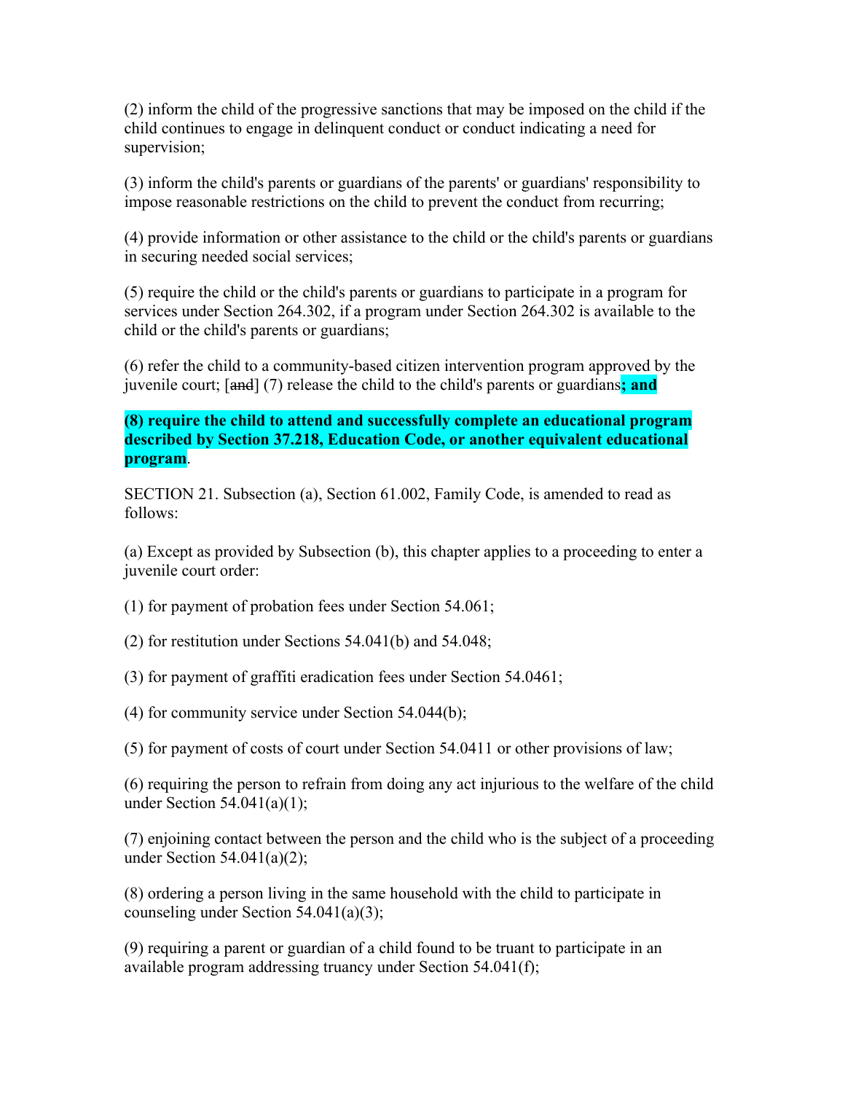(2) inform the child of the progressive sanctions that may be imposed on the child if the child continues to engage in delinquent conduct or conduct indicating a need for supervision;

(3) inform the child's parents or guardians of the parents' or guardians' responsibility to impose reasonable restrictions on the child to prevent the conduct from recurring;

(4) provide information or other assistance to the child or the child's parents or guardians in securing needed social services;

(5) require the child or the child's parents or guardians to participate in a program for services under Section 264.302, if a program under Section 264.302 is available to the child or the child's parents or guardians;

(6) refer the child to a community-based citizen intervention program approved by the juvenile court; [and] (7) release the child to the child's parents or guardians**; and**

### **(8) require the child to attend and successfully complete an educational program described by Section 37.218, Education Code, or another equivalent educational program**.

SECTION 21. Subsection (a), Section 61.002, Family Code, is amended to read as follows:

(a) Except as provided by Subsection (b), this chapter applies to a proceeding to enter a juvenile court order:

(1) for payment of probation fees under Section 54.061;

(2) for restitution under Sections 54.041(b) and 54.048;

(3) for payment of graffiti eradication fees under Section 54.0461;

(4) for community service under Section 54.044(b);

(5) for payment of costs of court under Section 54.0411 or other provisions of law;

(6) requiring the person to refrain from doing any act injurious to the welfare of the child under Section 54.041(a)(1);

(7) enjoining contact between the person and the child who is the subject of a proceeding under Section 54.041(a)(2);

(8) ordering a person living in the same household with the child to participate in counseling under Section 54.041(a)(3);

(9) requiring a parent or guardian of a child found to be truant to participate in an available program addressing truancy under Section 54.041(f);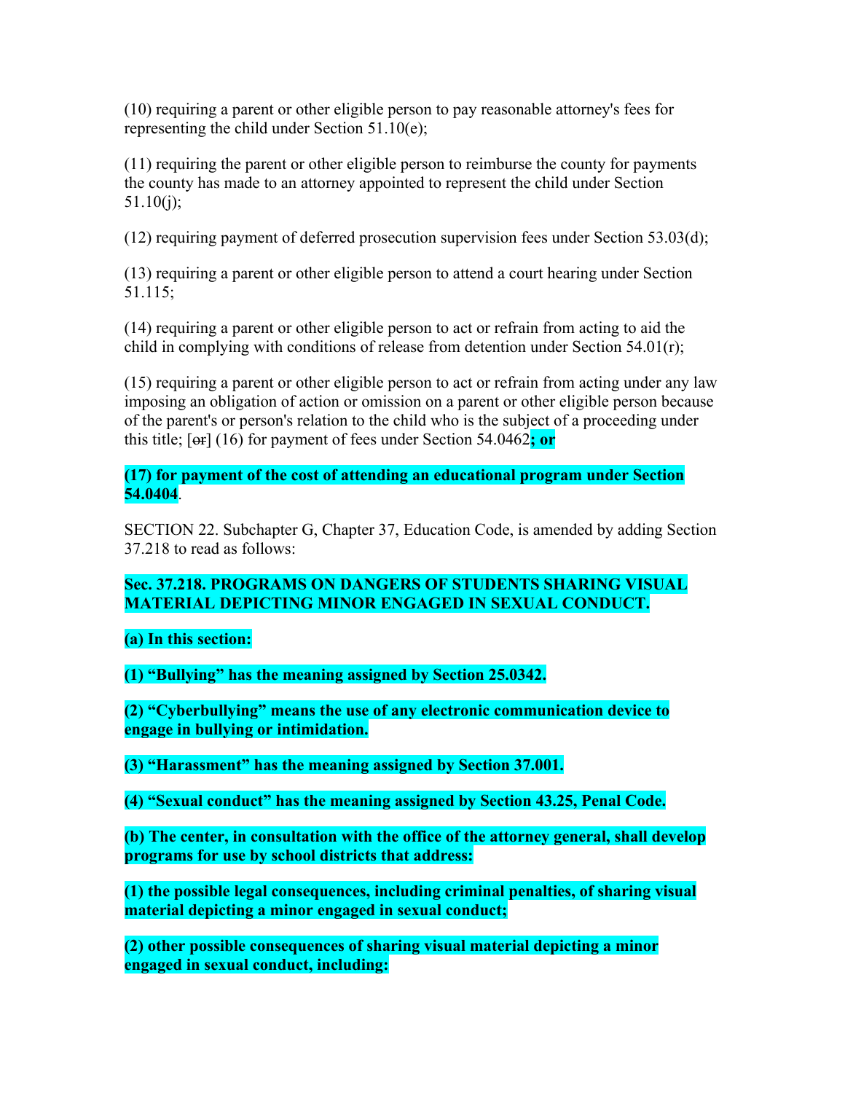(10) requiring a parent or other eligible person to pay reasonable attorney's fees for representing the child under Section 51.10(e);

(11) requiring the parent or other eligible person to reimburse the county for payments the county has made to an attorney appointed to represent the child under Section  $51.10(i)$ ;

(12) requiring payment of deferred prosecution supervision fees under Section 53.03(d);

(13) requiring a parent or other eligible person to attend a court hearing under Section 51.115;

(14) requiring a parent or other eligible person to act or refrain from acting to aid the child in complying with conditions of release from detention under Section  $54.01(r)$ ;

(15) requiring a parent or other eligible person to act or refrain from acting under any law imposing an obligation of action or omission on a parent or other eligible person because of the parent's or person's relation to the child who is the subject of a proceeding under this title; [or] (16) for payment of fees under Section 54.0462**; or**

**(17) for payment of the cost of attending an educational program under Section 54.0404**.

SECTION 22. Subchapter G, Chapter 37, Education Code, is amended by adding Section 37.218 to read as follows:

### **Sec. 37.218. PROGRAMS ON DANGERS OF STUDENTS SHARING VISUAL MATERIAL DEPICTING MINOR ENGAGED IN SEXUAL CONDUCT.**

**(a) In this section:**

**(1) "Bullying" has the meaning assigned by Section 25.0342.**

**(2) "Cyberbullying" means the use of any electronic communication device to engage in bullying or intimidation.**

**(3) "Harassment" has the meaning assigned by Section 37.001.**

**(4) "Sexual conduct" has the meaning assigned by Section 43.25, Penal Code.**

**(b) The center, in consultation with the office of the attorney general, shall develop programs for use by school districts that address:**

**(1) the possible legal consequences, including criminal penalties, of sharing visual material depicting a minor engaged in sexual conduct;**

**(2) other possible consequences of sharing visual material depicting a minor engaged in sexual conduct, including:**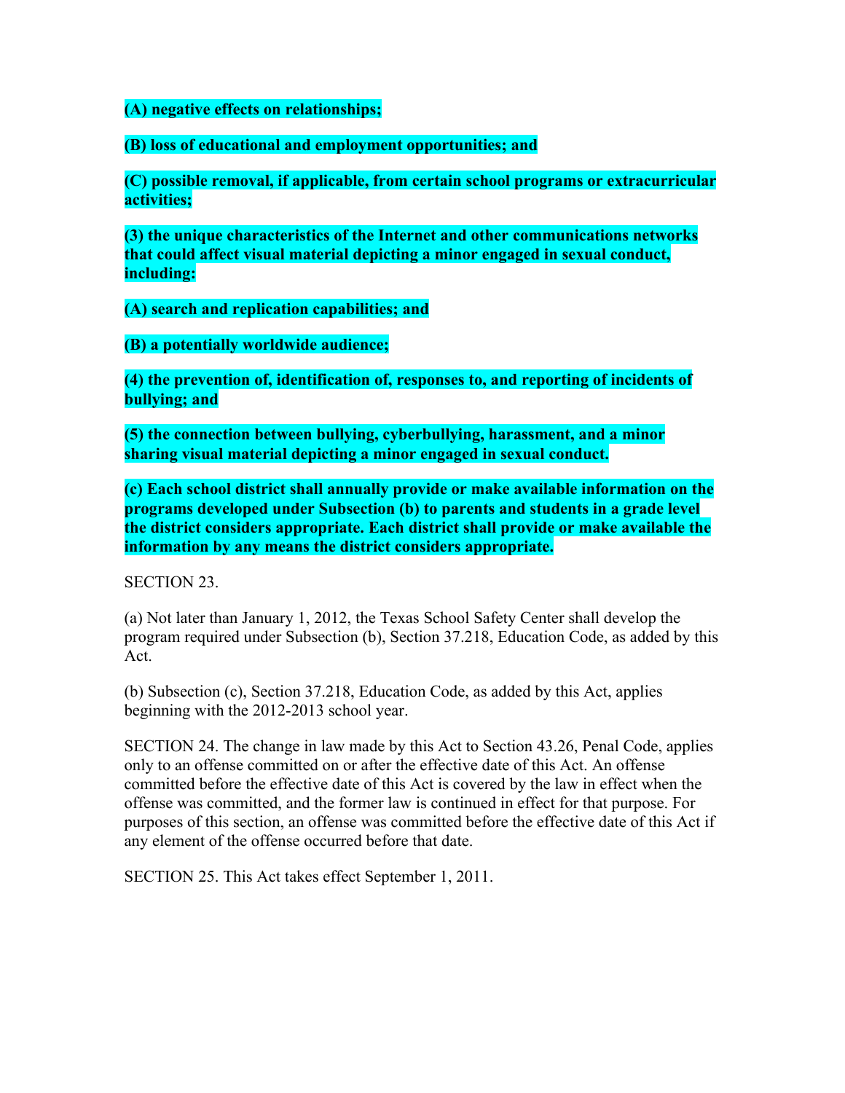**(A) negative effects on relationships;**

**(B) loss of educational and employment opportunities; and**

**(C) possible removal, if applicable, from certain school programs or extracurricular activities;**

**(3) the unique characteristics of the Internet and other communications networks that could affect visual material depicting a minor engaged in sexual conduct, including:**

**(A) search and replication capabilities; and**

**(B) a potentially worldwide audience;**

**(4) the prevention of, identification of, responses to, and reporting of incidents of bullying; and**

**(5) the connection between bullying, cyberbullying, harassment, and a minor sharing visual material depicting a minor engaged in sexual conduct.**

**(c) Each school district shall annually provide or make available information on the programs developed under Subsection (b) to parents and students in a grade level the district considers appropriate. Each district shall provide or make available the information by any means the district considers appropriate.**

SECTION 23.

(a) Not later than January 1, 2012, the Texas School Safety Center shall develop the program required under Subsection (b), Section 37.218, Education Code, as added by this Act.

(b) Subsection (c), Section 37.218, Education Code, as added by this Act, applies beginning with the 2012-2013 school year.

SECTION 24. The change in law made by this Act to Section 43.26, Penal Code, applies only to an offense committed on or after the effective date of this Act. An offense committed before the effective date of this Act is covered by the law in effect when the offense was committed, and the former law is continued in effect for that purpose. For purposes of this section, an offense was committed before the effective date of this Act if any element of the offense occurred before that date.

SECTION 25. This Act takes effect September 1, 2011.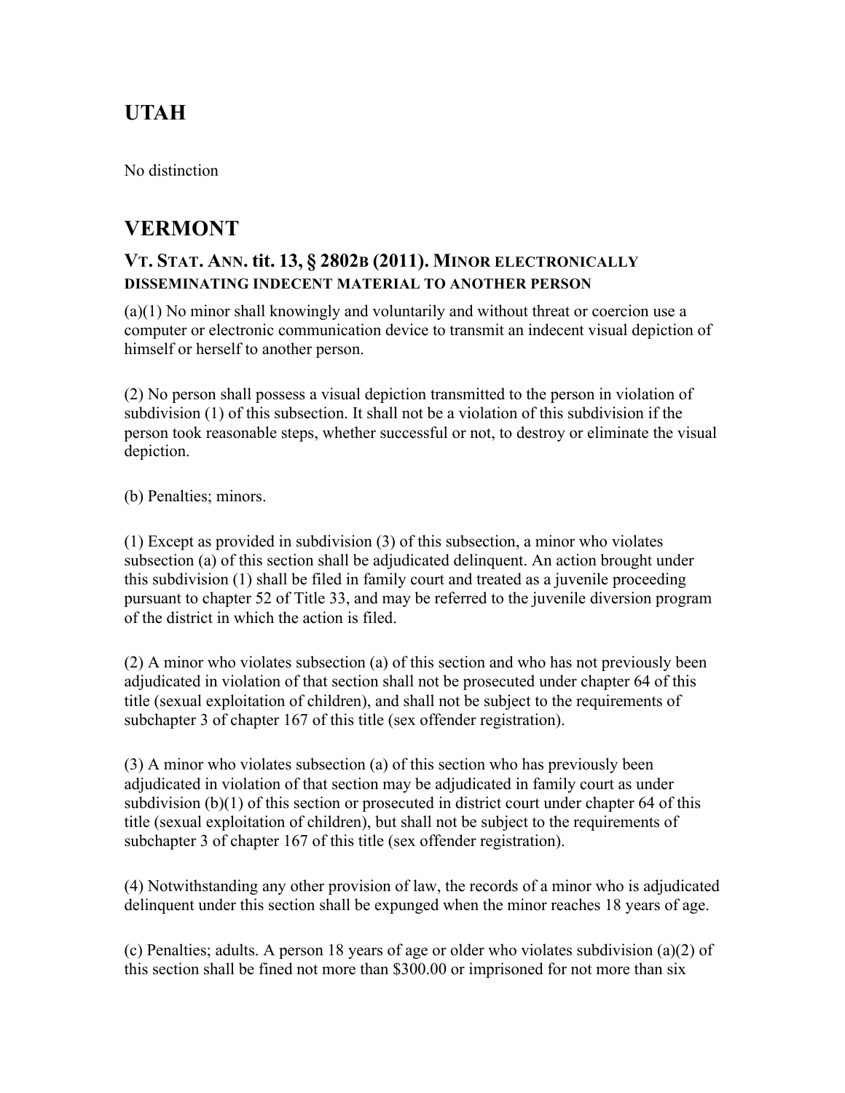# **UTAH**

No distinction

## **VERMONT**

### **VT. STAT. ANN. tit. 13, § 2802B (2011). MINOR ELECTRONICALLY DISSEMINATING INDECENT MATERIAL TO ANOTHER PERSON**

(a)(1) No minor shall knowingly and voluntarily and without threat or coercion use a computer or electronic communication device to transmit an indecent visual depiction of himself or herself to another person.

(2) No person shall possess a visual depiction transmitted to the person in violation of subdivision (1) of this subsection. It shall not be a violation of this subdivision if the person took reasonable steps, whether successful or not, to destroy or eliminate the visual depiction.

(b) Penalties; minors.

(1) Except as provided in subdivision (3) of this subsection, a minor who violates subsection (a) of this section shall be adjudicated delinquent. An action brought under this subdivision (1) shall be filed in family court and treated as a juvenile proceeding pursuant to chapter 52 of Title 33, and may be referred to the juvenile diversion program of the district in which the action is filed.

(2) A minor who violates subsection (a) of this section and who has not previously been adjudicated in violation of that section shall not be prosecuted under chapter 64 of this title (sexual exploitation of children), and shall not be subject to the requirements of subchapter 3 of chapter 167 of this title (sex offender registration).

(3) A minor who violates subsection (a) of this section who has previously been adjudicated in violation of that section may be adjudicated in family court as under subdivision  $(b)(1)$  of this section or prosecuted in district court under chapter 64 of this title (sexual exploitation of children), but shall not be subject to the requirements of subchapter 3 of chapter 167 of this title (sex offender registration).

(4) Notwithstanding any other provision of law, the records of a minor who is adjudicated delinquent under this section shall be expunged when the minor reaches 18 years of age.

(c) Penalties; adults. A person 18 years of age or older who violates subdivision (a)(2) of this section shall be fined not more than \$300.00 or imprisoned for not more than six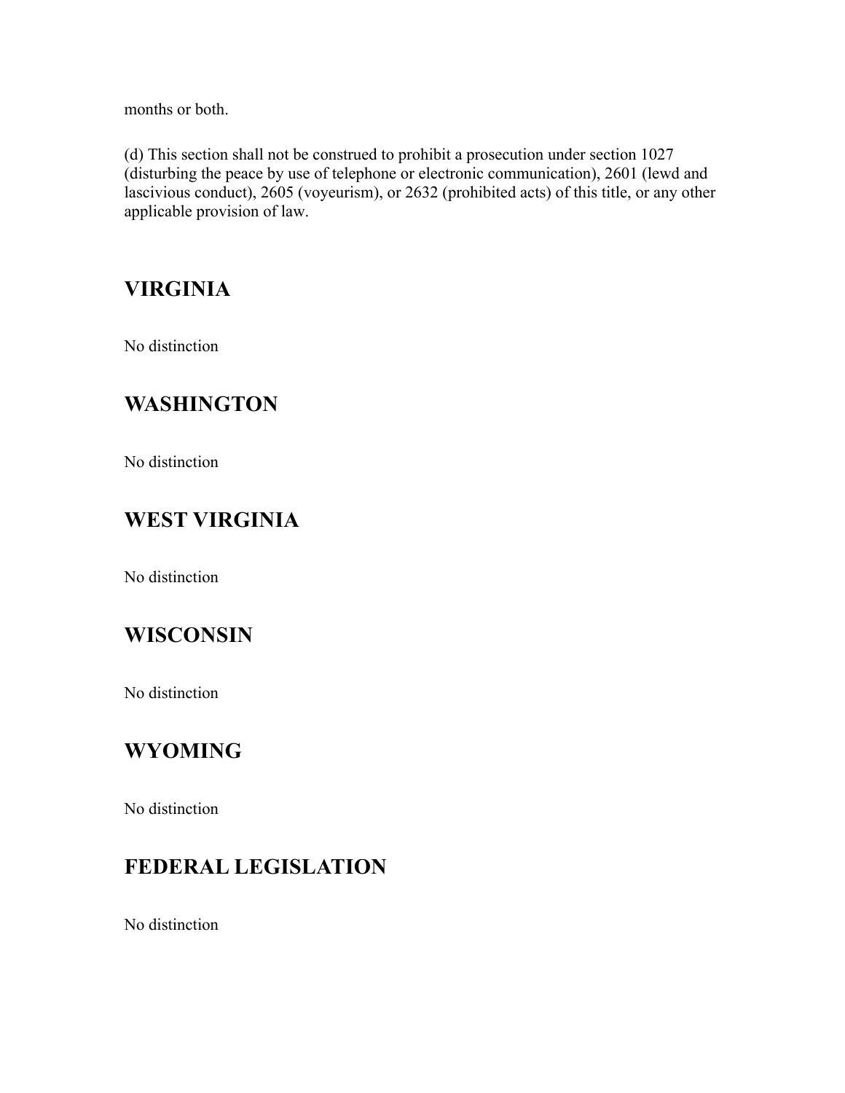months or both.

(d) This section shall not be construed to prohibit a prosecution under section 1027 (disturbing the peace by use of telephone or electronic communication), 2601 (lewd and lascivious conduct), 2605 (voyeurism), or 2632 (prohibited acts) of this title, or any other applicable provision of law.

## **VIRGINIA**

No distinction

## **WASHINGTON**

No distinction

## **WEST VIRGINIA**

No distinction

## **WISCONSIN**

No distinction

## **WYOMING**

No distinction

## **FEDERAL LEGISLATION**

No distinction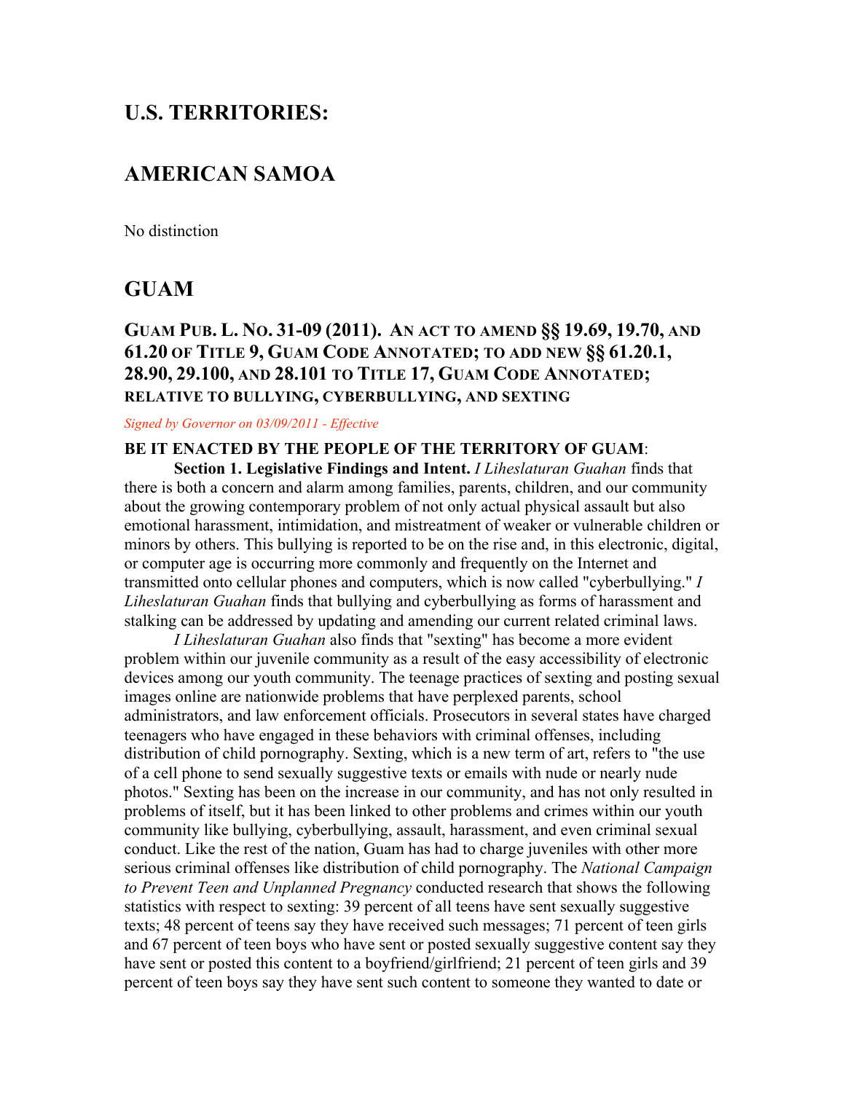### **U.S. TERRITORIES:**

### **AMERICAN SAMOA**

No distinction

### **GUAM**

### **GUAM PUB. L. NO. 31-09 (2011). AN ACT TO AMEND §§ 19.69, 19.70, AND 61.20 OF TITLE 9, GUAM CODE ANNOTATED; TO ADD NEW §§ 61.20.1, 28.90, 29.100, AND 28.101 TO TITLE 17, GUAM CODE ANNOTATED; RELATIVE TO BULLYING, CYBERBULLYING, AND SEXTING**

*Signed by Governor on 03/09/2011 - Effective*

#### **BE IT ENACTED BY THE PEOPLE OF THE TERRITORY OF GUAM**:

**Section 1. Legislative Findings and Intent.** *I Liheslaturan Guahan* finds that there is both a concern and alarm among families, parents, children, and our community about the growing contemporary problem of not only actual physical assault but also emotional harassment, intimidation, and mistreatment of weaker or vulnerable children or minors by others. This bullying is reported to be on the rise and, in this electronic, digital, or computer age is occurring more commonly and frequently on the Internet and transmitted onto cellular phones and computers, which is now called "cyberbullying." *I Liheslaturan Guahan* finds that bullying and cyberbullying as forms of harassment and stalking can be addressed by updating and amending our current related criminal laws.

*I Liheslaturan Guahan* also finds that "sexting" has become a more evident problem within our juvenile community as a result of the easy accessibility of electronic devices among our youth community. The teenage practices of sexting and posting sexual images online are nationwide problems that have perplexed parents, school administrators, and law enforcement officials. Prosecutors in several states have charged teenagers who have engaged in these behaviors with criminal offenses, including distribution of child pornography. Sexting, which is a new term of art, refers to "the use of a cell phone to send sexually suggestive texts or emails with nude or nearly nude photos." Sexting has been on the increase in our community, and has not only resulted in problems of itself, but it has been linked to other problems and crimes within our youth community like bullying, cyberbullying, assault, harassment, and even criminal sexual conduct. Like the rest of the nation, Guam has had to charge juveniles with other more serious criminal offenses like distribution of child pornography. The *National Campaign to Prevent Teen and Unplanned Pregnancy* conducted research that shows the following statistics with respect to sexting: 39 percent of all teens have sent sexually suggestive texts; 48 percent of teens say they have received such messages; 71 percent of teen girls and 67 percent of teen boys who have sent or posted sexually suggestive content say they have sent or posted this content to a boyfriend/girlfriend; 21 percent of teen girls and 39 percent of teen boys say they have sent such content to someone they wanted to date or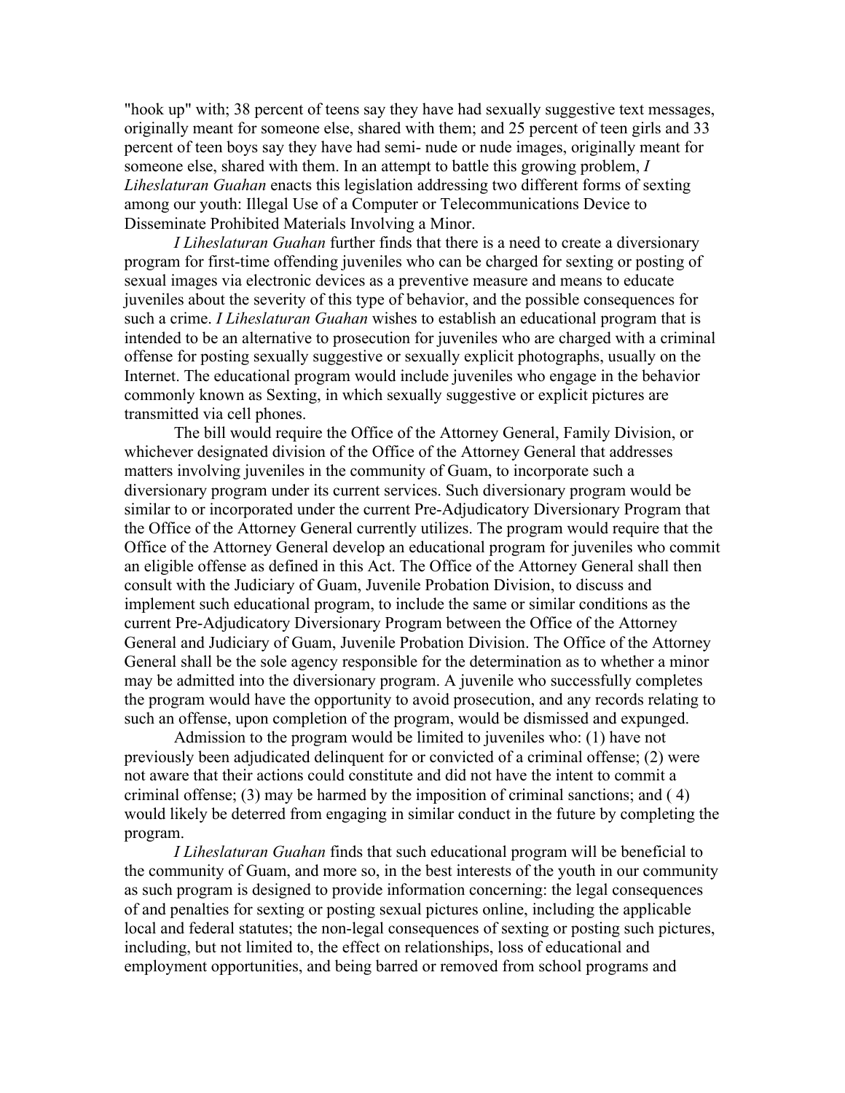"hook up" with; 38 percent of teens say they have had sexually suggestive text messages, originally meant for someone else, shared with them; and 25 percent of teen girls and 33 percent of teen boys say they have had semi- nude or nude images, originally meant for someone else, shared with them. In an attempt to battle this growing problem, *I Liheslaturan Guahan* enacts this legislation addressing two different forms of sexting among our youth: Illegal Use of a Computer or Telecommunications Device to Disseminate Prohibited Materials Involving a Minor.

*I Liheslaturan Guahan* further finds that there is a need to create a diversionary program for first-time offending juveniles who can be charged for sexting or posting of sexual images via electronic devices as a preventive measure and means to educate juveniles about the severity of this type of behavior, and the possible consequences for such a crime. *I Liheslaturan Guahan* wishes to establish an educational program that is intended to be an alternative to prosecution for juveniles who are charged with a criminal offense for posting sexually suggestive or sexually explicit photographs, usually on the Internet. The educational program would include juveniles who engage in the behavior commonly known as Sexting, in which sexually suggestive or explicit pictures are transmitted via cell phones.

The bill would require the Office of the Attorney General, Family Division, or whichever designated division of the Office of the Attorney General that addresses matters involving juveniles in the community of Guam, to incorporate such a diversionary program under its current services. Such diversionary program would be similar to or incorporated under the current Pre-Adjudicatory Diversionary Program that the Office of the Attorney General currently utilizes. The program would require that the Office of the Attorney General develop an educational program for juveniles who commit an eligible offense as defined in this Act. The Office of the Attorney General shall then consult with the Judiciary of Guam, Juvenile Probation Division, to discuss and implement such educational program, to include the same or similar conditions as the current Pre-Adjudicatory Diversionary Program between the Office of the Attorney General and Judiciary of Guam, Juvenile Probation Division. The Office of the Attorney General shall be the sole agency responsible for the determination as to whether a minor may be admitted into the diversionary program. A juvenile who successfully completes the program would have the opportunity to avoid prosecution, and any records relating to such an offense, upon completion of the program, would be dismissed and expunged.

Admission to the program would be limited to juveniles who: (1) have not previously been adjudicated delinquent for or convicted of a criminal offense; (2) were not aware that their actions could constitute and did not have the intent to commit a criminal offense; (3) may be harmed by the imposition of criminal sanctions; and ( 4) would likely be deterred from engaging in similar conduct in the future by completing the program.

*I Liheslaturan Guahan* finds that such educational program will be beneficial to the community of Guam, and more so, in the best interests of the youth in our community as such program is designed to provide information concerning: the legal consequences of and penalties for sexting or posting sexual pictures online, including the applicable local and federal statutes; the non-legal consequences of sexting or posting such pictures, including, but not limited to, the effect on relationships, loss of educational and employment opportunities, and being barred or removed from school programs and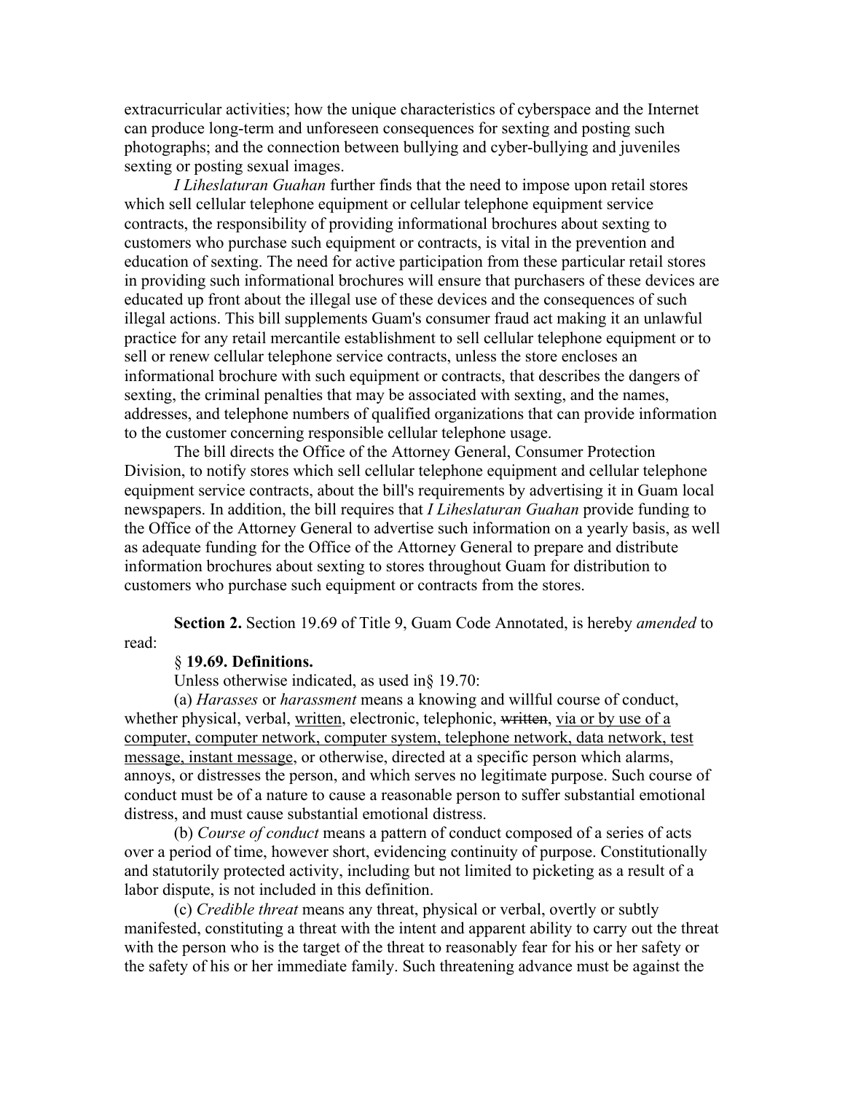extracurricular activities; how the unique characteristics of cyberspace and the Internet can produce long-term and unforeseen consequences for sexting and posting such photographs; and the connection between bullying and cyber-bullying and juveniles sexting or posting sexual images.

*I Liheslaturan Guahan* further finds that the need to impose upon retail stores which sell cellular telephone equipment or cellular telephone equipment service contracts, the responsibility of providing informational brochures about sexting to customers who purchase such equipment or contracts, is vital in the prevention and education of sexting. The need for active participation from these particular retail stores in providing such informational brochures will ensure that purchasers of these devices are educated up front about the illegal use of these devices and the consequences of such illegal actions. This bill supplements Guam's consumer fraud act making it an unlawful practice for any retail mercantile establishment to sell cellular telephone equipment or to sell or renew cellular telephone service contracts, unless the store encloses an informational brochure with such equipment or contracts, that describes the dangers of sexting, the criminal penalties that may be associated with sexting, and the names, addresses, and telephone numbers of qualified organizations that can provide information to the customer concerning responsible cellular telephone usage.

The bill directs the Office of the Attorney General, Consumer Protection Division, to notify stores which sell cellular telephone equipment and cellular telephone equipment service contracts, about the bill's requirements by advertising it in Guam local newspapers. In addition, the bill requires that *I Liheslaturan Guahan* provide funding to the Office of the Attorney General to advertise such information on a yearly basis, as well as adequate funding for the Office of the Attorney General to prepare and distribute information brochures about sexting to stores throughout Guam for distribution to customers who purchase such equipment or contracts from the stores.

**Section 2.** Section 19.69 of Title 9, Guam Code Annotated, is hereby *amended* to read:

#### § **19.69. Definitions.**

Unless otherwise indicated, as used in§ 19.70:

(a) *Harasses* or *harassment* means a knowing and willful course of conduct, whether physical, verbal, written, electronic, telephonic, written, via or by use of a computer, computer network, computer system, telephone network, data network, test message, instant message, or otherwise, directed at a specific person which alarms, annoys, or distresses the person, and which serves no legitimate purpose. Such course of conduct must be of a nature to cause a reasonable person to suffer substantial emotional distress, and must cause substantial emotional distress.

(b) *Course of conduct* means a pattern of conduct composed of a series of acts over a period of time, however short, evidencing continuity of purpose. Constitutionally and statutorily protected activity, including but not limited to picketing as a result of a labor dispute, is not included in this definition.

(c) *Credible threat* means any threat, physical or verbal, overtly or subtly manifested, constituting a threat with the intent and apparent ability to carry out the threat with the person who is the target of the threat to reasonably fear for his or her safety or the safety of his or her immediate family. Such threatening advance must be against the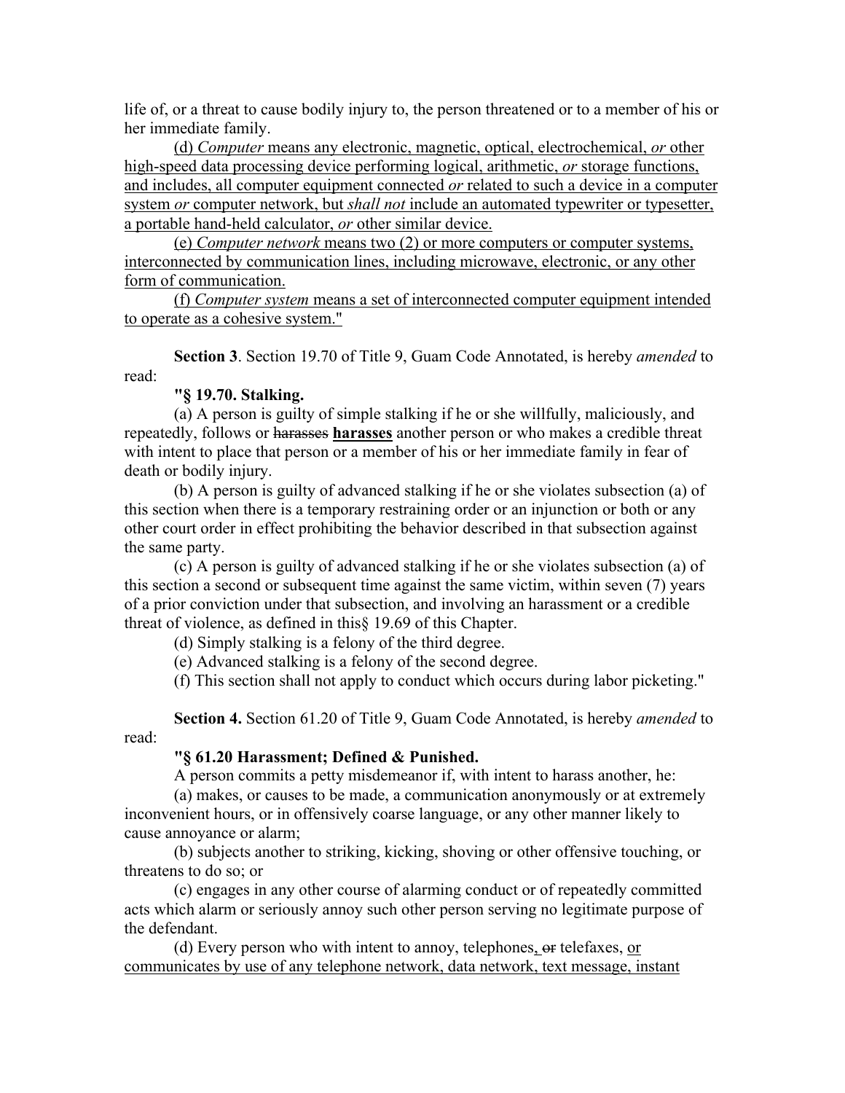life of, or a threat to cause bodily injury to, the person threatened or to a member of his or her immediate family.

(d) *Computer* means any electronic, magnetic, optical, electrochemical, *or* other high-speed data processing device performing logical, arithmetic, *or* storage functions, and includes, all computer equipment connected *or* related to such a device in a computer system *or* computer network, but *shall not* include an automated typewriter or typesetter, a portable hand-held calculator, *or* other similar device.

(e) *Computer network* means two (2) or more computers or computer systems, interconnected by communication lines, including microwave, electronic, or any other form of communication.

(f) *Computer system* means a set of interconnected computer equipment intended to operate as a cohesive system."

**Section 3**. Section 19.70 of Title 9, Guam Code Annotated, is hereby *amended* to read:

### **"§ 19.70. Stalking.**

(a) A person is guilty of simple stalking if he or she willfully, maliciously, and repeatedly, follows or harasses **harasses** another person or who makes a credible threat with intent to place that person or a member of his or her immediate family in fear of death or bodily injury.

(b) A person is guilty of advanced stalking if he or she violates subsection (a) of this section when there is a temporary restraining order or an injunction or both or any other court order in effect prohibiting the behavior described in that subsection against the same party.

(c) A person is guilty of advanced stalking if he or she violates subsection (a) of this section a second or subsequent time against the same victim, within seven (7) years of a prior conviction under that subsection, and involving an harassment or a credible threat of violence, as defined in this§ 19.69 of this Chapter.

(d) Simply stalking is a felony of the third degree.

(e) Advanced stalking is a felony of the second degree.

(f) This section shall not apply to conduct which occurs during labor picketing."

**Section 4.** Section 61.20 of Title 9, Guam Code Annotated, is hereby *amended* to read:

#### **"§ 61.20 Harassment; Defined & Punished.**

A person commits a petty misdemeanor if, with intent to harass another, he:

(a) makes, or causes to be made, a communication anonymously or at extremely inconvenient hours, or in offensively coarse language, or any other manner likely to cause annoyance or alarm;

(b) subjects another to striking, kicking, shoving or other offensive touching, or threatens to do so; or

(c) engages in any other course of alarming conduct or of repeatedly committed acts which alarm or seriously annoy such other person serving no legitimate purpose of the defendant.

(d) Every person who with intent to annoy, telephones, or telefaxes, or communicates by use of any telephone network, data network, text message, instant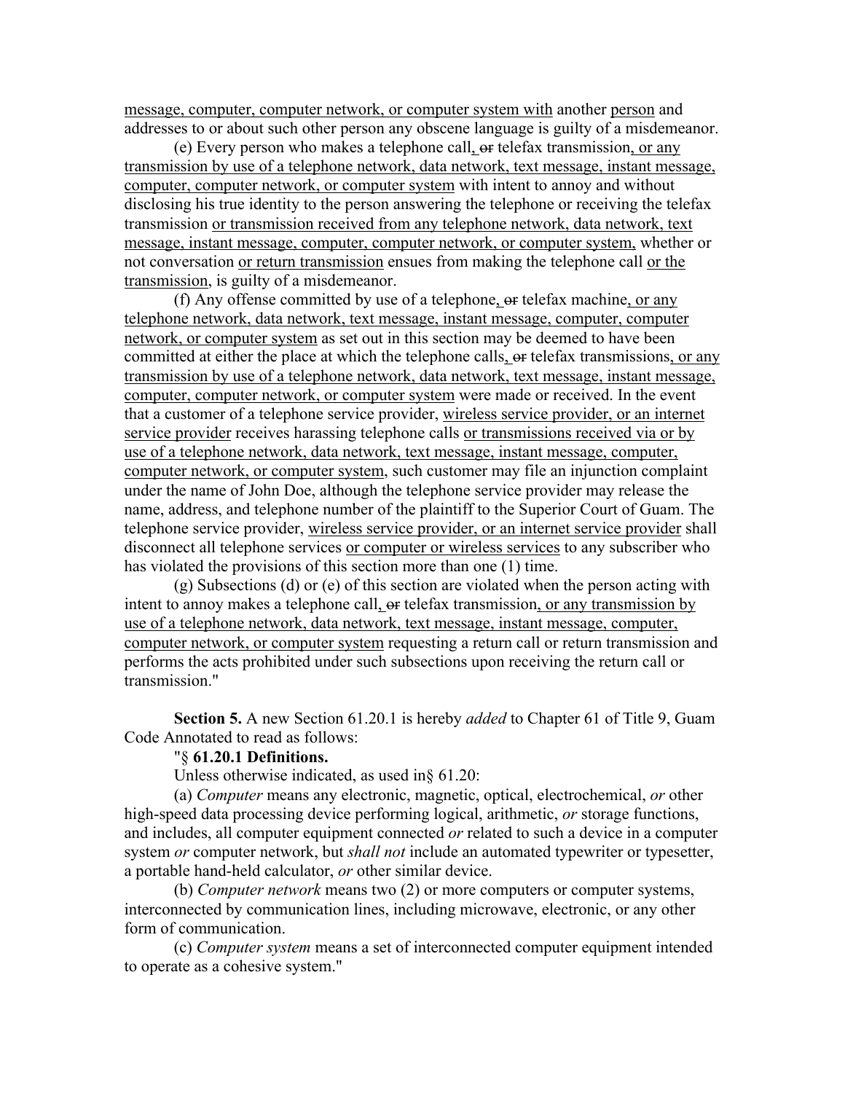message, computer, computer network, or computer system with another person and addresses to or about such other person any obscene language is guilty of a misdemeanor.

(e) Every person who makes a telephone call, or telefax transmission, or any transmission by use of a telephone network, data network, text message, instant message, computer, computer network, or computer system with intent to annoy and without disclosing his true identity to the person answering the telephone or receiving the telefax transmission or transmission received from any telephone network, data network, text message, instant message, computer, computer network, or computer system, whether or not conversation or return transmission ensues from making the telephone call or the transmission, is guilty of a misdemeanor.

(f) Any offense committed by use of a telephone, or telefax machine, or any telephone network, data network, text message, instant message, computer, computer network, or computer system as set out in this section may be deemed to have been committed at either the place at which the telephone calls,  $\Theta$  telefax transmissions, or any transmission by use of a telephone network, data network, text message, instant message, computer, computer network, or computer system were made or received. In the event that a customer of a telephone service provider, wireless service provider, or an internet service provider receives harassing telephone calls or transmissions received via or by use of a telephone network, data network, text message, instant message, computer, computer network, or computer system, such customer may file an injunction complaint under the name of John Doe, although the telephone service provider may release the name, address, and telephone number of the plaintiff to the Superior Court of Guam. The telephone service provider, wireless service provider, or an internet service provider shall disconnect all telephone services or computer or wireless services to any subscriber who has violated the provisions of this section more than one (1) time.

(g) Subsections (d) or (e) of this section are violated when the person acting with intent to annoy makes a telephone call, or telefax transmission, or any transmission by use of a telephone network, data network, text message, instant message, computer, computer network, or computer system requesting a return call or return transmission and performs the acts prohibited under such subsections upon receiving the return call or transmission."

**Section 5.** A new Section 61.20.1 is hereby *added* to Chapter 61 of Title 9, Guam Code Annotated to read as follows:

#### "§ **61.20.1 Definitions.**

Unless otherwise indicated, as used in§ 61.20:

(a) *Computer* means any electronic, magnetic, optical, electrochemical, *or* other high-speed data processing device performing logical, arithmetic, *or* storage functions, and includes, all computer equipment connected *or* related to such a device in a computer system *or* computer network, but *shall not* include an automated typewriter or typesetter, a portable hand-held calculator, *or* other similar device.

(b) *Computer network* means two (2) or more computers or computer systems, interconnected by communication lines, including microwave, electronic, or any other form of communication.

(c) *Computer system* means a set of interconnected computer equipment intended to operate as a cohesive system."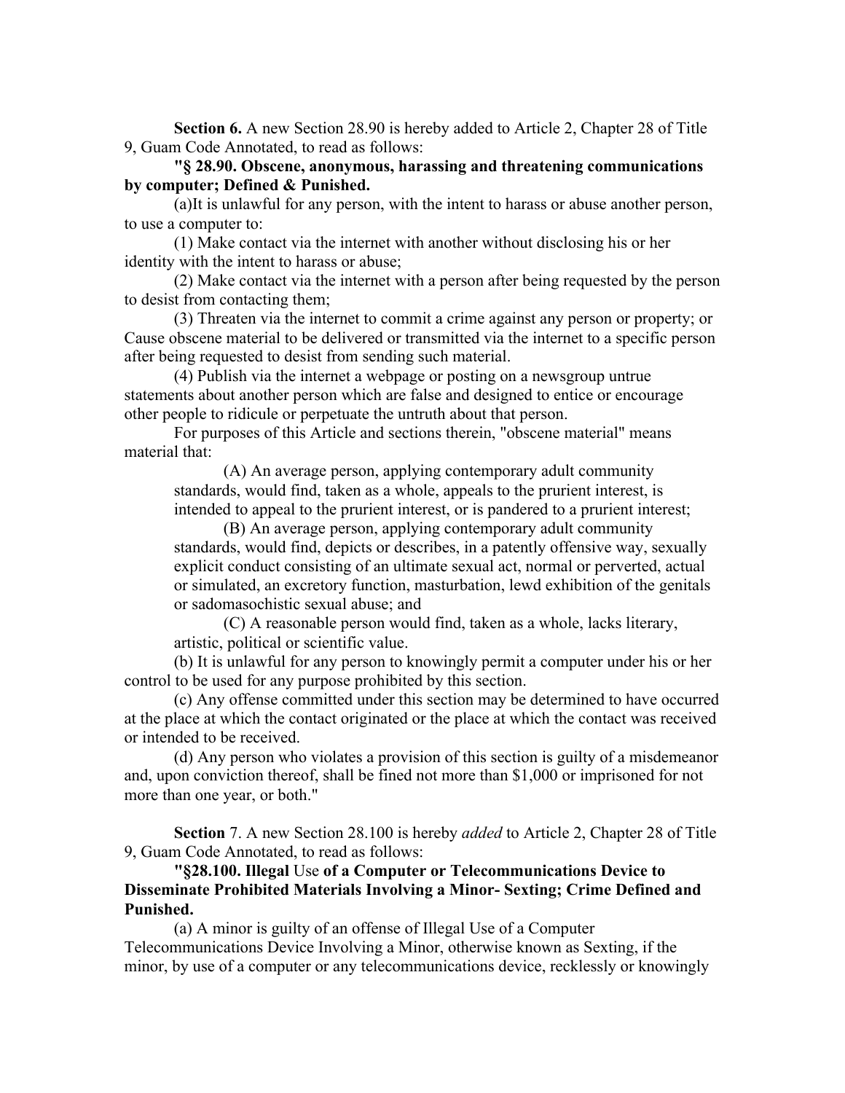**Section 6.** A new Section 28.90 is hereby added to Article 2, Chapter 28 of Title 9, Guam Code Annotated, to read as follows:

**"§ 28.90. Obscene, anonymous, harassing and threatening communications by computer; Defined & Punished.**

(a)It is unlawful for any person, with the intent to harass or abuse another person, to use a computer to:

(1) Make contact via the internet with another without disclosing his or her identity with the intent to harass or abuse;

(2) Make contact via the internet with a person after being requested by the person to desist from contacting them;

(3) Threaten via the internet to commit a crime against any person or property; or Cause obscene material to be delivered or transmitted via the internet to a specific person after being requested to desist from sending such material.

(4) Publish via the internet a webpage or posting on a newsgroup untrue statements about another person which are false and designed to entice or encourage other people to ridicule or perpetuate the untruth about that person.

For purposes of this Article and sections therein, "obscene material" means material that:

(A) An average person, applying contemporary adult community standards, would find, taken as a whole, appeals to the prurient interest, is intended to appeal to the prurient interest, or is pandered to a prurient interest;

(B) An average person, applying contemporary adult community standards, would find, depicts or describes, in a patently offensive way, sexually explicit conduct consisting of an ultimate sexual act, normal or perverted, actual or simulated, an excretory function, masturbation, lewd exhibition of the genitals or sadomasochistic sexual abuse; and

(C) A reasonable person would find, taken as a whole, lacks literary, artistic, political or scientific value.

(b) It is unlawful for any person to knowingly permit a computer under his or her control to be used for any purpose prohibited by this section.

(c) Any offense committed under this section may be determined to have occurred at the place at which the contact originated or the place at which the contact was received or intended to be received.

(d) Any person who violates a provision of this section is guilty of a misdemeanor and, upon conviction thereof, shall be fined not more than \$1,000 or imprisoned for not more than one year, or both."

**Section** 7. A new Section 28.100 is hereby *added* to Article 2, Chapter 28 of Title 9, Guam Code Annotated, to read as follows:

### **"§28.100. Illegal** Use **of a Computer or Telecommunications Device to Disseminate Prohibited Materials Involving a Minor- Sexting; Crime Defined and Punished.**

(a) A minor is guilty of an offense of Illegal Use of a Computer Telecommunications Device Involving a Minor, otherwise known as Sexting, if the minor, by use of a computer or any telecommunications device, recklessly or knowingly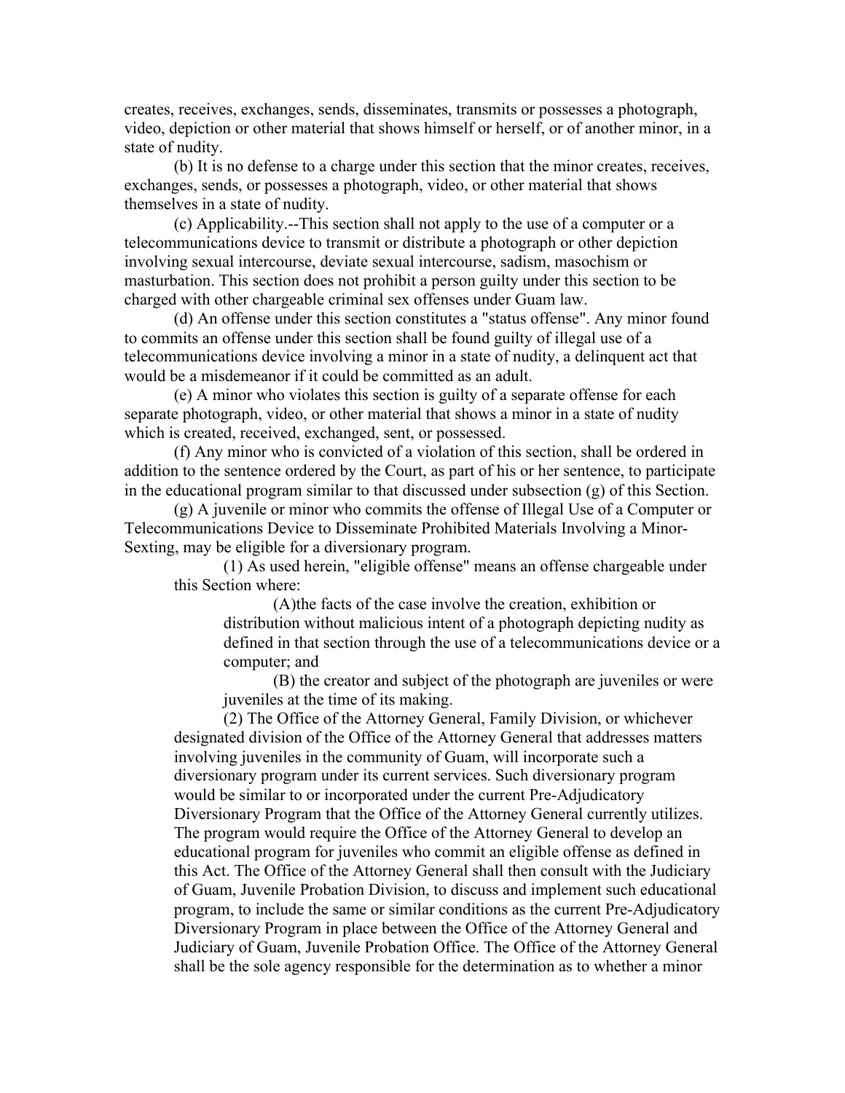creates, receives, exchanges, sends, disseminates, transmits or possesses a photograph, video, depiction or other material that shows himself or herself, or of another minor, in a state of nudity.

(b) It is no defense to a charge under this section that the minor creates, receives, exchanges, sends, or possesses a photograph, video, or other material that shows themselves in a state of nudity.

(c) Applicability.--This section shall not apply to the use of a computer or a telecommunications device to transmit or distribute a photograph or other depiction involving sexual intercourse, deviate sexual intercourse, sadism, masochism or masturbation. This section does not prohibit a person guilty under this section to be charged with other chargeable criminal sex offenses under Guam law.

(d) An offense under this section constitutes a "status offense". Any minor found to commits an offense under this section shall be found guilty of illegal use of a telecommunications device involving a minor in a state of nudity, a delinquent act that would be a misdemeanor if it could be committed as an adult.

(e) A minor who violates this section is guilty of a separate offense for each separate photograph, video, or other material that shows a minor in a state of nudity which is created, received, exchanged, sent, or possessed.

(f) Any minor who is convicted of a violation of this section, shall be ordered in addition to the sentence ordered by the Court, as part of his or her sentence, to participate in the educational program similar to that discussed under subsection (g) of this Section.

(g) A juvenile or minor who commits the offense of Illegal Use of a Computer or Telecommunications Device to Disseminate Prohibited Materials Involving a Minor-Sexting, may be eligible for a diversionary program.

(1) As used herein, "eligible offense" means an offense chargeable under this Section where:

> (A)the facts of the case involve the creation, exhibition or distribution without malicious intent of a photograph depicting nudity as defined in that section through the use of a telecommunications device or a computer; and

(B) the creator and subject of the photograph are juveniles or were juveniles at the time of its making.

(2) The Office of the Attorney General, Family Division, or whichever designated division of the Office of the Attorney General that addresses matters involving juveniles in the community of Guam, will incorporate such a diversionary program under its current services. Such diversionary program would be similar to or incorporated under the current Pre-Adjudicatory Diversionary Program that the Office of the Attorney General currently utilizes. The program would require the Office of the Attorney General to develop an educational program for juveniles who commit an eligible offense as defined in this Act. The Office of the Attorney General shall then consult with the Judiciary of Guam, Juvenile Probation Division, to discuss and implement such educational program, to include the same or similar conditions as the current Pre-Adjudicatory Diversionary Program in place between the Office of the Attorney General and Judiciary of Guam, Juvenile Probation Office. The Office of the Attorney General shall be the sole agency responsible for the determination as to whether a minor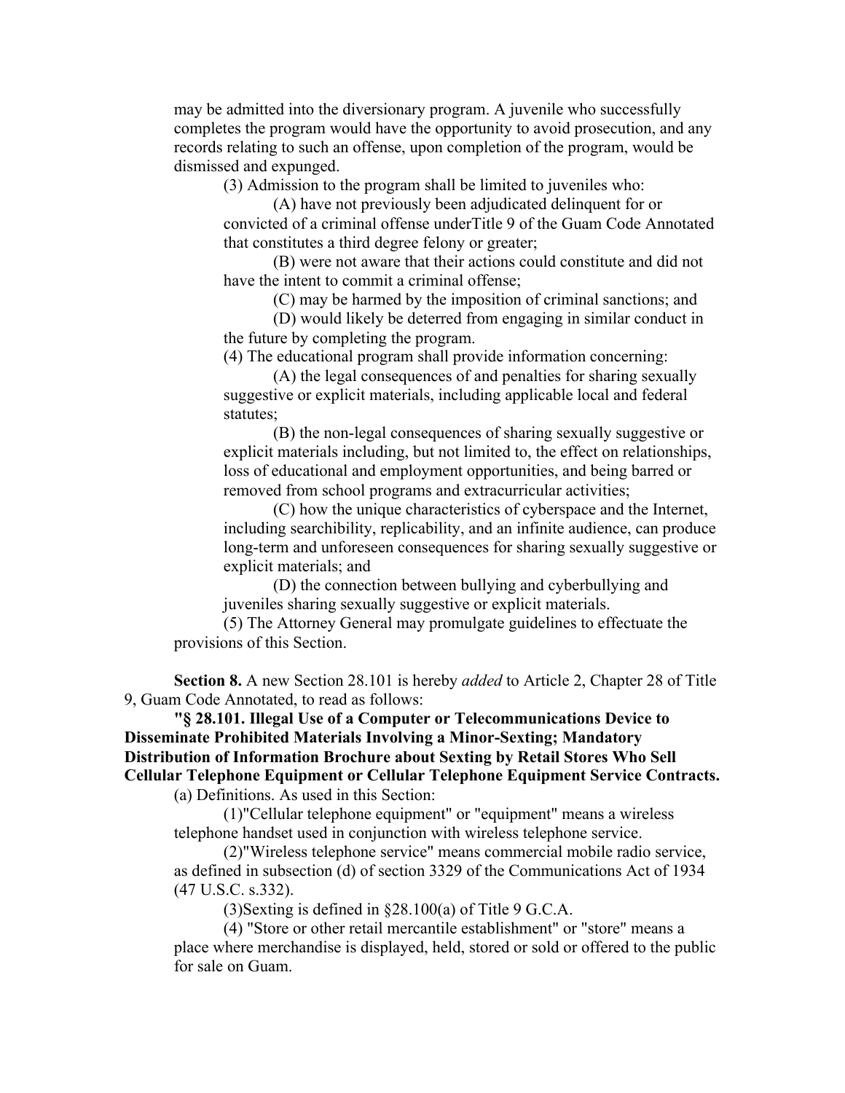may be admitted into the diversionary program. A juvenile who successfully completes the program would have the opportunity to avoid prosecution, and any records relating to such an offense, upon completion of the program, would be dismissed and expunged.

(3) Admission to the program shall be limited to juveniles who:

(A) have not previously been adjudicated delinquent for or convicted of a criminal offense underTitle 9 of the Guam Code Annotated that constitutes a third degree felony or greater;

(B) were not aware that their actions could constitute and did not have the intent to commit a criminal offense;

(C) may be harmed by the imposition of criminal sanctions; and

(D) would likely be deterred from engaging in similar conduct in the future by completing the program.

(4) The educational program shall provide information concerning:

(A) the legal consequences of and penalties for sharing sexually suggestive or explicit materials, including applicable local and federal statutes;

(B) the non-legal consequences of sharing sexually suggestive or explicit materials including, but not limited to, the effect on relationships, loss of educational and employment opportunities, and being barred or removed from school programs and extracurricular activities;

(C) how the unique characteristics of cyberspace and the Internet, including searchibility, replicability, and an infinite audience, can produce long-term and unforeseen consequences for sharing sexually suggestive or explicit materials; and

(D) the connection between bullying and cyberbullying and juveniles sharing sexually suggestive or explicit materials.

(5) The Attorney General may promulgate guidelines to effectuate the provisions of this Section.

**Section 8.** A new Section 28.101 is hereby *added* to Article 2, Chapter 28 of Title 9, Guam Code Annotated, to read as follows:

**"§ 28.101. Illegal Use of a Computer or Telecommunications Device to Disseminate Prohibited Materials Involving a Minor-Sexting; Mandatory Distribution of Information Brochure about Sexting by Retail Stores Who Sell Cellular Telephone Equipment or Cellular Telephone Equipment Service Contracts.**

(a) Definitions. As used in this Section:

(1)"Cellular telephone equipment" or "equipment" means a wireless telephone handset used in conjunction with wireless telephone service.

(2)"Wireless telephone service" means commercial mobile radio service, as defined in subsection (d) of section 3329 of the Communications Act of 1934 (47 U.S.C. s.332).

(3)Sexting is defined in §28.100(a) of Title 9 G.C.A.

(4) "Store or other retail mercantile establishment" or "store" means a place where merchandise is displayed, held, stored or sold or offered to the public for sale on Guam.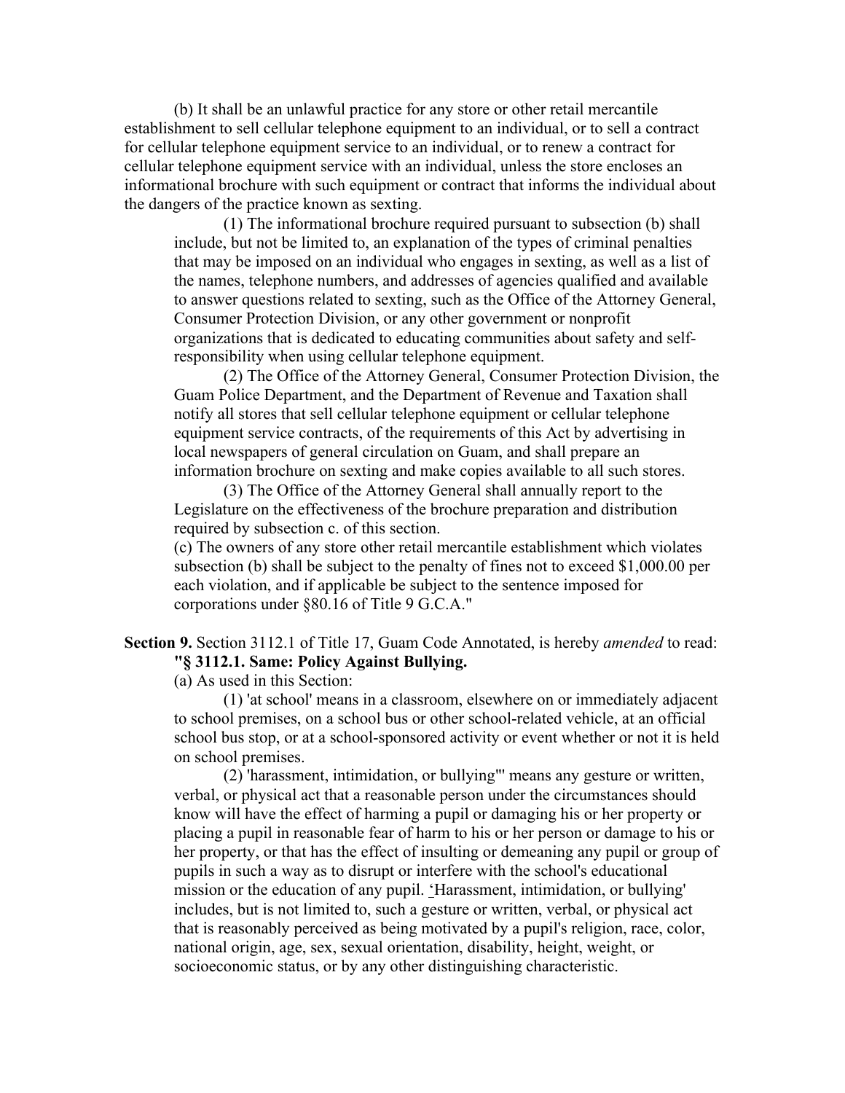(b) It shall be an unlawful practice for any store or other retail mercantile establishment to sell cellular telephone equipment to an individual, or to sell a contract for cellular telephone equipment service to an individual, or to renew a contract for cellular telephone equipment service with an individual, unless the store encloses an informational brochure with such equipment or contract that informs the individual about the dangers of the practice known as sexting.

(1) The informational brochure required pursuant to subsection (b) shall include, but not be limited to, an explanation of the types of criminal penalties that may be imposed on an individual who engages in sexting, as well as a list of the names, telephone numbers, and addresses of agencies qualified and available to answer questions related to sexting, such as the Office of the Attorney General, Consumer Protection Division, or any other government or nonprofit organizations that is dedicated to educating communities about safety and selfresponsibility when using cellular telephone equipment.

(2) The Office of the Attorney General, Consumer Protection Division, the Guam Police Department, and the Department of Revenue and Taxation shall notify all stores that sell cellular telephone equipment or cellular telephone equipment service contracts, of the requirements of this Act by advertising in local newspapers of general circulation on Guam, and shall prepare an information brochure on sexting and make copies available to all such stores.

(3) The Office of the Attorney General shall annually report to the Legislature on the effectiveness of the brochure preparation and distribution required by subsection c. of this section.

(c) The owners of any store other retail mercantile establishment which violates subsection (b) shall be subject to the penalty of fines not to exceed \$1,000.00 per each violation, and if applicable be subject to the sentence imposed for corporations under §80.16 of Title 9 G.C.A."

#### **Section 9.** Section 3112.1 of Title 17, Guam Code Annotated, is hereby *amended* to read: **"§ 3112.1. Same: Policy Against Bullying.**

(a) As used in this Section:

(1) 'at school' means in a classroom, elsewhere on or immediately adjacent to school premises, on a school bus or other school-related vehicle, at an official school bus stop, or at a school-sponsored activity or event whether or not it is held on school premises.

(2) 'harassment, intimidation, or bullying"' means any gesture or written, verbal, or physical act that a reasonable person under the circumstances should know will have the effect of harming a pupil or damaging his or her property or placing a pupil in reasonable fear of harm to his or her person or damage to his or her property, or that has the effect of insulting or demeaning any pupil or group of pupils in such a way as to disrupt or interfere with the school's educational mission or the education of any pupil. 'Harassment, intimidation, or bullying' includes, but is not limited to, such a gesture or written, verbal, or physical act that is reasonably perceived as being motivated by a pupil's religion, race, color, national origin, age, sex, sexual orientation, disability, height, weight, or socioeconomic status, or by any other distinguishing characteristic.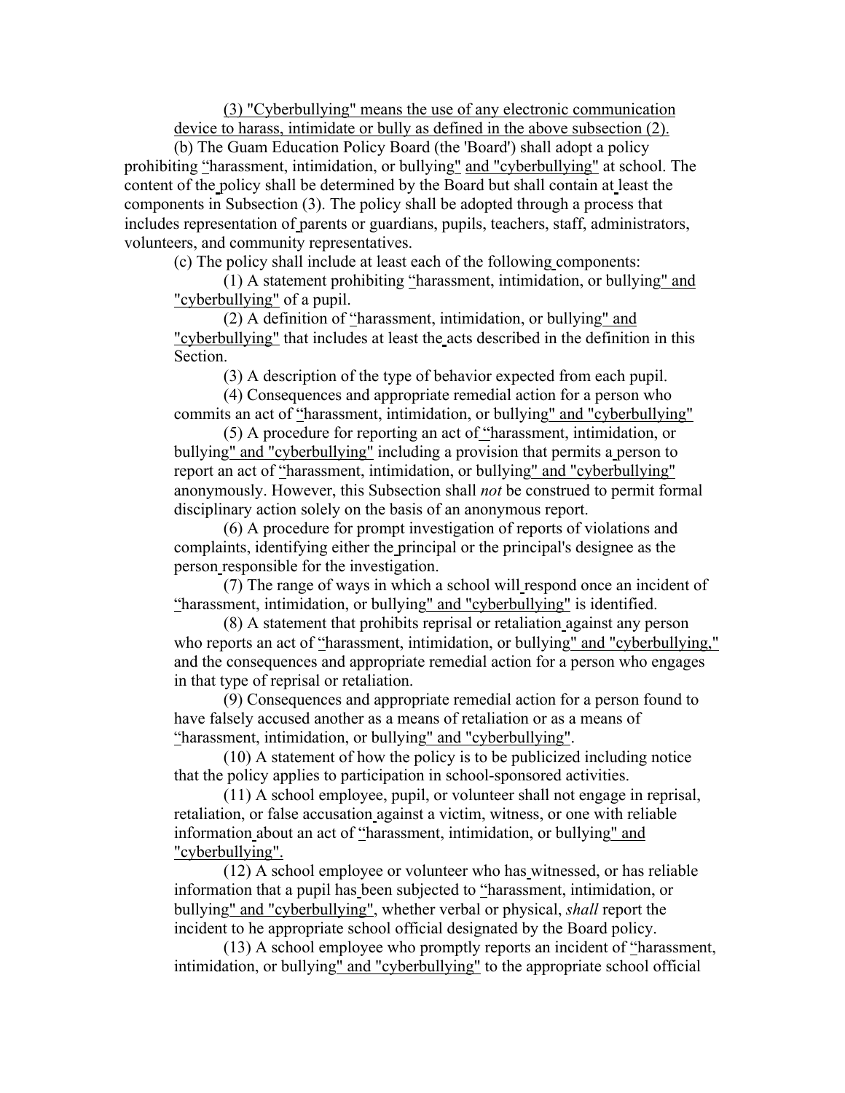(3) "Cyberbullying" means the use of any electronic communication device to harass, intimidate or bully as defined in the above subsection (2).

(b) The Guam Education Policy Board (the 'Board') shall adopt a policy prohibiting "harassment, intimidation, or bullying" and "cyberbullying" at school. The content of the policy shall be determined by the Board but shall contain at least the components in Subsection (3). The policy shall be adopted through a process that includes representation of parents or guardians, pupils, teachers, staff, administrators, volunteers, and community representatives.

(c) The policy shall include at least each of the following components:

(1) A statement prohibiting "harassment, intimidation, or bullying" and "cyberbullying" of a pupil.

(2) A definition of "harassment, intimidation, or bullying" and "cyberbullying" that includes at least the acts described in the definition in this Section.

(3) A description of the type of behavior expected from each pupil.

(4) Consequences and appropriate remedial action for a person who commits an act of "harassment, intimidation, or bullying" and "cyberbullying"

(5) A procedure for reporting an act of "harassment, intimidation, or bullying" and "cyberbullying" including a provision that permits a person to report an act of "harassment, intimidation, or bullying" and "cyberbullying" anonymously. However, this Subsection shall *not* be construed to permit formal disciplinary action solely on the basis of an anonymous report.

(6) A procedure for prompt investigation of reports of violations and complaints, identifying either the principal or the principal's designee as the person responsible for the investigation.

(7) The range of ways in which a school will respond once an incident of "harassment, intimidation, or bullying" and "cyberbullying" is identified.

(8) A statement that prohibits reprisal or retaliation against any person who reports an act of "harassment, intimidation, or bullying" and "cyberbullying," and the consequences and appropriate remedial action for a person who engages in that type of reprisal or retaliation.

(9) Consequences and appropriate remedial action for a person found to have falsely accused another as a means of retaliation or as a means of "harassment, intimidation, or bullying" and "cyberbullying".

(10) A statement of how the policy is to be publicized including notice that the policy applies to participation in school-sponsored activities.

(11) A school employee, pupil, or volunteer shall not engage in reprisal, retaliation, or false accusation against a victim, witness, or one with reliable information about an act of "harassment, intimidation, or bullying" and "cyberbullying".

(12) A school employee or volunteer who has witnessed, or has reliable information that a pupil has been subjected to "harassment, intimidation, or bullying" and "cyberbullying", whether verbal or physical, *shall* report the incident to he appropriate school official designated by the Board policy.

(13) A school employee who promptly reports an incident of "harassment, intimidation, or bullying" and "cyberbullying" to the appropriate school official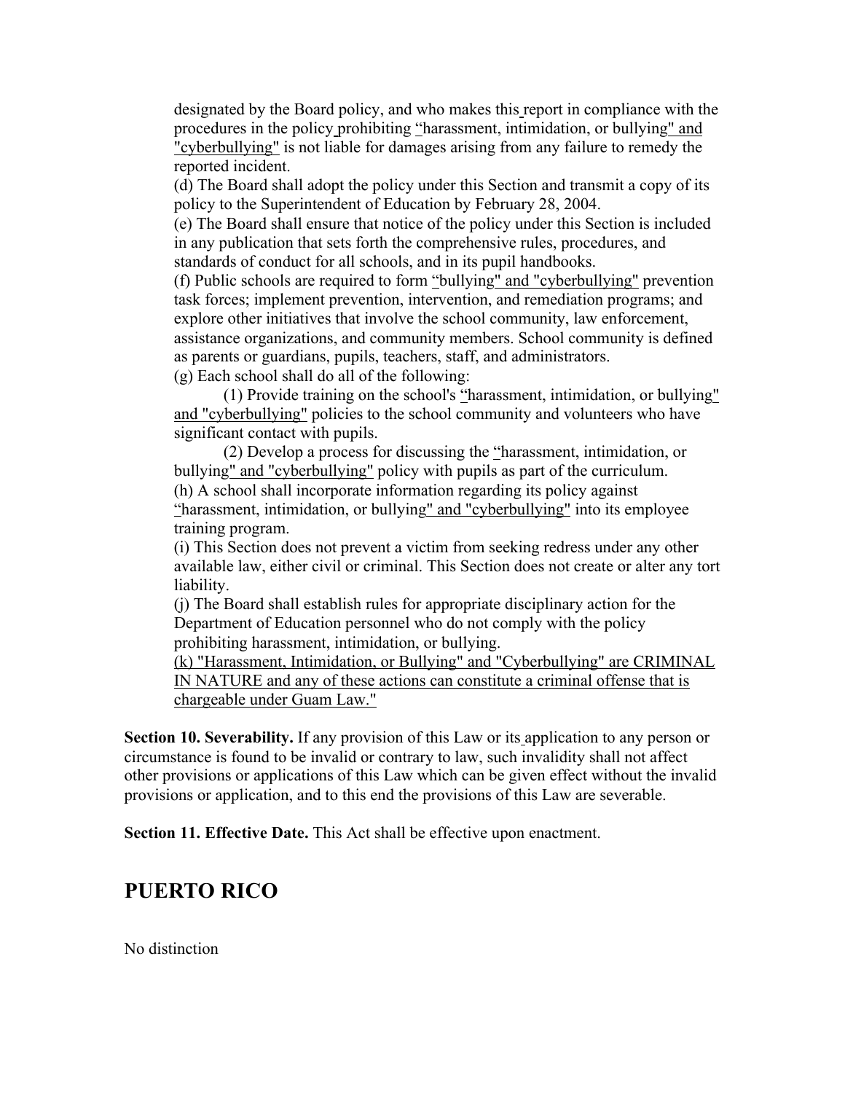designated by the Board policy, and who makes this report in compliance with the procedures in the policy prohibiting "harassment, intimidation, or bullying" and "cyberbullying" is not liable for damages arising from any failure to remedy the reported incident.

(d) The Board shall adopt the policy under this Section and transmit a copy of its policy to the Superintendent of Education by February 28, 2004.

(e) The Board shall ensure that notice of the policy under this Section is included in any publication that sets forth the comprehensive rules, procedures, and standards of conduct for all schools, and in its pupil handbooks.

(f) Public schools are required to form "bullying" and "cyberbullying" prevention task forces; implement prevention, intervention, and remediation programs; and explore other initiatives that involve the school community, law enforcement, assistance organizations, and community members. School community is defined as parents or guardians, pupils, teachers, staff, and administrators. (g) Each school shall do all of the following:

(1) Provide training on the school's "harassment, intimidation, or bullying" and "cyberbullying" policies to the school community and volunteers who have significant contact with pupils.

(2) Develop a process for discussing the "harassment, intimidation, or bullying" and "cyberbullying" policy with pupils as part of the curriculum. (h) A school shall incorporate information regarding its policy against "harassment, intimidation, or bullying" and "cyberbullying" into its employee training program.

(i) This Section does not prevent a victim from seeking redress under any other available law, either civil or criminal. This Section does not create or alter any tort liability.

(j) The Board shall establish rules for appropriate disciplinary action for the Department of Education personnel who do not comply with the policy prohibiting harassment, intimidation, or bullying.

(k) "Harassment, Intimidation, or Bullying" and "Cyberbullying" are CRIMINAL IN NATURE and any of these actions can constitute a criminal offense that is chargeable under Guam Law."

**Section 10. Severability.** If any provision of this Law or its application to any person or circumstance is found to be invalid or contrary to law, such invalidity shall not affect other provisions or applications of this Law which can be given effect without the invalid provisions or application, and to this end the provisions of this Law are severable.

**Section 11. Effective Date.** This Act shall be effective upon enactment.

## **PUERTO RICO**

No distinction